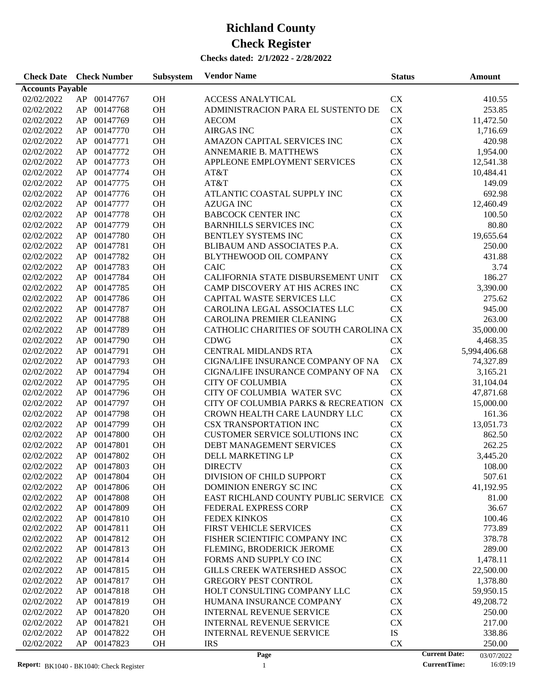| <b>Accounts Payable</b><br>02/02/2022<br>AP<br>00147767<br>OH<br><b>ACCESS ANALYTICAL</b><br><b>CX</b><br>CX<br>02/02/2022<br>AP<br>00147768<br>OH<br>ADMINISTRACION PARA EL SUSTENTO DE<br>AP<br>00147769<br>OH<br><b>CX</b><br>02/02/2022<br><b>AECOM</b> | 410.55<br>253.85<br>11,472.50<br>1,716.69<br>420.98 |
|-------------------------------------------------------------------------------------------------------------------------------------------------------------------------------------------------------------------------------------------------------------|-----------------------------------------------------|
|                                                                                                                                                                                                                                                             |                                                     |
|                                                                                                                                                                                                                                                             |                                                     |
|                                                                                                                                                                                                                                                             |                                                     |
|                                                                                                                                                                                                                                                             |                                                     |
| AP<br>00147770<br>OH<br><b>AIRGAS INC</b><br><b>CX</b><br>02/02/2022                                                                                                                                                                                        |                                                     |
| AP<br>00147771<br>OH<br>AMAZON CAPITAL SERVICES INC<br><b>CX</b><br>02/02/2022                                                                                                                                                                              |                                                     |
| <b>CX</b><br>AP<br>00147772<br>OH<br>ANNEMARIE B. MATTHEWS<br>02/02/2022                                                                                                                                                                                    | 1,954.00                                            |
| CX<br>AP<br>00147773<br>OH<br>APPLEONE EMPLOYMENT SERVICES<br>02/02/2022                                                                                                                                                                                    | 12,541.38                                           |
| OH<br>CX<br>AP<br>00147774<br>02/02/2022<br>AT&T                                                                                                                                                                                                            | 10,484.41                                           |
| OH<br><b>CX</b><br>AP<br>00147775<br>AT&T<br>02/02/2022                                                                                                                                                                                                     | 149.09                                              |
| CX<br>AP<br>00147776<br>OH<br>02/02/2022<br>ATLANTIC COASTAL SUPPLY INC                                                                                                                                                                                     | 692.98                                              |
| AP<br>00147777<br>OH<br><b>CX</b><br>02/02/2022<br><b>AZUGA INC</b>                                                                                                                                                                                         | 12,460.49                                           |
| <b>CX</b><br>AP<br>00147778<br>OH<br><b>BABCOCK CENTER INC</b><br>02/02/2022                                                                                                                                                                                | 100.50                                              |
| AP<br>00147779<br>OH<br><b>CX</b>                                                                                                                                                                                                                           | 80.80                                               |
| 02/02/2022<br><b>BARNHILLS SERVICES INC</b><br><b>CX</b>                                                                                                                                                                                                    |                                                     |
| AP<br>00147780<br>OH<br>BENTLEY SYSTEMS INC<br>02/02/2022                                                                                                                                                                                                   | 19,655.64                                           |
| OH<br><b>CX</b><br>AP<br>00147781<br>BLIBAUM AND ASSOCIATES P.A.<br>02/02/2022                                                                                                                                                                              | 250.00                                              |
| OH<br><b>CX</b><br>AP<br>00147782<br>BLYTHEWOOD OIL COMPANY<br>02/02/2022                                                                                                                                                                                   | 431.88                                              |
| OH<br>CX<br>AP<br>00147783<br><b>CAIC</b><br>02/02/2022                                                                                                                                                                                                     | 3.74                                                |
| OH<br>CX<br>AP<br>00147784<br>CALIFORNIA STATE DISBURSEMENT UNIT<br>02/02/2022                                                                                                                                                                              | 186.27                                              |
| CX<br>AP<br>00147785<br>OH<br>CAMP DISCOVERY AT HIS ACRES INC<br>02/02/2022                                                                                                                                                                                 | 3,390.00                                            |
| AP<br>00147786<br>OH<br>CAPITAL WASTE SERVICES LLC<br><b>CX</b><br>02/02/2022                                                                                                                                                                               | 275.62                                              |
| AP<br>00147787<br>OH<br><b>CX</b><br>02/02/2022<br>CAROLINA LEGAL ASSOCIATES LLC                                                                                                                                                                            | 945.00                                              |
| AP<br>00147788<br>OH<br><b>CX</b><br>02/02/2022<br>CAROLINA PREMIER CLEANING                                                                                                                                                                                | 263.00                                              |
| AP<br>00147789<br>OH<br>CATHOLIC CHARITIES OF SOUTH CAROLINA CX<br>02/02/2022                                                                                                                                                                               | 35,000.00                                           |
| OH<br>AP<br>00147790<br><b>CDWG</b><br><b>CX</b><br>02/02/2022                                                                                                                                                                                              | 4,468.35                                            |
| OH<br>AP<br>00147791<br>CENTRAL MIDLANDS RTA<br><b>CX</b><br>02/02/2022                                                                                                                                                                                     | 5,994,406.68                                        |
| OH<br>CX<br>AP<br>00147793<br>CIGNA/LIFE INSURANCE COMPANY OF NA<br>02/02/2022                                                                                                                                                                              | 74,327.89                                           |
| CX<br>AP<br>00147794<br>OH<br>02/02/2022<br>CIGNA/LIFE INSURANCE COMPANY OF NA                                                                                                                                                                              | 3,165.21                                            |
| AP<br>00147795<br>OH<br><b>CITY OF COLUMBIA</b><br>CX<br>02/02/2022                                                                                                                                                                                         | 31,104.04                                           |
| <b>CX</b><br>AP<br>00147796<br>OH<br>CITY OF COLUMBIA WATER SVC<br>02/02/2022                                                                                                                                                                               | 47,871.68                                           |
| AP<br>00147797<br>OH<br>CITY OF COLUMBIA PARKS & RECREATION<br><b>CX</b><br>02/02/2022                                                                                                                                                                      | 15,000.00                                           |
| AP<br>00147798<br>OH<br>CX<br>02/02/2022<br>CROWN HEALTH CARE LAUNDRY LLC                                                                                                                                                                                   | 161.36                                              |
| AP<br>00147799<br>OH<br><b>CSX TRANSPORTATION INC</b><br>CX<br>02/02/2022                                                                                                                                                                                   | 13,051.73                                           |
| CX<br>AP<br>00147800<br>OH<br><b>CUSTOMER SERVICE SOLUTIONS INC</b><br>02/02/2022                                                                                                                                                                           | 862.50                                              |
| <b>CX</b><br>AP<br>00147801<br>OH<br>02/02/2022<br>DEBT MANAGEMENT SERVICES                                                                                                                                                                                 | 262.25                                              |
| <b>CX</b><br>AP 00147802<br>OH<br>DELL MARKETING LP<br>02/02/2022                                                                                                                                                                                           | 3,445.20                                            |
| AP 00147803<br><b>OH</b><br>${\rm CX}$<br>02/02/2022<br><b>DIRECTV</b>                                                                                                                                                                                      | 108.00                                              |
| 00147804<br>CX<br>02/02/2022<br>AP<br><b>OH</b><br>DIVISION OF CHILD SUPPORT                                                                                                                                                                                | 507.61                                              |
| AP<br>00147806<br>OH<br><b>CX</b><br>02/02/2022<br>DOMINION ENERGY SCINC                                                                                                                                                                                    | 41,192.95                                           |
| AP<br>00147808<br>OH<br><b>CX</b><br>02/02/2022<br>EAST RICHLAND COUNTY PUBLIC SERVICE                                                                                                                                                                      | 81.00                                               |
| AP<br>00147809<br>OH<br>FEDERAL EXPRESS CORP<br><b>CX</b><br>02/02/2022                                                                                                                                                                                     | 36.67                                               |
| AP<br>00147810<br>OH<br><b>FEDEX KINKOS</b><br><b>CX</b><br>02/02/2022                                                                                                                                                                                      | 100.46                                              |
| OH<br><b>CX</b><br>02/02/2022<br>AP<br>00147811<br><b>FIRST VEHICLE SERVICES</b>                                                                                                                                                                            | 773.89                                              |
| OH<br><b>CX</b><br>02/02/2022<br>AP<br>00147812<br>FISHER SCIENTIFIC COMPANY INC                                                                                                                                                                            | 378.78                                              |
| AP<br>00147813<br>OH<br><b>CX</b><br>02/02/2022<br>FLEMING, BRODERICK JEROME                                                                                                                                                                                | 289.00                                              |
| AP<br>00147814<br>OH<br>FORMS AND SUPPLY CO INC<br><b>CX</b><br>02/02/2022                                                                                                                                                                                  | 1,478.11                                            |
| AP<br>00147815<br>OH<br>GILLS CREEK WATERSHED ASSOC<br><b>CX</b><br>02/02/2022                                                                                                                                                                              | 22,500.00                                           |
| AP<br>00147817<br>OH<br><b>GREGORY PEST CONTROL</b><br><b>CX</b><br>02/02/2022                                                                                                                                                                              | 1,378.80                                            |
| AP<br>00147818<br>OH<br>HOLT CONSULTING COMPANY LLC<br><b>CX</b><br>02/02/2022                                                                                                                                                                              | 59,950.15                                           |
| AP<br>00147819<br>OH<br>HUMANA INSURANCE COMPANY<br><b>CX</b><br>02/02/2022                                                                                                                                                                                 | 49,208.72                                           |
| AP<br>00147820<br>OH<br><b>INTERNAL REVENUE SERVICE</b><br><b>CX</b><br>02/02/2022                                                                                                                                                                          | 250.00                                              |
| AP<br>00147821<br>OH<br><b>INTERNAL REVENUE SERVICE</b><br><b>CX</b><br>02/02/2022                                                                                                                                                                          | 217.00                                              |
| ${\rm IS}$<br>AP<br>00147822<br>OH<br><b>INTERNAL REVENUE SERVICE</b><br>02/02/2022                                                                                                                                                                         | 338.86                                              |
| <b>CX</b><br>02/02/2022<br>AP<br>00147823<br>OH<br><b>IRS</b>                                                                                                                                                                                               | 250.00                                              |
| <b>Current Date:</b><br>Page                                                                                                                                                                                                                                | 03/07/2022                                          |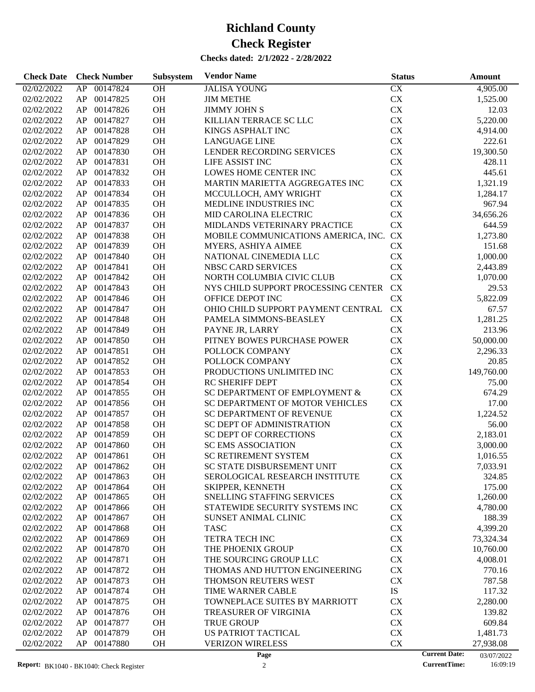| 00147824<br>OH<br>CX<br>4,905.00<br>02/02/2022<br>AP<br><b>JALISA YOUNG</b><br>AP 00147825<br><b>OH</b><br><b>CX</b><br>02/02/2022<br><b>JIM METHE</b><br>1,525.00<br>OH<br>00147826<br><b>JIMMY JOHN S</b><br><b>CX</b><br>12.03<br>02/02/2022<br>AP<br>00147827<br>OH<br>KILLIAN TERRACE SC LLC<br><b>CX</b><br>02/02/2022<br>AP<br>5,220.00<br>00147828<br>OH<br><b>CX</b><br>02/02/2022<br>AP<br>KINGS ASPHALT INC<br>4,914.00<br>00147829<br>OH<br><b>CX</b><br>02/02/2022<br>AP<br><b>LANGUAGE LINE</b><br>222.61<br>00147830<br>OH<br>LENDER RECORDING SERVICES<br><b>CX</b><br>19,300.50<br>02/02/2022<br>AP<br>00147831<br>OH<br><b>CX</b><br>02/02/2022<br>AP<br>LIFE ASSIST INC<br>428.11<br>00147832<br>OH<br>LOWES HOME CENTER INC<br><b>CX</b><br>445.61<br>02/02/2022<br>AP<br>00147833<br>OH<br><b>CX</b><br>02/02/2022<br>AP<br>MARTIN MARIETTA AGGREGATES INC<br>1,321.19<br>00147834<br>OH<br><b>CX</b><br>02/02/2022<br>AP<br>MCCULLOCH, AMY WRIGHT<br>1,284.17<br>00147835<br>OH<br><b>CX</b><br>967.94<br>02/02/2022<br>AP<br>MEDLINE INDUSTRIES INC<br>00147836<br>OH<br>CX<br>02/02/2022<br>AP<br>MID CAROLINA ELECTRIC<br>34,656.26<br><b>CX</b><br>00147837<br>OH<br>02/02/2022<br>AP<br>MIDLANDS VETERINARY PRACTICE<br>644.59<br>MOBILE COMMUNICATIONS AMERICA, INC. CX<br>00147838<br>OH<br>1,273.80<br>02/02/2022<br>AP<br>00147839<br>OH<br><b>CX</b><br>02/02/2022<br>AP<br>MYERS, ASHIYA AIMEE<br>151.68<br>00147840<br>OH<br><b>CX</b><br>02/02/2022<br>AP<br>NATIONAL CINEMEDIA LLC<br>1,000.00<br>00147841<br>OH<br><b>CX</b><br>02/02/2022<br>AP<br>NBSC CARD SERVICES<br>2,443.89<br><b>CX</b><br>00147842<br>OH<br>02/02/2022<br>AP<br>NORTH COLUMBIA CIVIC CLUB<br>1,070.00<br>00147843<br>OH<br>NYS CHILD SUPPORT PROCESSING CENTER<br><b>CX</b><br>29.53<br>02/02/2022<br>AP<br>00147846<br>OH<br><b>CX</b><br>5,822.09<br>02/02/2022<br>AP<br>OFFICE DEPOT INC<br><b>CX</b><br>00147847<br>OH<br>OHIO CHILD SUPPORT PAYMENT CENTRAL<br>02/02/2022<br>AP<br>67.57<br>00147848<br>OH<br><b>CX</b><br>1,281.25<br>02/02/2022<br>AP<br>PAMELA SIMMONS-BEASLEY<br>00147849<br>OH<br><b>CX</b><br>02/02/2022<br>AP<br>PAYNE JR, LARRY<br>213.96<br>00147850<br>OH<br>PITNEY BOWES PURCHASE POWER<br><b>CX</b><br>02/02/2022<br>AP<br>50,000.00<br>00147851<br>OH<br><b>CX</b><br>02/02/2022<br>AP<br>POLLOCK COMPANY<br>2,296.33<br>00147852<br>OH<br><b>CX</b><br>02/02/2022<br>AP<br>POLLOCK COMPANY<br>20.85<br>00147853<br>OH<br>PRODUCTIONS UNLIMITED INC<br>CX<br>149,760.00<br>02/02/2022<br>AP<br>00147854<br>OH<br><b>CX</b><br>02/02/2022<br>AP<br><b>RC SHERIFF DEPT</b><br>75.00<br>00147855<br>OH<br>SC DEPARTMENT OF EMPLOYMENT &<br>CX<br>674.29<br>02/02/2022<br>AP<br>00147856<br>OH<br><b>CX</b><br>02/02/2022<br>AP<br>SC DEPARTMENT OF MOTOR VEHICLES<br>17.00<br>00147857<br>OH<br><b>CX</b><br>02/02/2022<br>AP<br><b>SC DEPARTMENT OF REVENUE</b><br>1,224.52<br>00147858<br>OH<br><b>CX</b><br>02/02/2022<br>AP<br>SC DEPT OF ADMINISTRATION<br>56.00<br>00147859<br>OH<br>CX<br>02/02/2022<br>AP<br><b>SC DEPT OF CORRECTIONS</b><br>2,183.01<br>00147860<br>OH<br>CX<br>02/02/2022<br>AP<br><b>SC EMS ASSOCIATION</b><br>3,000.00<br>AP 00147861<br><b>OH</b><br>CX<br>02/02/2022<br><b>SC RETIREMENT SYSTEM</b><br>1,016.55<br>02/02/2022<br>AP<br>00147862<br>OH<br>SC STATE DISBURSEMENT UNIT<br><b>CX</b><br>7,033.91<br>00147863<br><b>OH</b><br><b>CX</b><br>02/02/2022<br>AP<br>SEROLOGICAL RESEARCH INSTITUTE<br>324.85<br>00147864<br>OH<br><b>CX</b><br>175.00<br>02/02/2022<br>AP<br><b>SKIPPER, KENNETH</b><br>OH<br>CX<br>02/02/2022<br>AP<br>00147865<br><b>SNELLING STAFFING SERVICES</b><br>1,260.00<br>00147866<br>OH<br>STATEWIDE SECURITY SYSTEMS INC<br>CX<br>02/02/2022<br>AP<br>4,780.00<br>00147867<br>OH<br>CX<br>188.39<br>02/02/2022<br>AP<br><b>SUNSET ANIMAL CLINIC</b><br>00147868<br>OH<br>CX<br>02/02/2022<br>AP<br><b>TASC</b><br>4,399.20<br>00147869<br>OH<br>TETRA TECH INC<br>CX<br>02/02/2022<br>AP<br>73,324.34<br>00147870<br>OH<br>THE PHOENIX GROUP<br>CX<br>02/02/2022<br>AP<br>10,760.00<br>00147871<br>OH<br>CX<br>02/02/2022<br>AP<br>THE SOURCING GROUP LLC<br>4,008.01<br>00147872<br>OH<br>CX<br>02/02/2022<br>AP<br>THOMAS AND HUTTON ENGINEERING<br>770.16<br>00147873<br>OH<br>THOMSON REUTERS WEST<br>CX<br>787.58<br>02/02/2022<br>AP<br>00147874<br>OH<br>IS<br>02/02/2022<br>AP<br>TIME WARNER CABLE<br>117.32<br>00147875<br>OH<br>TOWNEPLACE SUITES BY MARRIOTT<br>CX<br>2,280.00<br>02/02/2022<br>AP<br>00147876<br>OH<br>139.82<br>02/02/2022<br>AP<br><b>TREASURER OF VIRGINIA</b><br>CX<br>00147877<br>OH<br><b>TRUE GROUP</b><br>CX<br>609.84<br>02/02/2022<br>AP<br>AP<br>00147879<br>OH<br><b>US PATRIOT TACTICAL</b><br>CX<br>02/02/2022<br>1,481.73<br>02/02/2022<br>AP<br>00147880<br><b>OH</b><br><b>VERIZON WIRELESS</b><br>CX<br>27,938.08<br><b>Current Date:</b><br>Page<br>03/07/2022 | <b>Check Date</b> | <b>Check Number</b> | Subsystem | <b>Vendor Name</b> | <b>Status</b> | Amount |
|-------------------------------------------------------------------------------------------------------------------------------------------------------------------------------------------------------------------------------------------------------------------------------------------------------------------------------------------------------------------------------------------------------------------------------------------------------------------------------------------------------------------------------------------------------------------------------------------------------------------------------------------------------------------------------------------------------------------------------------------------------------------------------------------------------------------------------------------------------------------------------------------------------------------------------------------------------------------------------------------------------------------------------------------------------------------------------------------------------------------------------------------------------------------------------------------------------------------------------------------------------------------------------------------------------------------------------------------------------------------------------------------------------------------------------------------------------------------------------------------------------------------------------------------------------------------------------------------------------------------------------------------------------------------------------------------------------------------------------------------------------------------------------------------------------------------------------------------------------------------------------------------------------------------------------------------------------------------------------------------------------------------------------------------------------------------------------------------------------------------------------------------------------------------------------------------------------------------------------------------------------------------------------------------------------------------------------------------------------------------------------------------------------------------------------------------------------------------------------------------------------------------------------------------------------------------------------------------------------------------------------------------------------------------------------------------------------------------------------------------------------------------------------------------------------------------------------------------------------------------------------------------------------------------------------------------------------------------------------------------------------------------------------------------------------------------------------------------------------------------------------------------------------------------------------------------------------------------------------------------------------------------------------------------------------------------------------------------------------------------------------------------------------------------------------------------------------------------------------------------------------------------------------------------------------------------------------------------------------------------------------------------------------------------------------------------------------------------------------------------------------------------------------------------------------------------------------------------------------------------------------------------------------------------------------------------------------------------------------------------------------------------------------------------------------------------------------------------------------------------------------------------------------------------------------------------------------------------------------------------------------------------------------------------------------------------------------------------------------------------------------------------------------------------------------------------------------------------------------------------------------------------------------------------------------------------------------------------------------------------------------------------------------------------------------------------------------------------------------------------------------------------------------------------------------------------------------------------------------------------------------------------------------------------------------|-------------------|---------------------|-----------|--------------------|---------------|--------|
|                                                                                                                                                                                                                                                                                                                                                                                                                                                                                                                                                                                                                                                                                                                                                                                                                                                                                                                                                                                                                                                                                                                                                                                                                                                                                                                                                                                                                                                                                                                                                                                                                                                                                                                                                                                                                                                                                                                                                                                                                                                                                                                                                                                                                                                                                                                                                                                                                                                                                                                                                                                                                                                                                                                                                                                                                                                                                                                                                                                                                                                                                                                                                                                                                                                                                                                                                                                                                                                                                                                                                                                                                                                                                                                                                                                                                                                                                                                                                                                                                                                                                                                                                                                                                                                                                                                                                                                                                                                                                                                                                                                                                                                                                                                                                                                                                                                                                                                               |                   |                     |           |                    |               |        |
|                                                                                                                                                                                                                                                                                                                                                                                                                                                                                                                                                                                                                                                                                                                                                                                                                                                                                                                                                                                                                                                                                                                                                                                                                                                                                                                                                                                                                                                                                                                                                                                                                                                                                                                                                                                                                                                                                                                                                                                                                                                                                                                                                                                                                                                                                                                                                                                                                                                                                                                                                                                                                                                                                                                                                                                                                                                                                                                                                                                                                                                                                                                                                                                                                                                                                                                                                                                                                                                                                                                                                                                                                                                                                                                                                                                                                                                                                                                                                                                                                                                                                                                                                                                                                                                                                                                                                                                                                                                                                                                                                                                                                                                                                                                                                                                                                                                                                                                               |                   |                     |           |                    |               |        |
|                                                                                                                                                                                                                                                                                                                                                                                                                                                                                                                                                                                                                                                                                                                                                                                                                                                                                                                                                                                                                                                                                                                                                                                                                                                                                                                                                                                                                                                                                                                                                                                                                                                                                                                                                                                                                                                                                                                                                                                                                                                                                                                                                                                                                                                                                                                                                                                                                                                                                                                                                                                                                                                                                                                                                                                                                                                                                                                                                                                                                                                                                                                                                                                                                                                                                                                                                                                                                                                                                                                                                                                                                                                                                                                                                                                                                                                                                                                                                                                                                                                                                                                                                                                                                                                                                                                                                                                                                                                                                                                                                                                                                                                                                                                                                                                                                                                                                                                               |                   |                     |           |                    |               |        |
|                                                                                                                                                                                                                                                                                                                                                                                                                                                                                                                                                                                                                                                                                                                                                                                                                                                                                                                                                                                                                                                                                                                                                                                                                                                                                                                                                                                                                                                                                                                                                                                                                                                                                                                                                                                                                                                                                                                                                                                                                                                                                                                                                                                                                                                                                                                                                                                                                                                                                                                                                                                                                                                                                                                                                                                                                                                                                                                                                                                                                                                                                                                                                                                                                                                                                                                                                                                                                                                                                                                                                                                                                                                                                                                                                                                                                                                                                                                                                                                                                                                                                                                                                                                                                                                                                                                                                                                                                                                                                                                                                                                                                                                                                                                                                                                                                                                                                                                               |                   |                     |           |                    |               |        |
|                                                                                                                                                                                                                                                                                                                                                                                                                                                                                                                                                                                                                                                                                                                                                                                                                                                                                                                                                                                                                                                                                                                                                                                                                                                                                                                                                                                                                                                                                                                                                                                                                                                                                                                                                                                                                                                                                                                                                                                                                                                                                                                                                                                                                                                                                                                                                                                                                                                                                                                                                                                                                                                                                                                                                                                                                                                                                                                                                                                                                                                                                                                                                                                                                                                                                                                                                                                                                                                                                                                                                                                                                                                                                                                                                                                                                                                                                                                                                                                                                                                                                                                                                                                                                                                                                                                                                                                                                                                                                                                                                                                                                                                                                                                                                                                                                                                                                                                               |                   |                     |           |                    |               |        |
|                                                                                                                                                                                                                                                                                                                                                                                                                                                                                                                                                                                                                                                                                                                                                                                                                                                                                                                                                                                                                                                                                                                                                                                                                                                                                                                                                                                                                                                                                                                                                                                                                                                                                                                                                                                                                                                                                                                                                                                                                                                                                                                                                                                                                                                                                                                                                                                                                                                                                                                                                                                                                                                                                                                                                                                                                                                                                                                                                                                                                                                                                                                                                                                                                                                                                                                                                                                                                                                                                                                                                                                                                                                                                                                                                                                                                                                                                                                                                                                                                                                                                                                                                                                                                                                                                                                                                                                                                                                                                                                                                                                                                                                                                                                                                                                                                                                                                                                               |                   |                     |           |                    |               |        |
|                                                                                                                                                                                                                                                                                                                                                                                                                                                                                                                                                                                                                                                                                                                                                                                                                                                                                                                                                                                                                                                                                                                                                                                                                                                                                                                                                                                                                                                                                                                                                                                                                                                                                                                                                                                                                                                                                                                                                                                                                                                                                                                                                                                                                                                                                                                                                                                                                                                                                                                                                                                                                                                                                                                                                                                                                                                                                                                                                                                                                                                                                                                                                                                                                                                                                                                                                                                                                                                                                                                                                                                                                                                                                                                                                                                                                                                                                                                                                                                                                                                                                                                                                                                                                                                                                                                                                                                                                                                                                                                                                                                                                                                                                                                                                                                                                                                                                                                               |                   |                     |           |                    |               |        |
|                                                                                                                                                                                                                                                                                                                                                                                                                                                                                                                                                                                                                                                                                                                                                                                                                                                                                                                                                                                                                                                                                                                                                                                                                                                                                                                                                                                                                                                                                                                                                                                                                                                                                                                                                                                                                                                                                                                                                                                                                                                                                                                                                                                                                                                                                                                                                                                                                                                                                                                                                                                                                                                                                                                                                                                                                                                                                                                                                                                                                                                                                                                                                                                                                                                                                                                                                                                                                                                                                                                                                                                                                                                                                                                                                                                                                                                                                                                                                                                                                                                                                                                                                                                                                                                                                                                                                                                                                                                                                                                                                                                                                                                                                                                                                                                                                                                                                                                               |                   |                     |           |                    |               |        |
|                                                                                                                                                                                                                                                                                                                                                                                                                                                                                                                                                                                                                                                                                                                                                                                                                                                                                                                                                                                                                                                                                                                                                                                                                                                                                                                                                                                                                                                                                                                                                                                                                                                                                                                                                                                                                                                                                                                                                                                                                                                                                                                                                                                                                                                                                                                                                                                                                                                                                                                                                                                                                                                                                                                                                                                                                                                                                                                                                                                                                                                                                                                                                                                                                                                                                                                                                                                                                                                                                                                                                                                                                                                                                                                                                                                                                                                                                                                                                                                                                                                                                                                                                                                                                                                                                                                                                                                                                                                                                                                                                                                                                                                                                                                                                                                                                                                                                                                               |                   |                     |           |                    |               |        |
|                                                                                                                                                                                                                                                                                                                                                                                                                                                                                                                                                                                                                                                                                                                                                                                                                                                                                                                                                                                                                                                                                                                                                                                                                                                                                                                                                                                                                                                                                                                                                                                                                                                                                                                                                                                                                                                                                                                                                                                                                                                                                                                                                                                                                                                                                                                                                                                                                                                                                                                                                                                                                                                                                                                                                                                                                                                                                                                                                                                                                                                                                                                                                                                                                                                                                                                                                                                                                                                                                                                                                                                                                                                                                                                                                                                                                                                                                                                                                                                                                                                                                                                                                                                                                                                                                                                                                                                                                                                                                                                                                                                                                                                                                                                                                                                                                                                                                                                               |                   |                     |           |                    |               |        |
|                                                                                                                                                                                                                                                                                                                                                                                                                                                                                                                                                                                                                                                                                                                                                                                                                                                                                                                                                                                                                                                                                                                                                                                                                                                                                                                                                                                                                                                                                                                                                                                                                                                                                                                                                                                                                                                                                                                                                                                                                                                                                                                                                                                                                                                                                                                                                                                                                                                                                                                                                                                                                                                                                                                                                                                                                                                                                                                                                                                                                                                                                                                                                                                                                                                                                                                                                                                                                                                                                                                                                                                                                                                                                                                                                                                                                                                                                                                                                                                                                                                                                                                                                                                                                                                                                                                                                                                                                                                                                                                                                                                                                                                                                                                                                                                                                                                                                                                               |                   |                     |           |                    |               |        |
|                                                                                                                                                                                                                                                                                                                                                                                                                                                                                                                                                                                                                                                                                                                                                                                                                                                                                                                                                                                                                                                                                                                                                                                                                                                                                                                                                                                                                                                                                                                                                                                                                                                                                                                                                                                                                                                                                                                                                                                                                                                                                                                                                                                                                                                                                                                                                                                                                                                                                                                                                                                                                                                                                                                                                                                                                                                                                                                                                                                                                                                                                                                                                                                                                                                                                                                                                                                                                                                                                                                                                                                                                                                                                                                                                                                                                                                                                                                                                                                                                                                                                                                                                                                                                                                                                                                                                                                                                                                                                                                                                                                                                                                                                                                                                                                                                                                                                                                               |                   |                     |           |                    |               |        |
|                                                                                                                                                                                                                                                                                                                                                                                                                                                                                                                                                                                                                                                                                                                                                                                                                                                                                                                                                                                                                                                                                                                                                                                                                                                                                                                                                                                                                                                                                                                                                                                                                                                                                                                                                                                                                                                                                                                                                                                                                                                                                                                                                                                                                                                                                                                                                                                                                                                                                                                                                                                                                                                                                                                                                                                                                                                                                                                                                                                                                                                                                                                                                                                                                                                                                                                                                                                                                                                                                                                                                                                                                                                                                                                                                                                                                                                                                                                                                                                                                                                                                                                                                                                                                                                                                                                                                                                                                                                                                                                                                                                                                                                                                                                                                                                                                                                                                                                               |                   |                     |           |                    |               |        |
|                                                                                                                                                                                                                                                                                                                                                                                                                                                                                                                                                                                                                                                                                                                                                                                                                                                                                                                                                                                                                                                                                                                                                                                                                                                                                                                                                                                                                                                                                                                                                                                                                                                                                                                                                                                                                                                                                                                                                                                                                                                                                                                                                                                                                                                                                                                                                                                                                                                                                                                                                                                                                                                                                                                                                                                                                                                                                                                                                                                                                                                                                                                                                                                                                                                                                                                                                                                                                                                                                                                                                                                                                                                                                                                                                                                                                                                                                                                                                                                                                                                                                                                                                                                                                                                                                                                                                                                                                                                                                                                                                                                                                                                                                                                                                                                                                                                                                                                               |                   |                     |           |                    |               |        |
|                                                                                                                                                                                                                                                                                                                                                                                                                                                                                                                                                                                                                                                                                                                                                                                                                                                                                                                                                                                                                                                                                                                                                                                                                                                                                                                                                                                                                                                                                                                                                                                                                                                                                                                                                                                                                                                                                                                                                                                                                                                                                                                                                                                                                                                                                                                                                                                                                                                                                                                                                                                                                                                                                                                                                                                                                                                                                                                                                                                                                                                                                                                                                                                                                                                                                                                                                                                                                                                                                                                                                                                                                                                                                                                                                                                                                                                                                                                                                                                                                                                                                                                                                                                                                                                                                                                                                                                                                                                                                                                                                                                                                                                                                                                                                                                                                                                                                                                               |                   |                     |           |                    |               |        |
|                                                                                                                                                                                                                                                                                                                                                                                                                                                                                                                                                                                                                                                                                                                                                                                                                                                                                                                                                                                                                                                                                                                                                                                                                                                                                                                                                                                                                                                                                                                                                                                                                                                                                                                                                                                                                                                                                                                                                                                                                                                                                                                                                                                                                                                                                                                                                                                                                                                                                                                                                                                                                                                                                                                                                                                                                                                                                                                                                                                                                                                                                                                                                                                                                                                                                                                                                                                                                                                                                                                                                                                                                                                                                                                                                                                                                                                                                                                                                                                                                                                                                                                                                                                                                                                                                                                                                                                                                                                                                                                                                                                                                                                                                                                                                                                                                                                                                                                               |                   |                     |           |                    |               |        |
|                                                                                                                                                                                                                                                                                                                                                                                                                                                                                                                                                                                                                                                                                                                                                                                                                                                                                                                                                                                                                                                                                                                                                                                                                                                                                                                                                                                                                                                                                                                                                                                                                                                                                                                                                                                                                                                                                                                                                                                                                                                                                                                                                                                                                                                                                                                                                                                                                                                                                                                                                                                                                                                                                                                                                                                                                                                                                                                                                                                                                                                                                                                                                                                                                                                                                                                                                                                                                                                                                                                                                                                                                                                                                                                                                                                                                                                                                                                                                                                                                                                                                                                                                                                                                                                                                                                                                                                                                                                                                                                                                                                                                                                                                                                                                                                                                                                                                                                               |                   |                     |           |                    |               |        |
|                                                                                                                                                                                                                                                                                                                                                                                                                                                                                                                                                                                                                                                                                                                                                                                                                                                                                                                                                                                                                                                                                                                                                                                                                                                                                                                                                                                                                                                                                                                                                                                                                                                                                                                                                                                                                                                                                                                                                                                                                                                                                                                                                                                                                                                                                                                                                                                                                                                                                                                                                                                                                                                                                                                                                                                                                                                                                                                                                                                                                                                                                                                                                                                                                                                                                                                                                                                                                                                                                                                                                                                                                                                                                                                                                                                                                                                                                                                                                                                                                                                                                                                                                                                                                                                                                                                                                                                                                                                                                                                                                                                                                                                                                                                                                                                                                                                                                                                               |                   |                     |           |                    |               |        |
|                                                                                                                                                                                                                                                                                                                                                                                                                                                                                                                                                                                                                                                                                                                                                                                                                                                                                                                                                                                                                                                                                                                                                                                                                                                                                                                                                                                                                                                                                                                                                                                                                                                                                                                                                                                                                                                                                                                                                                                                                                                                                                                                                                                                                                                                                                                                                                                                                                                                                                                                                                                                                                                                                                                                                                                                                                                                                                                                                                                                                                                                                                                                                                                                                                                                                                                                                                                                                                                                                                                                                                                                                                                                                                                                                                                                                                                                                                                                                                                                                                                                                                                                                                                                                                                                                                                                                                                                                                                                                                                                                                                                                                                                                                                                                                                                                                                                                                                               |                   |                     |           |                    |               |        |
|                                                                                                                                                                                                                                                                                                                                                                                                                                                                                                                                                                                                                                                                                                                                                                                                                                                                                                                                                                                                                                                                                                                                                                                                                                                                                                                                                                                                                                                                                                                                                                                                                                                                                                                                                                                                                                                                                                                                                                                                                                                                                                                                                                                                                                                                                                                                                                                                                                                                                                                                                                                                                                                                                                                                                                                                                                                                                                                                                                                                                                                                                                                                                                                                                                                                                                                                                                                                                                                                                                                                                                                                                                                                                                                                                                                                                                                                                                                                                                                                                                                                                                                                                                                                                                                                                                                                                                                                                                                                                                                                                                                                                                                                                                                                                                                                                                                                                                                               |                   |                     |           |                    |               |        |
|                                                                                                                                                                                                                                                                                                                                                                                                                                                                                                                                                                                                                                                                                                                                                                                                                                                                                                                                                                                                                                                                                                                                                                                                                                                                                                                                                                                                                                                                                                                                                                                                                                                                                                                                                                                                                                                                                                                                                                                                                                                                                                                                                                                                                                                                                                                                                                                                                                                                                                                                                                                                                                                                                                                                                                                                                                                                                                                                                                                                                                                                                                                                                                                                                                                                                                                                                                                                                                                                                                                                                                                                                                                                                                                                                                                                                                                                                                                                                                                                                                                                                                                                                                                                                                                                                                                                                                                                                                                                                                                                                                                                                                                                                                                                                                                                                                                                                                                               |                   |                     |           |                    |               |        |
|                                                                                                                                                                                                                                                                                                                                                                                                                                                                                                                                                                                                                                                                                                                                                                                                                                                                                                                                                                                                                                                                                                                                                                                                                                                                                                                                                                                                                                                                                                                                                                                                                                                                                                                                                                                                                                                                                                                                                                                                                                                                                                                                                                                                                                                                                                                                                                                                                                                                                                                                                                                                                                                                                                                                                                                                                                                                                                                                                                                                                                                                                                                                                                                                                                                                                                                                                                                                                                                                                                                                                                                                                                                                                                                                                                                                                                                                                                                                                                                                                                                                                                                                                                                                                                                                                                                                                                                                                                                                                                                                                                                                                                                                                                                                                                                                                                                                                                                               |                   |                     |           |                    |               |        |
|                                                                                                                                                                                                                                                                                                                                                                                                                                                                                                                                                                                                                                                                                                                                                                                                                                                                                                                                                                                                                                                                                                                                                                                                                                                                                                                                                                                                                                                                                                                                                                                                                                                                                                                                                                                                                                                                                                                                                                                                                                                                                                                                                                                                                                                                                                                                                                                                                                                                                                                                                                                                                                                                                                                                                                                                                                                                                                                                                                                                                                                                                                                                                                                                                                                                                                                                                                                                                                                                                                                                                                                                                                                                                                                                                                                                                                                                                                                                                                                                                                                                                                                                                                                                                                                                                                                                                                                                                                                                                                                                                                                                                                                                                                                                                                                                                                                                                                                               |                   |                     |           |                    |               |        |
|                                                                                                                                                                                                                                                                                                                                                                                                                                                                                                                                                                                                                                                                                                                                                                                                                                                                                                                                                                                                                                                                                                                                                                                                                                                                                                                                                                                                                                                                                                                                                                                                                                                                                                                                                                                                                                                                                                                                                                                                                                                                                                                                                                                                                                                                                                                                                                                                                                                                                                                                                                                                                                                                                                                                                                                                                                                                                                                                                                                                                                                                                                                                                                                                                                                                                                                                                                                                                                                                                                                                                                                                                                                                                                                                                                                                                                                                                                                                                                                                                                                                                                                                                                                                                                                                                                                                                                                                                                                                                                                                                                                                                                                                                                                                                                                                                                                                                                                               |                   |                     |           |                    |               |        |
|                                                                                                                                                                                                                                                                                                                                                                                                                                                                                                                                                                                                                                                                                                                                                                                                                                                                                                                                                                                                                                                                                                                                                                                                                                                                                                                                                                                                                                                                                                                                                                                                                                                                                                                                                                                                                                                                                                                                                                                                                                                                                                                                                                                                                                                                                                                                                                                                                                                                                                                                                                                                                                                                                                                                                                                                                                                                                                                                                                                                                                                                                                                                                                                                                                                                                                                                                                                                                                                                                                                                                                                                                                                                                                                                                                                                                                                                                                                                                                                                                                                                                                                                                                                                                                                                                                                                                                                                                                                                                                                                                                                                                                                                                                                                                                                                                                                                                                                               |                   |                     |           |                    |               |        |
|                                                                                                                                                                                                                                                                                                                                                                                                                                                                                                                                                                                                                                                                                                                                                                                                                                                                                                                                                                                                                                                                                                                                                                                                                                                                                                                                                                                                                                                                                                                                                                                                                                                                                                                                                                                                                                                                                                                                                                                                                                                                                                                                                                                                                                                                                                                                                                                                                                                                                                                                                                                                                                                                                                                                                                                                                                                                                                                                                                                                                                                                                                                                                                                                                                                                                                                                                                                                                                                                                                                                                                                                                                                                                                                                                                                                                                                                                                                                                                                                                                                                                                                                                                                                                                                                                                                                                                                                                                                                                                                                                                                                                                                                                                                                                                                                                                                                                                                               |                   |                     |           |                    |               |        |
|                                                                                                                                                                                                                                                                                                                                                                                                                                                                                                                                                                                                                                                                                                                                                                                                                                                                                                                                                                                                                                                                                                                                                                                                                                                                                                                                                                                                                                                                                                                                                                                                                                                                                                                                                                                                                                                                                                                                                                                                                                                                                                                                                                                                                                                                                                                                                                                                                                                                                                                                                                                                                                                                                                                                                                                                                                                                                                                                                                                                                                                                                                                                                                                                                                                                                                                                                                                                                                                                                                                                                                                                                                                                                                                                                                                                                                                                                                                                                                                                                                                                                                                                                                                                                                                                                                                                                                                                                                                                                                                                                                                                                                                                                                                                                                                                                                                                                                                               |                   |                     |           |                    |               |        |
|                                                                                                                                                                                                                                                                                                                                                                                                                                                                                                                                                                                                                                                                                                                                                                                                                                                                                                                                                                                                                                                                                                                                                                                                                                                                                                                                                                                                                                                                                                                                                                                                                                                                                                                                                                                                                                                                                                                                                                                                                                                                                                                                                                                                                                                                                                                                                                                                                                                                                                                                                                                                                                                                                                                                                                                                                                                                                                                                                                                                                                                                                                                                                                                                                                                                                                                                                                                                                                                                                                                                                                                                                                                                                                                                                                                                                                                                                                                                                                                                                                                                                                                                                                                                                                                                                                                                                                                                                                                                                                                                                                                                                                                                                                                                                                                                                                                                                                                               |                   |                     |           |                    |               |        |
|                                                                                                                                                                                                                                                                                                                                                                                                                                                                                                                                                                                                                                                                                                                                                                                                                                                                                                                                                                                                                                                                                                                                                                                                                                                                                                                                                                                                                                                                                                                                                                                                                                                                                                                                                                                                                                                                                                                                                                                                                                                                                                                                                                                                                                                                                                                                                                                                                                                                                                                                                                                                                                                                                                                                                                                                                                                                                                                                                                                                                                                                                                                                                                                                                                                                                                                                                                                                                                                                                                                                                                                                                                                                                                                                                                                                                                                                                                                                                                                                                                                                                                                                                                                                                                                                                                                                                                                                                                                                                                                                                                                                                                                                                                                                                                                                                                                                                                                               |                   |                     |           |                    |               |        |
|                                                                                                                                                                                                                                                                                                                                                                                                                                                                                                                                                                                                                                                                                                                                                                                                                                                                                                                                                                                                                                                                                                                                                                                                                                                                                                                                                                                                                                                                                                                                                                                                                                                                                                                                                                                                                                                                                                                                                                                                                                                                                                                                                                                                                                                                                                                                                                                                                                                                                                                                                                                                                                                                                                                                                                                                                                                                                                                                                                                                                                                                                                                                                                                                                                                                                                                                                                                                                                                                                                                                                                                                                                                                                                                                                                                                                                                                                                                                                                                                                                                                                                                                                                                                                                                                                                                                                                                                                                                                                                                                                                                                                                                                                                                                                                                                                                                                                                                               |                   |                     |           |                    |               |        |
|                                                                                                                                                                                                                                                                                                                                                                                                                                                                                                                                                                                                                                                                                                                                                                                                                                                                                                                                                                                                                                                                                                                                                                                                                                                                                                                                                                                                                                                                                                                                                                                                                                                                                                                                                                                                                                                                                                                                                                                                                                                                                                                                                                                                                                                                                                                                                                                                                                                                                                                                                                                                                                                                                                                                                                                                                                                                                                                                                                                                                                                                                                                                                                                                                                                                                                                                                                                                                                                                                                                                                                                                                                                                                                                                                                                                                                                                                                                                                                                                                                                                                                                                                                                                                                                                                                                                                                                                                                                                                                                                                                                                                                                                                                                                                                                                                                                                                                                               |                   |                     |           |                    |               |        |
|                                                                                                                                                                                                                                                                                                                                                                                                                                                                                                                                                                                                                                                                                                                                                                                                                                                                                                                                                                                                                                                                                                                                                                                                                                                                                                                                                                                                                                                                                                                                                                                                                                                                                                                                                                                                                                                                                                                                                                                                                                                                                                                                                                                                                                                                                                                                                                                                                                                                                                                                                                                                                                                                                                                                                                                                                                                                                                                                                                                                                                                                                                                                                                                                                                                                                                                                                                                                                                                                                                                                                                                                                                                                                                                                                                                                                                                                                                                                                                                                                                                                                                                                                                                                                                                                                                                                                                                                                                                                                                                                                                                                                                                                                                                                                                                                                                                                                                                               |                   |                     |           |                    |               |        |
|                                                                                                                                                                                                                                                                                                                                                                                                                                                                                                                                                                                                                                                                                                                                                                                                                                                                                                                                                                                                                                                                                                                                                                                                                                                                                                                                                                                                                                                                                                                                                                                                                                                                                                                                                                                                                                                                                                                                                                                                                                                                                                                                                                                                                                                                                                                                                                                                                                                                                                                                                                                                                                                                                                                                                                                                                                                                                                                                                                                                                                                                                                                                                                                                                                                                                                                                                                                                                                                                                                                                                                                                                                                                                                                                                                                                                                                                                                                                                                                                                                                                                                                                                                                                                                                                                                                                                                                                                                                                                                                                                                                                                                                                                                                                                                                                                                                                                                                               |                   |                     |           |                    |               |        |
|                                                                                                                                                                                                                                                                                                                                                                                                                                                                                                                                                                                                                                                                                                                                                                                                                                                                                                                                                                                                                                                                                                                                                                                                                                                                                                                                                                                                                                                                                                                                                                                                                                                                                                                                                                                                                                                                                                                                                                                                                                                                                                                                                                                                                                                                                                                                                                                                                                                                                                                                                                                                                                                                                                                                                                                                                                                                                                                                                                                                                                                                                                                                                                                                                                                                                                                                                                                                                                                                                                                                                                                                                                                                                                                                                                                                                                                                                                                                                                                                                                                                                                                                                                                                                                                                                                                                                                                                                                                                                                                                                                                                                                                                                                                                                                                                                                                                                                                               |                   |                     |           |                    |               |        |
|                                                                                                                                                                                                                                                                                                                                                                                                                                                                                                                                                                                                                                                                                                                                                                                                                                                                                                                                                                                                                                                                                                                                                                                                                                                                                                                                                                                                                                                                                                                                                                                                                                                                                                                                                                                                                                                                                                                                                                                                                                                                                                                                                                                                                                                                                                                                                                                                                                                                                                                                                                                                                                                                                                                                                                                                                                                                                                                                                                                                                                                                                                                                                                                                                                                                                                                                                                                                                                                                                                                                                                                                                                                                                                                                                                                                                                                                                                                                                                                                                                                                                                                                                                                                                                                                                                                                                                                                                                                                                                                                                                                                                                                                                                                                                                                                                                                                                                                               |                   |                     |           |                    |               |        |
|                                                                                                                                                                                                                                                                                                                                                                                                                                                                                                                                                                                                                                                                                                                                                                                                                                                                                                                                                                                                                                                                                                                                                                                                                                                                                                                                                                                                                                                                                                                                                                                                                                                                                                                                                                                                                                                                                                                                                                                                                                                                                                                                                                                                                                                                                                                                                                                                                                                                                                                                                                                                                                                                                                                                                                                                                                                                                                                                                                                                                                                                                                                                                                                                                                                                                                                                                                                                                                                                                                                                                                                                                                                                                                                                                                                                                                                                                                                                                                                                                                                                                                                                                                                                                                                                                                                                                                                                                                                                                                                                                                                                                                                                                                                                                                                                                                                                                                                               |                   |                     |           |                    |               |        |
|                                                                                                                                                                                                                                                                                                                                                                                                                                                                                                                                                                                                                                                                                                                                                                                                                                                                                                                                                                                                                                                                                                                                                                                                                                                                                                                                                                                                                                                                                                                                                                                                                                                                                                                                                                                                                                                                                                                                                                                                                                                                                                                                                                                                                                                                                                                                                                                                                                                                                                                                                                                                                                                                                                                                                                                                                                                                                                                                                                                                                                                                                                                                                                                                                                                                                                                                                                                                                                                                                                                                                                                                                                                                                                                                                                                                                                                                                                                                                                                                                                                                                                                                                                                                                                                                                                                                                                                                                                                                                                                                                                                                                                                                                                                                                                                                                                                                                                                               |                   |                     |           |                    |               |        |
|                                                                                                                                                                                                                                                                                                                                                                                                                                                                                                                                                                                                                                                                                                                                                                                                                                                                                                                                                                                                                                                                                                                                                                                                                                                                                                                                                                                                                                                                                                                                                                                                                                                                                                                                                                                                                                                                                                                                                                                                                                                                                                                                                                                                                                                                                                                                                                                                                                                                                                                                                                                                                                                                                                                                                                                                                                                                                                                                                                                                                                                                                                                                                                                                                                                                                                                                                                                                                                                                                                                                                                                                                                                                                                                                                                                                                                                                                                                                                                                                                                                                                                                                                                                                                                                                                                                                                                                                                                                                                                                                                                                                                                                                                                                                                                                                                                                                                                                               |                   |                     |           |                    |               |        |
|                                                                                                                                                                                                                                                                                                                                                                                                                                                                                                                                                                                                                                                                                                                                                                                                                                                                                                                                                                                                                                                                                                                                                                                                                                                                                                                                                                                                                                                                                                                                                                                                                                                                                                                                                                                                                                                                                                                                                                                                                                                                                                                                                                                                                                                                                                                                                                                                                                                                                                                                                                                                                                                                                                                                                                                                                                                                                                                                                                                                                                                                                                                                                                                                                                                                                                                                                                                                                                                                                                                                                                                                                                                                                                                                                                                                                                                                                                                                                                                                                                                                                                                                                                                                                                                                                                                                                                                                                                                                                                                                                                                                                                                                                                                                                                                                                                                                                                                               |                   |                     |           |                    |               |        |
|                                                                                                                                                                                                                                                                                                                                                                                                                                                                                                                                                                                                                                                                                                                                                                                                                                                                                                                                                                                                                                                                                                                                                                                                                                                                                                                                                                                                                                                                                                                                                                                                                                                                                                                                                                                                                                                                                                                                                                                                                                                                                                                                                                                                                                                                                                                                                                                                                                                                                                                                                                                                                                                                                                                                                                                                                                                                                                                                                                                                                                                                                                                                                                                                                                                                                                                                                                                                                                                                                                                                                                                                                                                                                                                                                                                                                                                                                                                                                                                                                                                                                                                                                                                                                                                                                                                                                                                                                                                                                                                                                                                                                                                                                                                                                                                                                                                                                                                               |                   |                     |           |                    |               |        |
|                                                                                                                                                                                                                                                                                                                                                                                                                                                                                                                                                                                                                                                                                                                                                                                                                                                                                                                                                                                                                                                                                                                                                                                                                                                                                                                                                                                                                                                                                                                                                                                                                                                                                                                                                                                                                                                                                                                                                                                                                                                                                                                                                                                                                                                                                                                                                                                                                                                                                                                                                                                                                                                                                                                                                                                                                                                                                                                                                                                                                                                                                                                                                                                                                                                                                                                                                                                                                                                                                                                                                                                                                                                                                                                                                                                                                                                                                                                                                                                                                                                                                                                                                                                                                                                                                                                                                                                                                                                                                                                                                                                                                                                                                                                                                                                                                                                                                                                               |                   |                     |           |                    |               |        |
|                                                                                                                                                                                                                                                                                                                                                                                                                                                                                                                                                                                                                                                                                                                                                                                                                                                                                                                                                                                                                                                                                                                                                                                                                                                                                                                                                                                                                                                                                                                                                                                                                                                                                                                                                                                                                                                                                                                                                                                                                                                                                                                                                                                                                                                                                                                                                                                                                                                                                                                                                                                                                                                                                                                                                                                                                                                                                                                                                                                                                                                                                                                                                                                                                                                                                                                                                                                                                                                                                                                                                                                                                                                                                                                                                                                                                                                                                                                                                                                                                                                                                                                                                                                                                                                                                                                                                                                                                                                                                                                                                                                                                                                                                                                                                                                                                                                                                                                               |                   |                     |           |                    |               |        |
|                                                                                                                                                                                                                                                                                                                                                                                                                                                                                                                                                                                                                                                                                                                                                                                                                                                                                                                                                                                                                                                                                                                                                                                                                                                                                                                                                                                                                                                                                                                                                                                                                                                                                                                                                                                                                                                                                                                                                                                                                                                                                                                                                                                                                                                                                                                                                                                                                                                                                                                                                                                                                                                                                                                                                                                                                                                                                                                                                                                                                                                                                                                                                                                                                                                                                                                                                                                                                                                                                                                                                                                                                                                                                                                                                                                                                                                                                                                                                                                                                                                                                                                                                                                                                                                                                                                                                                                                                                                                                                                                                                                                                                                                                                                                                                                                                                                                                                                               |                   |                     |           |                    |               |        |
|                                                                                                                                                                                                                                                                                                                                                                                                                                                                                                                                                                                                                                                                                                                                                                                                                                                                                                                                                                                                                                                                                                                                                                                                                                                                                                                                                                                                                                                                                                                                                                                                                                                                                                                                                                                                                                                                                                                                                                                                                                                                                                                                                                                                                                                                                                                                                                                                                                                                                                                                                                                                                                                                                                                                                                                                                                                                                                                                                                                                                                                                                                                                                                                                                                                                                                                                                                                                                                                                                                                                                                                                                                                                                                                                                                                                                                                                                                                                                                                                                                                                                                                                                                                                                                                                                                                                                                                                                                                                                                                                                                                                                                                                                                                                                                                                                                                                                                                               |                   |                     |           |                    |               |        |
|                                                                                                                                                                                                                                                                                                                                                                                                                                                                                                                                                                                                                                                                                                                                                                                                                                                                                                                                                                                                                                                                                                                                                                                                                                                                                                                                                                                                                                                                                                                                                                                                                                                                                                                                                                                                                                                                                                                                                                                                                                                                                                                                                                                                                                                                                                                                                                                                                                                                                                                                                                                                                                                                                                                                                                                                                                                                                                                                                                                                                                                                                                                                                                                                                                                                                                                                                                                                                                                                                                                                                                                                                                                                                                                                                                                                                                                                                                                                                                                                                                                                                                                                                                                                                                                                                                                                                                                                                                                                                                                                                                                                                                                                                                                                                                                                                                                                                                                               |                   |                     |           |                    |               |        |
|                                                                                                                                                                                                                                                                                                                                                                                                                                                                                                                                                                                                                                                                                                                                                                                                                                                                                                                                                                                                                                                                                                                                                                                                                                                                                                                                                                                                                                                                                                                                                                                                                                                                                                                                                                                                                                                                                                                                                                                                                                                                                                                                                                                                                                                                                                                                                                                                                                                                                                                                                                                                                                                                                                                                                                                                                                                                                                                                                                                                                                                                                                                                                                                                                                                                                                                                                                                                                                                                                                                                                                                                                                                                                                                                                                                                                                                                                                                                                                                                                                                                                                                                                                                                                                                                                                                                                                                                                                                                                                                                                                                                                                                                                                                                                                                                                                                                                                                               |                   |                     |           |                    |               |        |
|                                                                                                                                                                                                                                                                                                                                                                                                                                                                                                                                                                                                                                                                                                                                                                                                                                                                                                                                                                                                                                                                                                                                                                                                                                                                                                                                                                                                                                                                                                                                                                                                                                                                                                                                                                                                                                                                                                                                                                                                                                                                                                                                                                                                                                                                                                                                                                                                                                                                                                                                                                                                                                                                                                                                                                                                                                                                                                                                                                                                                                                                                                                                                                                                                                                                                                                                                                                                                                                                                                                                                                                                                                                                                                                                                                                                                                                                                                                                                                                                                                                                                                                                                                                                                                                                                                                                                                                                                                                                                                                                                                                                                                                                                                                                                                                                                                                                                                                               |                   |                     |           |                    |               |        |
|                                                                                                                                                                                                                                                                                                                                                                                                                                                                                                                                                                                                                                                                                                                                                                                                                                                                                                                                                                                                                                                                                                                                                                                                                                                                                                                                                                                                                                                                                                                                                                                                                                                                                                                                                                                                                                                                                                                                                                                                                                                                                                                                                                                                                                                                                                                                                                                                                                                                                                                                                                                                                                                                                                                                                                                                                                                                                                                                                                                                                                                                                                                                                                                                                                                                                                                                                                                                                                                                                                                                                                                                                                                                                                                                                                                                                                                                                                                                                                                                                                                                                                                                                                                                                                                                                                                                                                                                                                                                                                                                                                                                                                                                                                                                                                                                                                                                                                                               |                   |                     |           |                    |               |        |
|                                                                                                                                                                                                                                                                                                                                                                                                                                                                                                                                                                                                                                                                                                                                                                                                                                                                                                                                                                                                                                                                                                                                                                                                                                                                                                                                                                                                                                                                                                                                                                                                                                                                                                                                                                                                                                                                                                                                                                                                                                                                                                                                                                                                                                                                                                                                                                                                                                                                                                                                                                                                                                                                                                                                                                                                                                                                                                                                                                                                                                                                                                                                                                                                                                                                                                                                                                                                                                                                                                                                                                                                                                                                                                                                                                                                                                                                                                                                                                                                                                                                                                                                                                                                                                                                                                                                                                                                                                                                                                                                                                                                                                                                                                                                                                                                                                                                                                                               |                   |                     |           |                    |               |        |
|                                                                                                                                                                                                                                                                                                                                                                                                                                                                                                                                                                                                                                                                                                                                                                                                                                                                                                                                                                                                                                                                                                                                                                                                                                                                                                                                                                                                                                                                                                                                                                                                                                                                                                                                                                                                                                                                                                                                                                                                                                                                                                                                                                                                                                                                                                                                                                                                                                                                                                                                                                                                                                                                                                                                                                                                                                                                                                                                                                                                                                                                                                                                                                                                                                                                                                                                                                                                                                                                                                                                                                                                                                                                                                                                                                                                                                                                                                                                                                                                                                                                                                                                                                                                                                                                                                                                                                                                                                                                                                                                                                                                                                                                                                                                                                                                                                                                                                                               |                   |                     |           |                    |               |        |
|                                                                                                                                                                                                                                                                                                                                                                                                                                                                                                                                                                                                                                                                                                                                                                                                                                                                                                                                                                                                                                                                                                                                                                                                                                                                                                                                                                                                                                                                                                                                                                                                                                                                                                                                                                                                                                                                                                                                                                                                                                                                                                                                                                                                                                                                                                                                                                                                                                                                                                                                                                                                                                                                                                                                                                                                                                                                                                                                                                                                                                                                                                                                                                                                                                                                                                                                                                                                                                                                                                                                                                                                                                                                                                                                                                                                                                                                                                                                                                                                                                                                                                                                                                                                                                                                                                                                                                                                                                                                                                                                                                                                                                                                                                                                                                                                                                                                                                                               |                   |                     |           |                    |               |        |
|                                                                                                                                                                                                                                                                                                                                                                                                                                                                                                                                                                                                                                                                                                                                                                                                                                                                                                                                                                                                                                                                                                                                                                                                                                                                                                                                                                                                                                                                                                                                                                                                                                                                                                                                                                                                                                                                                                                                                                                                                                                                                                                                                                                                                                                                                                                                                                                                                                                                                                                                                                                                                                                                                                                                                                                                                                                                                                                                                                                                                                                                                                                                                                                                                                                                                                                                                                                                                                                                                                                                                                                                                                                                                                                                                                                                                                                                                                                                                                                                                                                                                                                                                                                                                                                                                                                                                                                                                                                                                                                                                                                                                                                                                                                                                                                                                                                                                                                               |                   |                     |           |                    |               |        |
|                                                                                                                                                                                                                                                                                                                                                                                                                                                                                                                                                                                                                                                                                                                                                                                                                                                                                                                                                                                                                                                                                                                                                                                                                                                                                                                                                                                                                                                                                                                                                                                                                                                                                                                                                                                                                                                                                                                                                                                                                                                                                                                                                                                                                                                                                                                                                                                                                                                                                                                                                                                                                                                                                                                                                                                                                                                                                                                                                                                                                                                                                                                                                                                                                                                                                                                                                                                                                                                                                                                                                                                                                                                                                                                                                                                                                                                                                                                                                                                                                                                                                                                                                                                                                                                                                                                                                                                                                                                                                                                                                                                                                                                                                                                                                                                                                                                                                                                               |                   |                     |           |                    |               |        |
|                                                                                                                                                                                                                                                                                                                                                                                                                                                                                                                                                                                                                                                                                                                                                                                                                                                                                                                                                                                                                                                                                                                                                                                                                                                                                                                                                                                                                                                                                                                                                                                                                                                                                                                                                                                                                                                                                                                                                                                                                                                                                                                                                                                                                                                                                                                                                                                                                                                                                                                                                                                                                                                                                                                                                                                                                                                                                                                                                                                                                                                                                                                                                                                                                                                                                                                                                                                                                                                                                                                                                                                                                                                                                                                                                                                                                                                                                                                                                                                                                                                                                                                                                                                                                                                                                                                                                                                                                                                                                                                                                                                                                                                                                                                                                                                                                                                                                                                               |                   |                     |           |                    |               |        |
|                                                                                                                                                                                                                                                                                                                                                                                                                                                                                                                                                                                                                                                                                                                                                                                                                                                                                                                                                                                                                                                                                                                                                                                                                                                                                                                                                                                                                                                                                                                                                                                                                                                                                                                                                                                                                                                                                                                                                                                                                                                                                                                                                                                                                                                                                                                                                                                                                                                                                                                                                                                                                                                                                                                                                                                                                                                                                                                                                                                                                                                                                                                                                                                                                                                                                                                                                                                                                                                                                                                                                                                                                                                                                                                                                                                                                                                                                                                                                                                                                                                                                                                                                                                                                                                                                                                                                                                                                                                                                                                                                                                                                                                                                                                                                                                                                                                                                                                               |                   |                     |           |                    |               |        |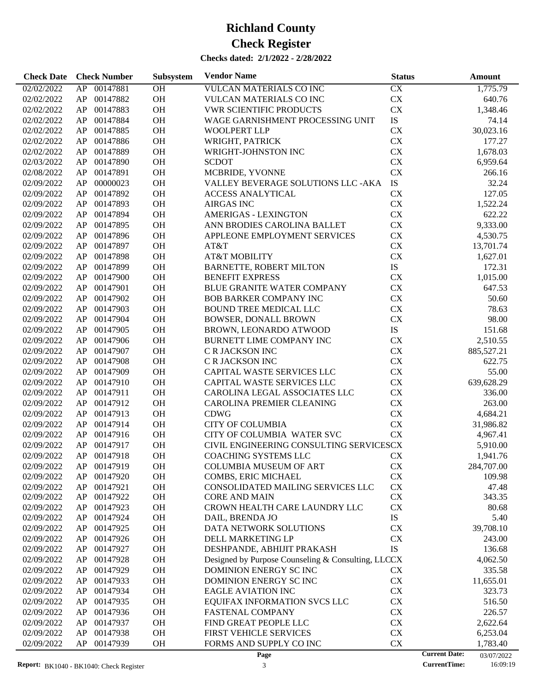| <b>Check Date</b> | <b>Check Number</b>                             | Subsystem | <b>Vendor Name</b>                                 | <b>Status</b> | Amount                             |
|-------------------|-------------------------------------------------|-----------|----------------------------------------------------|---------------|------------------------------------|
| 02/02/2022        | AP 00147881                                     | <b>OH</b> | VULCAN MATERIALS CO INC                            | <b>CX</b>     | 1,775.79                           |
| 02/02/2022        | 00147882<br>AP                                  | OH        | VULCAN MATERIALS CO INC                            | <b>CX</b>     | 640.76                             |
| 02/02/2022        | AP<br>00147883                                  | OH        | <b>VWR SCIENTIFIC PRODUCTS</b>                     | CX            | 1,348.46                           |
| 02/02/2022        | AP<br>00147884                                  | OH        | WAGE GARNISHMENT PROCESSING UNIT                   | ${\rm IS}$    | 74.14                              |
| 02/02/2022        | AP<br>00147885                                  | OH        | <b>WOOLPERT LLP</b>                                | <b>CX</b>     | 30,023.16                          |
| 02/02/2022        | 00147886<br>AP                                  | OH        | WRIGHT, PATRICK                                    | <b>CX</b>     | 177.27                             |
| 02/02/2022        | 00147889<br>AP                                  | OH        | WRIGHT-JOHNSTON INC                                | <b>CX</b>     | 1,678.03                           |
| 02/03/2022        | AP<br>00147890                                  | <b>OH</b> | <b>SCDOT</b>                                       | <b>CX</b>     | 6,959.64                           |
| 02/08/2022        | AP<br>00147891                                  | OH        | MCBRIDE, YVONNE                                    | <b>CX</b>     | 266.16                             |
| 02/09/2022        | 00000023<br>AP                                  | OH        | VALLEY BEVERAGE SOLUTIONS LLC - AKA                | IS            | 32.24                              |
| 02/09/2022        | AP<br>00147892                                  | OH        | <b>ACCESS ANALYTICAL</b>                           | <b>CX</b>     | 127.05                             |
| 02/09/2022        | AP<br>00147893                                  | <b>OH</b> | <b>AIRGAS INC</b>                                  | <b>CX</b>     | 1,522.24                           |
| 02/09/2022        | AP<br>00147894                                  | OH        | <b>AMERIGAS - LEXINGTON</b>                        | <b>CX</b>     | 622.22                             |
| 02/09/2022        | AP<br>00147895                                  | OH        | ANN BRODIES CAROLINA BALLET                        | <b>CX</b>     | 9,333.00                           |
| 02/09/2022        | AP<br>00147896                                  | OH        | APPLEONE EMPLOYMENT SERVICES                       | <b>CX</b>     | 4,530.75                           |
| 02/09/2022        | AP<br>00147897                                  | OH        | AT&T                                               | <b>CX</b>     | 13,701.74                          |
| 02/09/2022        | 00147898<br>AP                                  | OH        | <b>AT&amp;T MOBILITY</b>                           | ${\rm CX}$    |                                    |
|                   | AP<br>00147899                                  | OH        | <b>BARNETTE, ROBERT MILTON</b>                     | IS            | 1,627.01<br>172.31                 |
| 02/09/2022        | 00147900                                        |           |                                                    |               |                                    |
| 02/09/2022        | AP                                              | OH        | <b>BENEFIT EXPRESS</b>                             | <b>CX</b>     | 1,015.00                           |
| 02/09/2022        | AP<br>00147901                                  | OH        | <b>BLUE GRANITE WATER COMPANY</b>                  | <b>CX</b>     | 647.53                             |
| 02/09/2022        | AP<br>00147902                                  | OH        | <b>BOB BARKER COMPANY INC</b>                      | <b>CX</b>     | 50.60                              |
| 02/09/2022        | AP<br>00147903                                  | OH        | <b>BOUND TREE MEDICAL LLC</b>                      | <b>CX</b>     | 78.63                              |
| 02/09/2022        | AP<br>00147904                                  | OH        | <b>BOWSER, DONALL BROWN</b>                        | <b>CX</b>     | 98.00                              |
| 02/09/2022        | AP<br>00147905                                  | OH        | BROWN, LEONARDO ATWOOD                             | IS            | 151.68                             |
| 02/09/2022        | AP<br>00147906                                  | OH        | BURNETT LIME COMPANY INC                           | <b>CX</b>     | 2,510.55                           |
| 02/09/2022        | AP<br>00147907                                  | <b>OH</b> | C R JACKSON INC                                    | <b>CX</b>     | 885,527.21                         |
| 02/09/2022        | AP<br>00147908                                  | OH        | C R JACKSON INC                                    | <b>CX</b>     | 622.75                             |
| 02/09/2022        | AP<br>00147909                                  | OH        | CAPITAL WASTE SERVICES LLC                         | <b>CX</b>     | 55.00                              |
| 02/09/2022        | AP<br>00147910                                  | OH        | CAPITAL WASTE SERVICES LLC                         | <b>CX</b>     | 639,628.29                         |
| 02/09/2022        | AP<br>00147911                                  | OH        | CAROLINA LEGAL ASSOCIATES LLC                      | <b>CX</b>     | 336.00                             |
| 02/09/2022        | AP<br>00147912                                  | OH        | CAROLINA PREMIER CLEANING                          | <b>CX</b>     | 263.00                             |
| 02/09/2022        | AP<br>00147913                                  | OH        | <b>CDWG</b>                                        | <b>CX</b>     | 4,684.21                           |
| 02/09/2022        | AP<br>00147914                                  | <b>OH</b> | <b>CITY OF COLUMBIA</b>                            | <b>CX</b>     | 31,986.82                          |
| 02/09/2022        | AP<br>00147916                                  | <b>OH</b> | CITY OF COLUMBIA WATER SVC                         | <b>CX</b>     | 4,967.41                           |
| 02/09/2022        | AP<br>00147917                                  | <b>OH</b> | CIVIL ENGINEERING CONSULTING SERVICESCX            |               | 5,910.00                           |
| 02/09/2022        | AP 00147918                                     | <b>OH</b> | <b>COACHING SYSTEMS LLC</b>                        | <b>CX</b>     | 1,941.76                           |
| 02/09/2022        | AP 00147919                                     | OH        | <b>COLUMBIA MUSEUM OF ART</b>                      | <b>CX</b>     | 284,707.00                         |
| 02/09/2022        | 00147920<br>AP                                  | OH        | COMBS, ERIC MICHAEL                                | CX            | 109.98                             |
| 02/09/2022        | AP<br>00147921                                  | OH        | CONSOLIDATED MAILING SERVICES LLC                  | CX            | 47.48                              |
| 02/09/2022        | AP<br>00147922                                  | OH        | <b>CORE AND MAIN</b>                               | CX            | 343.35                             |
| 02/09/2022        | AP<br>00147923                                  | OH        | CROWN HEALTH CARE LAUNDRY LLC                      | CX            | 80.68                              |
| 02/09/2022        | AP<br>00147924                                  | OH        | DAIL, BRENDA JO                                    | ${\rm IS}$    | 5.40                               |
| 02/09/2022        | AP<br>00147925                                  | OH        | DATA NETWORK SOLUTIONS                             | CX            | 39,708.10                          |
| 02/09/2022        | AP<br>00147926                                  | OH        | DELL MARKETING LP                                  | CX            | 243.00                             |
| 02/09/2022        | AP<br>00147927                                  | OH        | DESHPANDE, ABHIJIT PRAKASH                         | ${\rm IS}$    | 136.68                             |
| 02/09/2022        | AP<br>00147928                                  | OH        | Designed by Purpose Counseling & Consulting, LLCCX |               | 4,062.50                           |
| 02/09/2022        | AP<br>00147929                                  | OH        | DOMINION ENERGY SC INC                             | CX            | 335.58                             |
| 02/09/2022        | AP<br>00147933                                  | OH        | DOMINION ENERGY SCINC                              | ${\rm CX}$    | 11,655.01                          |
| 02/09/2022        | AP<br>00147934                                  | OH        | <b>EAGLE AVIATION INC</b>                          | ${\rm CX}$    | 323.73                             |
| 02/09/2022        | AP<br>00147935                                  | OH        | EQUIFAX INFORMATION SVCS LLC                       | CX            | 516.50                             |
| 02/09/2022        | AP<br>00147936                                  | OH        | FASTENAL COMPANY                                   | ${\rm CX}$    | 226.57                             |
| 02/09/2022        | AP<br>00147937                                  | OH        | FIND GREAT PEOPLE LLC                              | ${\rm CX}$    | 2,622.64                           |
| 02/09/2022        | AP<br>00147938                                  | OH        | FIRST VEHICLE SERVICES                             | ${\rm CX}$    | 6,253.04                           |
| 02/09/2022        | AP<br>00147939                                  | OH        | FORMS AND SUPPLY CO INC                            | CX            | 1,783.40                           |
|                   |                                                 |           | Page                                               |               | <b>Current Date:</b><br>03/07/2022 |
|                   | <b>Report:</b> $RK1040 - RK1040$ Check Register |           | $\mathcal{F}$                                      |               | <b>CurrentTime:</b><br>16:09:19    |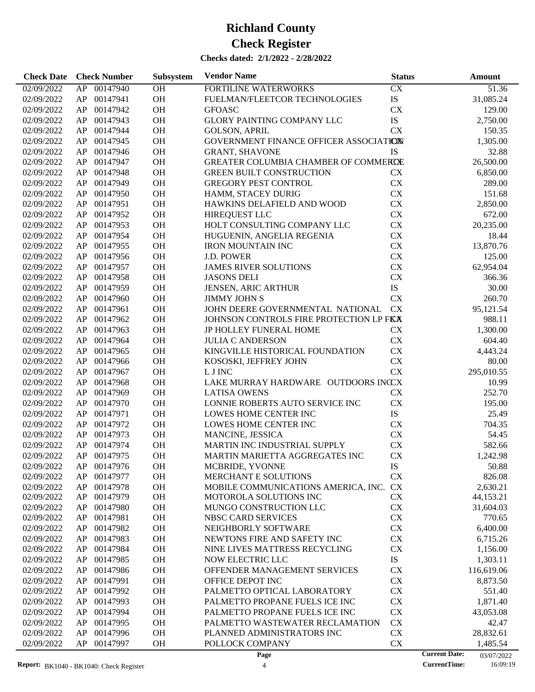| <b>Check Date</b>        | <b>Check Number</b>        | Subsystem | <b>Vendor Name</b>                                            | <b>Status</b>          | <b>Amount</b>                      |
|--------------------------|----------------------------|-----------|---------------------------------------------------------------|------------------------|------------------------------------|
| 02/09/2022               | 00147940<br>AP             | <b>OH</b> | FORTILINE WATERWORKS                                          | CX                     | 51.36                              |
| 02/09/2022               | AP<br>00147941             | OH        | FUELMAN/FLEETCOR TECHNOLOGIES                                 | IS                     | 31,085.24                          |
| 02/09/2022               | AP<br>00147942             | OH        | <b>GFOASC</b>                                                 | <b>CX</b>              | 129.00                             |
| 02/09/2022               | AP<br>00147943             | OH        | <b>GLORY PAINTING COMPANY LLC</b>                             | IS                     | 2,750.00                           |
| 02/09/2022               | AP<br>00147944             | OH        | <b>GOLSON, APRIL</b>                                          | <b>CX</b>              | 150.35                             |
| 02/09/2022               | AP<br>00147945             | OH        | GOVERNMENT FINANCE OFFICER ASSOCIATION                        |                        | 1,305.00                           |
| 02/09/2022               | AP<br>00147946             | OH        | <b>GRANT, SHAVONE</b>                                         | <b>IS</b>              | 32.88                              |
| 02/09/2022               | AP<br>00147947             | OH        | GREATER COLUMBIA CHAMBER OF COMMERCE                          |                        | 26,500.00                          |
| 02/09/2022               | AP<br>00147948             | OH        | <b>GREEN BUILT CONSTRUCTION</b>                               | CX                     | 6,850.00                           |
|                          | AP<br>00147949             | OH        | <b>GREGORY PEST CONTROL</b>                                   | <b>CX</b>              | 289.00                             |
| 02/09/2022               |                            |           |                                                               |                        |                                    |
| 02/09/2022               | AP<br>00147950             | OH        | HAMM, STACEY DURIG                                            | <b>CX</b>              | 151.68                             |
| 02/09/2022               | AP<br>00147951             | OH        | HAWKINS DELAFIELD AND WOOD                                    | <b>CX</b>              | 2,850.00                           |
| 02/09/2022               | AP<br>00147952             | OH        | HIREQUEST LLC                                                 | <b>CX</b>              | 672.00                             |
| 02/09/2022               | AP<br>00147953             | OH        | HOLT CONSULTING COMPANY LLC                                   | <b>CX</b>              | 20,235.00                          |
| 02/09/2022               | AP<br>00147954             | OH        | HUGUENIN, ANGELIA REGENIA                                     | CX                     | 18.44                              |
| 02/09/2022               | AP<br>00147955             | OH        | <b>IRON MOUNTAIN INC</b>                                      | <b>CX</b>              | 13,870.76                          |
| 02/09/2022               | AP<br>00147956             | OH        | <b>J.D. POWER</b>                                             | <b>CX</b>              | 125.00                             |
| 02/09/2022               | AP<br>00147957             | <b>OH</b> | <b>JAMES RIVER SOLUTIONS</b>                                  | <b>CX</b>              | 62,954.04                          |
| 02/09/2022               | AP<br>00147958             | OH        | <b>JASONS DELI</b>                                            | CX                     | 366.36                             |
| 02/09/2022               | AP<br>00147959             | OH        | JENSEN, ARIC ARTHUR                                           | IS                     | 30.00                              |
| 02/09/2022               | AP<br>00147960             | OH        | <b>JIMMY JOHN S</b>                                           | <b>CX</b>              | 260.70                             |
| 02/09/2022               | AP<br>00147961             | OH        | JOHN DEERE GOVERNMENTAL NATIONAL                              | <b>CX</b>              | 95,121.54                          |
| 02/09/2022               | AP<br>00147962             | OH        | JOHNSON CONTROLS FIRE PROTECTION LP FIX                       |                        | 988.11                             |
| 02/09/2022               | AP<br>00147963             | OH        | <b>JP HOLLEY FUNERAL HOME</b>                                 | <b>CX</b>              | 1,300.00                           |
| 02/09/2022               | AP<br>00147964             | OH        | <b>JULIA C ANDERSON</b>                                       | <b>CX</b>              | 604.40                             |
| 02/09/2022               | AP<br>00147965             | <b>OH</b> | KINGVILLE HISTORICAL FOUNDATION                               | <b>CX</b>              | 4,443.24                           |
| 02/09/2022               | AP<br>00147966             | OH        | KOSOSKI, JEFFREY JOHN                                         | CX                     | 80.00                              |
| 02/09/2022               | AP<br>00147967             | OH        | L J INC                                                       | <b>CX</b>              | 295,010.55                         |
| 02/09/2022               | AP<br>00147968             | OH        | LAKE MURRAY HARDWARE OUTDOORS INCCX                           |                        | 10.99                              |
| 02/09/2022               | AP<br>00147969             | OH        | <b>LATISA OWENS</b>                                           | <b>CX</b>              | 252.70                             |
| 02/09/2022               | AP<br>00147970             | OH        | LONNIE ROBERTS AUTO SERVICE INC                               | <b>CX</b>              | 195.00                             |
| 02/09/2022               | AP<br>00147971             | OH        | LOWES HOME CENTER INC                                         | IS                     | 25.49                              |
| 02/09/2022               | AP<br>00147972             | OH        | LOWES HOME CENTER INC                                         | <b>CX</b>              | 704.35                             |
| 02/09/2022               | AP<br>00147973             | <b>OH</b> | MANCINE, JESSICA                                              | <b>CX</b>              | 54.45                              |
| 02/09/2022               | AP<br>00147974             | <b>OH</b> | MARTIN INC INDUSTRIAL SUPPLY                                  | <b>CX</b>              | 582.66                             |
| 02/09/2022               | AP<br>00147975             | <b>OH</b> | MARTIN MARIETTA AGGREGATES INC                                | <b>CX</b>              | 1,242.98                           |
| 02/09/2022               | AP 00147976                | OH        |                                                               | <b>IS</b>              | 50.88                              |
|                          |                            |           | MCBRIDE, YVONNE                                               |                        |                                    |
| 02/09/2022               | AP<br>00147977<br>00147978 | <b>OH</b> | MERCHANT E SOLUTIONS                                          | <b>CX</b>              | 826.08                             |
| 02/09/2022<br>02/09/2022 | AP<br>AP<br>00147979       | OH<br>OH  | MOBILE COMMUNICATIONS AMERICA, INC.<br>MOTOROLA SOLUTIONS INC | <b>CX</b><br><b>CX</b> | 2,630.21                           |
|                          |                            |           |                                                               |                        | 44,153.21                          |
| 02/09/2022               | AP<br>00147980             | <b>OH</b> | MUNGO CONSTRUCTION LLC                                        | <b>CX</b>              | 31,604.03                          |
| 02/09/2022               | AP<br>00147981             | <b>OH</b> | NBSC CARD SERVICES                                            | CX                     | 770.65                             |
| 02/09/2022               | AP<br>00147982             | <b>OH</b> | NEIGHBORLY SOFTWARE                                           | CX                     | 6,400.00                           |
| 02/09/2022               | AP<br>00147983             | <b>OH</b> | NEWTONS FIRE AND SAFETY INC                                   | <b>CX</b>              | 6,715.26                           |
| 02/09/2022               | AP<br>00147984             | <b>OH</b> | NINE LIVES MATTRESS RECYCLING                                 | CX                     | 1,156.00                           |
| 02/09/2022               | AP<br>00147985             | <b>OH</b> | <b>NOW ELECTRIC LLC</b>                                       | ${\rm IS}$             | 1,303.11                           |
| 02/09/2022               | AP<br>00147986             | <b>OH</b> | OFFENDER MANAGEMENT SERVICES                                  | <b>CX</b>              | 116,619.06                         |
| 02/09/2022               | AP<br>00147991             | <b>OH</b> | OFFICE DEPOT INC                                              | <b>CX</b>              | 8,873.50                           |
| 02/09/2022               | AP<br>00147992             | <b>OH</b> | PALMETTO OPTICAL LABORATORY                                   | <b>CX</b>              | 551.40                             |
| 02/09/2022               | AP<br>00147993             | <b>OH</b> | PALMETTO PROPANE FUELS ICE INC                                | CX                     | 1,871.40                           |
| 02/09/2022               | AP<br>00147994             | <b>OH</b> | PALMETTO PROPANE FUELS ICE INC                                | CX                     | 43,053.08                          |
| 02/09/2022               | AP<br>00147995             | <b>OH</b> | PALMETTO WASTEWATER RECLAMATION                               | <b>CX</b>              | 42.47                              |
| 02/09/2022               | AP<br>00147996             | <b>OH</b> | PLANNED ADMINISTRATORS INC                                    | CX                     | 28,832.61                          |
| 02/09/2022               | AP<br>00147997             | <b>OH</b> | POLLOCK COMPANY                                               | CX                     | 1,485.54                           |
|                          |                            |           | Page                                                          |                        | <b>Current Date:</b><br>03/07/2022 |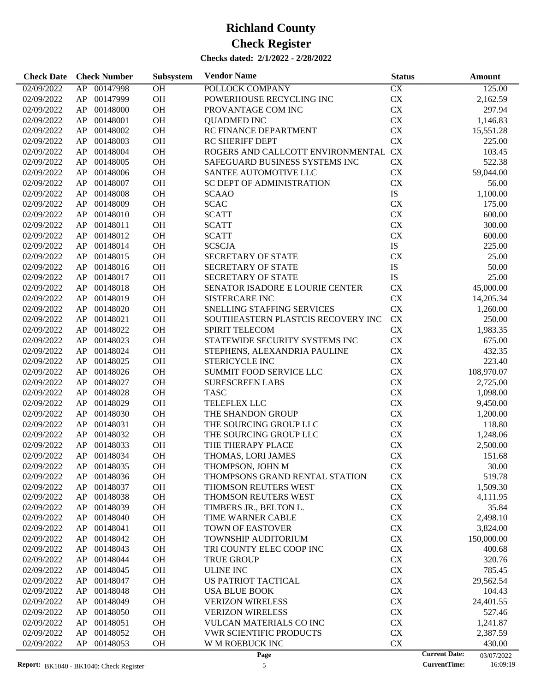| 00147998<br>OH<br>CX<br>02/09/2022<br>POLLOCK COMPANY<br>125.00<br>AP<br>OH<br>${\rm CX}$<br>00147999<br>POWERHOUSE RECYCLING INC<br>02/09/2022<br>AP<br>2,162.59<br>OH<br>CX<br>00148000<br>297.94<br>02/09/2022<br>AP<br>PROVANTAGE COM INC<br>OH<br>00148001<br>CX<br>02/09/2022<br>AP<br><b>QUADMED INC</b><br>1,146.83<br>OH<br>CX<br>00148002<br>RC FINANCE DEPARTMENT<br>02/09/2022<br>AP<br>15,551.28<br>OH<br><b>CX</b><br>00148003<br>02/09/2022<br>AP<br><b>RC SHERIFF DEPT</b><br>225.00<br>ROGERS AND CALLCOTT ENVIRONMENTAL CX<br>00148004<br>OH<br>02/09/2022<br>AP<br>103.45<br>00148005<br><b>OH</b><br><b>CX</b><br>02/09/2022<br>AP<br>SAFEGUARD BUSINESS SYSTEMS INC<br>522.38<br>OH<br>${\rm CX}$<br>00148006<br>59,044.00<br>02/09/2022<br>AP<br>SANTEE AUTOMOTIVE LLC<br>OH<br>00148007<br>CX<br>02/09/2022<br>AP<br><b>SC DEPT OF ADMINISTRATION</b><br>56.00<br>${\rm IS}$<br>00148008<br><b>OH</b><br>02/09/2022<br>AP<br><b>SCAAO</b><br>1,100.00<br>${\rm CX}$<br>00148009<br><b>OH</b><br><b>SCAC</b><br>02/09/2022<br>AP<br>175.00<br>OH<br>${\rm CX}$<br>00148010<br><b>SCATT</b><br>02/09/2022<br>AP<br>600.00<br>OH<br>${\rm CX}$<br>00148011<br><b>SCATT</b><br>300.00<br>02/09/2022<br>AP<br>00148012<br><b>OH</b><br><b>SCATT</b><br>CX<br>02/09/2022<br>AP<br>600.00<br>${\rm IS}$<br>00148014<br><b>OH</b><br><b>SCSCJA</b><br>02/09/2022<br>AP<br>225.00<br>OH<br>CX<br>00148015<br><b>SECRETARY OF STATE</b><br>02/09/2022<br>AP<br>25.00<br>OH<br>${\rm IS}$<br>00148016<br>50.00<br>02/09/2022<br>AP<br><b>SECRETARY OF STATE</b><br>${\rm IS}$<br>00148017<br><b>OH</b><br>25.00<br>02/09/2022<br>AP<br><b>SECRETARY OF STATE</b><br>00148018<br><b>OH</b><br>SENATOR ISADORE E LOURIE CENTER<br>CX<br>02/09/2022<br>AP<br>45,000.00<br>OH<br>${\rm CX}$<br>00148019<br>02/09/2022<br>AP<br><b>SISTERCARE INC</b><br>14,205.34<br>OH<br>${\rm CX}$<br>00148020<br>SNELLING STAFFING SERVICES<br>02/09/2022<br>AP<br>1,260.00<br>${\rm CX}$<br>00148021<br><b>OH</b><br>SOUTHEASTERN PLASTCIS RECOVERY INC<br>02/09/2022<br>AP<br>250.00<br>${\rm CX}$<br>00148022<br><b>OH</b><br>02/09/2022<br>AP<br><b>SPIRIT TELECOM</b><br>1,983.35<br>OH<br>${\rm CX}$<br>00148023<br>STATEWIDE SECURITY SYSTEMS INC<br>02/09/2022<br>AP<br>675.00<br>OH<br>CX<br>00148024<br>02/09/2022<br>AP<br>STEPHENS, ALEXANDRIA PAULINE<br>432.35<br>CX<br>00148025<br><b>OH</b><br>02/09/2022<br>AP<br><b>STERICYCLE INC</b><br>223.40<br>CX<br>00148026<br>OH<br>02/09/2022<br>AP<br><b>SUMMIT FOOD SERVICE LLC</b><br>108,970.07<br>OH<br>CX<br>00148027<br>02/09/2022<br>AP<br><b>SURESCREEN LABS</b><br>2,725.00<br>CX<br>00148028<br><b>OH</b><br><b>TASC</b><br>02/09/2022<br>AP<br>1,098.00<br>00148029<br><b>OH</b><br>TELEFLEX LLC<br>CX<br>02/09/2022<br>AP<br>9,450.00<br>CX<br>00148030<br><b>OH</b><br>02/09/2022<br>AP<br>THE SHANDON GROUP<br>1,200.00<br>OH<br>CX<br>00148031<br>02/09/2022<br>AP<br>THE SOURCING GROUP LLC<br>118.80<br>00148032<br><b>OH</b><br>CX<br>02/09/2022<br>AP<br>THE SOURCING GROUP LLC<br>1,248.06<br><b>OH</b><br>CX<br>02/09/2022<br>AP<br>00148033<br>THE THERAPY PLACE<br>2,500.00<br>CX<br>OH<br>02/09/2022<br>AP<br>00148034<br>THOMAS, LORI JAMES<br>151.68<br>02/09/2022<br>AP<br>00148035<br><b>OH</b><br>THOMPSON, JOHN M<br>CX<br>30.00<br>00148036<br>OH<br>CX<br>02/09/2022<br>AP<br>THOMPSONS GRAND RENTAL STATION<br>519.78<br>00148037<br>OH<br>THOMSON REUTERS WEST<br>CX<br>02/09/2022<br>AP<br>1,509.30<br>00148038<br>OH<br>CX<br>02/09/2022<br>AP<br>THOMSON REUTERS WEST<br>4,111.95<br>00148039<br>OH<br>CX<br>02/09/2022<br>AP<br>TIMBERS JR., BELTON L.<br>35.84<br>00148040<br>OH<br>CX<br>2,498.10<br>02/09/2022<br>AP<br>TIME WARNER CABLE<br>00148041<br>OH<br>TOWN OF EASTOVER<br>CX<br>3,824.00<br>02/09/2022<br>AP<br>AP<br>00148042<br>OH<br>CX<br>150,000.00<br>02/09/2022<br>TOWNSHIP AUDITORIUM<br>00148043<br>OH<br>CX<br>02/09/2022<br>AP<br>TRI COUNTY ELEC COOP INC<br>400.68<br>00148044<br>OH<br>CX<br>02/09/2022<br>AP<br><b>TRUE GROUP</b><br>320.76<br>00148045<br>OH<br>CX<br>02/09/2022<br>AP<br><b>ULINE INC</b><br>785.45<br>AP<br>00148047<br>OH<br>CX<br>29,562.54<br>02/09/2022<br>US PATRIOT TACTICAL<br>00148048<br>OH<br>CX<br>02/09/2022<br>AP<br><b>USA BLUE BOOK</b><br>104.43<br>00148049<br>OH<br>CX<br>02/09/2022<br>AP<br><b>VERIZON WIRELESS</b><br>24,401.55<br>00148050<br>OH<br>CX<br>02/09/2022<br>AP<br><b>VERIZON WIRELESS</b><br>527.46<br>AP<br>00148051<br>OH<br>CX<br>02/09/2022<br><b>VULCAN MATERIALS CO INC</b><br>1,241.87<br>AP<br>00148052<br>OH<br><b>VWR SCIENTIFIC PRODUCTS</b><br>CX<br>02/09/2022<br>2,387.59<br>AP<br>00148053<br>OH<br>W M ROEBUCK INC<br>CX<br>02/09/2022<br>430.00<br><b>Current Date:</b><br>Page<br>03/07/2022 | <b>Check Date</b> | <b>Check Number</b> | Subsystem | <b>Vendor Name</b> | <b>Status</b> | Amount |
|----------------------------------------------------------------------------------------------------------------------------------------------------------------------------------------------------------------------------------------------------------------------------------------------------------------------------------------------------------------------------------------------------------------------------------------------------------------------------------------------------------------------------------------------------------------------------------------------------------------------------------------------------------------------------------------------------------------------------------------------------------------------------------------------------------------------------------------------------------------------------------------------------------------------------------------------------------------------------------------------------------------------------------------------------------------------------------------------------------------------------------------------------------------------------------------------------------------------------------------------------------------------------------------------------------------------------------------------------------------------------------------------------------------------------------------------------------------------------------------------------------------------------------------------------------------------------------------------------------------------------------------------------------------------------------------------------------------------------------------------------------------------------------------------------------------------------------------------------------------------------------------------------------------------------------------------------------------------------------------------------------------------------------------------------------------------------------------------------------------------------------------------------------------------------------------------------------------------------------------------------------------------------------------------------------------------------------------------------------------------------------------------------------------------------------------------------------------------------------------------------------------------------------------------------------------------------------------------------------------------------------------------------------------------------------------------------------------------------------------------------------------------------------------------------------------------------------------------------------------------------------------------------------------------------------------------------------------------------------------------------------------------------------------------------------------------------------------------------------------------------------------------------------------------------------------------------------------------------------------------------------------------------------------------------------------------------------------------------------------------------------------------------------------------------------------------------------------------------------------------------------------------------------------------------------------------------------------------------------------------------------------------------------------------------------------------------------------------------------------------------------------------------------------------------------------------------------------------------------------------------------------------------------------------------------------------------------------------------------------------------------------------------------------------------------------------------------------------------------------------------------------------------------------------------------------------------------------------------------------------------------------------------------------------------------------------------------------------------------------------------------------------------------------------------------------------------------------------------------------------------------------------------------------------------------------------------------------------------------------------------------------------------------------------------------------------------------------------------------------------------------------------------------------------|-------------------|---------------------|-----------|--------------------|---------------|--------|
|                                                                                                                                                                                                                                                                                                                                                                                                                                                                                                                                                                                                                                                                                                                                                                                                                                                                                                                                                                                                                                                                                                                                                                                                                                                                                                                                                                                                                                                                                                                                                                                                                                                                                                                                                                                                                                                                                                                                                                                                                                                                                                                                                                                                                                                                                                                                                                                                                                                                                                                                                                                                                                                                                                                                                                                                                                                                                                                                                                                                                                                                                                                                                                                                                                                                                                                                                                                                                                                                                                                                                                                                                                                                                                                                                                                                                                                                                                                                                                                                                                                                                                                                                                                                                                                                                                                                                                                                                                                                                                                                                                                                                                                                                                                                                                                              |                   |                     |           |                    |               |        |
|                                                                                                                                                                                                                                                                                                                                                                                                                                                                                                                                                                                                                                                                                                                                                                                                                                                                                                                                                                                                                                                                                                                                                                                                                                                                                                                                                                                                                                                                                                                                                                                                                                                                                                                                                                                                                                                                                                                                                                                                                                                                                                                                                                                                                                                                                                                                                                                                                                                                                                                                                                                                                                                                                                                                                                                                                                                                                                                                                                                                                                                                                                                                                                                                                                                                                                                                                                                                                                                                                                                                                                                                                                                                                                                                                                                                                                                                                                                                                                                                                                                                                                                                                                                                                                                                                                                                                                                                                                                                                                                                                                                                                                                                                                                                                                                              |                   |                     |           |                    |               |        |
|                                                                                                                                                                                                                                                                                                                                                                                                                                                                                                                                                                                                                                                                                                                                                                                                                                                                                                                                                                                                                                                                                                                                                                                                                                                                                                                                                                                                                                                                                                                                                                                                                                                                                                                                                                                                                                                                                                                                                                                                                                                                                                                                                                                                                                                                                                                                                                                                                                                                                                                                                                                                                                                                                                                                                                                                                                                                                                                                                                                                                                                                                                                                                                                                                                                                                                                                                                                                                                                                                                                                                                                                                                                                                                                                                                                                                                                                                                                                                                                                                                                                                                                                                                                                                                                                                                                                                                                                                                                                                                                                                                                                                                                                                                                                                                                              |                   |                     |           |                    |               |        |
|                                                                                                                                                                                                                                                                                                                                                                                                                                                                                                                                                                                                                                                                                                                                                                                                                                                                                                                                                                                                                                                                                                                                                                                                                                                                                                                                                                                                                                                                                                                                                                                                                                                                                                                                                                                                                                                                                                                                                                                                                                                                                                                                                                                                                                                                                                                                                                                                                                                                                                                                                                                                                                                                                                                                                                                                                                                                                                                                                                                                                                                                                                                                                                                                                                                                                                                                                                                                                                                                                                                                                                                                                                                                                                                                                                                                                                                                                                                                                                                                                                                                                                                                                                                                                                                                                                                                                                                                                                                                                                                                                                                                                                                                                                                                                                                              |                   |                     |           |                    |               |        |
|                                                                                                                                                                                                                                                                                                                                                                                                                                                                                                                                                                                                                                                                                                                                                                                                                                                                                                                                                                                                                                                                                                                                                                                                                                                                                                                                                                                                                                                                                                                                                                                                                                                                                                                                                                                                                                                                                                                                                                                                                                                                                                                                                                                                                                                                                                                                                                                                                                                                                                                                                                                                                                                                                                                                                                                                                                                                                                                                                                                                                                                                                                                                                                                                                                                                                                                                                                                                                                                                                                                                                                                                                                                                                                                                                                                                                                                                                                                                                                                                                                                                                                                                                                                                                                                                                                                                                                                                                                                                                                                                                                                                                                                                                                                                                                                              |                   |                     |           |                    |               |        |
|                                                                                                                                                                                                                                                                                                                                                                                                                                                                                                                                                                                                                                                                                                                                                                                                                                                                                                                                                                                                                                                                                                                                                                                                                                                                                                                                                                                                                                                                                                                                                                                                                                                                                                                                                                                                                                                                                                                                                                                                                                                                                                                                                                                                                                                                                                                                                                                                                                                                                                                                                                                                                                                                                                                                                                                                                                                                                                                                                                                                                                                                                                                                                                                                                                                                                                                                                                                                                                                                                                                                                                                                                                                                                                                                                                                                                                                                                                                                                                                                                                                                                                                                                                                                                                                                                                                                                                                                                                                                                                                                                                                                                                                                                                                                                                                              |                   |                     |           |                    |               |        |
|                                                                                                                                                                                                                                                                                                                                                                                                                                                                                                                                                                                                                                                                                                                                                                                                                                                                                                                                                                                                                                                                                                                                                                                                                                                                                                                                                                                                                                                                                                                                                                                                                                                                                                                                                                                                                                                                                                                                                                                                                                                                                                                                                                                                                                                                                                                                                                                                                                                                                                                                                                                                                                                                                                                                                                                                                                                                                                                                                                                                                                                                                                                                                                                                                                                                                                                                                                                                                                                                                                                                                                                                                                                                                                                                                                                                                                                                                                                                                                                                                                                                                                                                                                                                                                                                                                                                                                                                                                                                                                                                                                                                                                                                                                                                                                                              |                   |                     |           |                    |               |        |
|                                                                                                                                                                                                                                                                                                                                                                                                                                                                                                                                                                                                                                                                                                                                                                                                                                                                                                                                                                                                                                                                                                                                                                                                                                                                                                                                                                                                                                                                                                                                                                                                                                                                                                                                                                                                                                                                                                                                                                                                                                                                                                                                                                                                                                                                                                                                                                                                                                                                                                                                                                                                                                                                                                                                                                                                                                                                                                                                                                                                                                                                                                                                                                                                                                                                                                                                                                                                                                                                                                                                                                                                                                                                                                                                                                                                                                                                                                                                                                                                                                                                                                                                                                                                                                                                                                                                                                                                                                                                                                                                                                                                                                                                                                                                                                                              |                   |                     |           |                    |               |        |
|                                                                                                                                                                                                                                                                                                                                                                                                                                                                                                                                                                                                                                                                                                                                                                                                                                                                                                                                                                                                                                                                                                                                                                                                                                                                                                                                                                                                                                                                                                                                                                                                                                                                                                                                                                                                                                                                                                                                                                                                                                                                                                                                                                                                                                                                                                                                                                                                                                                                                                                                                                                                                                                                                                                                                                                                                                                                                                                                                                                                                                                                                                                                                                                                                                                                                                                                                                                                                                                                                                                                                                                                                                                                                                                                                                                                                                                                                                                                                                                                                                                                                                                                                                                                                                                                                                                                                                                                                                                                                                                                                                                                                                                                                                                                                                                              |                   |                     |           |                    |               |        |
|                                                                                                                                                                                                                                                                                                                                                                                                                                                                                                                                                                                                                                                                                                                                                                                                                                                                                                                                                                                                                                                                                                                                                                                                                                                                                                                                                                                                                                                                                                                                                                                                                                                                                                                                                                                                                                                                                                                                                                                                                                                                                                                                                                                                                                                                                                                                                                                                                                                                                                                                                                                                                                                                                                                                                                                                                                                                                                                                                                                                                                                                                                                                                                                                                                                                                                                                                                                                                                                                                                                                                                                                                                                                                                                                                                                                                                                                                                                                                                                                                                                                                                                                                                                                                                                                                                                                                                                                                                                                                                                                                                                                                                                                                                                                                                                              |                   |                     |           |                    |               |        |
|                                                                                                                                                                                                                                                                                                                                                                                                                                                                                                                                                                                                                                                                                                                                                                                                                                                                                                                                                                                                                                                                                                                                                                                                                                                                                                                                                                                                                                                                                                                                                                                                                                                                                                                                                                                                                                                                                                                                                                                                                                                                                                                                                                                                                                                                                                                                                                                                                                                                                                                                                                                                                                                                                                                                                                                                                                                                                                                                                                                                                                                                                                                                                                                                                                                                                                                                                                                                                                                                                                                                                                                                                                                                                                                                                                                                                                                                                                                                                                                                                                                                                                                                                                                                                                                                                                                                                                                                                                                                                                                                                                                                                                                                                                                                                                                              |                   |                     |           |                    |               |        |
|                                                                                                                                                                                                                                                                                                                                                                                                                                                                                                                                                                                                                                                                                                                                                                                                                                                                                                                                                                                                                                                                                                                                                                                                                                                                                                                                                                                                                                                                                                                                                                                                                                                                                                                                                                                                                                                                                                                                                                                                                                                                                                                                                                                                                                                                                                                                                                                                                                                                                                                                                                                                                                                                                                                                                                                                                                                                                                                                                                                                                                                                                                                                                                                                                                                                                                                                                                                                                                                                                                                                                                                                                                                                                                                                                                                                                                                                                                                                                                                                                                                                                                                                                                                                                                                                                                                                                                                                                                                                                                                                                                                                                                                                                                                                                                                              |                   |                     |           |                    |               |        |
|                                                                                                                                                                                                                                                                                                                                                                                                                                                                                                                                                                                                                                                                                                                                                                                                                                                                                                                                                                                                                                                                                                                                                                                                                                                                                                                                                                                                                                                                                                                                                                                                                                                                                                                                                                                                                                                                                                                                                                                                                                                                                                                                                                                                                                                                                                                                                                                                                                                                                                                                                                                                                                                                                                                                                                                                                                                                                                                                                                                                                                                                                                                                                                                                                                                                                                                                                                                                                                                                                                                                                                                                                                                                                                                                                                                                                                                                                                                                                                                                                                                                                                                                                                                                                                                                                                                                                                                                                                                                                                                                                                                                                                                                                                                                                                                              |                   |                     |           |                    |               |        |
|                                                                                                                                                                                                                                                                                                                                                                                                                                                                                                                                                                                                                                                                                                                                                                                                                                                                                                                                                                                                                                                                                                                                                                                                                                                                                                                                                                                                                                                                                                                                                                                                                                                                                                                                                                                                                                                                                                                                                                                                                                                                                                                                                                                                                                                                                                                                                                                                                                                                                                                                                                                                                                                                                                                                                                                                                                                                                                                                                                                                                                                                                                                                                                                                                                                                                                                                                                                                                                                                                                                                                                                                                                                                                                                                                                                                                                                                                                                                                                                                                                                                                                                                                                                                                                                                                                                                                                                                                                                                                                                                                                                                                                                                                                                                                                                              |                   |                     |           |                    |               |        |
|                                                                                                                                                                                                                                                                                                                                                                                                                                                                                                                                                                                                                                                                                                                                                                                                                                                                                                                                                                                                                                                                                                                                                                                                                                                                                                                                                                                                                                                                                                                                                                                                                                                                                                                                                                                                                                                                                                                                                                                                                                                                                                                                                                                                                                                                                                                                                                                                                                                                                                                                                                                                                                                                                                                                                                                                                                                                                                                                                                                                                                                                                                                                                                                                                                                                                                                                                                                                                                                                                                                                                                                                                                                                                                                                                                                                                                                                                                                                                                                                                                                                                                                                                                                                                                                                                                                                                                                                                                                                                                                                                                                                                                                                                                                                                                                              |                   |                     |           |                    |               |        |
|                                                                                                                                                                                                                                                                                                                                                                                                                                                                                                                                                                                                                                                                                                                                                                                                                                                                                                                                                                                                                                                                                                                                                                                                                                                                                                                                                                                                                                                                                                                                                                                                                                                                                                                                                                                                                                                                                                                                                                                                                                                                                                                                                                                                                                                                                                                                                                                                                                                                                                                                                                                                                                                                                                                                                                                                                                                                                                                                                                                                                                                                                                                                                                                                                                                                                                                                                                                                                                                                                                                                                                                                                                                                                                                                                                                                                                                                                                                                                                                                                                                                                                                                                                                                                                                                                                                                                                                                                                                                                                                                                                                                                                                                                                                                                                                              |                   |                     |           |                    |               |        |
|                                                                                                                                                                                                                                                                                                                                                                                                                                                                                                                                                                                                                                                                                                                                                                                                                                                                                                                                                                                                                                                                                                                                                                                                                                                                                                                                                                                                                                                                                                                                                                                                                                                                                                                                                                                                                                                                                                                                                                                                                                                                                                                                                                                                                                                                                                                                                                                                                                                                                                                                                                                                                                                                                                                                                                                                                                                                                                                                                                                                                                                                                                                                                                                                                                                                                                                                                                                                                                                                                                                                                                                                                                                                                                                                                                                                                                                                                                                                                                                                                                                                                                                                                                                                                                                                                                                                                                                                                                                                                                                                                                                                                                                                                                                                                                                              |                   |                     |           |                    |               |        |
|                                                                                                                                                                                                                                                                                                                                                                                                                                                                                                                                                                                                                                                                                                                                                                                                                                                                                                                                                                                                                                                                                                                                                                                                                                                                                                                                                                                                                                                                                                                                                                                                                                                                                                                                                                                                                                                                                                                                                                                                                                                                                                                                                                                                                                                                                                                                                                                                                                                                                                                                                                                                                                                                                                                                                                                                                                                                                                                                                                                                                                                                                                                                                                                                                                                                                                                                                                                                                                                                                                                                                                                                                                                                                                                                                                                                                                                                                                                                                                                                                                                                                                                                                                                                                                                                                                                                                                                                                                                                                                                                                                                                                                                                                                                                                                                              |                   |                     |           |                    |               |        |
|                                                                                                                                                                                                                                                                                                                                                                                                                                                                                                                                                                                                                                                                                                                                                                                                                                                                                                                                                                                                                                                                                                                                                                                                                                                                                                                                                                                                                                                                                                                                                                                                                                                                                                                                                                                                                                                                                                                                                                                                                                                                                                                                                                                                                                                                                                                                                                                                                                                                                                                                                                                                                                                                                                                                                                                                                                                                                                                                                                                                                                                                                                                                                                                                                                                                                                                                                                                                                                                                                                                                                                                                                                                                                                                                                                                                                                                                                                                                                                                                                                                                                                                                                                                                                                                                                                                                                                                                                                                                                                                                                                                                                                                                                                                                                                                              |                   |                     |           |                    |               |        |
|                                                                                                                                                                                                                                                                                                                                                                                                                                                                                                                                                                                                                                                                                                                                                                                                                                                                                                                                                                                                                                                                                                                                                                                                                                                                                                                                                                                                                                                                                                                                                                                                                                                                                                                                                                                                                                                                                                                                                                                                                                                                                                                                                                                                                                                                                                                                                                                                                                                                                                                                                                                                                                                                                                                                                                                                                                                                                                                                                                                                                                                                                                                                                                                                                                                                                                                                                                                                                                                                                                                                                                                                                                                                                                                                                                                                                                                                                                                                                                                                                                                                                                                                                                                                                                                                                                                                                                                                                                                                                                                                                                                                                                                                                                                                                                                              |                   |                     |           |                    |               |        |
|                                                                                                                                                                                                                                                                                                                                                                                                                                                                                                                                                                                                                                                                                                                                                                                                                                                                                                                                                                                                                                                                                                                                                                                                                                                                                                                                                                                                                                                                                                                                                                                                                                                                                                                                                                                                                                                                                                                                                                                                                                                                                                                                                                                                                                                                                                                                                                                                                                                                                                                                                                                                                                                                                                                                                                                                                                                                                                                                                                                                                                                                                                                                                                                                                                                                                                                                                                                                                                                                                                                                                                                                                                                                                                                                                                                                                                                                                                                                                                                                                                                                                                                                                                                                                                                                                                                                                                                                                                                                                                                                                                                                                                                                                                                                                                                              |                   |                     |           |                    |               |        |
|                                                                                                                                                                                                                                                                                                                                                                                                                                                                                                                                                                                                                                                                                                                                                                                                                                                                                                                                                                                                                                                                                                                                                                                                                                                                                                                                                                                                                                                                                                                                                                                                                                                                                                                                                                                                                                                                                                                                                                                                                                                                                                                                                                                                                                                                                                                                                                                                                                                                                                                                                                                                                                                                                                                                                                                                                                                                                                                                                                                                                                                                                                                                                                                                                                                                                                                                                                                                                                                                                                                                                                                                                                                                                                                                                                                                                                                                                                                                                                                                                                                                                                                                                                                                                                                                                                                                                                                                                                                                                                                                                                                                                                                                                                                                                                                              |                   |                     |           |                    |               |        |
|                                                                                                                                                                                                                                                                                                                                                                                                                                                                                                                                                                                                                                                                                                                                                                                                                                                                                                                                                                                                                                                                                                                                                                                                                                                                                                                                                                                                                                                                                                                                                                                                                                                                                                                                                                                                                                                                                                                                                                                                                                                                                                                                                                                                                                                                                                                                                                                                                                                                                                                                                                                                                                                                                                                                                                                                                                                                                                                                                                                                                                                                                                                                                                                                                                                                                                                                                                                                                                                                                                                                                                                                                                                                                                                                                                                                                                                                                                                                                                                                                                                                                                                                                                                                                                                                                                                                                                                                                                                                                                                                                                                                                                                                                                                                                                                              |                   |                     |           |                    |               |        |
|                                                                                                                                                                                                                                                                                                                                                                                                                                                                                                                                                                                                                                                                                                                                                                                                                                                                                                                                                                                                                                                                                                                                                                                                                                                                                                                                                                                                                                                                                                                                                                                                                                                                                                                                                                                                                                                                                                                                                                                                                                                                                                                                                                                                                                                                                                                                                                                                                                                                                                                                                                                                                                                                                                                                                                                                                                                                                                                                                                                                                                                                                                                                                                                                                                                                                                                                                                                                                                                                                                                                                                                                                                                                                                                                                                                                                                                                                                                                                                                                                                                                                                                                                                                                                                                                                                                                                                                                                                                                                                                                                                                                                                                                                                                                                                                              |                   |                     |           |                    |               |        |
|                                                                                                                                                                                                                                                                                                                                                                                                                                                                                                                                                                                                                                                                                                                                                                                                                                                                                                                                                                                                                                                                                                                                                                                                                                                                                                                                                                                                                                                                                                                                                                                                                                                                                                                                                                                                                                                                                                                                                                                                                                                                                                                                                                                                                                                                                                                                                                                                                                                                                                                                                                                                                                                                                                                                                                                                                                                                                                                                                                                                                                                                                                                                                                                                                                                                                                                                                                                                                                                                                                                                                                                                                                                                                                                                                                                                                                                                                                                                                                                                                                                                                                                                                                                                                                                                                                                                                                                                                                                                                                                                                                                                                                                                                                                                                                                              |                   |                     |           |                    |               |        |
|                                                                                                                                                                                                                                                                                                                                                                                                                                                                                                                                                                                                                                                                                                                                                                                                                                                                                                                                                                                                                                                                                                                                                                                                                                                                                                                                                                                                                                                                                                                                                                                                                                                                                                                                                                                                                                                                                                                                                                                                                                                                                                                                                                                                                                                                                                                                                                                                                                                                                                                                                                                                                                                                                                                                                                                                                                                                                                                                                                                                                                                                                                                                                                                                                                                                                                                                                                                                                                                                                                                                                                                                                                                                                                                                                                                                                                                                                                                                                                                                                                                                                                                                                                                                                                                                                                                                                                                                                                                                                                                                                                                                                                                                                                                                                                                              |                   |                     |           |                    |               |        |
|                                                                                                                                                                                                                                                                                                                                                                                                                                                                                                                                                                                                                                                                                                                                                                                                                                                                                                                                                                                                                                                                                                                                                                                                                                                                                                                                                                                                                                                                                                                                                                                                                                                                                                                                                                                                                                                                                                                                                                                                                                                                                                                                                                                                                                                                                                                                                                                                                                                                                                                                                                                                                                                                                                                                                                                                                                                                                                                                                                                                                                                                                                                                                                                                                                                                                                                                                                                                                                                                                                                                                                                                                                                                                                                                                                                                                                                                                                                                                                                                                                                                                                                                                                                                                                                                                                                                                                                                                                                                                                                                                                                                                                                                                                                                                                                              |                   |                     |           |                    |               |        |
|                                                                                                                                                                                                                                                                                                                                                                                                                                                                                                                                                                                                                                                                                                                                                                                                                                                                                                                                                                                                                                                                                                                                                                                                                                                                                                                                                                                                                                                                                                                                                                                                                                                                                                                                                                                                                                                                                                                                                                                                                                                                                                                                                                                                                                                                                                                                                                                                                                                                                                                                                                                                                                                                                                                                                                                                                                                                                                                                                                                                                                                                                                                                                                                                                                                                                                                                                                                                                                                                                                                                                                                                                                                                                                                                                                                                                                                                                                                                                                                                                                                                                                                                                                                                                                                                                                                                                                                                                                                                                                                                                                                                                                                                                                                                                                                              |                   |                     |           |                    |               |        |
|                                                                                                                                                                                                                                                                                                                                                                                                                                                                                                                                                                                                                                                                                                                                                                                                                                                                                                                                                                                                                                                                                                                                                                                                                                                                                                                                                                                                                                                                                                                                                                                                                                                                                                                                                                                                                                                                                                                                                                                                                                                                                                                                                                                                                                                                                                                                                                                                                                                                                                                                                                                                                                                                                                                                                                                                                                                                                                                                                                                                                                                                                                                                                                                                                                                                                                                                                                                                                                                                                                                                                                                                                                                                                                                                                                                                                                                                                                                                                                                                                                                                                                                                                                                                                                                                                                                                                                                                                                                                                                                                                                                                                                                                                                                                                                                              |                   |                     |           |                    |               |        |
|                                                                                                                                                                                                                                                                                                                                                                                                                                                                                                                                                                                                                                                                                                                                                                                                                                                                                                                                                                                                                                                                                                                                                                                                                                                                                                                                                                                                                                                                                                                                                                                                                                                                                                                                                                                                                                                                                                                                                                                                                                                                                                                                                                                                                                                                                                                                                                                                                                                                                                                                                                                                                                                                                                                                                                                                                                                                                                                                                                                                                                                                                                                                                                                                                                                                                                                                                                                                                                                                                                                                                                                                                                                                                                                                                                                                                                                                                                                                                                                                                                                                                                                                                                                                                                                                                                                                                                                                                                                                                                                                                                                                                                                                                                                                                                                              |                   |                     |           |                    |               |        |
|                                                                                                                                                                                                                                                                                                                                                                                                                                                                                                                                                                                                                                                                                                                                                                                                                                                                                                                                                                                                                                                                                                                                                                                                                                                                                                                                                                                                                                                                                                                                                                                                                                                                                                                                                                                                                                                                                                                                                                                                                                                                                                                                                                                                                                                                                                                                                                                                                                                                                                                                                                                                                                                                                                                                                                                                                                                                                                                                                                                                                                                                                                                                                                                                                                                                                                                                                                                                                                                                                                                                                                                                                                                                                                                                                                                                                                                                                                                                                                                                                                                                                                                                                                                                                                                                                                                                                                                                                                                                                                                                                                                                                                                                                                                                                                                              |                   |                     |           |                    |               |        |
|                                                                                                                                                                                                                                                                                                                                                                                                                                                                                                                                                                                                                                                                                                                                                                                                                                                                                                                                                                                                                                                                                                                                                                                                                                                                                                                                                                                                                                                                                                                                                                                                                                                                                                                                                                                                                                                                                                                                                                                                                                                                                                                                                                                                                                                                                                                                                                                                                                                                                                                                                                                                                                                                                                                                                                                                                                                                                                                                                                                                                                                                                                                                                                                                                                                                                                                                                                                                                                                                                                                                                                                                                                                                                                                                                                                                                                                                                                                                                                                                                                                                                                                                                                                                                                                                                                                                                                                                                                                                                                                                                                                                                                                                                                                                                                                              |                   |                     |           |                    |               |        |
|                                                                                                                                                                                                                                                                                                                                                                                                                                                                                                                                                                                                                                                                                                                                                                                                                                                                                                                                                                                                                                                                                                                                                                                                                                                                                                                                                                                                                                                                                                                                                                                                                                                                                                                                                                                                                                                                                                                                                                                                                                                                                                                                                                                                                                                                                                                                                                                                                                                                                                                                                                                                                                                                                                                                                                                                                                                                                                                                                                                                                                                                                                                                                                                                                                                                                                                                                                                                                                                                                                                                                                                                                                                                                                                                                                                                                                                                                                                                                                                                                                                                                                                                                                                                                                                                                                                                                                                                                                                                                                                                                                                                                                                                                                                                                                                              |                   |                     |           |                    |               |        |
|                                                                                                                                                                                                                                                                                                                                                                                                                                                                                                                                                                                                                                                                                                                                                                                                                                                                                                                                                                                                                                                                                                                                                                                                                                                                                                                                                                                                                                                                                                                                                                                                                                                                                                                                                                                                                                                                                                                                                                                                                                                                                                                                                                                                                                                                                                                                                                                                                                                                                                                                                                                                                                                                                                                                                                                                                                                                                                                                                                                                                                                                                                                                                                                                                                                                                                                                                                                                                                                                                                                                                                                                                                                                                                                                                                                                                                                                                                                                                                                                                                                                                                                                                                                                                                                                                                                                                                                                                                                                                                                                                                                                                                                                                                                                                                                              |                   |                     |           |                    |               |        |
|                                                                                                                                                                                                                                                                                                                                                                                                                                                                                                                                                                                                                                                                                                                                                                                                                                                                                                                                                                                                                                                                                                                                                                                                                                                                                                                                                                                                                                                                                                                                                                                                                                                                                                                                                                                                                                                                                                                                                                                                                                                                                                                                                                                                                                                                                                                                                                                                                                                                                                                                                                                                                                                                                                                                                                                                                                                                                                                                                                                                                                                                                                                                                                                                                                                                                                                                                                                                                                                                                                                                                                                                                                                                                                                                                                                                                                                                                                                                                                                                                                                                                                                                                                                                                                                                                                                                                                                                                                                                                                                                                                                                                                                                                                                                                                                              |                   |                     |           |                    |               |        |
|                                                                                                                                                                                                                                                                                                                                                                                                                                                                                                                                                                                                                                                                                                                                                                                                                                                                                                                                                                                                                                                                                                                                                                                                                                                                                                                                                                                                                                                                                                                                                                                                                                                                                                                                                                                                                                                                                                                                                                                                                                                                                                                                                                                                                                                                                                                                                                                                                                                                                                                                                                                                                                                                                                                                                                                                                                                                                                                                                                                                                                                                                                                                                                                                                                                                                                                                                                                                                                                                                                                                                                                                                                                                                                                                                                                                                                                                                                                                                                                                                                                                                                                                                                                                                                                                                                                                                                                                                                                                                                                                                                                                                                                                                                                                                                                              |                   |                     |           |                    |               |        |
|                                                                                                                                                                                                                                                                                                                                                                                                                                                                                                                                                                                                                                                                                                                                                                                                                                                                                                                                                                                                                                                                                                                                                                                                                                                                                                                                                                                                                                                                                                                                                                                                                                                                                                                                                                                                                                                                                                                                                                                                                                                                                                                                                                                                                                                                                                                                                                                                                                                                                                                                                                                                                                                                                                                                                                                                                                                                                                                                                                                                                                                                                                                                                                                                                                                                                                                                                                                                                                                                                                                                                                                                                                                                                                                                                                                                                                                                                                                                                                                                                                                                                                                                                                                                                                                                                                                                                                                                                                                                                                                                                                                                                                                                                                                                                                                              |                   |                     |           |                    |               |        |
|                                                                                                                                                                                                                                                                                                                                                                                                                                                                                                                                                                                                                                                                                                                                                                                                                                                                                                                                                                                                                                                                                                                                                                                                                                                                                                                                                                                                                                                                                                                                                                                                                                                                                                                                                                                                                                                                                                                                                                                                                                                                                                                                                                                                                                                                                                                                                                                                                                                                                                                                                                                                                                                                                                                                                                                                                                                                                                                                                                                                                                                                                                                                                                                                                                                                                                                                                                                                                                                                                                                                                                                                                                                                                                                                                                                                                                                                                                                                                                                                                                                                                                                                                                                                                                                                                                                                                                                                                                                                                                                                                                                                                                                                                                                                                                                              |                   |                     |           |                    |               |        |
|                                                                                                                                                                                                                                                                                                                                                                                                                                                                                                                                                                                                                                                                                                                                                                                                                                                                                                                                                                                                                                                                                                                                                                                                                                                                                                                                                                                                                                                                                                                                                                                                                                                                                                                                                                                                                                                                                                                                                                                                                                                                                                                                                                                                                                                                                                                                                                                                                                                                                                                                                                                                                                                                                                                                                                                                                                                                                                                                                                                                                                                                                                                                                                                                                                                                                                                                                                                                                                                                                                                                                                                                                                                                                                                                                                                                                                                                                                                                                                                                                                                                                                                                                                                                                                                                                                                                                                                                                                                                                                                                                                                                                                                                                                                                                                                              |                   |                     |           |                    |               |        |
|                                                                                                                                                                                                                                                                                                                                                                                                                                                                                                                                                                                                                                                                                                                                                                                                                                                                                                                                                                                                                                                                                                                                                                                                                                                                                                                                                                                                                                                                                                                                                                                                                                                                                                                                                                                                                                                                                                                                                                                                                                                                                                                                                                                                                                                                                                                                                                                                                                                                                                                                                                                                                                                                                                                                                                                                                                                                                                                                                                                                                                                                                                                                                                                                                                                                                                                                                                                                                                                                                                                                                                                                                                                                                                                                                                                                                                                                                                                                                                                                                                                                                                                                                                                                                                                                                                                                                                                                                                                                                                                                                                                                                                                                                                                                                                                              |                   |                     |           |                    |               |        |
|                                                                                                                                                                                                                                                                                                                                                                                                                                                                                                                                                                                                                                                                                                                                                                                                                                                                                                                                                                                                                                                                                                                                                                                                                                                                                                                                                                                                                                                                                                                                                                                                                                                                                                                                                                                                                                                                                                                                                                                                                                                                                                                                                                                                                                                                                                                                                                                                                                                                                                                                                                                                                                                                                                                                                                                                                                                                                                                                                                                                                                                                                                                                                                                                                                                                                                                                                                                                                                                                                                                                                                                                                                                                                                                                                                                                                                                                                                                                                                                                                                                                                                                                                                                                                                                                                                                                                                                                                                                                                                                                                                                                                                                                                                                                                                                              |                   |                     |           |                    |               |        |
|                                                                                                                                                                                                                                                                                                                                                                                                                                                                                                                                                                                                                                                                                                                                                                                                                                                                                                                                                                                                                                                                                                                                                                                                                                                                                                                                                                                                                                                                                                                                                                                                                                                                                                                                                                                                                                                                                                                                                                                                                                                                                                                                                                                                                                                                                                                                                                                                                                                                                                                                                                                                                                                                                                                                                                                                                                                                                                                                                                                                                                                                                                                                                                                                                                                                                                                                                                                                                                                                                                                                                                                                                                                                                                                                                                                                                                                                                                                                                                                                                                                                                                                                                                                                                                                                                                                                                                                                                                                                                                                                                                                                                                                                                                                                                                                              |                   |                     |           |                    |               |        |
|                                                                                                                                                                                                                                                                                                                                                                                                                                                                                                                                                                                                                                                                                                                                                                                                                                                                                                                                                                                                                                                                                                                                                                                                                                                                                                                                                                                                                                                                                                                                                                                                                                                                                                                                                                                                                                                                                                                                                                                                                                                                                                                                                                                                                                                                                                                                                                                                                                                                                                                                                                                                                                                                                                                                                                                                                                                                                                                                                                                                                                                                                                                                                                                                                                                                                                                                                                                                                                                                                                                                                                                                                                                                                                                                                                                                                                                                                                                                                                                                                                                                                                                                                                                                                                                                                                                                                                                                                                                                                                                                                                                                                                                                                                                                                                                              |                   |                     |           |                    |               |        |
|                                                                                                                                                                                                                                                                                                                                                                                                                                                                                                                                                                                                                                                                                                                                                                                                                                                                                                                                                                                                                                                                                                                                                                                                                                                                                                                                                                                                                                                                                                                                                                                                                                                                                                                                                                                                                                                                                                                                                                                                                                                                                                                                                                                                                                                                                                                                                                                                                                                                                                                                                                                                                                                                                                                                                                                                                                                                                                                                                                                                                                                                                                                                                                                                                                                                                                                                                                                                                                                                                                                                                                                                                                                                                                                                                                                                                                                                                                                                                                                                                                                                                                                                                                                                                                                                                                                                                                                                                                                                                                                                                                                                                                                                                                                                                                                              |                   |                     |           |                    |               |        |
|                                                                                                                                                                                                                                                                                                                                                                                                                                                                                                                                                                                                                                                                                                                                                                                                                                                                                                                                                                                                                                                                                                                                                                                                                                                                                                                                                                                                                                                                                                                                                                                                                                                                                                                                                                                                                                                                                                                                                                                                                                                                                                                                                                                                                                                                                                                                                                                                                                                                                                                                                                                                                                                                                                                                                                                                                                                                                                                                                                                                                                                                                                                                                                                                                                                                                                                                                                                                                                                                                                                                                                                                                                                                                                                                                                                                                                                                                                                                                                                                                                                                                                                                                                                                                                                                                                                                                                                                                                                                                                                                                                                                                                                                                                                                                                                              |                   |                     |           |                    |               |        |
|                                                                                                                                                                                                                                                                                                                                                                                                                                                                                                                                                                                                                                                                                                                                                                                                                                                                                                                                                                                                                                                                                                                                                                                                                                                                                                                                                                                                                                                                                                                                                                                                                                                                                                                                                                                                                                                                                                                                                                                                                                                                                                                                                                                                                                                                                                                                                                                                                                                                                                                                                                                                                                                                                                                                                                                                                                                                                                                                                                                                                                                                                                                                                                                                                                                                                                                                                                                                                                                                                                                                                                                                                                                                                                                                                                                                                                                                                                                                                                                                                                                                                                                                                                                                                                                                                                                                                                                                                                                                                                                                                                                                                                                                                                                                                                                              |                   |                     |           |                    |               |        |
|                                                                                                                                                                                                                                                                                                                                                                                                                                                                                                                                                                                                                                                                                                                                                                                                                                                                                                                                                                                                                                                                                                                                                                                                                                                                                                                                                                                                                                                                                                                                                                                                                                                                                                                                                                                                                                                                                                                                                                                                                                                                                                                                                                                                                                                                                                                                                                                                                                                                                                                                                                                                                                                                                                                                                                                                                                                                                                                                                                                                                                                                                                                                                                                                                                                                                                                                                                                                                                                                                                                                                                                                                                                                                                                                                                                                                                                                                                                                                                                                                                                                                                                                                                                                                                                                                                                                                                                                                                                                                                                                                                                                                                                                                                                                                                                              |                   |                     |           |                    |               |        |
|                                                                                                                                                                                                                                                                                                                                                                                                                                                                                                                                                                                                                                                                                                                                                                                                                                                                                                                                                                                                                                                                                                                                                                                                                                                                                                                                                                                                                                                                                                                                                                                                                                                                                                                                                                                                                                                                                                                                                                                                                                                                                                                                                                                                                                                                                                                                                                                                                                                                                                                                                                                                                                                                                                                                                                                                                                                                                                                                                                                                                                                                                                                                                                                                                                                                                                                                                                                                                                                                                                                                                                                                                                                                                                                                                                                                                                                                                                                                                                                                                                                                                                                                                                                                                                                                                                                                                                                                                                                                                                                                                                                                                                                                                                                                                                                              |                   |                     |           |                    |               |        |
|                                                                                                                                                                                                                                                                                                                                                                                                                                                                                                                                                                                                                                                                                                                                                                                                                                                                                                                                                                                                                                                                                                                                                                                                                                                                                                                                                                                                                                                                                                                                                                                                                                                                                                                                                                                                                                                                                                                                                                                                                                                                                                                                                                                                                                                                                                                                                                                                                                                                                                                                                                                                                                                                                                                                                                                                                                                                                                                                                                                                                                                                                                                                                                                                                                                                                                                                                                                                                                                                                                                                                                                                                                                                                                                                                                                                                                                                                                                                                                                                                                                                                                                                                                                                                                                                                                                                                                                                                                                                                                                                                                                                                                                                                                                                                                                              |                   |                     |           |                    |               |        |
|                                                                                                                                                                                                                                                                                                                                                                                                                                                                                                                                                                                                                                                                                                                                                                                                                                                                                                                                                                                                                                                                                                                                                                                                                                                                                                                                                                                                                                                                                                                                                                                                                                                                                                                                                                                                                                                                                                                                                                                                                                                                                                                                                                                                                                                                                                                                                                                                                                                                                                                                                                                                                                                                                                                                                                                                                                                                                                                                                                                                                                                                                                                                                                                                                                                                                                                                                                                                                                                                                                                                                                                                                                                                                                                                                                                                                                                                                                                                                                                                                                                                                                                                                                                                                                                                                                                                                                                                                                                                                                                                                                                                                                                                                                                                                                                              |                   |                     |           |                    |               |        |
|                                                                                                                                                                                                                                                                                                                                                                                                                                                                                                                                                                                                                                                                                                                                                                                                                                                                                                                                                                                                                                                                                                                                                                                                                                                                                                                                                                                                                                                                                                                                                                                                                                                                                                                                                                                                                                                                                                                                                                                                                                                                                                                                                                                                                                                                                                                                                                                                                                                                                                                                                                                                                                                                                                                                                                                                                                                                                                                                                                                                                                                                                                                                                                                                                                                                                                                                                                                                                                                                                                                                                                                                                                                                                                                                                                                                                                                                                                                                                                                                                                                                                                                                                                                                                                                                                                                                                                                                                                                                                                                                                                                                                                                                                                                                                                                              |                   |                     |           |                    |               |        |
|                                                                                                                                                                                                                                                                                                                                                                                                                                                                                                                                                                                                                                                                                                                                                                                                                                                                                                                                                                                                                                                                                                                                                                                                                                                                                                                                                                                                                                                                                                                                                                                                                                                                                                                                                                                                                                                                                                                                                                                                                                                                                                                                                                                                                                                                                                                                                                                                                                                                                                                                                                                                                                                                                                                                                                                                                                                                                                                                                                                                                                                                                                                                                                                                                                                                                                                                                                                                                                                                                                                                                                                                                                                                                                                                                                                                                                                                                                                                                                                                                                                                                                                                                                                                                                                                                                                                                                                                                                                                                                                                                                                                                                                                                                                                                                                              |                   |                     |           |                    |               |        |
|                                                                                                                                                                                                                                                                                                                                                                                                                                                                                                                                                                                                                                                                                                                                                                                                                                                                                                                                                                                                                                                                                                                                                                                                                                                                                                                                                                                                                                                                                                                                                                                                                                                                                                                                                                                                                                                                                                                                                                                                                                                                                                                                                                                                                                                                                                                                                                                                                                                                                                                                                                                                                                                                                                                                                                                                                                                                                                                                                                                                                                                                                                                                                                                                                                                                                                                                                                                                                                                                                                                                                                                                                                                                                                                                                                                                                                                                                                                                                                                                                                                                                                                                                                                                                                                                                                                                                                                                                                                                                                                                                                                                                                                                                                                                                                                              |                   |                     |           |                    |               |        |
|                                                                                                                                                                                                                                                                                                                                                                                                                                                                                                                                                                                                                                                                                                                                                                                                                                                                                                                                                                                                                                                                                                                                                                                                                                                                                                                                                                                                                                                                                                                                                                                                                                                                                                                                                                                                                                                                                                                                                                                                                                                                                                                                                                                                                                                                                                                                                                                                                                                                                                                                                                                                                                                                                                                                                                                                                                                                                                                                                                                                                                                                                                                                                                                                                                                                                                                                                                                                                                                                                                                                                                                                                                                                                                                                                                                                                                                                                                                                                                                                                                                                                                                                                                                                                                                                                                                                                                                                                                                                                                                                                                                                                                                                                                                                                                                              |                   |                     |           |                    |               |        |
|                                                                                                                                                                                                                                                                                                                                                                                                                                                                                                                                                                                                                                                                                                                                                                                                                                                                                                                                                                                                                                                                                                                                                                                                                                                                                                                                                                                                                                                                                                                                                                                                                                                                                                                                                                                                                                                                                                                                                                                                                                                                                                                                                                                                                                                                                                                                                                                                                                                                                                                                                                                                                                                                                                                                                                                                                                                                                                                                                                                                                                                                                                                                                                                                                                                                                                                                                                                                                                                                                                                                                                                                                                                                                                                                                                                                                                                                                                                                                                                                                                                                                                                                                                                                                                                                                                                                                                                                                                                                                                                                                                                                                                                                                                                                                                                              |                   |                     |           |                    |               |        |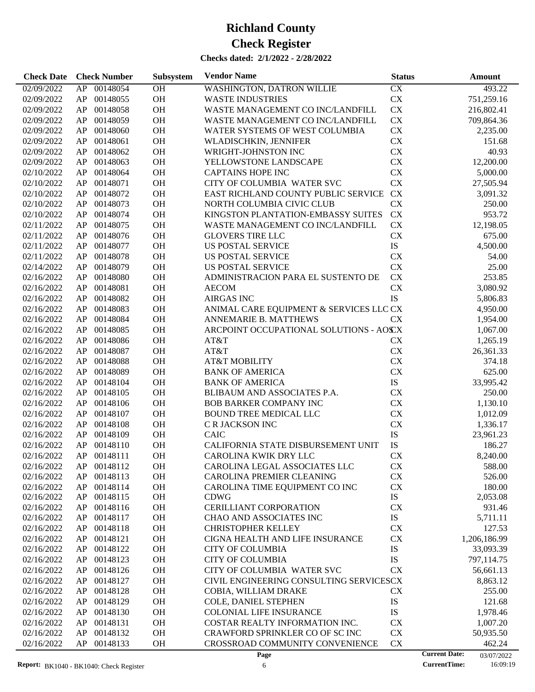| <b>Check Date</b>        | <b>Check Number</b>  | Subsystem | <b>Vendor Name</b>                            | <b>Status</b> | Amount                             |
|--------------------------|----------------------|-----------|-----------------------------------------------|---------------|------------------------------------|
| 02/09/2022               | 00148054<br>AP       | OH        | <b>WASHINGTON, DATRON WILLIE</b>              | CX            | 493.22                             |
| 02/09/2022               | 00148055<br>AP       | OH        | <b>WASTE INDUSTRIES</b>                       | ${\rm CX}$    | 751,259.16                         |
| 02/09/2022               | 00148058<br>AP       | OH        | WASTE MANAGEMENT CO INC/LANDFILL              | CX            | 216,802.41                         |
| 02/09/2022               | 00148059<br>AP       | <b>OH</b> | WASTE MANAGEMENT CO INC/LANDFILL              | ${\rm CX}$    | 709,864.36                         |
| 02/09/2022               | 00148060<br>AP       | OH        | WATER SYSTEMS OF WEST COLUMBIA                | ${\rm CX}$    | 2,235.00                           |
| 02/09/2022               | 00148061<br>AP       | OH        | WLADISCHKIN, JENNIFER                         | CX            | 151.68                             |
| 02/09/2022               | 00148062<br>AP       | <b>OH</b> | WRIGHT-JOHNSTON INC                           | CX            | 40.93                              |
| 02/09/2022               | 00148063<br>AP       | <b>OH</b> | YELLOWSTONE LANDSCAPE                         | CX            | 12,200.00                          |
| 02/10/2022               | 00148064<br>AP       | <b>OH</b> | <b>CAPTAINS HOPE INC</b>                      | CX            | 5,000.00                           |
| 02/10/2022               | 00148071<br>AP       | <b>OH</b> | CITY OF COLUMBIA WATER SVC                    | CX            | 27,505.94                          |
| 02/10/2022               | 00148072<br>AP       | <b>OH</b> | EAST RICHLAND COUNTY PUBLIC SERVICE           | <b>CX</b>     | 3,091.32                           |
| 02/10/2022               | 00148073<br>AP       | <b>OH</b> | NORTH COLUMBIA CIVIC CLUB                     | CX            | 250.00                             |
|                          | 00148074             | <b>OH</b> |                                               | ${\rm CX}$    | 953.72                             |
| 02/10/2022               | AP                   |           | KINGSTON PLANTATION-EMBASSY SUITES            |               |                                    |
| 02/11/2022               | 00148075<br>AP       | <b>OH</b> | WASTE MANAGEMENT CO INC/LANDFILL              | CX            | 12,198.05                          |
| 02/11/2022               | 00148076<br>AP       | <b>OH</b> | <b>GLOVERS TIRE LLC</b>                       | CX            | 675.00                             |
| 02/11/2022               | 00148077<br>AP       | <b>OH</b> | <b>US POSTAL SERVICE</b>                      | ${\rm IS}$    | 4,500.00                           |
| 02/11/2022               | 00148078<br>AP       | <b>OH</b> | <b>US POSTAL SERVICE</b>                      | CX            | 54.00                              |
| 02/14/2022               | 00148079<br>AP       | <b>OH</b> | US POSTAL SERVICE                             | CX            | 25.00                              |
| 02/16/2022               | 00148080<br>AP       | OH        | ADMINISTRACION PARA EL SUSTENTO DE            | <b>CX</b>     | 253.85                             |
| 02/16/2022               | 00148081<br>AP       | <b>OH</b> | <b>AECOM</b>                                  | <b>CX</b>     | 3,080.92                           |
| 02/16/2022               | 00148082<br>AP       | OH        | <b>AIRGAS INC</b>                             | IS            | 5,806.83                           |
| 02/16/2022               | 00148083<br>AP       | OH        | ANIMAL CARE EQUIPMENT & SERVICES LLC CX       |               | 4,950.00                           |
| 02/16/2022               | 00148084<br>AP       | <b>OH</b> | ANNEMARIE B. MATTHEWS                         | CX            | 1,954.00                           |
| 02/16/2022               | 00148085<br>AP       | <b>OH</b> | ARCPOINT OCCUPATIONAL SOLUTIONS - AOSCX       |               | 1,067.00                           |
| 02/16/2022               | 00148086<br>AP       | OH        | AT&T                                          | <b>CX</b>     | 1,265.19                           |
| 02/16/2022               | 00148087<br>AP       | OH        | AT&T                                          | ${\rm CX}$    | 26,361.33                          |
| 02/16/2022               | 00148088<br>AP       | <b>OH</b> | <b>AT&amp;T MOBILITY</b>                      | ${\rm CX}$    | 374.18                             |
| 02/16/2022               | AP<br>00148089       | <b>OH</b> | <b>BANK OF AMERICA</b>                        | ${\rm CX}$    | 625.00                             |
| 02/16/2022               | AP<br>00148104       | <b>OH</b> | <b>BANK OF AMERICA</b>                        | ${\rm IS}$    | 33,995.42                          |
| 02/16/2022               | 00148105<br>AP       | <b>OH</b> | BLIBAUM AND ASSOCIATES P.A.                   | ${\rm CX}$    | 250.00                             |
| 02/16/2022               | 00148106<br>AP       | <b>OH</b> | <b>BOB BARKER COMPANY INC</b>                 | CX            | 1,130.10                           |
| 02/16/2022               | 00148107<br>AP       | <b>OH</b> | <b>BOUND TREE MEDICAL LLC</b>                 | CX            | 1,012.09                           |
| 02/16/2022               | AP<br>00148108       | OH        | C R JACKSON INC                               | ${\rm CX}$    | 1,336.17                           |
| 02/16/2022               | 00148109<br>AP       | <b>OH</b> | <b>CAIC</b>                                   | IS            | 23,961.23                          |
| 02/16/2022               | AP<br>00148110       | <b>OH</b> | CALIFORNIA STATE DISBURSEMENT UNIT            | IS            | 186.27                             |
| 02/16/2022               | AP 00148111          | <b>OH</b> | CAROLINA KWIK DRY LLC                         | <b>CX</b>     | 8,240.00                           |
| 02/16/2022               | AP 00148112          | <b>OH</b> | CAROLINA LEGAL ASSOCIATES LLC                 | CX            | 588.00                             |
| 02/16/2022               | 00148113<br>AP       | <b>OH</b> | CAROLINA PREMIER CLEANING                     | <b>CX</b>     | 526.00                             |
|                          | 00148114             | <b>OH</b> |                                               | <b>CX</b>     |                                    |
| 02/16/2022<br>02/16/2022 | AP<br>AP<br>00148115 | <b>OH</b> | CAROLINA TIME EQUIPMENT CO INC<br><b>CDWG</b> | IS            | 180.00<br>2,053.08                 |
| 02/16/2022               | 00148116<br>AP       | <b>OH</b> | <b>CERILLIANT CORPORATION</b>                 | <b>CX</b>     | 931.46                             |
|                          | 00148117             | <b>OH</b> | CHAO AND ASSOCIATES INC                       | IS            |                                    |
| 02/16/2022               | AP                   |           |                                               |               | 5,711.11                           |
| 02/16/2022               | 00148118<br>AP       | <b>OH</b> | <b>CHRISTOPHER KELLEY</b>                     | <b>CX</b>     | 127.53                             |
| 02/16/2022               | 00148121<br>AP       | <b>OH</b> | CIGNA HEALTH AND LIFE INSURANCE               | CX            | 1,206,186.99                       |
| 02/16/2022               | 00148122<br>AP       | <b>OH</b> | <b>CITY OF COLUMBIA</b>                       | IS            | 33,093.39                          |
| 02/16/2022               | 00148123<br>AP       | <b>OH</b> | <b>CITY OF COLUMBIA</b>                       | IS            | 797,114.75                         |
| 02/16/2022               | 00148126<br>AP       | <b>OH</b> | CITY OF COLUMBIA WATER SVC                    | <b>CX</b>     | 56,661.13                          |
| 02/16/2022               | 00148127<br>AP       | <b>OH</b> | CIVIL ENGINEERING CONSULTING SERVICESCX       |               | 8,863.12                           |
| 02/16/2022               | 00148128<br>AP       | <b>OH</b> | COBIA, WILLIAM DRAKE                          | <b>CX</b>     | 255.00                             |
| 02/16/2022               | 00148129<br>AP       | <b>OH</b> | COLE, DANIEL STEPHEN                          | IS            | 121.68                             |
| 02/16/2022               | 00148130<br>AP       | <b>OH</b> | <b>COLONIAL LIFE INSURANCE</b>                | IS            | 1,978.46                           |
| 02/16/2022               | 00148131<br>AP       | <b>OH</b> | COSTAR REALTY INFORMATION INC.                | <b>CX</b>     | 1,007.20                           |
| 02/16/2022               | 00148132<br>AP       | <b>OH</b> | CRAWFORD SPRINKLER CO OF SC INC               | CX            | 50,935.50                          |
| 02/16/2022               | AP<br>00148133       | <b>OH</b> | CROSSROAD COMMUNITY CONVENIENCE               | <b>CX</b>     | 462.24                             |
|                          |                      |           | Page                                          |               | <b>Current Date:</b><br>03/07/2022 |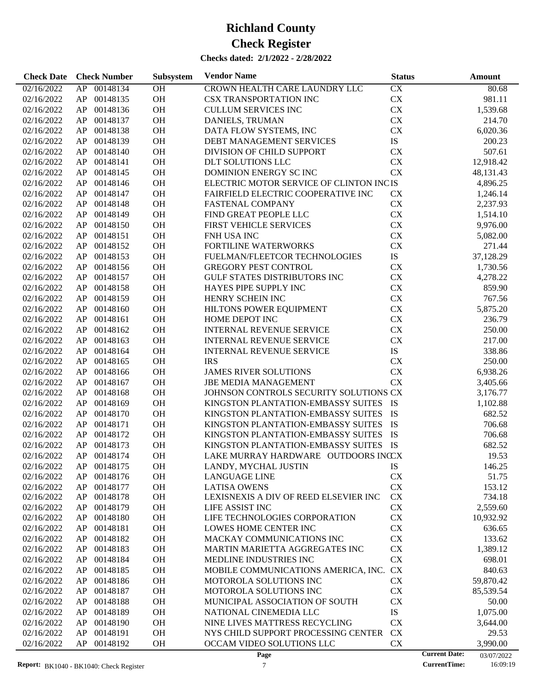| <b>Check Date</b> | <b>Check Number</b> | Subsystem | <b>Vendor Name</b>                      | <b>Status</b>          | Amount                             |
|-------------------|---------------------|-----------|-----------------------------------------|------------------------|------------------------------------|
| 02/16/2022        | 00148134<br>AP      | OH        | CROWN HEALTH CARE LAUNDRY LLC           | $\overline{\text{CX}}$ | 80.68                              |
| 02/16/2022        | 00148135<br>AP      | OH        | <b>CSX TRANSPORTATION INC</b>           | ${\rm CX}$             | 981.11                             |
| 02/16/2022        | 00148136<br>AP      | OH        | <b>CULLUM SERVICES INC</b>              | ${\rm CX}$             | 1,539.68                           |
| 02/16/2022        | 00148137<br>AP      | OH        | DANIELS, TRUMAN                         | ${\rm CX}$             | 214.70                             |
| 02/16/2022        | 00148138<br>AP      | OH        | DATA FLOW SYSTEMS, INC                  | ${\rm CX}$             | 6,020.36                           |
| 02/16/2022        | 00148139<br>AP      | OH        | DEBT MANAGEMENT SERVICES                | IS                     | 200.23                             |
| 02/16/2022        | 00148140<br>AP      | OH        | DIVISION OF CHILD SUPPORT               | CX                     | 507.61                             |
| 02/16/2022        | 00148141<br>AP      | OH        | DLT SOLUTIONS LLC                       | CX                     | 12,918.42                          |
| 02/16/2022        | 00148145<br>AP      | OH        | DOMINION ENERGY SC INC                  | <b>CX</b>              | 48,131.43                          |
| 02/16/2022        | 00148146<br>AP      | OH        | ELECTRIC MOTOR SERVICE OF CLINTON INCIS |                        | 4,896.25                           |
| 02/16/2022        | 00148147<br>AP      | OH        | FAIRFIELD ELECTRIC COOPERATIVE INC      | CX                     | 1,246.14                           |
| 02/16/2022        | 00148148<br>AP      | OH        | FASTENAL COMPANY                        | CX                     | 2,237.93                           |
| 02/16/2022        | 00148149<br>AP      | OH        | FIND GREAT PEOPLE LLC                   | ${\rm CX}$             | 1,514.10                           |
| 02/16/2022        | 00148150<br>AP      | OH        | FIRST VEHICLE SERVICES                  | ${\rm CX}$             | 9,976.00                           |
| 02/16/2022        | 00148151<br>AP      | OH        | FNH USA INC                             | ${\rm CX}$             | 5,082.00                           |
| 02/16/2022        | 00148152<br>AP      | OH        | FORTILINE WATERWORKS                    | ${\rm CX}$             | 271.44                             |
| 02/16/2022        | 00148153<br>AP      | OH        | FUELMAN/FLEETCOR TECHNOLOGIES           | ${\rm IS}$             | 37,128.29                          |
| 02/16/2022        | 00148156<br>AP      | OH        | GREGORY PEST CONTROL                    | CX                     | 1,730.56                           |
| 02/16/2022        | 00148157<br>AP      | OH        | GULF STATES DISTRIBUTORS INC            | CX                     | 4,278.22                           |
| 02/16/2022        | 00148158<br>AP      | OH        | HAYES PIPE SUPPLY INC                   | ${\rm CX}$             | 859.90                             |
| 02/16/2022        | 00148159<br>AP      | OH        | HENRY SCHEIN INC                        | ${\rm CX}$             | 767.56                             |
| 02/16/2022        | 00148160<br>AP      | OH        | HILTONS POWER EQUIPMENT                 | ${\rm CX}$             | 5,875.20                           |
| 02/16/2022        | 00148161<br>AP      | OH        | HOME DEPOT INC                          | CX                     | 236.79                             |
| 02/16/2022        | 00148162<br>AP      | OH        | <b>INTERNAL REVENUE SERVICE</b>         | CX                     | 250.00                             |
| 02/16/2022        | 00148163<br>AP      | OH        | INTERNAL REVENUE SERVICE                | ${\rm CX}$             | 217.00                             |
| 02/16/2022        | 00148164<br>AP      | OH        | INTERNAL REVENUE SERVICE                | ${\rm IS}$             | 338.86                             |
| 02/16/2022        | 00148165<br>AP      | OH        | <b>IRS</b>                              | CX                     | 250.00                             |
| 02/16/2022        | 00148166<br>AP      | OH        | <b>JAMES RIVER SOLUTIONS</b>            | CX                     | 6,938.26                           |
| 02/16/2022        | 00148167<br>AP      | OH        | <b>JBE MEDIA MANAGEMENT</b>             | CX                     | 3,405.66                           |
| 02/16/2022        | 00148168<br>AP      | OH        | JOHNSON CONTROLS SECURITY SOLUTIONS CX  |                        | 3,176.77                           |
| 02/16/2022        | 00148169<br>AP      | OH        | KINGSTON PLANTATION-EMBASSY SUITES IS   |                        | 1,102.88                           |
| 02/16/2022        | 00148170<br>AP      | OH        | KINGSTON PLANTATION-EMBASSY SUITES      | IS                     | 682.52                             |
| 02/16/2022        | 00148171<br>AP      | OH        | KINGSTON PLANTATION-EMBASSY SUITES      | IS                     | 706.68                             |
| 02/16/2022        | 00148172<br>AP      | OH        | KINGSTON PLANTATION-EMBASSY SUITES      | IS                     | 706.68                             |
| 02/16/2022        | 00148173<br>AP      | OH        | KINGSTON PLANTATION-EMBASSY SUITES IS   |                        | 682.52                             |
| 02/16/2022        | AP<br>00148174      | OH        | LAKE MURRAY HARDWARE OUTDOORS INCCX     |                        | 19.53                              |
| 02/16/2022        | 00148175<br>AP      | OH        | LANDY, MYCHAL JUSTIN                    | IS                     | 146.25                             |
| 02/16/2022        | 00148176<br>AP      | OH        | <b>LANGUAGE LINE</b>                    | CX                     | 51.75                              |
| 02/16/2022        | 00148177<br>AP      | OH        | <b>LATISA OWENS</b>                     | CX                     | 153.12                             |
| 02/16/2022        | 00148178<br>AP      | <b>OH</b> | LEXISNEXIS A DIV OF REED ELSEVIER INC   | <b>CX</b>              | 734.18                             |
| 02/16/2022        | AP<br>00148179      | OH        | LIFE ASSIST INC                         | CX                     | 2,559.60                           |
| 02/16/2022        | 00148180<br>AP      | OH        | LIFE TECHNOLOGIES CORPORATION           | CX                     | 10,932.92                          |
| 02/16/2022        | 00148181<br>AP      | OH        | LOWES HOME CENTER INC                   | CX                     | 636.65                             |
| 02/16/2022        | 00148182<br>AP      | OH        | MACKAY COMMUNICATIONS INC               | CX                     | 133.62                             |
| 02/16/2022        | 00148183<br>AP      | OH        | MARTIN MARIETTA AGGREGATES INC          | CX                     | 1,389.12                           |
| 02/16/2022        | 00148184<br>AP      | OH        | MEDLINE INDUSTRIES INC                  | CX                     | 698.01                             |
| 02/16/2022        | 00148185<br>AP      | OH        | MOBILE COMMUNICATIONS AMERICA, INC.     | <b>CX</b>              | 840.63                             |
| 02/16/2022        | 00148186<br>AP      | OH        | MOTOROLA SOLUTIONS INC                  | CX                     | 59,870.42                          |
| 02/16/2022        | 00148187<br>AP      | OH        | MOTOROLA SOLUTIONS INC                  | CX                     | 85,539.54                          |
| 02/16/2022        | 00148188<br>AP      | OH        | MUNICIPAL ASSOCIATION OF SOUTH          | CX                     | 50.00                              |
| 02/16/2022        | 00148189<br>AP      | OH        | NATIONAL CINEMEDIA LLC                  | IS                     | 1,075.00                           |
| 02/16/2022        | AP<br>00148190      | OH        | NINE LIVES MATTRESS RECYCLING           | <b>CX</b>              | 3,644.00                           |
| 02/16/2022        | 00148191<br>AP      | <b>OH</b> | NYS CHILD SUPPORT PROCESSING CENTER     | <b>CX</b>              | 29.53                              |
| 02/16/2022        | AP<br>00148192      | <b>OH</b> | OCCAM VIDEO SOLUTIONS LLC               | CX                     | 3,990.00                           |
|                   |                     |           | Page                                    |                        | <b>Current Date:</b><br>03/07/2022 |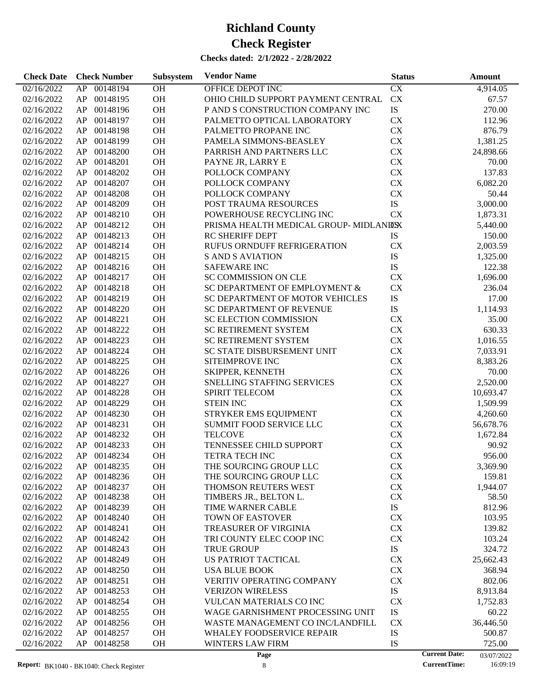| <b>Check Date</b> | <b>Check Number</b> | Subsystem | <b>Vendor Name</b>                    | <b>Status</b>          | Amount                             |
|-------------------|---------------------|-----------|---------------------------------------|------------------------|------------------------------------|
| 02/16/2022        | 00148194<br>AP      | OH        | OFFICE DEPOT INC                      | $\overline{\text{CX}}$ | 4,914.05                           |
| 02/16/2022        | 00148195<br>AP      | OH        | OHIO CHILD SUPPORT PAYMENT CENTRAL    | CX                     | 67.57                              |
| 02/16/2022        | 00148196<br>AP      | OH        | P AND S CONSTRUCTION COMPANY INC      | $\mathbf{IS}$          | 270.00                             |
| 02/16/2022        | 00148197<br>AP      | OH        | PALMETTO OPTICAL LABORATORY           | CX                     | 112.96                             |
| 02/16/2022        | 00148198<br>AP      | OH        | PALMETTO PROPANE INC                  | CX                     | 876.79                             |
| 02/16/2022        | 00148199<br>AP      | OH        | PAMELA SIMMONS-BEASLEY                | ${\rm CX}$             | 1,381.25                           |
| 02/16/2022        | 00148200<br>AP      | OH        | PARRISH AND PARTNERS LLC              | <b>CX</b>              | 24,898.66                          |
| 02/16/2022        | 00148201<br>AP      | OH        | PAYNE JR, LARRY E                     | <b>CX</b>              | 70.00                              |
| 02/16/2022        | 00148202<br>AP      | OH        | POLLOCK COMPANY                       | <b>CX</b>              | 137.83                             |
| 02/16/2022        | 00148207<br>AP      | OH        | POLLOCK COMPANY                       | ${\rm CX}$             | 6,082.20                           |
| 02/16/2022        | 00148208<br>AP      | OH        | POLLOCK COMPANY                       | ${\rm CX}$             | 50.44                              |
| 02/16/2022        | 00148209<br>AP      | OH        | POST TRAUMA RESOURCES                 | IS                     | 3,000.00                           |
| 02/16/2022        | 00148210<br>AP      | OH        | POWERHOUSE RECYCLING INC              | <b>CX</b>              | 1,873.31                           |
| 02/16/2022        | 00148212<br>AP      | OH        | PRISMA HEALTH MEDICAL GROUP-MIDLANDSX |                        | 5,440.00                           |
| 02/16/2022        | 00148213<br>AP      | OH        | <b>RC SHERIFF DEPT</b>                | <b>IS</b>              | 150.00                             |
| 02/16/2022        | 00148214<br>AP      | OH        | <b>RUFUS ORNDUFF REFRIGERATION</b>    | CX                     | 2,003.59                           |
| 02/16/2022        | 00148215<br>AP      | OH        | <b>S AND S AVIATION</b>               | ${\rm IS}$             | 1,325.00                           |
| 02/16/2022        | 00148216<br>AP      | OH        | <b>SAFEWARE INC</b>                   | IS                     | 122.38                             |
| 02/16/2022        | 00148217<br>AP      | OH        | <b>SC COMMISSION ON CLE</b>           | CX                     | 1,696.00                           |
| 02/16/2022        | 00148218<br>AP      | OH        | SC DEPARTMENT OF EMPLOYMENT &         | CX                     | 236.04                             |
| 02/16/2022        | 00148219<br>AP      | OH        | SC DEPARTMENT OF MOTOR VEHICLES       | IS                     | 17.00                              |
| 02/16/2022        | 00148220<br>AP      | OH        | SC DEPARTMENT OF REVENUE              | ${\rm IS}$             | 1,114.93                           |
| 02/16/2022        | 00148221<br>AP      | OH        | SC ELECTION COMMISSION                | CX                     | 35.00                              |
| 02/16/2022        | 00148222<br>AP      | OH        | SC RETIREMENT SYSTEM                  | CX                     | 630.33                             |
| 02/16/2022        | 00148223<br>AP      | OH        | SC RETIREMENT SYSTEM                  | <b>CX</b>              | 1,016.55                           |
| 02/16/2022        | 00148224<br>AP      | OH        | SC STATE DISBURSEMENT UNIT            | <b>CX</b>              | 7,033.91                           |
| 02/16/2022        | 00148225<br>AP      | OH        | SITEIMPROVE INC                       | CX                     | 8,383.26                           |
| 02/16/2022        | 00148226<br>AP      | OH        | SKIPPER, KENNETH                      | ${\rm CX}$             | 70.00                              |
| 02/16/2022        | 00148227<br>AP      | OH        | SNELLING STAFFING SERVICES            | ${\rm CX}$             | 2,520.00                           |
| 02/16/2022        | 00148228<br>AP      | OH        | <b>SPIRIT TELECOM</b>                 | <b>CX</b>              | 10,693.47                          |
| 02/16/2022        | 00148229<br>AP      | OH        | <b>STEIN INC</b>                      | <b>CX</b>              | 1,509.99                           |
| 02/16/2022        | 00148230<br>AP      | OH        | STRYKER EMS EQUIPMENT                 | CX                     | 4,260.60                           |
| 02/16/2022        | 00148231<br>AP      | OH        | SUMMIT FOOD SERVICE LLC               | CX                     | 56,678.76                          |
| 02/16/2022        | 00148232<br>AP      | OH        | <b>TELCOVE</b>                        | CX                     | 1,672.84                           |
| 02/16/2022        | 00148233<br>AP      | OH        | TENNESSEE CHILD SUPPORT               | CX                     | 90.92                              |
| 02/16/2022        | AP<br>00148234      | <b>OH</b> | <b>TETRA TECH INC</b>                 | <b>CX</b>              | 956.00                             |
| 02/16/2022        | 00148235<br>AP      | <b>OH</b> | THE SOURCING GROUP LLC                | <b>CX</b>              | 3,369.90                           |
| 02/16/2022        | 00148236<br>AP      | OH        | THE SOURCING GROUP LLC                | CX                     | 159.81                             |
| 02/16/2022        | 00148237<br>AP      | OH        | THOMSON REUTERS WEST                  | CX                     | 1,944.07                           |
| 02/16/2022        | AP<br>00148238      | OH        | TIMBERS JR., BELTON L.                | CX                     | 58.50                              |
| 02/16/2022        | AP<br>00148239      | OH        | TIME WARNER CABLE                     | IS                     | 812.96                             |
| 02/16/2022        | 00148240<br>AP      | OH        | <b>TOWN OF EASTOVER</b>               | <b>CX</b>              | 103.95                             |
| 02/16/2022        | 00148241<br>AP      | OH        | <b>TREASURER OF VIRGINIA</b>          | CX                     | 139.82                             |
| 02/16/2022        | 00148242<br>AP      | OH        | TRI COUNTY ELEC COOP INC              | CX                     | 103.24                             |
| 02/16/2022        | 00148243<br>AP      | OH        | <b>TRUE GROUP</b>                     | IS                     | 324.72                             |
| 02/16/2022        | 00148249<br>AP      | OH        | US PATRIOT TACTICAL                   | CX                     | 25,662.43                          |
| 02/16/2022        | 00148250<br>AP      | OH        | <b>USA BLUE BOOK</b>                  | CX                     | 368.94                             |
| 02/16/2022        | 00148251<br>AP      | OH        | <b>VERITIV OPERATING COMPANY</b>      | CX                     | 802.06                             |
| 02/16/2022        | 00148253<br>AP      | OH        | <b>VERIZON WIRELESS</b>               | IS                     | 8,913.84                           |
| 02/16/2022        | 00148254<br>AP      | OH        | <b>VULCAN MATERIALS CO INC</b>        | CX                     | 1,752.83                           |
| 02/16/2022        | 00148255<br>AP      | OH        | WAGE GARNISHMENT PROCESSING UNIT      | IS                     | 60.22                              |
| 02/16/2022        | 00148256<br>AP      | OH        | WASTE MANAGEMENT CO INC/LANDFILL      | <b>CX</b>              | 36,446.50                          |
| 02/16/2022        | 00148257<br>AP      | OH        | <b>WHALEY FOODSERVICE REPAIR</b>      | IS                     | 500.87                             |
| 02/16/2022        | AP<br>00148258      | <b>OH</b> | <b>WINTERS LAW FIRM</b>               | IS                     | 725.00                             |
|                   |                     |           | Page                                  |                        | <b>Current Date:</b><br>03/07/2022 |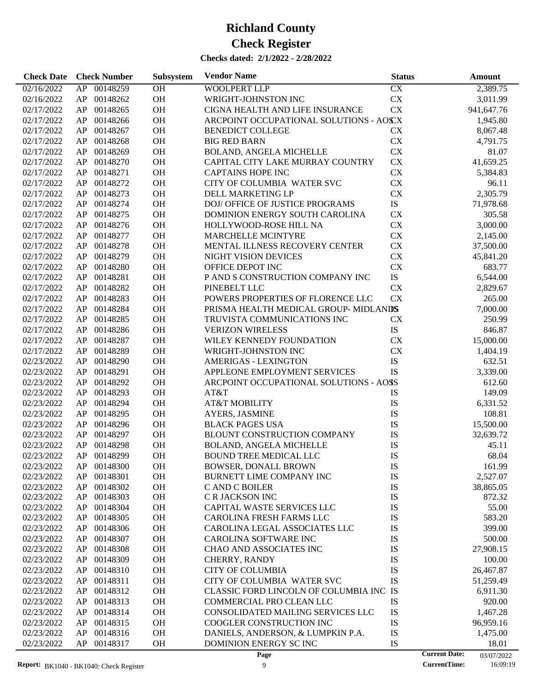| <b>Check Date</b>        | <b>Check Number</b>        | Subsystem | <b>Vendor Name</b>                                            | <b>Status</b> | Amount                                      |
|--------------------------|----------------------------|-----------|---------------------------------------------------------------|---------------|---------------------------------------------|
| 02/16/2022               | 00148259<br>AP             | OH        | <b>WOOLPERT LLP</b>                                           | CX            | 2,389.75                                    |
| 02/16/2022               | 00148262<br>AP             | OH        | WRIGHT-JOHNSTON INC                                           | ${\rm CX}$    | 3,011.99                                    |
| 02/17/2022               | AP<br>00148265             | OH        | CIGNA HEALTH AND LIFE INSURANCE                               | CX            | 941,647.76                                  |
| 02/17/2022               | AP<br>00148266             | OH        | ARCPOINT OCCUPATIONAL SOLUTIONS - AOSCX                       |               | 1,945.80                                    |
| 02/17/2022               | 00148267<br>AP             | OH        | <b>BENEDICT COLLEGE</b>                                       | <b>CX</b>     | 8,067.48                                    |
| 02/17/2022               | 00148268<br>AP             | OH        | <b>BIG RED BARN</b>                                           | <b>CX</b>     | 4,791.75                                    |
| 02/17/2022               | AP<br>00148269             | OH        | BOLAND, ANGELA MICHELLE                                       | CX            | 81.07                                       |
| 02/17/2022               | AP<br>00148270             | OH        | CAPITAL CITY LAKE MURRAY COUNTRY                              | CX            | 41,659.25                                   |
| 02/17/2022               | 00148271<br>AP             | OH        | <b>CAPTAINS HOPE INC</b>                                      | <b>CX</b>     | 5,384.83                                    |
| 02/17/2022               | 00148272<br>AP             | OH        | CITY OF COLUMBIA WATER SVC                                    | <b>CX</b>     | 96.11                                       |
| 02/17/2022               | AP<br>00148273             | OH        | DELL MARKETING LP                                             | ${\rm CX}$    | 2,305.79                                    |
| 02/17/2022               | AP<br>00148274             | OH        | DOJ/ OFFICE OF JUSTICE PROGRAMS                               | ${\rm IS}$    | 71,978.68                                   |
| 02/17/2022               | 00148275<br>AP             | OH        | DOMINION ENERGY SOUTH CAROLINA                                | CX            | 305.58                                      |
| 02/17/2022               | 00148276<br>AP             | OH        | HOLLYWOOD-ROSE HILL NA                                        | CX            | 3,000.00                                    |
| 02/17/2022               | AP<br>00148277             | OH        | MARCHELLE MCINTYRE                                            | CX            | 2,145.00                                    |
| 02/17/2022               | AP<br>00148278             | OH        | MENTAL ILLNESS RECOVERY CENTER                                | CX            | 37,500.00                                   |
| 02/17/2022               | 00148279<br>AP             | OH        | NIGHT VISION DEVICES                                          | CX            | 45,841.20                                   |
| 02/17/2022               | 00148280<br>AP             | OH        | OFFICE DEPOT INC                                              | ${\rm CX}$    | 683.77                                      |
| 02/17/2022               | AP<br>00148281             | OH        | P AND S CONSTRUCTION COMPANY INC                              | IS            | 6,544.00                                    |
| 02/17/2022               | AP<br>00148282             | OH        | PINEBELT LLC                                                  | CX            | 2,829.67                                    |
| 02/17/2022               | 00148283<br>AP             | OH        | POWERS PROPERTIES OF FLORENCE LLC                             | CX            | 265.00                                      |
| 02/17/2022               | 00148284<br>AP             | OH        | PRISMA HEALTH MEDICAL GROUP-MIDLANDS                          |               | 7,000.00                                    |
| 02/17/2022               | AP<br>00148285             | OH        | TRUVISTA COMMUNICATIONS INC                                   | <b>CX</b>     | 250.99                                      |
| 02/17/2022               | AP<br>00148286             | OH        | <b>VERIZON WIRELESS</b>                                       | IS            | 846.87                                      |
| 02/17/2022               | 00148287<br>AP             | OH        | WILEY KENNEDY FOUNDATION                                      | CX            | 15,000.00                                   |
| 02/17/2022               | 00148289<br>AP             | OH        | WRIGHT-JOHNSTON INC                                           | <b>CX</b>     | 1,404.19                                    |
| 02/23/2022               | AP<br>00148290             | OH        | <b>AMERIGAS - LEXINGTON</b>                                   | IS            | 632.51                                      |
| 02/23/2022               | AP<br>00148291             | OH        | APPLEONE EMPLOYMENT SERVICES                                  | IS            | 3,339.00                                    |
| 02/23/2022               | 00148292<br>AP             | OH        | ARCPOINT OCCUPATIONAL SOLUTIONS - AOSS                        |               | 612.60                                      |
| 02/23/2022               | 00148293<br>AP             | OH        | AT&T                                                          | IS            | 149.09                                      |
| 02/23/2022               | 00148294<br>AP             | OH        | <b>AT&amp;T MOBILITY</b>                                      | IS            | 6,331.52                                    |
| 02/23/2022               | 00148295<br>AP             | OH        | <b>AYERS, JASMINE</b>                                         | IS            | 108.81                                      |
| 02/23/2022               | 00148296<br>AP             | OH        | <b>BLACK PAGES USA</b>                                        | IS            | 15,500.00                                   |
| 02/23/2022               | 00148297<br>AP             | <b>OH</b> | BLOUNT CONSTRUCTION COMPANY                                   | IS            | 32,639.72                                   |
| 02/23/2022               | AP<br>00148298             | <b>OH</b> | BOLAND, ANGELA MICHELLE                                       | IS            | 45.11                                       |
| 02/23/2022               | AP 00148299                | <b>OH</b> | <b>BOUND TREE MEDICAL LLC</b>                                 | IS            | 68.04                                       |
| 02/23/2022               | 00148300<br>AP             | <b>OH</b> | <b>BOWSER, DONALL BROWN</b>                                   | IS            | 161.99                                      |
| 02/23/2022               | 00148301<br>AP             | OH        | BURNETT LIME COMPANY INC                                      | IS            | 2,527.07                                    |
| 02/23/2022               | AP<br>00148302             | OH        | C AND C BOILER                                                | IS            | 38,865.05                                   |
| 02/23/2022               | 00148303<br>AP             | <b>OH</b> | C R JACKSON INC                                               | IS            | 872.32                                      |
| 02/23/2022               | 00148304<br>AP             | OH        | CAPITAL WASTE SERVICES LLC                                    | IS            | 55.00                                       |
| 02/23/2022               | 00148305<br>AP             | OH        | <b>CAROLINA FRESH FARMS LLC</b>                               | IS            | 583.20                                      |
| 02/23/2022               | 00148306<br>AP             | OH        | CAROLINA LEGAL ASSOCIATES LLC                                 | IS            | 399.00                                      |
| 02/23/2022               | 00148307<br>AP             | OH        | CAROLINA SOFTWARE INC                                         | IS            | 500.00                                      |
| 02/23/2022               | 00148308<br>AP             | OH        | CHAO AND ASSOCIATES INC                                       | IS            | 27,908.15                                   |
| 02/23/2022               | 00148309<br>AP             | OH        | CHERRY, RANDY                                                 | IS            | 100.00                                      |
| 02/23/2022               | 00148310<br>AP             | OH        | <b>CITY OF COLUMBIA</b>                                       | IS            |                                             |
| 02/23/2022               | 00148311<br>AP             | OH        | CITY OF COLUMBIA WATER SVC                                    | IS            | 26,467.87<br>51,259.49                      |
| 02/23/2022               | 00148312<br>AP             | OH        | CLASSIC FORD LINCOLN OF COLUMBIA INC IS                       |               | 6,911.30                                    |
|                          | 00148313                   | OH        |                                                               |               |                                             |
| 02/23/2022               | AP                         |           | COMMERCIAL PRO CLEAN LLC                                      | IS            | 920.00                                      |
| 02/23/2022               | 00148314<br>AP             | OH        | CONSOLIDATED MAILING SERVICES LLC<br>COOGLER CONSTRUCTION INC | IS            | 1,467.28                                    |
| 02/23/2022               | 00148315<br>AP             | OH        |                                                               | IS            | 96,959.16                                   |
| 02/23/2022<br>02/23/2022 | 00148316<br>AP<br>00148317 | OH<br>OH  | DANIELS, ANDERSON, & LUMPKIN P.A.<br>DOMINION ENERGY SC INC   | IS            | 1,475.00                                    |
|                          | AP                         |           | Page                                                          | IS            | 18.01<br><b>Current Date:</b><br>03/07/2022 |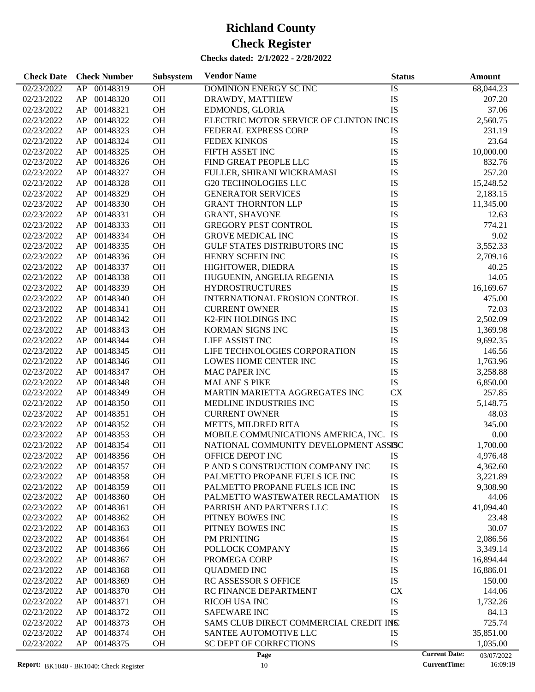| <b>Check Date</b> | <b>Check Number</b> | Subsystem | <b>Vendor Name</b>                      | <b>Status</b> |                      | Amount     |
|-------------------|---------------------|-----------|-----------------------------------------|---------------|----------------------|------------|
| 02/23/2022        | 00148319<br>AP      | OH        | DOMINION ENERGY SC INC                  | IS            |                      | 68,044.23  |
| 02/23/2022        | 00148320<br>AP      | OH        | DRAWDY, MATTHEW                         | IS            |                      | 207.20     |
| 02/23/2022        | AP<br>00148321      | OH        | EDMONDS, GLORIA                         | IS            |                      | 37.06      |
| 02/23/2022        | 00148322<br>AP      | OH        | ELECTRIC MOTOR SERVICE OF CLINTON INCIS |               |                      | 2,560.75   |
| 02/23/2022        | 00148323<br>AP      | OH        | FEDERAL EXPRESS CORP                    | IS            |                      | 231.19     |
| 02/23/2022        | 00148324<br>AP      | OH        | <b>FEDEX KINKOS</b>                     | IS            |                      | 23.64      |
| 02/23/2022        | AP<br>00148325      | OH        | FIFTH ASSET INC                         | IS            |                      | 10,000.00  |
| 02/23/2022        | 00148326<br>AP      | OH        | FIND GREAT PEOPLE LLC                   | IS            |                      | 832.76     |
| 02/23/2022        | 00148327<br>AP      | OH        | FULLER, SHIRANI WICKRAMASI              | IS            |                      | 257.20     |
| 02/23/2022        | 00148328<br>AP      | OH        | <b>G20 TECHNOLOGIES LLC</b>             | IS            |                      | 15,248.52  |
| 02/23/2022        | 00148329<br>AP      | OH        | <b>GENERATOR SERVICES</b>               | IS            |                      | 2,183.15   |
| 02/23/2022        | 00148330<br>AP      | OH        | <b>GRANT THORNTON LLP</b>               | IS            |                      | 11,345.00  |
| 02/23/2022        | 00148331<br>AP      | OH        | <b>GRANT, SHAVONE</b>                   | IS            |                      | 12.63      |
| 02/23/2022        | AP<br>00148333      | OH        | <b>GREGORY PEST CONTROL</b>             | IS            |                      | 774.21     |
| 02/23/2022        | AP<br>00148334      | OH        | <b>GROVE MEDICAL INC</b>                | IS            |                      | 9.02       |
| 02/23/2022        | 00148335<br>AP      | OH        | <b>GULF STATES DISTRIBUTORS INC</b>     | IS            |                      | 3,552.33   |
| 02/23/2022        | 00148336<br>AP      | OH        | HENRY SCHEIN INC                        | IS            |                      | 2,709.16   |
| 02/23/2022        | AP<br>00148337      | OH        | HIGHTOWER, DIEDRA                       | IS            |                      | 40.25      |
| 02/23/2022        | AP<br>00148338      | OH        | HUGUENIN, ANGELIA REGENIA               | IS            |                      | 14.05      |
| 02/23/2022        | 00148339<br>AP      | OH        | <b>HYDROSTRUCTURES</b>                  | IS            |                      | 16,169.67  |
| 02/23/2022        | 00148340<br>AP      | OH        | INTERNATIONAL EROSION CONTROL           | IS            |                      | 475.00     |
| 02/23/2022        | 00148341<br>AP      | OH        | <b>CURRENT OWNER</b>                    | IS            |                      | 72.03      |
| 02/23/2022        | AP<br>00148342      | OH        | K2-FIN HOLDINGS INC                     | IS            |                      | 2,502.09   |
| 02/23/2022        | 00148343<br>AP      | OH        | KORMAN SIGNS INC                        | IS            |                      | 1,369.98   |
| 02/23/2022        | 00148344<br>AP      | OH        | LIFE ASSIST INC                         | IS            |                      | 9,692.35   |
| 02/23/2022        | 00148345<br>AP      | OH        | LIFE TECHNOLOGIES CORPORATION           | IS            |                      | 146.56     |
| 02/23/2022        | 00148346<br>AP      | OH        | LOWES HOME CENTER INC                   | IS            |                      | 1,763.96   |
| 02/23/2022        | 00148347<br>AP      | OH        | <b>MAC PAPER INC</b>                    | IS            |                      | 3,258.88   |
| 02/23/2022        | 00148348<br>AP      | OH        | <b>MALANE S PIKE</b>                    | IS            |                      | 6,850.00   |
| 02/23/2022        | 00148349<br>AP      | OH        | MARTIN MARIETTA AGGREGATES INC          | <b>CX</b>     |                      | 257.85     |
| 02/23/2022        | 00148350<br>AP      | OH        | MEDLINE INDUSTRIES INC                  | IS            |                      | 5,148.75   |
| 02/23/2022        | 00148351<br>AP      | OH        | <b>CURRENT OWNER</b>                    | IS            |                      | 48.03      |
| 02/23/2022        | 00148352<br>AP      | OH        | METTS, MILDRED RITA                     | IS            |                      | 345.00     |
| 02/23/2022        | 00148353<br>AP      | OH        | MOBILE COMMUNICATIONS AMERICA, INC. IS  |               |                      | 0.00       |
| 02/23/2022        | AP<br>00148354      | OH        | NATIONAL COMMUNITY DEVELOPMENT ASSISC   |               |                      | 1,700.00   |
| 02/23/2022        | AP<br>00148356      | <b>OH</b> | OFFICE DEPOT INC                        | IS            |                      | 4,976.48   |
| 02/23/2022        | 00148357<br>AP      | OH        | P AND S CONSTRUCTION COMPANY INC        | IS            |                      | 4,362.60   |
| 02/23/2022        | 00148358<br>AP      | OH        | PALMETTO PROPANE FUELS ICE INC          | IS            |                      | 3,221.89   |
| 02/23/2022        | AP<br>00148359      | OH        | PALMETTO PROPANE FUELS ICE INC          | IS            |                      | 9,308.90   |
| 02/23/2022        | 00148360<br>AP      | <b>OH</b> | PALMETTO WASTEWATER RECLAMATION         | IS            |                      | 44.06      |
| 02/23/2022        | 00148361<br>AP      | OH        | PARRISH AND PARTNERS LLC                | IS            |                      | 41,094.40  |
| 02/23/2022        | 00148362<br>AP      | OH        | PITNEY BOWES INC                        | IS            |                      | 23.48      |
| 02/23/2022        | 00148363<br>AP      | OH        | PITNEY BOWES INC                        | IS            |                      | 30.07      |
| 02/23/2022        | 00148364<br>AP      | OH        | PM PRINTING                             | IS            |                      | 2,086.56   |
| 02/23/2022        | 00148366<br>AP      | OH        | POLLOCK COMPANY                         | IS            |                      | 3,349.14   |
| 02/23/2022        | 00148367<br>AP      | OH        | PROMEGA CORP                            | IS            |                      | 16,894.44  |
| 02/23/2022        | 00148368<br>AP      | OH        | <b>QUADMED INC</b>                      | IS            |                      | 16,886.01  |
| 02/23/2022        | 00148369<br>AP      | OH        | RC ASSESSOR S OFFICE                    | IS            |                      | 150.00     |
| 02/23/2022        | 00148370<br>AP      | OH        | RC FINANCE DEPARTMENT                   | <b>CX</b>     |                      | 144.06     |
| 02/23/2022        | 00148371<br>AP      | OH        | <b>RICOH USA INC</b>                    | IS            |                      | 1,732.26   |
| 02/23/2022        | 00148372<br>AP      | OH        | <b>SAFEWARE INC</b>                     | IS            |                      | 84.13      |
| 02/23/2022        | 00148373<br>AP      | OH        | SAMS CLUB DIRECT COMMERCIAL CREDIT INS  |               |                      | 725.74     |
| 02/23/2022        | 00148374<br>AP      | OH        | SANTEE AUTOMOTIVE LLC                   | IS            |                      | 35,851.00  |
| 02/23/2022        | 00148375<br>AP      | <b>OH</b> | SC DEPT OF CORRECTIONS                  | IS            |                      | 1,035.00   |
|                   |                     |           | Page                                    |               | <b>Current Date:</b> | 03/07/2022 |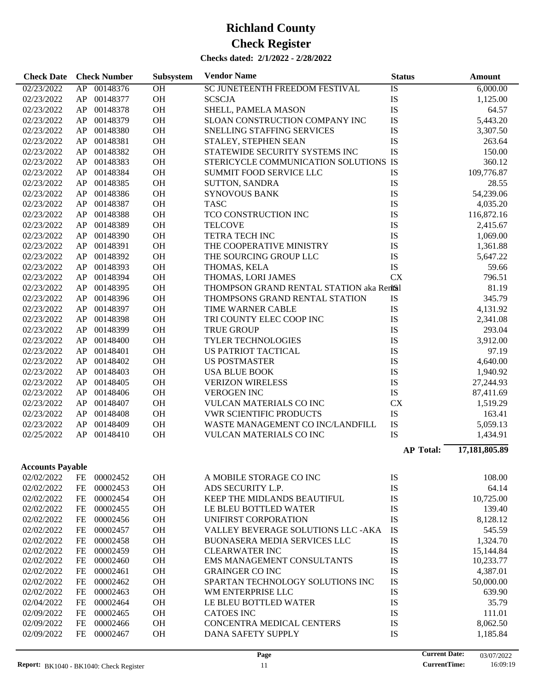| <b>Check Date</b>       |      | <b>Check Number</b> | Subsystem | <b>Vendor Name</b>                        | <b>Status</b>    | <b>Amount</b> |
|-------------------------|------|---------------------|-----------|-------------------------------------------|------------------|---------------|
| 02/23/2022              |      | AP 00148376         | OH        | SC JUNETEENTH FREEDOM FESTIVAL            | IS               | 6,000.00      |
| 02/23/2022              | AP   | 00148377            | OH        | <b>SCSCJA</b>                             | IS               | 1,125.00      |
| 02/23/2022              | AP   | 00148378            | OH        | SHELL, PAMELA MASON                       | IS               | 64.57         |
| 02/23/2022              | AP   | 00148379            | OH        | SLOAN CONSTRUCTION COMPANY INC            | IS               | 5,443.20      |
| 02/23/2022              | AP   | 00148380            | OH        | SNELLING STAFFING SERVICES                | IS               | 3,307.50      |
| 02/23/2022              | AP   | 00148381            | OH        | STALEY, STEPHEN SEAN                      | IS               | 263.64        |
| 02/23/2022              | AP   | 00148382            | OH        | STATEWIDE SECURITY SYSTEMS INC            | IS               | 150.00        |
| 02/23/2022              | AP   | 00148383            | OH        | STERICYCLE COMMUNICATION SOLUTIONS IS     |                  | 360.12        |
| 02/23/2022              | AP   | 00148384            | OH        | <b>SUMMIT FOOD SERVICE LLC</b>            | IS               | 109,776.87    |
| 02/23/2022              | AP   | 00148385            | OH        | <b>SUTTON, SANDRA</b>                     | IS               | 28.55         |
| 02/23/2022              | AP   | 00148386            | OH        | <b>SYNOVOUS BANK</b>                      | IS               | 54,239.06     |
| 02/23/2022              | AP   | 00148387            | OH        | <b>TASC</b>                               | IS               | 4,035.20      |
| 02/23/2022              | AP   | 00148388            | OH        | TCO CONSTRUCTION INC                      | IS               | 116,872.16    |
|                         |      | 00148389            | OH        | <b>TELCOVE</b>                            | IS               |               |
| 02/23/2022              | AP   |                     |           |                                           |                  | 2,415.67      |
| 02/23/2022              | AP   | 00148390            | OH        | <b>TETRA TECH INC</b>                     | IS               | 1,069.00      |
| 02/23/2022              | AP   | 00148391            | OH        | THE COOPERATIVE MINISTRY                  | IS               | 1,361.88      |
| 02/23/2022              | AP   | 00148392            | OH        | THE SOURCING GROUP LLC                    | IS               | 5,647.22      |
| 02/23/2022              | AP   | 00148393            | OH        | THOMAS, KELA                              | IS               | 59.66         |
| 02/23/2022              | AP   | 00148394            | OH        | THOMAS, LORI JAMES                        | <b>CX</b>        | 796.51        |
| 02/23/2022              | AP   | 00148395            | OH        | THOMPSON GRAND RENTAL STATION aka Rentsil |                  | 81.19         |
| 02/23/2022              | AP   | 00148396            | OH        | THOMPSONS GRAND RENTAL STATION            | IS               | 345.79        |
| 02/23/2022              | AP   | 00148397            | OH        | TIME WARNER CABLE                         | IS               | 4,131.92      |
| 02/23/2022              | AP   | 00148398            | OH        | TRI COUNTY ELEC COOP INC                  | IS               | 2,341.08      |
| 02/23/2022              | AP   | 00148399            | OH        | <b>TRUE GROUP</b>                         | IS               | 293.04        |
| 02/23/2022              | AP   | 00148400            | OH        | <b>TYLER TECHNOLOGIES</b>                 | IS               | 3,912.00      |
| 02/23/2022              | AP   | 00148401            | OH        | US PATRIOT TACTICAL                       | IS               | 97.19         |
| 02/23/2022              | AP   | 00148402            | OH        | <b>US POSTMASTER</b>                      | IS               | 4,640.00      |
| 02/23/2022              | AP   | 00148403            | OH        | <b>USA BLUE BOOK</b>                      | IS               | 1,940.92      |
| 02/23/2022              | AP   | 00148405            | OH        | <b>VERIZON WIRELESS</b>                   | IS               | 27,244.93     |
| 02/23/2022              | AP   | 00148406            | OH        | <b>VEROGEN INC</b>                        | IS               | 87,411.69     |
| 02/23/2022              | AP   | 00148407            | OH        | VULCAN MATERIALS CO INC                   | <b>CX</b>        | 1,519.29      |
| 02/23/2022              | AP   | 00148408            | OH        | <b>VWR SCIENTIFIC PRODUCTS</b>            | IS               | 163.41        |
| 02/23/2022              | AP   | 00148409            | OH        | WASTE MANAGEMENT CO INC/LANDFILL          | IS               | 5,059.13      |
| 02/25/2022              | AP   | 00148410            | OH        | VULCAN MATERIALS CO INC                   | IS               | 1,434.91      |
|                         |      |                     |           |                                           | <b>AP Total:</b> | 17,181,805.89 |
|                         |      |                     |           |                                           |                  |               |
| <b>Accounts Payable</b> |      |                     |           |                                           |                  |               |
| 02/02/2022              | FE   | 00002452            | OH        | A MOBILE STORAGE CO INC                   | IS               | 108.00        |
| 02/02/2022              | FE   | 00002453            | OH        | ADS SECURITY L.P.                         | IS               | 64.14         |
| 02/02/2022              | FE   | 00002454            | OH        | KEEP THE MIDLANDS BEAUTIFUL               | IS               | 10,725.00     |
| 02/02/2022              | FE   | 00002455            | OH        | LE BLEU BOTTLED WATER                     | IS               | 139.40        |
| 02/02/2022              | FE   | 00002456            | OH        | UNIFIRST CORPORATION                      | IS               | 8,128.12      |
| 02/02/2022              | FE   | 00002457            | OH        | VALLEY BEVERAGE SOLUTIONS LLC - AKA       | IS               | 545.59        |
| 02/02/2022              | FE   | 00002458            | OH        | BUONASERA MEDIA SERVICES LLC              | IS               | 1,324.70      |
| 02/02/2022              | FE   | 00002459            | OH        | <b>CLEARWATER INC</b>                     | IS               | 15,144.84     |
| 02/02/2022              | FE   | 00002460            | OH        | EMS MANAGEMENT CONSULTANTS                | IS               | 10,233.77     |
| 02/02/2022              | FE   | 00002461            | OH        | <b>GRAINGER CO INC</b>                    | IS               | 4,387.01      |
| 02/02/2022              | FE   | 00002462            | OH        | SPARTAN TECHNOLOGY SOLUTIONS INC          | IS               | 50,000.00     |
| 02/02/2022              | FE   | 00002463            | OH        | WM ENTERPRISE LLC                         | IS               | 639.90        |
| 02/04/2022              | FE   | 00002464            | OH        | LE BLEU BOTTLED WATER                     | IS               | 35.79         |
| 02/09/2022              | FE   | 00002465            | OH        | <b>CATOES INC</b>                         | IS               | 111.01        |
| 02/09/2022              | FE   | 00002466            | OH        | CONCENTRA MEDICAL CENTERS                 | IS               | 8,062.50      |
| 02/09/2022              | $FE$ | 00002467            | OH        | DANA SAFETY SUPPLY                        | IS               | 1,185.84      |
|                         |      |                     |           |                                           |                  |               |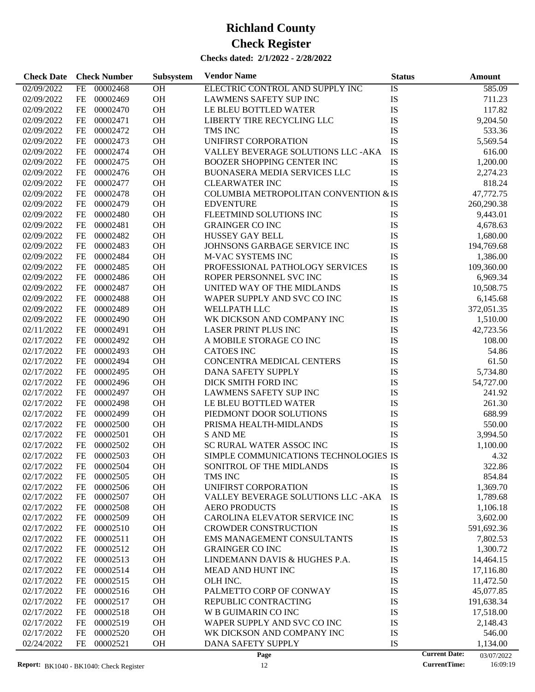| <b>Check Date</b>                               | <b>Check Number</b>   | Subsystem | <b>Vendor Name</b>                    | <b>Status</b> | Amount                                                                |
|-------------------------------------------------|-----------------------|-----------|---------------------------------------|---------------|-----------------------------------------------------------------------|
| 02/09/2022                                      | 00002468<br><b>FE</b> | <b>OH</b> | ELECTRIC CONTROL AND SUPPLY INC       | IS            | 585.09                                                                |
| 02/09/2022                                      | 00002469<br>FE        | OH        | <b>LAWMENS SAFETY SUP INC</b>         | IS            | 711.23                                                                |
| 02/09/2022                                      | FE<br>00002470        | OH        | LE BLEU BOTTLED WATER                 | IS            | 117.82                                                                |
| 02/09/2022                                      | FE<br>00002471        | OH        | LIBERTY TIRE RECYCLING LLC            | IS            | 9,204.50                                                              |
| 02/09/2022                                      | FE<br>00002472        | OH        | TMS INC                               | IS            | 533.36                                                                |
| 02/09/2022                                      | FE<br>00002473        | OH        | UNIFIRST CORPORATION                  | IS            | 5,569.54                                                              |
| 02/09/2022                                      | FE<br>00002474        | OH        | VALLEY BEVERAGE SOLUTIONS LLC - AKA   | IS            | 616.00                                                                |
| 02/09/2022                                      | FE<br>00002475        | OH        | <b>BOOZER SHOPPING CENTER INC</b>     | IS            | 1,200.00                                                              |
| 02/09/2022                                      | FE<br>00002476        | OH        | <b>BUONASERA MEDIA SERVICES LLC</b>   | IS            | 2,274.23                                                              |
| 02/09/2022                                      | FE<br>00002477        | OH        | <b>CLEARWATER INC</b>                 | IS            | 818.24                                                                |
| 02/09/2022                                      | FE<br>00002478        | OH        | COLUMBIA METROPOLITAN CONVENTION & IS |               | 47,772.75                                                             |
| 02/09/2022                                      | FE<br>00002479        | <b>OH</b> | <b>EDVENTURE</b>                      | <b>IS</b>     | 260,290.38                                                            |
| 02/09/2022                                      | FE<br>00002480        | OH        | FLEETMIND SOLUTIONS INC               | IS            | 9,443.01                                                              |
| 02/09/2022                                      | FE<br>00002481        | OH        | <b>GRAINGER CO INC</b>                | IS            | 4,678.63                                                              |
| 02/09/2022                                      | FE<br>00002482        | OH        | <b>HUSSEY GAY BELL</b>                | IS            | 1,680.00                                                              |
| 02/09/2022                                      | FE<br>00002483        | OH        | JOHNSONS GARBAGE SERVICE INC          | IS            | 194,769.68                                                            |
| 02/09/2022                                      | FE<br>00002484        | OH        | <b>M-VAC SYSTEMS INC</b>              | IS            | 1,386.00                                                              |
| 02/09/2022                                      | FE<br>00002485        | OH        | PROFESSIONAL PATHOLOGY SERVICES       | IS            | 109,360.00                                                            |
| 02/09/2022                                      | FE<br>00002486        | OH        | ROPER PERSONNEL SVC INC               | IS            | 6,969.34                                                              |
| 02/09/2022                                      | FE<br>00002487        | <b>OH</b> | UNITED WAY OF THE MIDLANDS            | IS            | 10,508.75                                                             |
| 02/09/2022                                      | FE<br>00002488        | OH        | WAPER SUPPLY AND SVC CO INC           | IS            | 6,145.68                                                              |
| 02/09/2022                                      | <b>FE</b><br>00002489 | OH        | <b>WELLPATH LLC</b>                   | IS            | 372,051.35                                                            |
| 02/09/2022                                      | FE<br>00002490        | OH        | WK DICKSON AND COMPANY INC            | IS            | 1,510.00                                                              |
| 02/11/2022                                      | FE<br>00002491        | OH        | <b>LASER PRINT PLUS INC</b>           | IS            | 42,723.56                                                             |
| 02/17/2022                                      | FE<br>00002492        | OH        | A MOBILE STORAGE CO INC               | IS            | 108.00                                                                |
| 02/17/2022                                      | FE<br>00002493        | OH        | <b>CATOES INC</b>                     | IS            | 54.86                                                                 |
| 02/17/2022                                      | FE<br>00002494        | OH        | CONCENTRA MEDICAL CENTERS             | IS            | 61.50                                                                 |
| 02/17/2022                                      | FE<br>00002495        | <b>OH</b> | DANA SAFETY SUPPLY                    | IS            | 5,734.80                                                              |
| 02/17/2022                                      | FE<br>00002496        | OH        | DICK SMITH FORD INC                   | IS            | 54,727.00                                                             |
| 02/17/2022                                      | <b>FE</b><br>00002497 | OH        | <b>LAWMENS SAFETY SUP INC</b>         | IS            | 241.92                                                                |
| 02/17/2022                                      | FE<br>00002498        | OH        | LE BLEU BOTTLED WATER                 | IS            | 261.30                                                                |
| 02/17/2022                                      | FE<br>00002499        | OH        | PIEDMONT DOOR SOLUTIONS               | IS            | 688.99                                                                |
| 02/17/2022                                      | FE<br>00002500        | OH        | PRISMA HEALTH-MIDLANDS                | IS            | 550.00                                                                |
| 02/17/2022                                      | <b>FE</b><br>00002501 | OH        | <b>S AND ME</b>                       | IS            | 3,994.50                                                              |
| 02/17/2022                                      | <b>FE</b><br>00002502 | OH        | SC RURAL WATER ASSOC INC              | <b>IS</b>     | 1,100.00                                                              |
| 02/17/2022                                      | FE<br>00002503        | <b>OH</b> | SIMPLE COMMUNICATIONS TECHNOLOGIES IS |               | 4.32                                                                  |
| 02/17/2022                                      | 00002504<br>FE        | OН        | SONITROL OF THE MIDLANDS              | IS            | 322.86                                                                |
| 02/17/2022                                      | 00002505<br>FE        | OH        | TMS INC                               | IS            | 854.84                                                                |
| 02/17/2022                                      | 00002506<br>FE        | OH        | UNIFIRST CORPORATION                  | IS            | 1,369.70                                                              |
| 02/17/2022                                      | FE<br>00002507        | OH        | VALLEY BEVERAGE SOLUTIONS LLC -AKA    | IS            | 1,789.68                                                              |
| 02/17/2022                                      | FE<br>00002508        | OH        | <b>AERO PRODUCTS</b>                  | IS            | 1,106.18                                                              |
| 02/17/2022                                      | FE<br>00002509        | OH        | CAROLINA ELEVATOR SERVICE INC         | IS            | 3,602.00                                                              |
| 02/17/2022                                      | FE<br>00002510        | OH        | <b>CROWDER CONSTRUCTION</b>           | IS            | 591,692.36                                                            |
| 02/17/2022                                      | 00002511<br>FE        | OH        | EMS MANAGEMENT CONSULTANTS            | IS            | 7,802.53                                                              |
| 02/17/2022                                      | 00002512<br>FE        | OH        | <b>GRAINGER CO INC</b>                | IS            | 1,300.72                                                              |
| 02/17/2022                                      | FE<br>00002513        | OH        | LINDEMANN DAVIS & HUGHES P.A.         | IS            | 14,464.15                                                             |
| 02/17/2022                                      | FE<br>00002514        | OH        | MEAD AND HUNT INC                     | IS            | 17,116.80                                                             |
| 02/17/2022                                      | 00002515<br>FE        | OH        | OLH INC.                              | IS            | 11,472.50                                                             |
| 02/17/2022                                      | 00002516<br>FE        | OH        | PALMETTO CORP OF CONWAY               | IS            | 45,077.85                                                             |
| 02/17/2022                                      | 00002517<br>FE        | OH        | REPUBLIC CONTRACTING                  | IS            | 191,638.34                                                            |
| 02/17/2022                                      | FE<br>00002518        | OH        | W B GUIMARIN CO INC                   | IS            | 17,518.00                                                             |
| 02/17/2022                                      | 00002519<br>FE        | OH        | WAPER SUPPLY AND SVC CO INC           | IS            | 2,148.43                                                              |
| 02/17/2022                                      | FE<br>00002520        | OH        | WK DICKSON AND COMPANY INC            | IS            | 546.00                                                                |
| 02/24/2022                                      | FE<br>00002521        | OH        | DANA SAFETY SUPPLY                    | IS            | 1,134.00                                                              |
| <b>Report:</b> $RK1040 - RK1040$ Check Register |                       |           | Page<br>12                            |               | <b>Current Date:</b><br>03/07/2022<br><b>CurrentTime:</b><br>16:09:19 |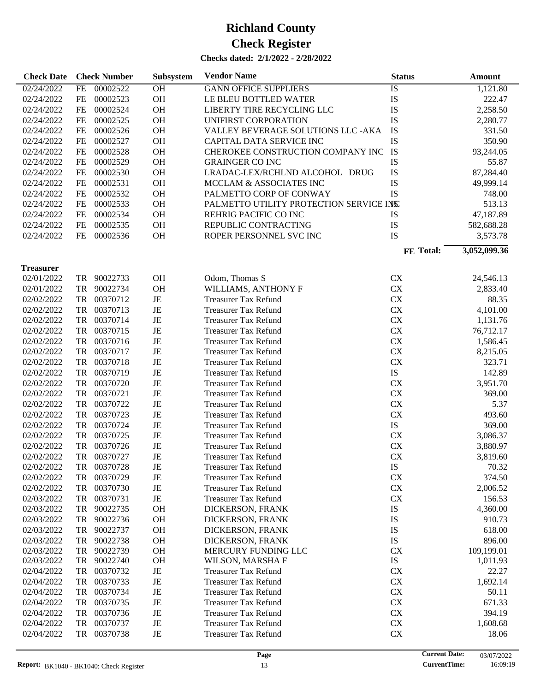| <b>Check Date</b> |           | <b>Check Number</b> | Subsystem | <b>Vendor Name</b>                      | <b>Status</b> | Amount       |
|-------------------|-----------|---------------------|-----------|-----------------------------------------|---------------|--------------|
| 02/24/2022        | <b>FE</b> | 00002522            | OH        | <b>GANN OFFICE SUPPLIERS</b>            | IS            | 1,121.80     |
| 02/24/2022        | <b>FE</b> | 00002523            | OH        | LE BLEU BOTTLED WATER                   | IS            | 222.47       |
| 02/24/2022        | <b>FE</b> | 00002524            | OH        | LIBERTY TIRE RECYCLING LLC              | IS            | 2,258.50     |
| 02/24/2022        | FE        | 00002525            | OH        | UNIFIRST CORPORATION                    | IS            | 2,280.77     |
| 02/24/2022        | FE        | 00002526            | OH        | VALLEY BEVERAGE SOLUTIONS LLC - AKA     | IS            | 331.50       |
| 02/24/2022        | FE        | 00002527            | OH        | CAPITAL DATA SERVICE INC                | IS            | 350.90       |
| 02/24/2022        | FE        | 00002528            | OH        | CHEROKEE CONSTRUCTION COMPANY INC       | IS            | 93,244.05    |
| 02/24/2022        | FE        | 00002529            | OH        | <b>GRAINGER CO INC</b>                  | IS            | 55.87        |
| 02/24/2022        | FE        | 00002530            | OH        | LRADAC-LEX/RCHLND ALCOHOL DRUG          | IS            | 87,284.40    |
| 02/24/2022        | FE        | 00002531            | OH        | MCCLAM & ASSOCIATES INC                 | IS            | 49,999.14    |
| 02/24/2022        | FE        | 00002532            | OH        | PALMETTO CORP OF CONWAY                 | <b>IS</b>     | 748.00       |
| 02/24/2022        | FE        | 00002533            | OH        | PALMETTO UTILITY PROTECTION SERVICE INS |               | 513.13       |
| 02/24/2022        | FE        | 00002534            | <b>OH</b> | REHRIG PACIFIC CO INC                   | IS            | 47,187.89    |
| 02/24/2022        | FE        | 00002535            | OH        | REPUBLIC CONTRACTING                    | IS            | 582,688.28   |
| 02/24/2022        | FE        | 00002536            | OH        | ROPER PERSONNEL SVC INC                 | IS            | 3,573.78     |
|                   |           |                     |           |                                         |               | 3,052,099.36 |
|                   |           |                     |           |                                         | FE Total:     |              |
| <b>Treasurer</b>  |           |                     |           |                                         |               |              |
| 02/01/2022        | TR        | 90022733            | <b>OH</b> | Odom, Thomas S                          | <b>CX</b>     | 24,546.13    |
| 02/01/2022        | TR        | 90022734            | OH        | WILLIAMS, ANTHONY F                     | CX            | 2,833.40     |
| 02/02/2022        | TR        | 00370712            | JE        | <b>Treasurer Tax Refund</b>             | CX            | 88.35        |
| 02/02/2022        | TR        | 00370713            | JE        | <b>Treasurer Tax Refund</b>             | CX            | 4,101.00     |
| 02/02/2022        | TR        | 00370714            | JE        | <b>Treasurer Tax Refund</b>             | CX            | 1,131.76     |
| 02/02/2022        | TR        | 00370715            | JE        | <b>Treasurer Tax Refund</b>             | CX            | 76,712.17    |
| 02/02/2022        | TR        | 00370716            | JE        | <b>Treasurer Tax Refund</b>             | CX            | 1,586.45     |
| 02/02/2022        | TR        | 00370717            | JE        | <b>Treasurer Tax Refund</b>             | CX            | 8,215.05     |
| 02/02/2022        | TR        | 00370718            | JE        | <b>Treasurer Tax Refund</b>             | CX            | 323.71       |
| 02/02/2022        | TR        | 00370719            | JE        | <b>Treasurer Tax Refund</b>             | IS            | 142.89       |
| 02/02/2022        | TR        | 00370720            | JE        | <b>Treasurer Tax Refund</b>             | CX            | 3,951.70     |
| 02/02/2022        | TR        | 00370721            | JE        | <b>Treasurer Tax Refund</b>             | CX            | 369.00       |
| 02/02/2022        | TR        | 00370722            | JE        | <b>Treasurer Tax Refund</b>             | ${\rm CX}$    | 5.37         |
| 02/02/2022        | TR        | 00370723            | JE        | <b>Treasurer Tax Refund</b>             | CX            | 493.60       |
| 02/02/2022        | TR        | 00370724            | JE        | <b>Treasurer Tax Refund</b>             | IS            | 369.00       |
| 02/02/2022        | <b>TR</b> | 00370725            | JE        | <b>Treasurer Tax Refund</b>             | <b>CX</b>     | 3,086.37     |
| 02/02/2022        | <b>TR</b> | 00370726            | JE        | <b>Treasurer Tax Refund</b>             | <b>CX</b>     | 3,880.97     |
| 02/02/2022        | TR        | 00370727            | JE        | <b>Treasurer Tax Refund</b>             | <b>CX</b>     | 3,819.60     |
| 02/02/2022        | TR        | 00370728            | JE        | <b>Treasurer Tax Refund</b>             | IS            | 70.32        |
| 02/02/2022        | TR        | 00370729            | JE        | <b>Treasurer Tax Refund</b>             | <b>CX</b>     | 374.50       |
| 02/02/2022        | TR        | 00370730            | JE        | <b>Treasurer Tax Refund</b>             | CX            | 2,006.52     |
| 02/03/2022        | TR        | 00370731            | JE        | <b>Treasurer Tax Refund</b>             | <b>CX</b>     | 156.53       |
| 02/03/2022        | TR        | 90022735            | OH        | DICKERSON, FRANK                        | IS            | 4,360.00     |
| 02/03/2022        | TR        | 90022736            | OH        | DICKERSON, FRANK                        | IS            | 910.73       |
| 02/03/2022        | <b>TR</b> | 90022737            | OH        | DICKERSON, FRANK                        | IS            | 618.00       |
| 02/03/2022        | TR        | 90022738            | OH        | DICKERSON, FRANK                        | IS            | 896.00       |
| 02/03/2022        | TR        | 90022739            | OH        | MERCURY FUNDING LLC                     | <b>CX</b>     | 109,199.01   |
| 02/03/2022        | TR        | 90022740            | OH        | WILSON, MARSHA F                        | $\mathbf{IS}$ | 1,011.93     |
| 02/04/2022        | TR        | 00370732            | JE        | <b>Treasurer Tax Refund</b>             | <b>CX</b>     | 22.27        |
| 02/04/2022        | <b>TR</b> | 00370733            | JE        | <b>Treasurer Tax Refund</b>             | CX            | 1,692.14     |
| 02/04/2022        | <b>TR</b> | 00370734            | JE        | <b>Treasurer Tax Refund</b>             | CX            | 50.11        |
| 02/04/2022        | <b>TR</b> | 00370735            | JE        | <b>Treasurer Tax Refund</b>             | CX            | 671.33       |
| 02/04/2022        | <b>TR</b> | 00370736            | JE        | <b>Treasurer Tax Refund</b>             | CX            | 394.19       |
| 02/04/2022        | <b>TR</b> | 00370737            | JE        | <b>Treasurer Tax Refund</b>             | ${\rm CX}$    | 1,608.68     |
| 02/04/2022        | <b>TR</b> | 00370738            | JE        | <b>Treasurer Tax Refund</b>             | CX            | 18.06        |
|                   |           |                     |           |                                         |               |              |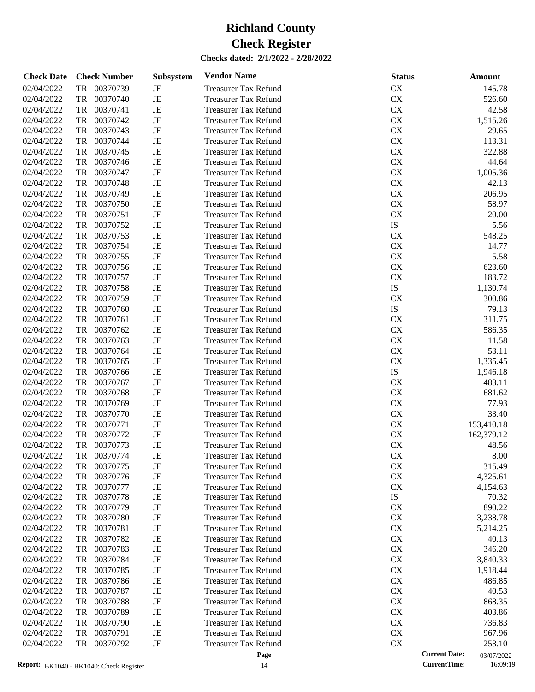| <b>Check Date</b> | <b>Check Number</b>   | <b>Subsystem</b> | <b>Vendor Name</b>          | <b>Status</b> | Amount                             |
|-------------------|-----------------------|------------------|-----------------------------|---------------|------------------------------------|
| 02/04/2022        | 00370739<br>TR        | JE               | <b>Treasurer Tax Refund</b> | CX            | 145.78                             |
| 02/04/2022        | <b>TR</b><br>00370740 | $\rm{JE}$        | <b>Treasurer Tax Refund</b> | ${\rm CX}$    | 526.60                             |
| 02/04/2022        | <b>TR</b><br>00370741 | $\rm{JE}$        | <b>Treasurer Tax Refund</b> | ${\rm CX}$    | 42.58                              |
| 02/04/2022        | <b>TR</b><br>00370742 | $\rm{JE}$        | <b>Treasurer Tax Refund</b> | ${\rm CX}$    | 1,515.26                           |
| 02/04/2022        | 00370743<br><b>TR</b> | $\rm{JE}$        | <b>Treasurer Tax Refund</b> | ${\rm CX}$    | 29.65                              |
| 02/04/2022        | 00370744<br><b>TR</b> | $\rm{JE}$        | <b>Treasurer Tax Refund</b> | ${\rm CX}$    | 113.31                             |
| 02/04/2022        | <b>TR</b><br>00370745 | $\rm{JE}$        | <b>Treasurer Tax Refund</b> | ${\rm CX}$    | 322.88                             |
| 02/04/2022        | <b>TR</b><br>00370746 | $\rm{JE}$        | <b>Treasurer Tax Refund</b> | ${\rm CX}$    | 44.64                              |
| 02/04/2022        | 00370747<br><b>TR</b> | $\rm{JE}$        | <b>Treasurer Tax Refund</b> | ${\rm CX}$    | 1,005.36                           |
| 02/04/2022        | <b>TR</b><br>00370748 | $\rm{JE}$        | <b>Treasurer Tax Refund</b> | ${\rm CX}$    | 42.13                              |
| 02/04/2022        | <b>TR</b><br>00370749 | $\rm{JE}$        | <b>Treasurer Tax Refund</b> | ${\rm CX}$    | 206.95                             |
| 02/04/2022        | <b>TR</b><br>00370750 | $\rm{JE}$        | <b>Treasurer Tax Refund</b> | ${\rm CX}$    | 58.97                              |
| 02/04/2022        | 00370751<br><b>TR</b> | $\rm{JE}$        | <b>Treasurer Tax Refund</b> | ${\rm CX}$    | 20.00                              |
| 02/04/2022        | <b>TR</b><br>00370752 | $\rm{JE}$        | <b>Treasurer Tax Refund</b> | ${\rm IS}$    | 5.56                               |
| 02/04/2022        | 00370753<br><b>TR</b> | $\rm{JE}$        | <b>Treasurer Tax Refund</b> | ${\rm CX}$    | 548.25                             |
| 02/04/2022        | <b>TR</b><br>00370754 | $\rm{JE}$        | <b>Treasurer Tax Refund</b> | ${\rm CX}$    | 14.77                              |
| 02/04/2022        | <b>TR</b><br>00370755 | $\rm{JE}$        | <b>Treasurer Tax Refund</b> | ${\rm CX}$    | 5.58                               |
| 02/04/2022        | <b>TR</b><br>00370756 | $\rm{JE}$        | <b>Treasurer Tax Refund</b> | ${\rm CX}$    | 623.60                             |
| 02/04/2022        | 00370757<br><b>TR</b> | $\rm{JE}$        | <b>Treasurer Tax Refund</b> | ${\rm CX}$    | 183.72                             |
| 02/04/2022        | <b>TR</b><br>00370758 | $\rm{JE}$        | <b>Treasurer Tax Refund</b> | ${\rm IS}$    | 1,130.74                           |
| 02/04/2022        | <b>TR</b><br>00370759 | $\rm{JE}$        | <b>Treasurer Tax Refund</b> | ${\rm CX}$    | 300.86                             |
| 02/04/2022        | 00370760<br><b>TR</b> | $\rm{JE}$        | <b>Treasurer Tax Refund</b> | ${\rm IS}$    | 79.13                              |
| 02/04/2022        | <b>TR</b><br>00370761 | $\rm{JE}$        | <b>Treasurer Tax Refund</b> | CX            | 311.75                             |
| 02/04/2022        | <b>TR</b><br>00370762 | $\rm{JE}$        | <b>Treasurer Tax Refund</b> | ${\rm CX}$    | 586.35                             |
| 02/04/2022        | 00370763<br><b>TR</b> | $\rm{JE}$        | <b>Treasurer Tax Refund</b> | ${\rm CX}$    | 11.58                              |
| 02/04/2022        | <b>TR</b><br>00370764 | $\rm{JE}$        | <b>Treasurer Tax Refund</b> | ${\rm CX}$    | 53.11                              |
| 02/04/2022        | <b>TR</b><br>00370765 | $\rm{JE}$        | <b>Treasurer Tax Refund</b> | ${\rm CX}$    | 1,335.45                           |
| 02/04/2022        | <b>TR</b><br>00370766 | $\rm{JE}$        | <b>Treasurer Tax Refund</b> | ${\rm IS}$    | 1,946.18                           |
| 02/04/2022        | 00370767<br><b>TR</b> | $\rm{JE}$        | <b>Treasurer Tax Refund</b> | ${\rm CX}$    | 483.11                             |
| 02/04/2022        | <b>TR</b><br>00370768 | $\rm{JE}$        | <b>Treasurer Tax Refund</b> | ${\rm CX}$    | 681.62                             |
| 02/04/2022        | <b>TR</b><br>00370769 | $\rm{JE}$        | <b>Treasurer Tax Refund</b> | ${\rm CX}$    | 77.93                              |
| 02/04/2022        | 00370770<br><b>TR</b> | $\rm{JE}$        | <b>Treasurer Tax Refund</b> | ${\rm CX}$    | 33.40                              |
| 02/04/2022        | <b>TR</b><br>00370771 | $\rm{JE}$        | <b>Treasurer Tax Refund</b> | ${\rm CX}$    | 153,410.18                         |
| 02/04/2022        | <b>TR</b><br>00370772 | $\rm{JE}$        | <b>Treasurer Tax Refund</b> | ${\rm CX}$    | 162,379.12                         |
| 02/04/2022        | <b>TR</b><br>00370773 | $\rm{JE}$        | <b>Treasurer Tax Refund</b> | ${\rm CX}$    | 48.56                              |
| 02/04/2022        | <b>TR</b><br>00370774 | $\rm{JE}$        | <b>Treasurer Tax Refund</b> | ${\rm CX}$    | 8.00                               |
| 02/04/2022        | 00370775<br>TR        | JE               | <b>Treasurer Tax Refund</b> | CX            | 315.49                             |
| 02/04/2022        | 00370776<br>TR        | JE               | <b>Treasurer Tax Refund</b> | ${\rm CX}$    | 4,325.61                           |
| 02/04/2022        | <b>TR</b><br>00370777 | $\rm{JE}$        | <b>Treasurer Tax Refund</b> | ${\rm CX}$    | 4,154.63                           |
| 02/04/2022        | 00370778<br>TR        | JE               | <b>Treasurer Tax Refund</b> | IS            | 70.32                              |
| 02/04/2022        | 00370779<br>TR        | JE               | <b>Treasurer Tax Refund</b> | CX            | 890.22                             |
| 02/04/2022        | 00370780<br>TR        | JE               | <b>Treasurer Tax Refund</b> | CX            | 3,238.78                           |
| 02/04/2022        | 00370781<br>TR        | JE               | <b>Treasurer Tax Refund</b> | CX            | 5,214.25                           |
| 02/04/2022        | TR<br>00370782        | JE               | <b>Treasurer Tax Refund</b> | CX            | 40.13                              |
| 02/04/2022        | 00370783<br>TR        | JE               | <b>Treasurer Tax Refund</b> | CX            | 346.20                             |
| 02/04/2022        | 00370784<br>TR        | JE               | <b>Treasurer Tax Refund</b> | CX            | 3,840.33                           |
| 02/04/2022        | 00370785<br>TR        | JE               | <b>Treasurer Tax Refund</b> | CX            | 1,918.44                           |
| 02/04/2022        | 00370786<br>TR        | JE               | <b>Treasurer Tax Refund</b> | CX            | 486.85                             |
| 02/04/2022        | 00370787<br>TR        | JE               | <b>Treasurer Tax Refund</b> | CX            | 40.53                              |
| 02/04/2022        | 00370788<br>TR        | JE               | <b>Treasurer Tax Refund</b> | CX            | 868.35                             |
| 02/04/2022        | 00370789<br>TR        | JE               | <b>Treasurer Tax Refund</b> | CX            | 403.86                             |
| 02/04/2022        | 00370790<br>TR        | JE               | <b>Treasurer Tax Refund</b> | CX            | 736.83                             |
| 02/04/2022        | 00370791<br>TR        | JE               | <b>Treasurer Tax Refund</b> | CX            | 967.96                             |
| 02/04/2022        | 00370792<br>TR        | JE               | <b>Treasurer Tax Refund</b> | CX            | 253.10                             |
|                   |                       |                  | Page                        |               | <b>Current Date:</b><br>03/07/2022 |

<sup>03/07/2022&</sup>lt;br>16:09:19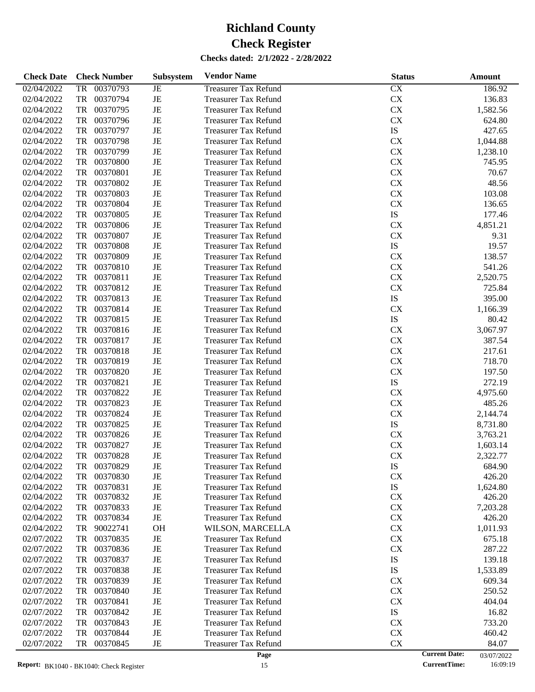| <b>Check Date</b> | <b>Check Number</b>   | Subsystem   | <b>Vendor Name</b>          | <b>Status</b> | Amount                             |
|-------------------|-----------------------|-------------|-----------------------------|---------------|------------------------------------|
| 02/04/2022        | 00370793<br>TR        | JE          | <b>Treasurer Tax Refund</b> | CX            | 186.92                             |
| 02/04/2022        | 00370794<br>TR        | $_{\rm JE}$ | <b>Treasurer Tax Refund</b> | CX            | 136.83                             |
| 02/04/2022        | TR<br>00370795        | JE          | <b>Treasurer Tax Refund</b> | CX            | 1,582.56                           |
| 02/04/2022        | TR<br>00370796        | JE          | <b>Treasurer Tax Refund</b> | <b>CX</b>     | 624.80                             |
| 02/04/2022        | 00370797<br>TR        | JE          | <b>Treasurer Tax Refund</b> | IS            | 427.65                             |
| 02/04/2022        | TR<br>00370798        | JE          | <b>Treasurer Tax Refund</b> | <b>CX</b>     | 1,044.88                           |
| 02/04/2022        | TR<br>00370799        | JE          | <b>Treasurer Tax Refund</b> | <b>CX</b>     | 1,238.10                           |
| 02/04/2022        | TR<br>00370800        | JE          | <b>Treasurer Tax Refund</b> | <b>CX</b>     | 745.95                             |
| 02/04/2022        | 00370801<br>TR        | JE          | <b>Treasurer Tax Refund</b> | <b>CX</b>     | 70.67                              |
| 02/04/2022        | TR<br>00370802        | JE          | <b>Treasurer Tax Refund</b> | <b>CX</b>     | 48.56                              |
| 02/04/2022        | TR<br>00370803        | JE          | <b>Treasurer Tax Refund</b> | <b>CX</b>     | 103.08                             |
| 02/04/2022        | 00370804<br>TR        | JE          | <b>Treasurer Tax Refund</b> | <b>CX</b>     | 136.65                             |
| 02/04/2022        | 00370805<br>TR        | JE          | <b>Treasurer Tax Refund</b> | IS            | 177.46                             |
| 02/04/2022        | TR<br>00370806        | JE          | <b>Treasurer Tax Refund</b> | <b>CX</b>     | 4,851.21                           |
| 02/04/2022        | TR<br>00370807        | JE          | <b>Treasurer Tax Refund</b> | <b>CX</b>     | 9.31                               |
| 02/04/2022        | 00370808<br>TR        | JE          | <b>Treasurer Tax Refund</b> | IS            | 19.57                              |
| 02/04/2022        | TR<br>00370809        | JE          | <b>Treasurer Tax Refund</b> | <b>CX</b>     | 138.57                             |
| 02/04/2022        | TR<br>00370810        | JE          | <b>Treasurer Tax Refund</b> | <b>CX</b>     | 541.26                             |
| 02/04/2022        | 00370811<br>TR        | JE          | <b>Treasurer Tax Refund</b> | <b>CX</b>     | 2,520.75                           |
| 02/04/2022        | 00370812<br>TR        | JE          | <b>Treasurer Tax Refund</b> | CX            | 725.84                             |
| 02/04/2022        | TR<br>00370813        | JE          | <b>Treasurer Tax Refund</b> | IS            | 395.00                             |
| 02/04/2022        | TR<br>00370814        | JE          | <b>Treasurer Tax Refund</b> | <b>CX</b>     | 1,166.39                           |
| 02/04/2022        | 00370815<br>TR        | JE          | <b>Treasurer Tax Refund</b> | IS            | 80.42                              |
| 02/04/2022        | TR<br>00370816        | JE          | <b>Treasurer Tax Refund</b> | <b>CX</b>     | 3,067.97                           |
| 02/04/2022        | TR<br>00370817        | JE          | <b>Treasurer Tax Refund</b> | <b>CX</b>     | 387.54                             |
| 02/04/2022        | 00370818<br>TR        | JE          | <b>Treasurer Tax Refund</b> | <b>CX</b>     | 217.61                             |
| 02/04/2022        | 00370819<br>TR        | JE          | <b>Treasurer Tax Refund</b> | <b>CX</b>     | 718.70                             |
| 02/04/2022        | TR<br>00370820        | JE          | <b>Treasurer Tax Refund</b> | CX            | 197.50                             |
| 02/04/2022        | TR<br>00370821        | JE          | <b>Treasurer Tax Refund</b> | IS            | 272.19                             |
| 02/04/2022        | 00370822<br>TR        | JE          | <b>Treasurer Tax Refund</b> | <b>CX</b>     | 4,975.60                           |
| 02/04/2022        | TR<br>00370823        | JE          | <b>Treasurer Tax Refund</b> | <b>CX</b>     | 485.26                             |
| 02/04/2022        | <b>TR</b><br>00370824 | JE          | <b>Treasurer Tax Refund</b> | CX            | 2,144.74                           |
| 02/04/2022        | 00370825<br>TR        | JE          | <b>Treasurer Tax Refund</b> | IS            | 8,731.80                           |
| 02/04/2022        | 00370826<br>TR        | JE          | <b>Treasurer Tax Refund</b> | <b>CX</b>     | 3,763.21                           |
| 02/04/2022        | 00370827<br>TR        | JE          | <b>Treasurer Tax Refund</b> | <b>CX</b>     | 1,603.14                           |
| 02/04/2022        | TR<br>00370828        | JE          | <b>Treasurer Tax Refund</b> | CX            | 2,322.77                           |
| 02/04/2022        | TR<br>00370829        | JE          | <b>Treasurer Tax Refund</b> | IS            | 684.90                             |
| 02/04/2022        | 00370830<br>TR        | JE          | <b>Treasurer Tax Refund</b> | <b>CX</b>     | 426.20                             |
| 02/04/2022        | 00370831<br>TR        | JE          | <b>Treasurer Tax Refund</b> | IS            | 1,624.80                           |
| 02/04/2022        | 00370832<br>TR        | JE          | Treasurer Tax Refund        | <b>CX</b>     | 426.20                             |
| 02/04/2022        | TR<br>00370833        | $\rm{JE}$   | <b>Treasurer Tax Refund</b> | <b>CX</b>     | 7,203.28                           |
| 02/04/2022        | TR<br>00370834        | $\rm{JE}$   | <b>Treasurer Tax Refund</b> | <b>CX</b>     | 426.20                             |
| 02/04/2022        | 90022741<br>TR        | <b>OH</b>   | WILSON, MARCELLA            | <b>CX</b>     | 1,011.93                           |
| 02/07/2022        | 00370835<br>TR        | JE          | <b>Treasurer Tax Refund</b> | <b>CX</b>     | 675.18                             |
| 02/07/2022        | 00370836<br>TR        | $\rm{JE}$   | <b>Treasurer Tax Refund</b> | <b>CX</b>     | 287.22                             |
| 02/07/2022        | 00370837<br>TR        | $\rm{JE}$   | <b>Treasurer Tax Refund</b> | IS            | 139.18                             |
| 02/07/2022        | TR<br>00370838        | JE          | <b>Treasurer Tax Refund</b> | IS            | 1,533.89                           |
| 02/07/2022        | 00370839<br>TR        | $\rm{JE}$   | <b>Treasurer Tax Refund</b> | <b>CX</b>     | 609.34                             |
| 02/07/2022        | 00370840<br>TR        | JE          | <b>Treasurer Tax Refund</b> | <b>CX</b>     | 250.52                             |
| 02/07/2022        | TR<br>00370841        | JE          | <b>Treasurer Tax Refund</b> | <b>CX</b>     | 404.04                             |
| 02/07/2022        | TR<br>00370842        | JE          | <b>Treasurer Tax Refund</b> | IS            | 16.82                              |
| 02/07/2022        | 00370843<br>TR        | JE          | <b>Treasurer Tax Refund</b> | <b>CX</b>     | 733.20                             |
| 02/07/2022        | 00370844<br>TR        | $\rm{JE}$   | <b>Treasurer Tax Refund</b> | <b>CX</b>     | 460.42                             |
| 02/07/2022        | TR<br>00370845        | $_{\rm JE}$ | <b>Treasurer Tax Refund</b> | CX            | 84.07                              |
|                   |                       |             | Page                        |               | <b>Current Date:</b><br>03/07/2022 |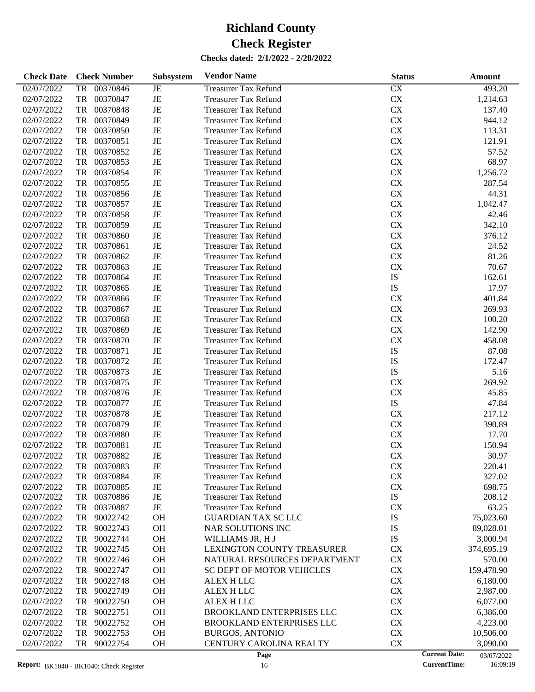| <b>Check Date</b> |           | <b>Check Number</b> | Subsystem | <b>Vendor Name</b>               | <b>Status</b> | Amount                             |
|-------------------|-----------|---------------------|-----------|----------------------------------|---------------|------------------------------------|
| 02/07/2022        | TR        | 00370846            | JE        | <b>Treasurer Tax Refund</b>      | CX            | 493.20                             |
| 02/07/2022        | TR        | 00370847            | JE        | <b>Treasurer Tax Refund</b>      | ${\rm CX}$    | 1,214.63                           |
| 02/07/2022        | TR        | 00370848            | JE        | <b>Treasurer Tax Refund</b>      | CX            | 137.40                             |
| 02/07/2022        | TR        | 00370849            | JE        | <b>Treasurer Tax Refund</b>      | CX            | 944.12                             |
| 02/07/2022        | TR        | 00370850            | JE        | <b>Treasurer Tax Refund</b>      | CX            | 113.31                             |
| 02/07/2022        | TR        | 00370851            | JE        | <b>Treasurer Tax Refund</b>      | CX            | 121.91                             |
| 02/07/2022        | TR        | 00370852            | JE        | <b>Treasurer Tax Refund</b>      | CX            | 57.52                              |
| 02/07/2022        | TR        | 00370853            | JE        | <b>Treasurer Tax Refund</b>      | CX            | 68.97                              |
| 02/07/2022        | TR        | 00370854            | JE        | <b>Treasurer Tax Refund</b>      | CX            | 1,256.72                           |
| 02/07/2022        | TR        | 00370855            | JE        | <b>Treasurer Tax Refund</b>      | <b>CX</b>     | 287.54                             |
| 02/07/2022        | TR        | 00370856            | JE        | <b>Treasurer Tax Refund</b>      | CX            | 44.31                              |
| 02/07/2022        | TR        | 00370857            | JE        | <b>Treasurer Tax Refund</b>      | CX            | 1,042.47                           |
| 02/07/2022        | TR        | 00370858            | JE        | <b>Treasurer Tax Refund</b>      | CX            | 42.46                              |
| 02/07/2022        | TR        | 00370859            | JE        | <b>Treasurer Tax Refund</b>      | CX            | 342.10                             |
| 02/07/2022        | TR        | 00370860            | JE        | <b>Treasurer Tax Refund</b>      | CX            | 376.12                             |
| 02/07/2022        | TR        | 00370861            | JE        | <b>Treasurer Tax Refund</b>      | CX            | 24.52                              |
| 02/07/2022        | TR        | 00370862            | JE        | <b>Treasurer Tax Refund</b>      | <b>CX</b>     | 81.26                              |
| 02/07/2022        | TR        | 00370863            | JE        | <b>Treasurer Tax Refund</b>      | CX            | 70.67                              |
| 02/07/2022        | TR        | 00370864            | JE        | <b>Treasurer Tax Refund</b>      | IS            | 162.61                             |
| 02/07/2022        | TR        | 00370865            | JE        | <b>Treasurer Tax Refund</b>      | IS            | 17.97                              |
| 02/07/2022        | TR        | 00370866            |           |                                  | <b>CX</b>     | 401.84                             |
| 02/07/2022        |           |                     | JE        | <b>Treasurer Tax Refund</b>      |               |                                    |
|                   | TR        | 00370867            | JE        | <b>Treasurer Tax Refund</b>      | CX            | 269.93                             |
| 02/07/2022        | TR        | 00370868            | JE        | <b>Treasurer Tax Refund</b>      | CX            | 100.20                             |
| 02/07/2022        | TR        | 00370869            | JE        | <b>Treasurer Tax Refund</b>      | CX            | 142.90                             |
| 02/07/2022        | TR        | 00370870            | JE        | <b>Treasurer Tax Refund</b>      | <b>CX</b>     | 458.08                             |
| 02/07/2022        | TR        | 00370871            | JE        | <b>Treasurer Tax Refund</b>      | IS            | 87.08                              |
| 02/07/2022        | TR        | 00370872            | JE        | <b>Treasurer Tax Refund</b>      | IS            | 172.47                             |
| 02/07/2022        | TR        | 00370873            | JE        | <b>Treasurer Tax Refund</b>      | IS            | 5.16                               |
| 02/07/2022        | TR        | 00370875            | JE        | <b>Treasurer Tax Refund</b>      | <b>CX</b>     | 269.92                             |
| 02/07/2022        | TR        | 00370876            | JE        | <b>Treasurer Tax Refund</b>      | <b>CX</b>     | 45.85                              |
| 02/07/2022        | TR        | 00370877            | JE        | <b>Treasurer Tax Refund</b>      | ${\rm IS}$    | 47.84                              |
| 02/07/2022        | TR        | 00370878            | JE        | <b>Treasurer Tax Refund</b>      | CX            | 217.12                             |
| 02/07/2022        | TR        | 00370879            | JE        | <b>Treasurer Tax Refund</b>      | CX            | 390.89                             |
| 02/07/2022        | TR        | 00370880            | JE        | <b>Treasurer Tax Refund</b>      | CX            | 17.70                              |
| 02/07/2022        | <b>TR</b> | 00370881            | JE        | <b>Treasurer Tax Refund</b>      | CX            | 150.94                             |
| 02/07/2022        | TR        | 00370882            | JE        | <b>Treasurer Tax Refund</b>      | CX            | 30.97                              |
| 02/07/2022        | TR        | 00370883            | JE        | <b>Treasurer Tax Refund</b>      | <b>CX</b>     | 220.41                             |
| 02/07/2022        | TR        | 00370884            | JE        | <b>Treasurer Tax Refund</b>      | CX            | 327.02                             |
| 02/07/2022        | TR        | 00370885            | JE        | <b>Treasurer Tax Refund</b>      | CX            | 698.75                             |
| 02/07/2022        | TR        | 00370886            | JE        | <b>Treasurer Tax Refund</b>      | IS            | 208.12                             |
| 02/07/2022        | TR        | 00370887            | JE        | <b>Treasurer Tax Refund</b>      | <b>CX</b>     | 63.25                              |
| 02/07/2022        | TR        | 90022742            | OH        | <b>GUARDIAN TAX SC LLC</b>       | IS            | 75,023.60                          |
| 02/07/2022        | TR        | 90022743            | OH        | NAR SOLUTIONS INC                | IS            | 89,028.01                          |
| 02/07/2022        | TR        | 90022744            | OH        | WILLIAMS JR, H J                 | IS            | 3,000.94                           |
| 02/07/2022        | TR        | 90022745            | OH        | LEXINGTON COUNTY TREASURER       | CX            | 374,695.19                         |
| 02/07/2022        | TR        | 90022746            | OH        | NATURAL RESOURCES DEPARTMENT     | CX            | 570.00                             |
| 02/07/2022        | TR        | 90022747            | OH        | <b>SC DEPT OF MOTOR VEHICLES</b> | CX            | 159,478.90                         |
| 02/07/2022        | TR        | 90022748            | OH        | <b>ALEX H LLC</b>                | CX            | 6,180.00                           |
| 02/07/2022        | TR        | 90022749            | OH        | ALEX H LLC                       | CX            | 2,987.00                           |
| 02/07/2022        | TR        | 90022750            | OH        | ALEX H LLC                       | CX            | 6,077.00                           |
| 02/07/2022        | TR        | 90022751            | OH        | <b>BROOKLAND ENTERPRISES LLC</b> | CX            | 6,386.00                           |
| 02/07/2022        | TR        | 90022752            | OH        | <b>BROOKLAND ENTERPRISES LLC</b> | CX            | 4,223.00                           |
| 02/07/2022        | TR        | 90022753            | OH        | <b>BURGOS, ANTONIO</b>           | CX            | 10,506.00                          |
| 02/07/2022        | TR        | 90022754            | <b>OH</b> | CENTURY CAROLINA REALTY          | CX            | 3,090.00                           |
|                   |           |                     |           | Page                             |               | <b>Current Date:</b><br>03/07/2022 |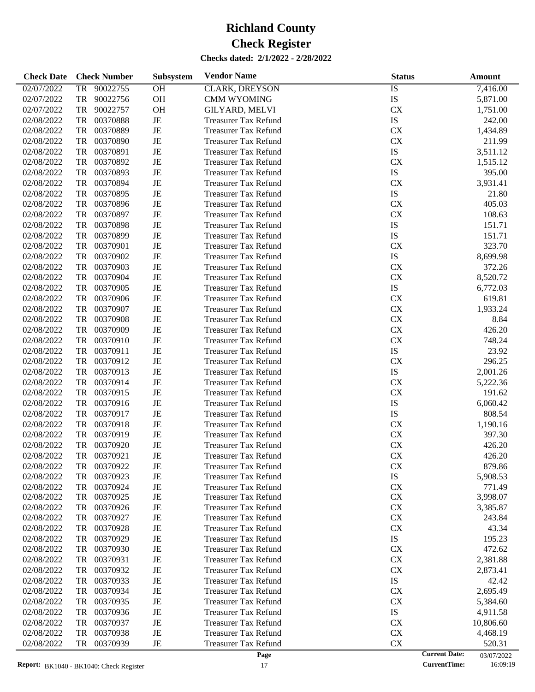| <b>Check Date</b> | <b>Check Number</b>   | Subsystem | <b>Vendor Name</b>          | <b>Status</b> | Amount                             |
|-------------------|-----------------------|-----------|-----------------------------|---------------|------------------------------------|
| 02/07/2022        | 90022755<br><b>TR</b> | <b>OH</b> | <b>CLARK, DREYSON</b>       | <b>IS</b>     | 7,416.00                           |
| 02/07/2022        | <b>TR</b><br>90022756 | OH        | <b>CMM WYOMING</b>          | IS            | 5,871.00                           |
| 02/07/2022        | <b>TR</b><br>90022757 | OH        | <b>GILYARD, MELVI</b>       | CX            | 1,751.00                           |
| 02/08/2022        | <b>TR</b><br>00370888 | $\rm{JE}$ | <b>Treasurer Tax Refund</b> | ${\rm IS}$    | 242.00                             |
| 02/08/2022        | <b>TR</b><br>00370889 | $\rm{JE}$ | <b>Treasurer Tax Refund</b> | ${\rm CX}$    | 1,434.89                           |
| 02/08/2022        | <b>TR</b><br>00370890 | $\rm{JE}$ | <b>Treasurer Tax Refund</b> | ${\rm CX}$    | 211.99                             |
| 02/08/2022        | <b>TR</b><br>00370891 | $\rm{JE}$ | <b>Treasurer Tax Refund</b> | ${\rm IS}$    | 3,511.12                           |
| 02/08/2022        | <b>TR</b><br>00370892 | $\rm{JE}$ | <b>Treasurer Tax Refund</b> | ${\rm CX}$    | 1,515.12                           |
| 02/08/2022        | <b>TR</b><br>00370893 | $\rm{JE}$ | <b>Treasurer Tax Refund</b> | ${\rm IS}$    | 395.00                             |
| 02/08/2022        | <b>TR</b><br>00370894 | $\rm{JE}$ | <b>Treasurer Tax Refund</b> | CX            | 3,931.41                           |
| 02/08/2022        | <b>TR</b><br>00370895 | $\rm{JE}$ | <b>Treasurer Tax Refund</b> | ${\rm IS}$    | 21.80                              |
| 02/08/2022        | <b>TR</b><br>00370896 | $\rm{JE}$ | <b>Treasurer Tax Refund</b> | ${\rm CX}$    | 405.03                             |
| 02/08/2022        | <b>TR</b><br>00370897 | $\rm{JE}$ | <b>Treasurer Tax Refund</b> | ${\rm CX}$    | 108.63                             |
| 02/08/2022        | <b>TR</b><br>00370898 | $\rm{JE}$ | <b>Treasurer Tax Refund</b> | ${\rm IS}$    | 151.71                             |
| 02/08/2022        | <b>TR</b><br>00370899 | $\rm{JE}$ | <b>Treasurer Tax Refund</b> | ${\rm IS}$    | 151.71                             |
| 02/08/2022        | <b>TR</b><br>00370901 | $\rm{JE}$ | <b>Treasurer Tax Refund</b> | CX            | 323.70                             |
| 02/08/2022        | <b>TR</b><br>00370902 | $\rm{JE}$ | <b>Treasurer Tax Refund</b> | ${\rm IS}$    | 8,699.98                           |
| 02/08/2022        | <b>TR</b><br>00370903 | $\rm{JE}$ | <b>Treasurer Tax Refund</b> | ${\rm CX}$    | 372.26                             |
| 02/08/2022        | <b>TR</b><br>00370904 | $\rm{JE}$ | <b>Treasurer Tax Refund</b> | ${\rm CX}$    | 8,520.72                           |
| 02/08/2022        | <b>TR</b><br>00370905 | $\rm{JE}$ | <b>Treasurer Tax Refund</b> | ${\rm IS}$    | 6,772.03                           |
| 02/08/2022        | <b>TR</b><br>00370906 | $\rm{JE}$ | <b>Treasurer Tax Refund</b> | ${\rm CX}$    | 619.81                             |
| 02/08/2022        | 00370907<br><b>TR</b> | $\rm{JE}$ | <b>Treasurer Tax Refund</b> | ${\rm CX}$    | 1,933.24                           |
| 02/08/2022        | <b>TR</b><br>00370908 | $\rm{JE}$ | <b>Treasurer Tax Refund</b> | ${\rm CX}$    | 8.84                               |
| 02/08/2022        | <b>TR</b><br>00370909 | $\rm{JE}$ | <b>Treasurer Tax Refund</b> | ${\rm CX}$    | 426.20                             |
| 02/08/2022        | <b>TR</b><br>00370910 | $\rm{JE}$ | <b>Treasurer Tax Refund</b> | ${\rm CX}$    | 748.24                             |
| 02/08/2022        | <b>TR</b><br>00370911 | $\rm{JE}$ | <b>Treasurer Tax Refund</b> | ${\rm IS}$    | 23.92                              |
| 02/08/2022        | <b>TR</b><br>00370912 | $\rm{JE}$ | <b>Treasurer Tax Refund</b> | CX            | 296.25                             |
| 02/08/2022        | <b>TR</b><br>00370913 | $\rm{JE}$ | <b>Treasurer Tax Refund</b> | ${\rm IS}$    | 2,001.26                           |
| 02/08/2022        | <b>TR</b><br>00370914 | $\rm{JE}$ | <b>Treasurer Tax Refund</b> | ${\rm CX}$    | 5,222.36                           |
| 02/08/2022        | <b>TR</b><br>00370915 | $\rm{JE}$ | <b>Treasurer Tax Refund</b> | ${\rm CX}$    | 191.62                             |
| 02/08/2022        | <b>TR</b><br>00370916 | $\rm{JE}$ | <b>Treasurer Tax Refund</b> | IS            | 6,060.42                           |
| 02/08/2022        | <b>TR</b><br>00370917 | $\rm{JE}$ | <b>Treasurer Tax Refund</b> | ${\rm IS}$    | 808.54                             |
| 02/08/2022        | <b>TR</b><br>00370918 | $\rm{JE}$ | <b>Treasurer Tax Refund</b> | CX            | 1,190.16                           |
| 02/08/2022        | <b>TR</b><br>00370919 | $\rm{JE}$ | <b>Treasurer Tax Refund</b> | ${\rm CX}$    | 397.30                             |
| 02/08/2022        | <b>TR</b><br>00370920 | $\rm{JE}$ | <b>Treasurer Tax Refund</b> | ${\rm CX}$    | 426.20                             |
| 02/08/2022        | <b>TR</b><br>00370921 | $\rm{JE}$ | <b>Treasurer Tax Refund</b> | ${\rm CX}$    | 426.20                             |
| 02/08/2022        | 00370922<br>TR        | JE        | <b>Treasurer Tax Refund</b> | <b>CX</b>     | 879.86                             |
| 02/08/2022        | 00370923<br>TR        | JE        | <b>Treasurer Tax Refund</b> | IS            | 5,908.53                           |
| 02/08/2022        | TR<br>00370924        | $\rm{JE}$ | <b>Treasurer Tax Refund</b> | CX            | 771.49                             |
| 02/08/2022        | 00370925<br>TR        | JE        | <b>Treasurer Tax Refund</b> | CX            | 3,998.07                           |
| 02/08/2022        | 00370926<br>TR        | JE        | <b>Treasurer Tax Refund</b> | CX            | 3,385.87                           |
| 02/08/2022        | 00370927<br>TR        | JE        | <b>Treasurer Tax Refund</b> | CX            | 243.84                             |
| 02/08/2022        | 00370928<br>TR        | JE        | <b>Treasurer Tax Refund</b> | CX            | 43.34                              |
| 02/08/2022        | 00370929<br>TR        | JE        | <b>Treasurer Tax Refund</b> | IS            | 195.23                             |
| 02/08/2022        | 00370930<br>TR        | JE        | <b>Treasurer Tax Refund</b> | CX            | 472.62                             |
| 02/08/2022        | 00370931<br>TR        | JE        | <b>Treasurer Tax Refund</b> | CX            | 2,381.88                           |
| 02/08/2022        | 00370932<br>TR        | JE        | <b>Treasurer Tax Refund</b> | CX            | 2,873.41                           |
| 02/08/2022        | 00370933<br>TR        | JE        | <b>Treasurer Tax Refund</b> | IS            | 42.42                              |
| 02/08/2022        | 00370934<br>TR        | JE        | <b>Treasurer Tax Refund</b> | CX            | 2,695.49                           |
| 02/08/2022        | 00370935<br>TR        | JE        | <b>Treasurer Tax Refund</b> | CX            | 5,384.60                           |
| 02/08/2022        | 00370936<br>TR        | JE        | <b>Treasurer Tax Refund</b> | IS            | 4,911.58                           |
| 02/08/2022        | 00370937<br>TR        | JE        | <b>Treasurer Tax Refund</b> | CX            | 10,806.60                          |
| 02/08/2022        | 00370938<br>TR        | JE        | <b>Treasurer Tax Refund</b> | CX            | 4,468.19                           |
| 02/08/2022        | 00370939<br>TR        | JE        | <b>Treasurer Tax Refund</b> | CX            | 520.31                             |
|                   |                       |           | Page                        |               | <b>Current Date:</b><br>03/07/2022 |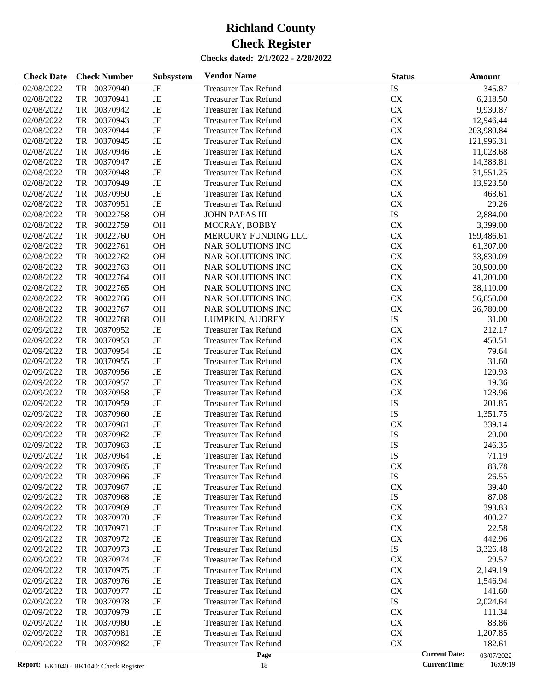| <b>Check Date</b>        | <b>Check Number</b>        | <b>Subsystem</b> | <b>Vendor Name</b>                                         | <b>Status</b>          | Amount                             |
|--------------------------|----------------------------|------------------|------------------------------------------------------------|------------------------|------------------------------------|
| 02/08/2022               | 00370940<br><b>TR</b>      | JE               | <b>Treasurer Tax Refund</b>                                | $\overline{IS}$        | 345.87                             |
| 02/08/2022               | TR<br>00370941             | JE               | <b>Treasurer Tax Refund</b>                                | <b>CX</b>              | 6,218.50                           |
| 02/08/2022               | TR<br>00370942             | JE               | <b>Treasurer Tax Refund</b>                                | <b>CX</b>              | 9,930.87                           |
| 02/08/2022               | TR<br>00370943             | JE               | <b>Treasurer Tax Refund</b>                                | CX                     | 12,946.44                          |
| 02/08/2022               | TR<br>00370944             | JE               | <b>Treasurer Tax Refund</b>                                | CX                     | 203,980.84                         |
| 02/08/2022               | TR<br>00370945             | JE               | <b>Treasurer Tax Refund</b>                                | <b>CX</b>              | 121,996.31                         |
| 02/08/2022               | TR<br>00370946             | JE               | <b>Treasurer Tax Refund</b>                                | <b>CX</b>              | 11,028.68                          |
| 02/08/2022               | TR<br>00370947             | JE               | <b>Treasurer Tax Refund</b>                                | CX                     | 14,383.81                          |
| 02/08/2022               | TR<br>00370948             | $\rm{JE}$        | <b>Treasurer Tax Refund</b>                                | CX                     | 31,551.25                          |
| 02/08/2022               | TR<br>00370949             | JE               | <b>Treasurer Tax Refund</b>                                | <b>CX</b>              | 13,923.50                          |
| 02/08/2022               | TR<br>00370950             | JE               | <b>Treasurer Tax Refund</b>                                | <b>CX</b>              | 463.61                             |
| 02/08/2022               | TR<br>00370951             | $\rm{JE}$        | <b>Treasurer Tax Refund</b>                                | CX                     | 29.26                              |
| 02/08/2022               | TR<br>90022758             | <b>OH</b>        | <b>JOHN PAPAS III</b>                                      | ${\rm IS}$             | 2,884.00                           |
| 02/08/2022               | TR<br>90022759             | OH               | MCCRAY, BOBBY                                              | <b>CX</b>              | 3,399.00                           |
| 02/08/2022               | TR<br>90022760             | OH               | MERCURY FUNDING LLC                                        | CX                     | 159,486.61                         |
| 02/08/2022               | TR<br>90022761             | OH               | NAR SOLUTIONS INC                                          | CX                     | 61,307.00                          |
| 02/08/2022               | TR<br>90022762             | OH               | NAR SOLUTIONS INC                                          | CX                     | 33,830.09                          |
| 02/08/2022               | TR<br>90022763             | OH               | NAR SOLUTIONS INC                                          | <b>CX</b>              | 30,900.00                          |
| 02/08/2022               | TR<br>90022764             | OH               | NAR SOLUTIONS INC                                          | CX                     | 41,200.00                          |
| 02/08/2022               | TR<br>90022765             | OH               | NAR SOLUTIONS INC                                          | CX                     | 38,110.00                          |
| 02/08/2022               | TR<br>90022766             | OH               | NAR SOLUTIONS INC                                          | CX                     | 56,650.00                          |
| 02/08/2022               | TR<br>90022767             | OH               | NAR SOLUTIONS INC                                          | CX                     | 26,780.00                          |
| 02/08/2022               | TR<br>90022768             | OH               | LUMPKIN, AUDREY                                            | IS                     | 31.00                              |
| 02/09/2022               | TR<br>00370952             | $\rm{JE}$        | <b>Treasurer Tax Refund</b>                                | CX                     | 212.17                             |
| 02/09/2022               | TR<br>00370953             | $\rm{JE}$        | <b>Treasurer Tax Refund</b>                                | CX                     | 450.51                             |
| 02/09/2022               | TR<br>00370954             | JE               | <b>Treasurer Tax Refund</b>                                | <b>CX</b>              | 79.64                              |
| 02/09/2022               | TR<br>00370955             | JE               | <b>Treasurer Tax Refund</b>                                | <b>CX</b>              | 31.60                              |
| 02/09/2022               | TR<br>00370956             | $\rm{JE}$        | <b>Treasurer Tax Refund</b>                                | CX                     | 120.93                             |
| 02/09/2022               | TR<br>00370957             | $\rm{JE}$        | <b>Treasurer Tax Refund</b>                                | CX                     | 19.36                              |
| 02/09/2022               | TR<br>00370958             | JE               | <b>Treasurer Tax Refund</b>                                | CX                     | 128.96                             |
| 02/09/2022               | TR<br>00370959             | JE               | <b>Treasurer Tax Refund</b>                                | IS                     | 201.85                             |
| 02/09/2022               | TR<br>00370960             | $\rm{JE}$        | <b>Treasurer Tax Refund</b>                                | IS                     | 1,351.75                           |
| 02/09/2022               | TR<br>00370961             | $\rm{JE}$        | <b>Treasurer Tax Refund</b>                                | CX                     | 339.14                             |
| 02/09/2022               | TR<br>00370962             | JE               | <b>Treasurer Tax Refund</b>                                | IS                     | 20.00                              |
| 02/09/2022               | TR<br>00370963             | JE               | <b>Treasurer Tax Refund</b>                                | IS                     | 246.35                             |
| 02/09/2022               | TR<br>00370964             | JE               | <b>Treasurer Tax Refund</b>                                | IS                     | 71.19                              |
| 02/09/2022               | 00370965<br>TR             | JE               | <b>Treasurer Tax Refund</b>                                | <b>CX</b>              | 83.78                              |
| 02/09/2022               | 00370966<br>TR             | JE               | <b>Treasurer Tax Refund</b>                                | IS                     | 26.55                              |
| 02/09/2022               | 00370967<br>TR             | JE               | <b>Treasurer Tax Refund</b>                                | <b>CX</b>              | 39.40                              |
| 02/09/2022               | TR<br>00370968             | JE               | <b>Treasurer Tax Refund</b>                                | IS                     | 87.08                              |
| 02/09/2022               | 00370969<br>TR             | JE               | <b>Treasurer Tax Refund</b>                                | <b>CX</b>              | 393.83                             |
| 02/09/2022               | 00370970<br>TR<br>00370971 | JE<br>JE         | <b>Treasurer Tax Refund</b><br><b>Treasurer Tax Refund</b> | <b>CX</b><br><b>CX</b> | 400.27                             |
| 02/09/2022<br>02/09/2022 | TR<br>00370972             | JE               |                                                            | <b>CX</b>              | 22.58                              |
|                          | TR<br>00370973             |                  | <b>Treasurer Tax Refund</b><br><b>Treasurer Tax Refund</b> | IS                     | 442.96                             |
| 02/09/2022               | TR<br>00370974             | JE               |                                                            |                        | 3,326.48                           |
| 02/09/2022<br>02/09/2022 | TR<br>00370975<br>TR       | JE<br>JE         | <b>Treasurer Tax Refund</b><br><b>Treasurer Tax Refund</b> | <b>CX</b><br>CX        | 29.57<br>2,149.19                  |
| 02/09/2022               | 00370976<br>TR             | JE               | <b>Treasurer Tax Refund</b>                                | <b>CX</b>              | 1,546.94                           |
| 02/09/2022               | 00370977<br>TR             | JE               | <b>Treasurer Tax Refund</b>                                | <b>CX</b>              | 141.60                             |
| 02/09/2022               | 00370978<br>TR             | JE               | <b>Treasurer Tax Refund</b>                                | IS                     | 2,024.64                           |
| 02/09/2022               | 00370979<br>TR             | JE               | <b>Treasurer Tax Refund</b>                                | <b>CX</b>              | 111.34                             |
| 02/09/2022               | 00370980<br>TR             | JE               | <b>Treasurer Tax Refund</b>                                | CX                     | 83.86                              |
| 02/09/2022               | 00370981<br>TR             | JE               | <b>Treasurer Tax Refund</b>                                | CX                     | 1,207.85                           |
| 02/09/2022               | 00370982<br>TR             | JE               | <b>Treasurer Tax Refund</b>                                | CX                     | 182.61                             |
|                          |                            |                  | Page                                                       |                        | <b>Current Date:</b><br>03/07/2022 |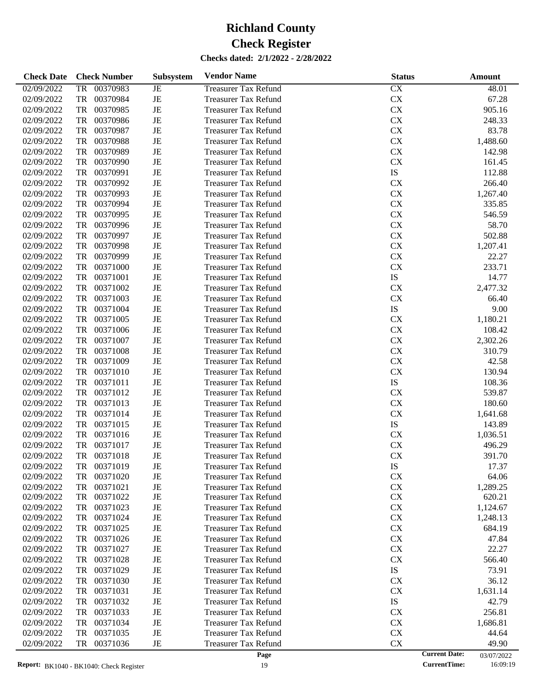| 02/09/2022<br>00370983<br><b>Treasurer Tax Refund</b><br>CX<br>TR<br>JE<br>48.01<br>$\rm{JE}$<br>${\rm CX}$<br>02/09/2022<br>TR<br>00370984<br>67.28<br><b>Treasurer Tax Refund</b><br>$\rm{JE}$<br>${\rm CX}$<br>905.16<br>02/09/2022<br>TR<br>00370985<br><b>Treasurer Tax Refund</b><br>${\rm CX}$<br>02/09/2022<br>TR<br>00370986<br>JE<br>248.33<br><b>Treasurer Tax Refund</b><br>$\rm{JE}$<br>${\rm CX}$<br>02/09/2022<br>TR<br>00370987<br>83.78<br><b>Treasurer Tax Refund</b><br>$\rm{JE}$<br>${\rm CX}$<br>02/09/2022<br>TR<br>00370988<br>1,488.60<br><b>Treasurer Tax Refund</b><br>$\rm{JE}$<br>CX<br>02/09/2022<br>TR<br>00370989<br>142.98<br><b>Treasurer Tax Refund</b><br>$\rm{JE}$<br><b>CX</b><br>02/09/2022<br>TR<br>00370990<br>161.45<br><b>Treasurer Tax Refund</b><br>$\rm{JE}$<br>IS<br>02/09/2022<br>TR<br>00370991<br>112.88<br><b>Treasurer Tax Refund</b><br>00370992<br>$\rm{JE}$<br>${\rm CX}$<br>02/09/2022<br>TR<br>266.40<br><b>Treasurer Tax Refund</b><br>$\rm{JE}$<br>${\rm CX}$<br>02/09/2022<br>TR<br>00370993<br>1,267.40<br><b>Treasurer Tax Refund</b><br>00370994<br>$\rm{JE}$<br>${\rm CX}$<br>02/09/2022<br>TR<br>335.85<br><b>Treasurer Tax Refund</b><br>00370995<br>$\rm{JE}$<br>${\rm CX}$<br>02/09/2022<br>TR<br>546.59<br><b>Treasurer Tax Refund</b><br>$\rm{JE}$<br>${\rm CX}$<br>02/09/2022<br>TR<br>00370996<br>58.70<br><b>Treasurer Tax Refund</b><br>$\rm{JE}$<br>${\rm CX}$<br>02/09/2022<br>TR<br>00370997<br>502.88<br><b>Treasurer Tax Refund</b><br>$\rm{JE}$<br>${\rm CX}$<br>02/09/2022<br>TR<br>00370998<br>1,207.41<br><b>Treasurer Tax Refund</b><br>00370999<br>$\rm{JE}$<br>${\rm CX}$<br>02/09/2022<br>TR<br>22.27<br><b>Treasurer Tax Refund</b><br>$\rm{JE}$<br>${\rm CX}$<br>02/09/2022<br>TR<br>00371000<br>233.71<br><b>Treasurer Tax Refund</b><br>$\rm{JE}$<br>IS<br>02/09/2022<br>TR<br>00371001<br>14.77<br><b>Treasurer Tax Refund</b><br>$\rm{JE}$<br>${\rm CX}$<br>02/09/2022<br>TR<br>00371002<br>2,477.32<br><b>Treasurer Tax Refund</b><br>$\rm{JE}$<br>${\rm CX}$<br>02/09/2022<br>TR<br>00371003<br>66.40<br><b>Treasurer Tax Refund</b><br>$\rm{JE}$<br>IS<br>02/09/2022<br>TR<br>00371004<br>9.00<br><b>Treasurer Tax Refund</b><br>$\rm{JE}$<br>${\rm CX}$<br>02/09/2022<br>TR<br>00371005<br>1,180.21<br><b>Treasurer Tax Refund</b><br>$\rm{JE}$<br>${\rm CX}$<br>02/09/2022<br>TR<br>00371006<br>108.42<br><b>Treasurer Tax Refund</b><br>$\rm{JE}$<br>${\rm CX}$<br>02/09/2022<br>TR<br>00371007<br>2,302.26<br><b>Treasurer Tax Refund</b><br>$\rm{JE}$<br>${\rm CX}$<br>02/09/2022<br>TR<br>00371008<br>310.79<br><b>Treasurer Tax Refund</b><br>$\rm{JE}$<br>${\rm CX}$<br>02/09/2022<br>TR<br>00371009<br>42.58<br><b>Treasurer Tax Refund</b><br>$\rm{JE}$<br>${\rm CX}$<br>02/09/2022<br>TR<br>00371010<br>130.94<br><b>Treasurer Tax Refund</b><br>$\rm{JE}$<br>IS<br>02/09/2022<br>TR<br>00371011<br>108.36<br><b>Treasurer Tax Refund</b><br>$\rm{JE}$<br>${\rm CX}$<br>02/09/2022<br>TR<br>00371012<br>539.87<br><b>Treasurer Tax Refund</b><br>00371013<br>$\rm{JE}$<br>${\rm CX}$<br>02/09/2022<br>TR<br>180.60<br><b>Treasurer Tax Refund</b><br>$\rm{JE}$<br>${\rm CX}$<br>02/09/2022<br>TR<br>00371014<br>1,641.68<br><b>Treasurer Tax Refund</b><br>$\rm{JE}$<br>IS<br>02/09/2022<br>TR<br>00371015<br>143.89<br><b>Treasurer Tax Refund</b><br>$\rm{JE}$<br>${\rm CX}$<br>02/09/2022<br>TR<br>00371016<br>1,036.51<br><b>Treasurer Tax Refund</b><br>$\rm{JE}$<br>${\rm CX}$<br>02/09/2022<br><b>TR</b><br>00371017<br>496.29<br><b>Treasurer Tax Refund</b><br>JE<br>${\rm CX}$<br>02/09/2022<br>TR<br>00371018<br>391.70<br><b>Treasurer Tax Refund</b><br>02/09/2022<br>00371019<br><b>Treasurer Tax Refund</b><br>IS<br>17.37<br>TR<br>JE<br>00371020<br><b>CX</b><br>02/09/2022<br>TR<br>JE<br><b>Treasurer Tax Refund</b><br>64.06<br>${\rm CX}$<br>TR<br>00371021<br>JE<br>1,289.25<br>02/09/2022<br><b>Treasurer Tax Refund</b><br>00371022<br>JE<br><b>CX</b><br>620.21<br>02/09/2022<br>TR<br><b>Treasurer Tax Refund</b><br>CX<br>02/09/2022<br>00371023<br>JE<br><b>Treasurer Tax Refund</b><br>1,124.67<br>TR<br>00371024<br>CX<br>02/09/2022<br>JE<br><b>Treasurer Tax Refund</b><br>TR<br>1,248.13<br>00371025<br><b>CX</b><br>02/09/2022<br>JE<br><b>Treasurer Tax Refund</b><br>684.19<br>TR<br>00371026<br><b>CX</b><br>02/09/2022<br>JE<br><b>Treasurer Tax Refund</b><br>47.84<br>TR<br>00371027<br>CX<br>02/09/2022<br>JE<br><b>Treasurer Tax Refund</b><br>22.27<br>TR<br>00371028<br><b>CX</b><br>02/09/2022<br>JE<br><b>Treasurer Tax Refund</b><br>TR<br>566.40<br>00371029<br>IS<br>02/09/2022<br>JE<br><b>Treasurer Tax Refund</b><br>73.91<br>TR<br>00371030<br><b>CX</b><br>02/09/2022<br>JE<br><b>Treasurer Tax Refund</b><br>36.12<br>TR<br>00371031<br><b>CX</b><br>02/09/2022<br>JE<br><b>Treasurer Tax Refund</b><br>1,631.14<br>TR<br>00371032<br>IS<br>02/09/2022<br>JE<br><b>Treasurer Tax Refund</b><br>42.79<br>TR<br>00371033<br><b>CX</b><br>02/09/2022<br>JE<br><b>Treasurer Tax Refund</b><br>256.81<br>TR<br>00371034<br><b>CX</b><br>02/09/2022<br>JE<br><b>Treasurer Tax Refund</b><br>1,686.81<br>TR<br>00371035<br><b>CX</b><br>02/09/2022<br>JE<br><b>Treasurer Tax Refund</b><br>TR<br>44.64<br>00371036<br>CX<br>02/09/2022<br>JE<br><b>Treasurer Tax Refund</b><br>49.90<br>TR<br><b>Current Date:</b> | <b>Check Date</b> | <b>Check Number</b> | Subsystem | <b>Vendor Name</b> | <b>Status</b> | <b>Amount</b> |
|------------------------------------------------------------------------------------------------------------------------------------------------------------------------------------------------------------------------------------------------------------------------------------------------------------------------------------------------------------------------------------------------------------------------------------------------------------------------------------------------------------------------------------------------------------------------------------------------------------------------------------------------------------------------------------------------------------------------------------------------------------------------------------------------------------------------------------------------------------------------------------------------------------------------------------------------------------------------------------------------------------------------------------------------------------------------------------------------------------------------------------------------------------------------------------------------------------------------------------------------------------------------------------------------------------------------------------------------------------------------------------------------------------------------------------------------------------------------------------------------------------------------------------------------------------------------------------------------------------------------------------------------------------------------------------------------------------------------------------------------------------------------------------------------------------------------------------------------------------------------------------------------------------------------------------------------------------------------------------------------------------------------------------------------------------------------------------------------------------------------------------------------------------------------------------------------------------------------------------------------------------------------------------------------------------------------------------------------------------------------------------------------------------------------------------------------------------------------------------------------------------------------------------------------------------------------------------------------------------------------------------------------------------------------------------------------------------------------------------------------------------------------------------------------------------------------------------------------------------------------------------------------------------------------------------------------------------------------------------------------------------------------------------------------------------------------------------------------------------------------------------------------------------------------------------------------------------------------------------------------------------------------------------------------------------------------------------------------------------------------------------------------------------------------------------------------------------------------------------------------------------------------------------------------------------------------------------------------------------------------------------------------------------------------------------------------------------------------------------------------------------------------------------------------------------------------------------------------------------------------------------------------------------------------------------------------------------------------------------------------------------------------------------------------------------------------------------------------------------------------------------------------------------------------------------------------------------------------------------------------------------------------------------------------------------------------------------------------------------------------------------------------------------------------------------------------------------------------------------------------------------------------------------------------------------------------------------------------------------------------------------------------------------------------------------------------------------------------------------------------------------------------------------------------------------------------------------------------------------------------------------------------------------------------------------------------------------------------------------------------------------------------------------------------------------------------------------------------------------------------------------------------------------------------------------------------------------------------------------------------------------------------------------------------------------------------------------------------------------------------------|-------------------|---------------------|-----------|--------------------|---------------|---------------|
|                                                                                                                                                                                                                                                                                                                                                                                                                                                                                                                                                                                                                                                                                                                                                                                                                                                                                                                                                                                                                                                                                                                                                                                                                                                                                                                                                                                                                                                                                                                                                                                                                                                                                                                                                                                                                                                                                                                                                                                                                                                                                                                                                                                                                                                                                                                                                                                                                                                                                                                                                                                                                                                                                                                                                                                                                                                                                                                                                                                                                                                                                                                                                                                                                                                                                                                                                                                                                                                                                                                                                                                                                                                                                                                                                                                                                                                                                                                                                                                                                                                                                                                                                                                                                                                                                                                                                                                                                                                                                                                                                                                                                                                                                                                                                                                                                                                                                                                                                                                                                                                                                                                                                                                                                                                                                                                                                                              |                   |                     |           |                    |               |               |
|                                                                                                                                                                                                                                                                                                                                                                                                                                                                                                                                                                                                                                                                                                                                                                                                                                                                                                                                                                                                                                                                                                                                                                                                                                                                                                                                                                                                                                                                                                                                                                                                                                                                                                                                                                                                                                                                                                                                                                                                                                                                                                                                                                                                                                                                                                                                                                                                                                                                                                                                                                                                                                                                                                                                                                                                                                                                                                                                                                                                                                                                                                                                                                                                                                                                                                                                                                                                                                                                                                                                                                                                                                                                                                                                                                                                                                                                                                                                                                                                                                                                                                                                                                                                                                                                                                                                                                                                                                                                                                                                                                                                                                                                                                                                                                                                                                                                                                                                                                                                                                                                                                                                                                                                                                                                                                                                                                              |                   |                     |           |                    |               |               |
|                                                                                                                                                                                                                                                                                                                                                                                                                                                                                                                                                                                                                                                                                                                                                                                                                                                                                                                                                                                                                                                                                                                                                                                                                                                                                                                                                                                                                                                                                                                                                                                                                                                                                                                                                                                                                                                                                                                                                                                                                                                                                                                                                                                                                                                                                                                                                                                                                                                                                                                                                                                                                                                                                                                                                                                                                                                                                                                                                                                                                                                                                                                                                                                                                                                                                                                                                                                                                                                                                                                                                                                                                                                                                                                                                                                                                                                                                                                                                                                                                                                                                                                                                                                                                                                                                                                                                                                                                                                                                                                                                                                                                                                                                                                                                                                                                                                                                                                                                                                                                                                                                                                                                                                                                                                                                                                                                                              |                   |                     |           |                    |               |               |
|                                                                                                                                                                                                                                                                                                                                                                                                                                                                                                                                                                                                                                                                                                                                                                                                                                                                                                                                                                                                                                                                                                                                                                                                                                                                                                                                                                                                                                                                                                                                                                                                                                                                                                                                                                                                                                                                                                                                                                                                                                                                                                                                                                                                                                                                                                                                                                                                                                                                                                                                                                                                                                                                                                                                                                                                                                                                                                                                                                                                                                                                                                                                                                                                                                                                                                                                                                                                                                                                                                                                                                                                                                                                                                                                                                                                                                                                                                                                                                                                                                                                                                                                                                                                                                                                                                                                                                                                                                                                                                                                                                                                                                                                                                                                                                                                                                                                                                                                                                                                                                                                                                                                                                                                                                                                                                                                                                              |                   |                     |           |                    |               |               |
|                                                                                                                                                                                                                                                                                                                                                                                                                                                                                                                                                                                                                                                                                                                                                                                                                                                                                                                                                                                                                                                                                                                                                                                                                                                                                                                                                                                                                                                                                                                                                                                                                                                                                                                                                                                                                                                                                                                                                                                                                                                                                                                                                                                                                                                                                                                                                                                                                                                                                                                                                                                                                                                                                                                                                                                                                                                                                                                                                                                                                                                                                                                                                                                                                                                                                                                                                                                                                                                                                                                                                                                                                                                                                                                                                                                                                                                                                                                                                                                                                                                                                                                                                                                                                                                                                                                                                                                                                                                                                                                                                                                                                                                                                                                                                                                                                                                                                                                                                                                                                                                                                                                                                                                                                                                                                                                                                                              |                   |                     |           |                    |               |               |
|                                                                                                                                                                                                                                                                                                                                                                                                                                                                                                                                                                                                                                                                                                                                                                                                                                                                                                                                                                                                                                                                                                                                                                                                                                                                                                                                                                                                                                                                                                                                                                                                                                                                                                                                                                                                                                                                                                                                                                                                                                                                                                                                                                                                                                                                                                                                                                                                                                                                                                                                                                                                                                                                                                                                                                                                                                                                                                                                                                                                                                                                                                                                                                                                                                                                                                                                                                                                                                                                                                                                                                                                                                                                                                                                                                                                                                                                                                                                                                                                                                                                                                                                                                                                                                                                                                                                                                                                                                                                                                                                                                                                                                                                                                                                                                                                                                                                                                                                                                                                                                                                                                                                                                                                                                                                                                                                                                              |                   |                     |           |                    |               |               |
|                                                                                                                                                                                                                                                                                                                                                                                                                                                                                                                                                                                                                                                                                                                                                                                                                                                                                                                                                                                                                                                                                                                                                                                                                                                                                                                                                                                                                                                                                                                                                                                                                                                                                                                                                                                                                                                                                                                                                                                                                                                                                                                                                                                                                                                                                                                                                                                                                                                                                                                                                                                                                                                                                                                                                                                                                                                                                                                                                                                                                                                                                                                                                                                                                                                                                                                                                                                                                                                                                                                                                                                                                                                                                                                                                                                                                                                                                                                                                                                                                                                                                                                                                                                                                                                                                                                                                                                                                                                                                                                                                                                                                                                                                                                                                                                                                                                                                                                                                                                                                                                                                                                                                                                                                                                                                                                                                                              |                   |                     |           |                    |               |               |
|                                                                                                                                                                                                                                                                                                                                                                                                                                                                                                                                                                                                                                                                                                                                                                                                                                                                                                                                                                                                                                                                                                                                                                                                                                                                                                                                                                                                                                                                                                                                                                                                                                                                                                                                                                                                                                                                                                                                                                                                                                                                                                                                                                                                                                                                                                                                                                                                                                                                                                                                                                                                                                                                                                                                                                                                                                                                                                                                                                                                                                                                                                                                                                                                                                                                                                                                                                                                                                                                                                                                                                                                                                                                                                                                                                                                                                                                                                                                                                                                                                                                                                                                                                                                                                                                                                                                                                                                                                                                                                                                                                                                                                                                                                                                                                                                                                                                                                                                                                                                                                                                                                                                                                                                                                                                                                                                                                              |                   |                     |           |                    |               |               |
|                                                                                                                                                                                                                                                                                                                                                                                                                                                                                                                                                                                                                                                                                                                                                                                                                                                                                                                                                                                                                                                                                                                                                                                                                                                                                                                                                                                                                                                                                                                                                                                                                                                                                                                                                                                                                                                                                                                                                                                                                                                                                                                                                                                                                                                                                                                                                                                                                                                                                                                                                                                                                                                                                                                                                                                                                                                                                                                                                                                                                                                                                                                                                                                                                                                                                                                                                                                                                                                                                                                                                                                                                                                                                                                                                                                                                                                                                                                                                                                                                                                                                                                                                                                                                                                                                                                                                                                                                                                                                                                                                                                                                                                                                                                                                                                                                                                                                                                                                                                                                                                                                                                                                                                                                                                                                                                                                                              |                   |                     |           |                    |               |               |
|                                                                                                                                                                                                                                                                                                                                                                                                                                                                                                                                                                                                                                                                                                                                                                                                                                                                                                                                                                                                                                                                                                                                                                                                                                                                                                                                                                                                                                                                                                                                                                                                                                                                                                                                                                                                                                                                                                                                                                                                                                                                                                                                                                                                                                                                                                                                                                                                                                                                                                                                                                                                                                                                                                                                                                                                                                                                                                                                                                                                                                                                                                                                                                                                                                                                                                                                                                                                                                                                                                                                                                                                                                                                                                                                                                                                                                                                                                                                                                                                                                                                                                                                                                                                                                                                                                                                                                                                                                                                                                                                                                                                                                                                                                                                                                                                                                                                                                                                                                                                                                                                                                                                                                                                                                                                                                                                                                              |                   |                     |           |                    |               |               |
|                                                                                                                                                                                                                                                                                                                                                                                                                                                                                                                                                                                                                                                                                                                                                                                                                                                                                                                                                                                                                                                                                                                                                                                                                                                                                                                                                                                                                                                                                                                                                                                                                                                                                                                                                                                                                                                                                                                                                                                                                                                                                                                                                                                                                                                                                                                                                                                                                                                                                                                                                                                                                                                                                                                                                                                                                                                                                                                                                                                                                                                                                                                                                                                                                                                                                                                                                                                                                                                                                                                                                                                                                                                                                                                                                                                                                                                                                                                                                                                                                                                                                                                                                                                                                                                                                                                                                                                                                                                                                                                                                                                                                                                                                                                                                                                                                                                                                                                                                                                                                                                                                                                                                                                                                                                                                                                                                                              |                   |                     |           |                    |               |               |
|                                                                                                                                                                                                                                                                                                                                                                                                                                                                                                                                                                                                                                                                                                                                                                                                                                                                                                                                                                                                                                                                                                                                                                                                                                                                                                                                                                                                                                                                                                                                                                                                                                                                                                                                                                                                                                                                                                                                                                                                                                                                                                                                                                                                                                                                                                                                                                                                                                                                                                                                                                                                                                                                                                                                                                                                                                                                                                                                                                                                                                                                                                                                                                                                                                                                                                                                                                                                                                                                                                                                                                                                                                                                                                                                                                                                                                                                                                                                                                                                                                                                                                                                                                                                                                                                                                                                                                                                                                                                                                                                                                                                                                                                                                                                                                                                                                                                                                                                                                                                                                                                                                                                                                                                                                                                                                                                                                              |                   |                     |           |                    |               |               |
|                                                                                                                                                                                                                                                                                                                                                                                                                                                                                                                                                                                                                                                                                                                                                                                                                                                                                                                                                                                                                                                                                                                                                                                                                                                                                                                                                                                                                                                                                                                                                                                                                                                                                                                                                                                                                                                                                                                                                                                                                                                                                                                                                                                                                                                                                                                                                                                                                                                                                                                                                                                                                                                                                                                                                                                                                                                                                                                                                                                                                                                                                                                                                                                                                                                                                                                                                                                                                                                                                                                                                                                                                                                                                                                                                                                                                                                                                                                                                                                                                                                                                                                                                                                                                                                                                                                                                                                                                                                                                                                                                                                                                                                                                                                                                                                                                                                                                                                                                                                                                                                                                                                                                                                                                                                                                                                                                                              |                   |                     |           |                    |               |               |
|                                                                                                                                                                                                                                                                                                                                                                                                                                                                                                                                                                                                                                                                                                                                                                                                                                                                                                                                                                                                                                                                                                                                                                                                                                                                                                                                                                                                                                                                                                                                                                                                                                                                                                                                                                                                                                                                                                                                                                                                                                                                                                                                                                                                                                                                                                                                                                                                                                                                                                                                                                                                                                                                                                                                                                                                                                                                                                                                                                                                                                                                                                                                                                                                                                                                                                                                                                                                                                                                                                                                                                                                                                                                                                                                                                                                                                                                                                                                                                                                                                                                                                                                                                                                                                                                                                                                                                                                                                                                                                                                                                                                                                                                                                                                                                                                                                                                                                                                                                                                                                                                                                                                                                                                                                                                                                                                                                              |                   |                     |           |                    |               |               |
|                                                                                                                                                                                                                                                                                                                                                                                                                                                                                                                                                                                                                                                                                                                                                                                                                                                                                                                                                                                                                                                                                                                                                                                                                                                                                                                                                                                                                                                                                                                                                                                                                                                                                                                                                                                                                                                                                                                                                                                                                                                                                                                                                                                                                                                                                                                                                                                                                                                                                                                                                                                                                                                                                                                                                                                                                                                                                                                                                                                                                                                                                                                                                                                                                                                                                                                                                                                                                                                                                                                                                                                                                                                                                                                                                                                                                                                                                                                                                                                                                                                                                                                                                                                                                                                                                                                                                                                                                                                                                                                                                                                                                                                                                                                                                                                                                                                                                                                                                                                                                                                                                                                                                                                                                                                                                                                                                                              |                   |                     |           |                    |               |               |
|                                                                                                                                                                                                                                                                                                                                                                                                                                                                                                                                                                                                                                                                                                                                                                                                                                                                                                                                                                                                                                                                                                                                                                                                                                                                                                                                                                                                                                                                                                                                                                                                                                                                                                                                                                                                                                                                                                                                                                                                                                                                                                                                                                                                                                                                                                                                                                                                                                                                                                                                                                                                                                                                                                                                                                                                                                                                                                                                                                                                                                                                                                                                                                                                                                                                                                                                                                                                                                                                                                                                                                                                                                                                                                                                                                                                                                                                                                                                                                                                                                                                                                                                                                                                                                                                                                                                                                                                                                                                                                                                                                                                                                                                                                                                                                                                                                                                                                                                                                                                                                                                                                                                                                                                                                                                                                                                                                              |                   |                     |           |                    |               |               |
|                                                                                                                                                                                                                                                                                                                                                                                                                                                                                                                                                                                                                                                                                                                                                                                                                                                                                                                                                                                                                                                                                                                                                                                                                                                                                                                                                                                                                                                                                                                                                                                                                                                                                                                                                                                                                                                                                                                                                                                                                                                                                                                                                                                                                                                                                                                                                                                                                                                                                                                                                                                                                                                                                                                                                                                                                                                                                                                                                                                                                                                                                                                                                                                                                                                                                                                                                                                                                                                                                                                                                                                                                                                                                                                                                                                                                                                                                                                                                                                                                                                                                                                                                                                                                                                                                                                                                                                                                                                                                                                                                                                                                                                                                                                                                                                                                                                                                                                                                                                                                                                                                                                                                                                                                                                                                                                                                                              |                   |                     |           |                    |               |               |
|                                                                                                                                                                                                                                                                                                                                                                                                                                                                                                                                                                                                                                                                                                                                                                                                                                                                                                                                                                                                                                                                                                                                                                                                                                                                                                                                                                                                                                                                                                                                                                                                                                                                                                                                                                                                                                                                                                                                                                                                                                                                                                                                                                                                                                                                                                                                                                                                                                                                                                                                                                                                                                                                                                                                                                                                                                                                                                                                                                                                                                                                                                                                                                                                                                                                                                                                                                                                                                                                                                                                                                                                                                                                                                                                                                                                                                                                                                                                                                                                                                                                                                                                                                                                                                                                                                                                                                                                                                                                                                                                                                                                                                                                                                                                                                                                                                                                                                                                                                                                                                                                                                                                                                                                                                                                                                                                                                              |                   |                     |           |                    |               |               |
|                                                                                                                                                                                                                                                                                                                                                                                                                                                                                                                                                                                                                                                                                                                                                                                                                                                                                                                                                                                                                                                                                                                                                                                                                                                                                                                                                                                                                                                                                                                                                                                                                                                                                                                                                                                                                                                                                                                                                                                                                                                                                                                                                                                                                                                                                                                                                                                                                                                                                                                                                                                                                                                                                                                                                                                                                                                                                                                                                                                                                                                                                                                                                                                                                                                                                                                                                                                                                                                                                                                                                                                                                                                                                                                                                                                                                                                                                                                                                                                                                                                                                                                                                                                                                                                                                                                                                                                                                                                                                                                                                                                                                                                                                                                                                                                                                                                                                                                                                                                                                                                                                                                                                                                                                                                                                                                                                                              |                   |                     |           |                    |               |               |
|                                                                                                                                                                                                                                                                                                                                                                                                                                                                                                                                                                                                                                                                                                                                                                                                                                                                                                                                                                                                                                                                                                                                                                                                                                                                                                                                                                                                                                                                                                                                                                                                                                                                                                                                                                                                                                                                                                                                                                                                                                                                                                                                                                                                                                                                                                                                                                                                                                                                                                                                                                                                                                                                                                                                                                                                                                                                                                                                                                                                                                                                                                                                                                                                                                                                                                                                                                                                                                                                                                                                                                                                                                                                                                                                                                                                                                                                                                                                                                                                                                                                                                                                                                                                                                                                                                                                                                                                                                                                                                                                                                                                                                                                                                                                                                                                                                                                                                                                                                                                                                                                                                                                                                                                                                                                                                                                                                              |                   |                     |           |                    |               |               |
|                                                                                                                                                                                                                                                                                                                                                                                                                                                                                                                                                                                                                                                                                                                                                                                                                                                                                                                                                                                                                                                                                                                                                                                                                                                                                                                                                                                                                                                                                                                                                                                                                                                                                                                                                                                                                                                                                                                                                                                                                                                                                                                                                                                                                                                                                                                                                                                                                                                                                                                                                                                                                                                                                                                                                                                                                                                                                                                                                                                                                                                                                                                                                                                                                                                                                                                                                                                                                                                                                                                                                                                                                                                                                                                                                                                                                                                                                                                                                                                                                                                                                                                                                                                                                                                                                                                                                                                                                                                                                                                                                                                                                                                                                                                                                                                                                                                                                                                                                                                                                                                                                                                                                                                                                                                                                                                                                                              |                   |                     |           |                    |               |               |
|                                                                                                                                                                                                                                                                                                                                                                                                                                                                                                                                                                                                                                                                                                                                                                                                                                                                                                                                                                                                                                                                                                                                                                                                                                                                                                                                                                                                                                                                                                                                                                                                                                                                                                                                                                                                                                                                                                                                                                                                                                                                                                                                                                                                                                                                                                                                                                                                                                                                                                                                                                                                                                                                                                                                                                                                                                                                                                                                                                                                                                                                                                                                                                                                                                                                                                                                                                                                                                                                                                                                                                                                                                                                                                                                                                                                                                                                                                                                                                                                                                                                                                                                                                                                                                                                                                                                                                                                                                                                                                                                                                                                                                                                                                                                                                                                                                                                                                                                                                                                                                                                                                                                                                                                                                                                                                                                                                              |                   |                     |           |                    |               |               |
|                                                                                                                                                                                                                                                                                                                                                                                                                                                                                                                                                                                                                                                                                                                                                                                                                                                                                                                                                                                                                                                                                                                                                                                                                                                                                                                                                                                                                                                                                                                                                                                                                                                                                                                                                                                                                                                                                                                                                                                                                                                                                                                                                                                                                                                                                                                                                                                                                                                                                                                                                                                                                                                                                                                                                                                                                                                                                                                                                                                                                                                                                                                                                                                                                                                                                                                                                                                                                                                                                                                                                                                                                                                                                                                                                                                                                                                                                                                                                                                                                                                                                                                                                                                                                                                                                                                                                                                                                                                                                                                                                                                                                                                                                                                                                                                                                                                                                                                                                                                                                                                                                                                                                                                                                                                                                                                                                                              |                   |                     |           |                    |               |               |
|                                                                                                                                                                                                                                                                                                                                                                                                                                                                                                                                                                                                                                                                                                                                                                                                                                                                                                                                                                                                                                                                                                                                                                                                                                                                                                                                                                                                                                                                                                                                                                                                                                                                                                                                                                                                                                                                                                                                                                                                                                                                                                                                                                                                                                                                                                                                                                                                                                                                                                                                                                                                                                                                                                                                                                                                                                                                                                                                                                                                                                                                                                                                                                                                                                                                                                                                                                                                                                                                                                                                                                                                                                                                                                                                                                                                                                                                                                                                                                                                                                                                                                                                                                                                                                                                                                                                                                                                                                                                                                                                                                                                                                                                                                                                                                                                                                                                                                                                                                                                                                                                                                                                                                                                                                                                                                                                                                              |                   |                     |           |                    |               |               |
|                                                                                                                                                                                                                                                                                                                                                                                                                                                                                                                                                                                                                                                                                                                                                                                                                                                                                                                                                                                                                                                                                                                                                                                                                                                                                                                                                                                                                                                                                                                                                                                                                                                                                                                                                                                                                                                                                                                                                                                                                                                                                                                                                                                                                                                                                                                                                                                                                                                                                                                                                                                                                                                                                                                                                                                                                                                                                                                                                                                                                                                                                                                                                                                                                                                                                                                                                                                                                                                                                                                                                                                                                                                                                                                                                                                                                                                                                                                                                                                                                                                                                                                                                                                                                                                                                                                                                                                                                                                                                                                                                                                                                                                                                                                                                                                                                                                                                                                                                                                                                                                                                                                                                                                                                                                                                                                                                                              |                   |                     |           |                    |               |               |
|                                                                                                                                                                                                                                                                                                                                                                                                                                                                                                                                                                                                                                                                                                                                                                                                                                                                                                                                                                                                                                                                                                                                                                                                                                                                                                                                                                                                                                                                                                                                                                                                                                                                                                                                                                                                                                                                                                                                                                                                                                                                                                                                                                                                                                                                                                                                                                                                                                                                                                                                                                                                                                                                                                                                                                                                                                                                                                                                                                                                                                                                                                                                                                                                                                                                                                                                                                                                                                                                                                                                                                                                                                                                                                                                                                                                                                                                                                                                                                                                                                                                                                                                                                                                                                                                                                                                                                                                                                                                                                                                                                                                                                                                                                                                                                                                                                                                                                                                                                                                                                                                                                                                                                                                                                                                                                                                                                              |                   |                     |           |                    |               |               |
|                                                                                                                                                                                                                                                                                                                                                                                                                                                                                                                                                                                                                                                                                                                                                                                                                                                                                                                                                                                                                                                                                                                                                                                                                                                                                                                                                                                                                                                                                                                                                                                                                                                                                                                                                                                                                                                                                                                                                                                                                                                                                                                                                                                                                                                                                                                                                                                                                                                                                                                                                                                                                                                                                                                                                                                                                                                                                                                                                                                                                                                                                                                                                                                                                                                                                                                                                                                                                                                                                                                                                                                                                                                                                                                                                                                                                                                                                                                                                                                                                                                                                                                                                                                                                                                                                                                                                                                                                                                                                                                                                                                                                                                                                                                                                                                                                                                                                                                                                                                                                                                                                                                                                                                                                                                                                                                                                                              |                   |                     |           |                    |               |               |
|                                                                                                                                                                                                                                                                                                                                                                                                                                                                                                                                                                                                                                                                                                                                                                                                                                                                                                                                                                                                                                                                                                                                                                                                                                                                                                                                                                                                                                                                                                                                                                                                                                                                                                                                                                                                                                                                                                                                                                                                                                                                                                                                                                                                                                                                                                                                                                                                                                                                                                                                                                                                                                                                                                                                                                                                                                                                                                                                                                                                                                                                                                                                                                                                                                                                                                                                                                                                                                                                                                                                                                                                                                                                                                                                                                                                                                                                                                                                                                                                                                                                                                                                                                                                                                                                                                                                                                                                                                                                                                                                                                                                                                                                                                                                                                                                                                                                                                                                                                                                                                                                                                                                                                                                                                                                                                                                                                              |                   |                     |           |                    |               |               |
|                                                                                                                                                                                                                                                                                                                                                                                                                                                                                                                                                                                                                                                                                                                                                                                                                                                                                                                                                                                                                                                                                                                                                                                                                                                                                                                                                                                                                                                                                                                                                                                                                                                                                                                                                                                                                                                                                                                                                                                                                                                                                                                                                                                                                                                                                                                                                                                                                                                                                                                                                                                                                                                                                                                                                                                                                                                                                                                                                                                                                                                                                                                                                                                                                                                                                                                                                                                                                                                                                                                                                                                                                                                                                                                                                                                                                                                                                                                                                                                                                                                                                                                                                                                                                                                                                                                                                                                                                                                                                                                                                                                                                                                                                                                                                                                                                                                                                                                                                                                                                                                                                                                                                                                                                                                                                                                                                                              |                   |                     |           |                    |               |               |
|                                                                                                                                                                                                                                                                                                                                                                                                                                                                                                                                                                                                                                                                                                                                                                                                                                                                                                                                                                                                                                                                                                                                                                                                                                                                                                                                                                                                                                                                                                                                                                                                                                                                                                                                                                                                                                                                                                                                                                                                                                                                                                                                                                                                                                                                                                                                                                                                                                                                                                                                                                                                                                                                                                                                                                                                                                                                                                                                                                                                                                                                                                                                                                                                                                                                                                                                                                                                                                                                                                                                                                                                                                                                                                                                                                                                                                                                                                                                                                                                                                                                                                                                                                                                                                                                                                                                                                                                                                                                                                                                                                                                                                                                                                                                                                                                                                                                                                                                                                                                                                                                                                                                                                                                                                                                                                                                                                              |                   |                     |           |                    |               |               |
|                                                                                                                                                                                                                                                                                                                                                                                                                                                                                                                                                                                                                                                                                                                                                                                                                                                                                                                                                                                                                                                                                                                                                                                                                                                                                                                                                                                                                                                                                                                                                                                                                                                                                                                                                                                                                                                                                                                                                                                                                                                                                                                                                                                                                                                                                                                                                                                                                                                                                                                                                                                                                                                                                                                                                                                                                                                                                                                                                                                                                                                                                                                                                                                                                                                                                                                                                                                                                                                                                                                                                                                                                                                                                                                                                                                                                                                                                                                                                                                                                                                                                                                                                                                                                                                                                                                                                                                                                                                                                                                                                                                                                                                                                                                                                                                                                                                                                                                                                                                                                                                                                                                                                                                                                                                                                                                                                                              |                   |                     |           |                    |               |               |
|                                                                                                                                                                                                                                                                                                                                                                                                                                                                                                                                                                                                                                                                                                                                                                                                                                                                                                                                                                                                                                                                                                                                                                                                                                                                                                                                                                                                                                                                                                                                                                                                                                                                                                                                                                                                                                                                                                                                                                                                                                                                                                                                                                                                                                                                                                                                                                                                                                                                                                                                                                                                                                                                                                                                                                                                                                                                                                                                                                                                                                                                                                                                                                                                                                                                                                                                                                                                                                                                                                                                                                                                                                                                                                                                                                                                                                                                                                                                                                                                                                                                                                                                                                                                                                                                                                                                                                                                                                                                                                                                                                                                                                                                                                                                                                                                                                                                                                                                                                                                                                                                                                                                                                                                                                                                                                                                                                              |                   |                     |           |                    |               |               |
|                                                                                                                                                                                                                                                                                                                                                                                                                                                                                                                                                                                                                                                                                                                                                                                                                                                                                                                                                                                                                                                                                                                                                                                                                                                                                                                                                                                                                                                                                                                                                                                                                                                                                                                                                                                                                                                                                                                                                                                                                                                                                                                                                                                                                                                                                                                                                                                                                                                                                                                                                                                                                                                                                                                                                                                                                                                                                                                                                                                                                                                                                                                                                                                                                                                                                                                                                                                                                                                                                                                                                                                                                                                                                                                                                                                                                                                                                                                                                                                                                                                                                                                                                                                                                                                                                                                                                                                                                                                                                                                                                                                                                                                                                                                                                                                                                                                                                                                                                                                                                                                                                                                                                                                                                                                                                                                                                                              |                   |                     |           |                    |               |               |
|                                                                                                                                                                                                                                                                                                                                                                                                                                                                                                                                                                                                                                                                                                                                                                                                                                                                                                                                                                                                                                                                                                                                                                                                                                                                                                                                                                                                                                                                                                                                                                                                                                                                                                                                                                                                                                                                                                                                                                                                                                                                                                                                                                                                                                                                                                                                                                                                                                                                                                                                                                                                                                                                                                                                                                                                                                                                                                                                                                                                                                                                                                                                                                                                                                                                                                                                                                                                                                                                                                                                                                                                                                                                                                                                                                                                                                                                                                                                                                                                                                                                                                                                                                                                                                                                                                                                                                                                                                                                                                                                                                                                                                                                                                                                                                                                                                                                                                                                                                                                                                                                                                                                                                                                                                                                                                                                                                              |                   |                     |           |                    |               |               |
|                                                                                                                                                                                                                                                                                                                                                                                                                                                                                                                                                                                                                                                                                                                                                                                                                                                                                                                                                                                                                                                                                                                                                                                                                                                                                                                                                                                                                                                                                                                                                                                                                                                                                                                                                                                                                                                                                                                                                                                                                                                                                                                                                                                                                                                                                                                                                                                                                                                                                                                                                                                                                                                                                                                                                                                                                                                                                                                                                                                                                                                                                                                                                                                                                                                                                                                                                                                                                                                                                                                                                                                                                                                                                                                                                                                                                                                                                                                                                                                                                                                                                                                                                                                                                                                                                                                                                                                                                                                                                                                                                                                                                                                                                                                                                                                                                                                                                                                                                                                                                                                                                                                                                                                                                                                                                                                                                                              |                   |                     |           |                    |               |               |
|                                                                                                                                                                                                                                                                                                                                                                                                                                                                                                                                                                                                                                                                                                                                                                                                                                                                                                                                                                                                                                                                                                                                                                                                                                                                                                                                                                                                                                                                                                                                                                                                                                                                                                                                                                                                                                                                                                                                                                                                                                                                                                                                                                                                                                                                                                                                                                                                                                                                                                                                                                                                                                                                                                                                                                                                                                                                                                                                                                                                                                                                                                                                                                                                                                                                                                                                                                                                                                                                                                                                                                                                                                                                                                                                                                                                                                                                                                                                                                                                                                                                                                                                                                                                                                                                                                                                                                                                                                                                                                                                                                                                                                                                                                                                                                                                                                                                                                                                                                                                                                                                                                                                                                                                                                                                                                                                                                              |                   |                     |           |                    |               |               |
|                                                                                                                                                                                                                                                                                                                                                                                                                                                                                                                                                                                                                                                                                                                                                                                                                                                                                                                                                                                                                                                                                                                                                                                                                                                                                                                                                                                                                                                                                                                                                                                                                                                                                                                                                                                                                                                                                                                                                                                                                                                                                                                                                                                                                                                                                                                                                                                                                                                                                                                                                                                                                                                                                                                                                                                                                                                                                                                                                                                                                                                                                                                                                                                                                                                                                                                                                                                                                                                                                                                                                                                                                                                                                                                                                                                                                                                                                                                                                                                                                                                                                                                                                                                                                                                                                                                                                                                                                                                                                                                                                                                                                                                                                                                                                                                                                                                                                                                                                                                                                                                                                                                                                                                                                                                                                                                                                                              |                   |                     |           |                    |               |               |
|                                                                                                                                                                                                                                                                                                                                                                                                                                                                                                                                                                                                                                                                                                                                                                                                                                                                                                                                                                                                                                                                                                                                                                                                                                                                                                                                                                                                                                                                                                                                                                                                                                                                                                                                                                                                                                                                                                                                                                                                                                                                                                                                                                                                                                                                                                                                                                                                                                                                                                                                                                                                                                                                                                                                                                                                                                                                                                                                                                                                                                                                                                                                                                                                                                                                                                                                                                                                                                                                                                                                                                                                                                                                                                                                                                                                                                                                                                                                                                                                                                                                                                                                                                                                                                                                                                                                                                                                                                                                                                                                                                                                                                                                                                                                                                                                                                                                                                                                                                                                                                                                                                                                                                                                                                                                                                                                                                              |                   |                     |           |                    |               |               |
|                                                                                                                                                                                                                                                                                                                                                                                                                                                                                                                                                                                                                                                                                                                                                                                                                                                                                                                                                                                                                                                                                                                                                                                                                                                                                                                                                                                                                                                                                                                                                                                                                                                                                                                                                                                                                                                                                                                                                                                                                                                                                                                                                                                                                                                                                                                                                                                                                                                                                                                                                                                                                                                                                                                                                                                                                                                                                                                                                                                                                                                                                                                                                                                                                                                                                                                                                                                                                                                                                                                                                                                                                                                                                                                                                                                                                                                                                                                                                                                                                                                                                                                                                                                                                                                                                                                                                                                                                                                                                                                                                                                                                                                                                                                                                                                                                                                                                                                                                                                                                                                                                                                                                                                                                                                                                                                                                                              |                   |                     |           |                    |               |               |
|                                                                                                                                                                                                                                                                                                                                                                                                                                                                                                                                                                                                                                                                                                                                                                                                                                                                                                                                                                                                                                                                                                                                                                                                                                                                                                                                                                                                                                                                                                                                                                                                                                                                                                                                                                                                                                                                                                                                                                                                                                                                                                                                                                                                                                                                                                                                                                                                                                                                                                                                                                                                                                                                                                                                                                                                                                                                                                                                                                                                                                                                                                                                                                                                                                                                                                                                                                                                                                                                                                                                                                                                                                                                                                                                                                                                                                                                                                                                                                                                                                                                                                                                                                                                                                                                                                                                                                                                                                                                                                                                                                                                                                                                                                                                                                                                                                                                                                                                                                                                                                                                                                                                                                                                                                                                                                                                                                              |                   |                     |           |                    |               |               |
|                                                                                                                                                                                                                                                                                                                                                                                                                                                                                                                                                                                                                                                                                                                                                                                                                                                                                                                                                                                                                                                                                                                                                                                                                                                                                                                                                                                                                                                                                                                                                                                                                                                                                                                                                                                                                                                                                                                                                                                                                                                                                                                                                                                                                                                                                                                                                                                                                                                                                                                                                                                                                                                                                                                                                                                                                                                                                                                                                                                                                                                                                                                                                                                                                                                                                                                                                                                                                                                                                                                                                                                                                                                                                                                                                                                                                                                                                                                                                                                                                                                                                                                                                                                                                                                                                                                                                                                                                                                                                                                                                                                                                                                                                                                                                                                                                                                                                                                                                                                                                                                                                                                                                                                                                                                                                                                                                                              |                   |                     |           |                    |               |               |
|                                                                                                                                                                                                                                                                                                                                                                                                                                                                                                                                                                                                                                                                                                                                                                                                                                                                                                                                                                                                                                                                                                                                                                                                                                                                                                                                                                                                                                                                                                                                                                                                                                                                                                                                                                                                                                                                                                                                                                                                                                                                                                                                                                                                                                                                                                                                                                                                                                                                                                                                                                                                                                                                                                                                                                                                                                                                                                                                                                                                                                                                                                                                                                                                                                                                                                                                                                                                                                                                                                                                                                                                                                                                                                                                                                                                                                                                                                                                                                                                                                                                                                                                                                                                                                                                                                                                                                                                                                                                                                                                                                                                                                                                                                                                                                                                                                                                                                                                                                                                                                                                                                                                                                                                                                                                                                                                                                              |                   |                     |           |                    |               |               |
|                                                                                                                                                                                                                                                                                                                                                                                                                                                                                                                                                                                                                                                                                                                                                                                                                                                                                                                                                                                                                                                                                                                                                                                                                                                                                                                                                                                                                                                                                                                                                                                                                                                                                                                                                                                                                                                                                                                                                                                                                                                                                                                                                                                                                                                                                                                                                                                                                                                                                                                                                                                                                                                                                                                                                                                                                                                                                                                                                                                                                                                                                                                                                                                                                                                                                                                                                                                                                                                                                                                                                                                                                                                                                                                                                                                                                                                                                                                                                                                                                                                                                                                                                                                                                                                                                                                                                                                                                                                                                                                                                                                                                                                                                                                                                                                                                                                                                                                                                                                                                                                                                                                                                                                                                                                                                                                                                                              |                   |                     |           |                    |               |               |
|                                                                                                                                                                                                                                                                                                                                                                                                                                                                                                                                                                                                                                                                                                                                                                                                                                                                                                                                                                                                                                                                                                                                                                                                                                                                                                                                                                                                                                                                                                                                                                                                                                                                                                                                                                                                                                                                                                                                                                                                                                                                                                                                                                                                                                                                                                                                                                                                                                                                                                                                                                                                                                                                                                                                                                                                                                                                                                                                                                                                                                                                                                                                                                                                                                                                                                                                                                                                                                                                                                                                                                                                                                                                                                                                                                                                                                                                                                                                                                                                                                                                                                                                                                                                                                                                                                                                                                                                                                                                                                                                                                                                                                                                                                                                                                                                                                                                                                                                                                                                                                                                                                                                                                                                                                                                                                                                                                              |                   |                     |           |                    |               |               |
|                                                                                                                                                                                                                                                                                                                                                                                                                                                                                                                                                                                                                                                                                                                                                                                                                                                                                                                                                                                                                                                                                                                                                                                                                                                                                                                                                                                                                                                                                                                                                                                                                                                                                                                                                                                                                                                                                                                                                                                                                                                                                                                                                                                                                                                                                                                                                                                                                                                                                                                                                                                                                                                                                                                                                                                                                                                                                                                                                                                                                                                                                                                                                                                                                                                                                                                                                                                                                                                                                                                                                                                                                                                                                                                                                                                                                                                                                                                                                                                                                                                                                                                                                                                                                                                                                                                                                                                                                                                                                                                                                                                                                                                                                                                                                                                                                                                                                                                                                                                                                                                                                                                                                                                                                                                                                                                                                                              |                   |                     |           |                    |               |               |
|                                                                                                                                                                                                                                                                                                                                                                                                                                                                                                                                                                                                                                                                                                                                                                                                                                                                                                                                                                                                                                                                                                                                                                                                                                                                                                                                                                                                                                                                                                                                                                                                                                                                                                                                                                                                                                                                                                                                                                                                                                                                                                                                                                                                                                                                                                                                                                                                                                                                                                                                                                                                                                                                                                                                                                                                                                                                                                                                                                                                                                                                                                                                                                                                                                                                                                                                                                                                                                                                                                                                                                                                                                                                                                                                                                                                                                                                                                                                                                                                                                                                                                                                                                                                                                                                                                                                                                                                                                                                                                                                                                                                                                                                                                                                                                                                                                                                                                                                                                                                                                                                                                                                                                                                                                                                                                                                                                              |                   |                     |           |                    |               |               |
|                                                                                                                                                                                                                                                                                                                                                                                                                                                                                                                                                                                                                                                                                                                                                                                                                                                                                                                                                                                                                                                                                                                                                                                                                                                                                                                                                                                                                                                                                                                                                                                                                                                                                                                                                                                                                                                                                                                                                                                                                                                                                                                                                                                                                                                                                                                                                                                                                                                                                                                                                                                                                                                                                                                                                                                                                                                                                                                                                                                                                                                                                                                                                                                                                                                                                                                                                                                                                                                                                                                                                                                                                                                                                                                                                                                                                                                                                                                                                                                                                                                                                                                                                                                                                                                                                                                                                                                                                                                                                                                                                                                                                                                                                                                                                                                                                                                                                                                                                                                                                                                                                                                                                                                                                                                                                                                                                                              |                   |                     |           |                    |               |               |
|                                                                                                                                                                                                                                                                                                                                                                                                                                                                                                                                                                                                                                                                                                                                                                                                                                                                                                                                                                                                                                                                                                                                                                                                                                                                                                                                                                                                                                                                                                                                                                                                                                                                                                                                                                                                                                                                                                                                                                                                                                                                                                                                                                                                                                                                                                                                                                                                                                                                                                                                                                                                                                                                                                                                                                                                                                                                                                                                                                                                                                                                                                                                                                                                                                                                                                                                                                                                                                                                                                                                                                                                                                                                                                                                                                                                                                                                                                                                                                                                                                                                                                                                                                                                                                                                                                                                                                                                                                                                                                                                                                                                                                                                                                                                                                                                                                                                                                                                                                                                                                                                                                                                                                                                                                                                                                                                                                              |                   |                     |           |                    |               |               |
|                                                                                                                                                                                                                                                                                                                                                                                                                                                                                                                                                                                                                                                                                                                                                                                                                                                                                                                                                                                                                                                                                                                                                                                                                                                                                                                                                                                                                                                                                                                                                                                                                                                                                                                                                                                                                                                                                                                                                                                                                                                                                                                                                                                                                                                                                                                                                                                                                                                                                                                                                                                                                                                                                                                                                                                                                                                                                                                                                                                                                                                                                                                                                                                                                                                                                                                                                                                                                                                                                                                                                                                                                                                                                                                                                                                                                                                                                                                                                                                                                                                                                                                                                                                                                                                                                                                                                                                                                                                                                                                                                                                                                                                                                                                                                                                                                                                                                                                                                                                                                                                                                                                                                                                                                                                                                                                                                                              |                   |                     |           |                    |               |               |
|                                                                                                                                                                                                                                                                                                                                                                                                                                                                                                                                                                                                                                                                                                                                                                                                                                                                                                                                                                                                                                                                                                                                                                                                                                                                                                                                                                                                                                                                                                                                                                                                                                                                                                                                                                                                                                                                                                                                                                                                                                                                                                                                                                                                                                                                                                                                                                                                                                                                                                                                                                                                                                                                                                                                                                                                                                                                                                                                                                                                                                                                                                                                                                                                                                                                                                                                                                                                                                                                                                                                                                                                                                                                                                                                                                                                                                                                                                                                                                                                                                                                                                                                                                                                                                                                                                                                                                                                                                                                                                                                                                                                                                                                                                                                                                                                                                                                                                                                                                                                                                                                                                                                                                                                                                                                                                                                                                              |                   |                     |           |                    |               |               |
|                                                                                                                                                                                                                                                                                                                                                                                                                                                                                                                                                                                                                                                                                                                                                                                                                                                                                                                                                                                                                                                                                                                                                                                                                                                                                                                                                                                                                                                                                                                                                                                                                                                                                                                                                                                                                                                                                                                                                                                                                                                                                                                                                                                                                                                                                                                                                                                                                                                                                                                                                                                                                                                                                                                                                                                                                                                                                                                                                                                                                                                                                                                                                                                                                                                                                                                                                                                                                                                                                                                                                                                                                                                                                                                                                                                                                                                                                                                                                                                                                                                                                                                                                                                                                                                                                                                                                                                                                                                                                                                                                                                                                                                                                                                                                                                                                                                                                                                                                                                                                                                                                                                                                                                                                                                                                                                                                                              |                   |                     |           |                    |               |               |
|                                                                                                                                                                                                                                                                                                                                                                                                                                                                                                                                                                                                                                                                                                                                                                                                                                                                                                                                                                                                                                                                                                                                                                                                                                                                                                                                                                                                                                                                                                                                                                                                                                                                                                                                                                                                                                                                                                                                                                                                                                                                                                                                                                                                                                                                                                                                                                                                                                                                                                                                                                                                                                                                                                                                                                                                                                                                                                                                                                                                                                                                                                                                                                                                                                                                                                                                                                                                                                                                                                                                                                                                                                                                                                                                                                                                                                                                                                                                                                                                                                                                                                                                                                                                                                                                                                                                                                                                                                                                                                                                                                                                                                                                                                                                                                                                                                                                                                                                                                                                                                                                                                                                                                                                                                                                                                                                                                              |                   |                     |           |                    |               |               |
|                                                                                                                                                                                                                                                                                                                                                                                                                                                                                                                                                                                                                                                                                                                                                                                                                                                                                                                                                                                                                                                                                                                                                                                                                                                                                                                                                                                                                                                                                                                                                                                                                                                                                                                                                                                                                                                                                                                                                                                                                                                                                                                                                                                                                                                                                                                                                                                                                                                                                                                                                                                                                                                                                                                                                                                                                                                                                                                                                                                                                                                                                                                                                                                                                                                                                                                                                                                                                                                                                                                                                                                                                                                                                                                                                                                                                                                                                                                                                                                                                                                                                                                                                                                                                                                                                                                                                                                                                                                                                                                                                                                                                                                                                                                                                                                                                                                                                                                                                                                                                                                                                                                                                                                                                                                                                                                                                                              |                   |                     |           |                    |               |               |
|                                                                                                                                                                                                                                                                                                                                                                                                                                                                                                                                                                                                                                                                                                                                                                                                                                                                                                                                                                                                                                                                                                                                                                                                                                                                                                                                                                                                                                                                                                                                                                                                                                                                                                                                                                                                                                                                                                                                                                                                                                                                                                                                                                                                                                                                                                                                                                                                                                                                                                                                                                                                                                                                                                                                                                                                                                                                                                                                                                                                                                                                                                                                                                                                                                                                                                                                                                                                                                                                                                                                                                                                                                                                                                                                                                                                                                                                                                                                                                                                                                                                                                                                                                                                                                                                                                                                                                                                                                                                                                                                                                                                                                                                                                                                                                                                                                                                                                                                                                                                                                                                                                                                                                                                                                                                                                                                                                              |                   |                     |           |                    |               |               |
|                                                                                                                                                                                                                                                                                                                                                                                                                                                                                                                                                                                                                                                                                                                                                                                                                                                                                                                                                                                                                                                                                                                                                                                                                                                                                                                                                                                                                                                                                                                                                                                                                                                                                                                                                                                                                                                                                                                                                                                                                                                                                                                                                                                                                                                                                                                                                                                                                                                                                                                                                                                                                                                                                                                                                                                                                                                                                                                                                                                                                                                                                                                                                                                                                                                                                                                                                                                                                                                                                                                                                                                                                                                                                                                                                                                                                                                                                                                                                                                                                                                                                                                                                                                                                                                                                                                                                                                                                                                                                                                                                                                                                                                                                                                                                                                                                                                                                                                                                                                                                                                                                                                                                                                                                                                                                                                                                                              |                   |                     |           | Page               |               | 03/07/2022    |

<sup>03/07/2022&</sup>lt;br>16:09:19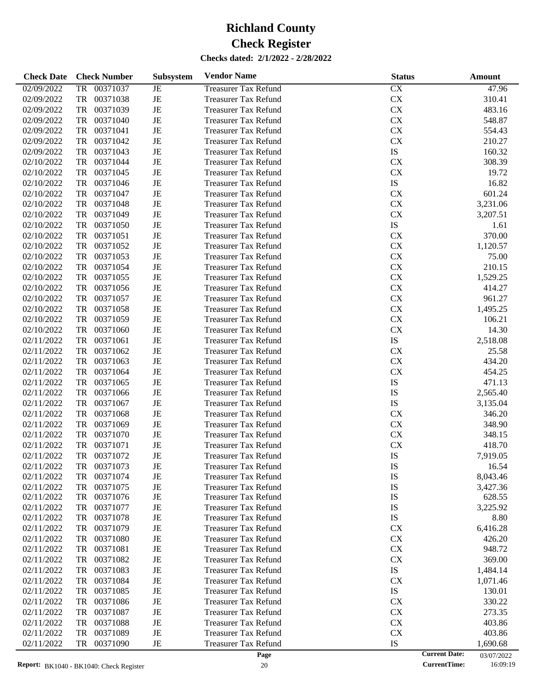| <b>Check Date</b> | <b>Check Number</b>   | <b>Subsystem</b> | <b>Vendor Name</b>          | <b>Status</b>        | <b>Amount</b> |
|-------------------|-----------------------|------------------|-----------------------------|----------------------|---------------|
| 02/09/2022        | <b>TR</b><br>00371037 | $\rm{JE}$        | <b>Treasurer Tax Refund</b> | CX                   | 47.96         |
| 02/09/2022        | <b>TR</b><br>00371038 | $\rm{JE}$        | <b>Treasurer Tax Refund</b> | CX                   | 310.41        |
| 02/09/2022        | <b>TR</b><br>00371039 | $\rm{JE}$        | <b>Treasurer Tax Refund</b> | CX                   | 483.16        |
| 02/09/2022        | <b>TR</b><br>00371040 | $\rm{JE}$        | <b>Treasurer Tax Refund</b> | <b>CX</b>            | 548.87        |
| 02/09/2022        | <b>TR</b><br>00371041 | $\rm{JE}$        | <b>Treasurer Tax Refund</b> | CX                   | 554.43        |
| 02/09/2022        | <b>TR</b><br>00371042 | $\rm{JE}$        | <b>Treasurer Tax Refund</b> | CX                   | 210.27        |
| 02/09/2022        | <b>TR</b><br>00371043 | $\rm{JE}$        | <b>Treasurer Tax Refund</b> | IS                   | 160.32        |
| 02/10/2022        | <b>TR</b><br>00371044 | $\rm{JE}$        | <b>Treasurer Tax Refund</b> | <b>CX</b>            | 308.39        |
| 02/10/2022        | <b>TR</b><br>00371045 | $\rm{JE}$        | <b>Treasurer Tax Refund</b> | CX                   | 19.72         |
| 02/10/2022        | <b>TR</b><br>00371046 | $\rm{JE}$        | <b>Treasurer Tax Refund</b> | IS                   | 16.82         |
| 02/10/2022        | <b>TR</b><br>00371047 | $\rm{JE}$        | <b>Treasurer Tax Refund</b> | <b>CX</b>            | 601.24        |
| 02/10/2022        | <b>TR</b><br>00371048 | $\rm{JE}$        | <b>Treasurer Tax Refund</b> | CX                   | 3,231.06      |
| 02/10/2022        | <b>TR</b><br>00371049 | $\rm{JE}$        | <b>Treasurer Tax Refund</b> | CX                   | 3,207.51      |
| 02/10/2022        | <b>TR</b><br>00371050 | $\rm{JE}$        | <b>Treasurer Tax Refund</b> | IS                   | 1.61          |
| 02/10/2022        | <b>TR</b><br>00371051 | $\rm{JE}$        | <b>Treasurer Tax Refund</b> | <b>CX</b>            | 370.00        |
| 02/10/2022        | <b>TR</b><br>00371052 | $\rm{JE}$        | <b>Treasurer Tax Refund</b> | CX                   | 1,120.57      |
| 02/10/2022        | <b>TR</b><br>00371053 | $\rm{JE}$        | <b>Treasurer Tax Refund</b> | CX                   | 75.00         |
| 02/10/2022        | <b>TR</b><br>00371054 | $\rm{JE}$        | <b>Treasurer Tax Refund</b> | <b>CX</b>            | 210.15        |
| 02/10/2022        | <b>TR</b><br>00371055 | $\rm{JE}$        | <b>Treasurer Tax Refund</b> | CX                   | 1,529.25      |
| 02/10/2022        | <b>TR</b><br>00371056 | $\rm{JE}$        | <b>Treasurer Tax Refund</b> | CX                   | 414.27        |
| 02/10/2022        | <b>TR</b><br>00371057 | $\rm{JE}$        | <b>Treasurer Tax Refund</b> | CX                   | 961.27        |
| 02/10/2022        | <b>TR</b><br>00371058 | $\rm{JE}$        | <b>Treasurer Tax Refund</b> | CX                   | 1,495.25      |
| 02/10/2022        | <b>TR</b><br>00371059 | $\rm{JE}$        | <b>Treasurer Tax Refund</b> | CX                   | 106.21        |
| 02/10/2022        | <b>TR</b><br>00371060 | $\rm{JE}$        | <b>Treasurer Tax Refund</b> | CX                   | 14.30         |
| 02/11/2022        | <b>TR</b><br>00371061 | $\rm{JE}$        | <b>Treasurer Tax Refund</b> | IS                   | 2,518.08      |
| 02/11/2022        | <b>TR</b><br>00371062 | $\rm{JE}$        | <b>Treasurer Tax Refund</b> | <b>CX</b>            | 25.58         |
| 02/11/2022        | <b>TR</b><br>00371063 | $\rm{JE}$        | <b>Treasurer Tax Refund</b> | CX                   | 434.20        |
| 02/11/2022        | <b>TR</b><br>00371064 | $\rm{JE}$        | <b>Treasurer Tax Refund</b> | CX                   | 454.25        |
| 02/11/2022        | <b>TR</b><br>00371065 | $\rm{JE}$        | <b>Treasurer Tax Refund</b> | IS                   | 471.13        |
| 02/11/2022        | <b>TR</b><br>00371066 | $\rm{JE}$        | <b>Treasurer Tax Refund</b> | IS                   | 2,565.40      |
| 02/11/2022        | <b>TR</b><br>00371067 | $\rm{JE}$        | <b>Treasurer Tax Refund</b> | IS                   | 3,135.04      |
| 02/11/2022        | <b>TR</b><br>00371068 | $\rm{JE}$        | <b>Treasurer Tax Refund</b> | <b>CX</b>            | 346.20        |
| 02/11/2022        | <b>TR</b><br>00371069 | $\rm{JE}$        | <b>Treasurer Tax Refund</b> | CX                   | 348.90        |
| 02/11/2022        | <b>TR</b><br>00371070 | $\rm{JE}$        | <b>Treasurer Tax Refund</b> | CX                   | 348.15        |
| 02/11/2022        | <b>TR</b><br>00371071 | $\rm{JE}$        | <b>Treasurer Tax Refund</b> | CX                   | 418.70        |
| 02/11/2022        | <b>TR</b><br>00371072 | JE               | <b>Treasurer Tax Refund</b> | IS                   | 7,919.05      |
| 02/11/2022        | 00371073<br>TR        | JE               | <b>Treasurer Tax Refund</b> | IS                   | 16.54         |
| 02/11/2022        | 00371074<br>TR        | JE               | <b>Treasurer Tax Refund</b> | IS                   | 8,043.46      |
| 02/11/2022        | 00371075<br>TR        | JE               | <b>Treasurer Tax Refund</b> | IS                   | 3,427.36      |
| 02/11/2022        | 00371076<br>TR        | JE               | <b>Treasurer Tax Refund</b> | IS                   | 628.55        |
| 02/11/2022        | TR<br>00371077        | JE               | <b>Treasurer Tax Refund</b> | IS                   | 3,225.92      |
| 02/11/2022        | 00371078<br>TR        | JE               | <b>Treasurer Tax Refund</b> | IS                   | 8.80          |
| 02/11/2022        | 00371079<br>TR        | JE               | <b>Treasurer Tax Refund</b> | <b>CX</b>            | 6,416.28      |
| 02/11/2022        | 00371080<br>TR        | JE               | <b>Treasurer Tax Refund</b> | <b>CX</b>            | 426.20        |
| 02/11/2022        | 00371081<br>TR        | JE               | <b>Treasurer Tax Refund</b> | <b>CX</b>            | 948.72        |
| 02/11/2022        | 00371082<br>TR        | JE               | <b>Treasurer Tax Refund</b> | <b>CX</b>            | 369.00        |
| 02/11/2022        | 00371083<br>TR        | JE               | <b>Treasurer Tax Refund</b> | IS                   | 1,484.14      |
| 02/11/2022        | 00371084<br>TR        | JE               | <b>Treasurer Tax Refund</b> | <b>CX</b>            | 1,071.46      |
| 02/11/2022        | 00371085<br>TR        | JE               | <b>Treasurer Tax Refund</b> | IS                   | 130.01        |
| 02/11/2022        | 00371086<br>TR        | JE               | <b>Treasurer Tax Refund</b> | <b>CX</b>            | 330.22        |
| 02/11/2022        | 00371087<br>TR        | JE               | <b>Treasurer Tax Refund</b> | <b>CX</b>            | 273.35        |
| 02/11/2022        | 00371088<br>TR        | JE               | <b>Treasurer Tax Refund</b> | <b>CX</b>            | 403.86        |
| 02/11/2022        | 00371089<br>TR        | JE               | <b>Treasurer Tax Refund</b> | <b>CX</b>            | 403.86        |
| 02/11/2022        | 00371090<br>TR        | JE               | <b>Treasurer Tax Refund</b> | IS                   | 1,690.68      |
|                   |                       |                  | Page                        | <b>Current Date:</b> | 03/07/2022    |

<sup>03/07/2022&</sup>lt;br>16:09:19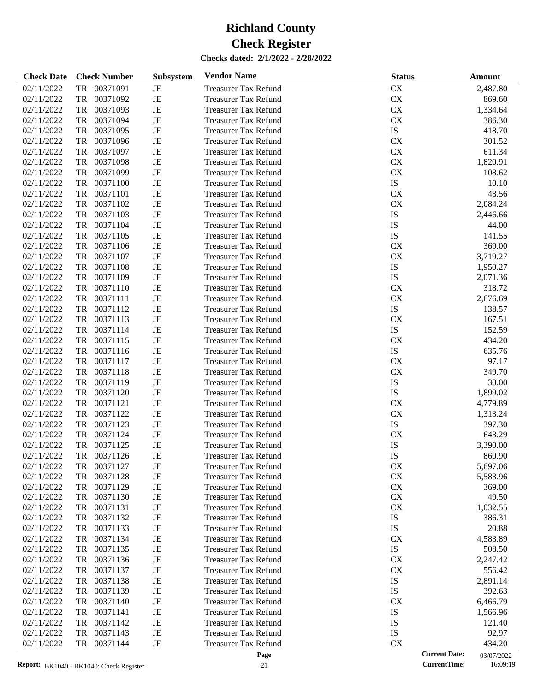| <b>Check Date</b> | <b>Check Number</b>   | Subsystem   | <b>Vendor Name</b><br><b>Status</b>       |                      | Amount     |
|-------------------|-----------------------|-------------|-------------------------------------------|----------------------|------------|
| 02/11/2022        | 00371091<br><b>TR</b> | $_{\rm JE}$ | <b>Treasurer Tax Refund</b><br>CX         |                      | 2,487.80   |
| 02/11/2022        | <b>TR</b><br>00371092 | $\rm{JE}$   | ${\rm CX}$<br><b>Treasurer Tax Refund</b> |                      | 869.60     |
| 02/11/2022        | <b>TR</b><br>00371093 | $\rm{JE}$   | ${\rm CX}$<br><b>Treasurer Tax Refund</b> |                      | 1,334.64   |
| 02/11/2022        | <b>TR</b><br>00371094 | $\rm{JE}$   | ${\rm CX}$<br><b>Treasurer Tax Refund</b> |                      | 386.30     |
| 02/11/2022        | <b>TR</b><br>00371095 | $\rm{JE}$   | ${\rm IS}$<br><b>Treasurer Tax Refund</b> |                      | 418.70     |
| 02/11/2022        | <b>TR</b><br>00371096 | $\rm{JE}$   | ${\rm CX}$<br><b>Treasurer Tax Refund</b> |                      | 301.52     |
| 02/11/2022        | <b>TR</b><br>00371097 | $\rm{JE}$   | ${\rm CX}$<br><b>Treasurer Tax Refund</b> |                      | 611.34     |
| 02/11/2022        | <b>TR</b><br>00371098 | $\rm{JE}$   | ${\rm CX}$<br><b>Treasurer Tax Refund</b> |                      | 1,820.91   |
| 02/11/2022        | <b>TR</b><br>00371099 | $\rm{JE}$   | ${\rm CX}$<br><b>Treasurer Tax Refund</b> |                      | 108.62     |
| 02/11/2022        | <b>TR</b><br>00371100 | $\rm{JE}$   | ${\rm IS}$<br><b>Treasurer Tax Refund</b> |                      | 10.10      |
| 02/11/2022        | <b>TR</b><br>00371101 | $\rm{JE}$   | ${\rm CX}$<br><b>Treasurer Tax Refund</b> |                      | 48.56      |
| 02/11/2022        | <b>TR</b><br>00371102 | $\rm{JE}$   | ${\rm CX}$<br><b>Treasurer Tax Refund</b> |                      | 2,084.24   |
| 02/11/2022        | <b>TR</b><br>00371103 | $\rm{JE}$   | IS<br><b>Treasurer Tax Refund</b>         |                      | 2,446.66   |
| 02/11/2022        | <b>TR</b><br>00371104 | $\rm{JE}$   | IS<br><b>Treasurer Tax Refund</b>         |                      | 44.00      |
| 02/11/2022        | <b>TR</b><br>00371105 | $\rm{JE}$   | IS<br><b>Treasurer Tax Refund</b>         |                      | 141.55     |
| 02/11/2022        | <b>TR</b><br>00371106 | $\rm{JE}$   | CX<br><b>Treasurer Tax Refund</b>         |                      | 369.00     |
| 02/11/2022        | <b>TR</b><br>00371107 | $\rm{JE}$   | ${\rm CX}$<br><b>Treasurer Tax Refund</b> |                      | 3,719.27   |
| 02/11/2022        | <b>TR</b><br>00371108 | $\rm{JE}$   | ${\rm IS}$<br><b>Treasurer Tax Refund</b> |                      | 1,950.27   |
| 02/11/2022        | <b>TR</b><br>00371109 | $\rm{JE}$   | ${\rm IS}$<br><b>Treasurer Tax Refund</b> |                      | 2,071.36   |
| 02/11/2022        | <b>TR</b><br>00371110 | $\rm{JE}$   | CX<br><b>Treasurer Tax Refund</b>         |                      | 318.72     |
| 02/11/2022        | <b>TR</b><br>00371111 | $\rm{JE}$   | ${\rm CX}$<br><b>Treasurer Tax Refund</b> |                      | 2,676.69   |
| 02/11/2022        | <b>TR</b><br>00371112 | $\rm{JE}$   | ${\rm IS}$<br><b>Treasurer Tax Refund</b> |                      | 138.57     |
| 02/11/2022        | <b>TR</b><br>00371113 | $\rm{JE}$   | CX<br><b>Treasurer Tax Refund</b>         |                      | 167.51     |
| 02/11/2022        | <b>TR</b><br>00371114 | $\rm{JE}$   | ${\rm IS}$<br><b>Treasurer Tax Refund</b> |                      | 152.59     |
| 02/11/2022        | <b>TR</b><br>00371115 | $\rm{JE}$   | ${\rm CX}$<br><b>Treasurer Tax Refund</b> |                      | 434.20     |
| 02/11/2022        | <b>TR</b><br>00371116 | $\rm{JE}$   | ${\rm IS}$<br><b>Treasurer Tax Refund</b> |                      | 635.76     |
| 02/11/2022        | <b>TR</b><br>00371117 | $\rm{JE}$   | CX<br><b>Treasurer Tax Refund</b>         |                      | 97.17      |
| 02/11/2022        | <b>TR</b><br>00371118 | $\rm{JE}$   | ${\rm CX}$<br><b>Treasurer Tax Refund</b> |                      | 349.70     |
| 02/11/2022        | <b>TR</b><br>00371119 | $\rm{JE}$   | IS<br><b>Treasurer Tax Refund</b>         |                      | 30.00      |
| 02/11/2022        | <b>TR</b><br>00371120 | $\rm{JE}$   | ${\rm IS}$<br><b>Treasurer Tax Refund</b> |                      | 1,899.02   |
| 02/11/2022        | <b>TR</b><br>00371121 | $\rm{JE}$   | CX<br><b>Treasurer Tax Refund</b>         |                      | 4,779.89   |
| 02/11/2022        | <b>TR</b><br>00371122 | $\rm{JE}$   | ${\rm CX}$<br><b>Treasurer Tax Refund</b> |                      | 1,313.24   |
| 02/11/2022        | <b>TR</b><br>00371123 | $\rm{JE}$   | ${\rm IS}$<br><b>Treasurer Tax Refund</b> |                      | 397.30     |
| 02/11/2022        | <b>TR</b><br>00371124 | $\rm{JE}$   | CX<br><b>Treasurer Tax Refund</b>         |                      | 643.29     |
| 02/11/2022        | <b>TR</b><br>00371125 | $\rm{JE}$   | IS<br><b>Treasurer Tax Refund</b>         |                      | 3,390.00   |
| 02/11/2022        | <b>TR</b><br>00371126 | $\rm{JE}$   | IS<br><b>Treasurer Tax Refund</b>         |                      | 860.90     |
| 02/11/2022        | 00371127<br>TR        | JE          | <b>Treasurer Tax Refund</b><br>CX         |                      | 5,697.06   |
| 02/11/2022        | 00371128<br>TR        | $\rm{JE}$   | ${\rm CX}$<br><b>Treasurer Tax Refund</b> |                      | 5,583.96   |
| 02/11/2022        | TR<br>00371129        | $\rm{JE}$   | CX<br><b>Treasurer Tax Refund</b>         |                      | 369.00     |
| 02/11/2022        | 00371130<br>TR        | JE          | CX<br><b>Treasurer Tax Refund</b>         |                      | 49.50      |
| 02/11/2022        | 00371131<br>TR        | JE          | CX<br><b>Treasurer Tax Refund</b>         |                      | 1,032.55   |
| 02/11/2022        | 00371132<br>TR        | JE          | <b>Treasurer Tax Refund</b><br>IS         |                      | 386.31     |
| 02/11/2022        | 00371133<br>TR        | JE          | IS<br><b>Treasurer Tax Refund</b>         |                      | 20.88      |
| 02/11/2022        | 00371134<br>TR        | JE          | CX<br><b>Treasurer Tax Refund</b>         |                      | 4,583.89   |
| 02/11/2022        | 00371135<br>TR        | JE          | <b>Treasurer Tax Refund</b><br>IS         |                      | 508.50     |
| 02/11/2022        | 00371136<br>TR        | JE          | CX<br><b>Treasurer Tax Refund</b>         |                      | 2,247.42   |
| 02/11/2022        | 00371137<br>TR        | JE          | CX<br><b>Treasurer Tax Refund</b>         |                      | 556.42     |
| 02/11/2022        | 00371138<br>TR        | JE          | IS<br><b>Treasurer Tax Refund</b>         |                      | 2,891.14   |
| 02/11/2022        | 00371139<br>TR        | JE          | IS<br><b>Treasurer Tax Refund</b>         |                      | 392.63     |
| 02/11/2022        | 00371140<br>TR        | JE          | CX<br><b>Treasurer Tax Refund</b>         |                      | 6,466.79   |
| 02/11/2022        | 00371141<br>TR        | JE          | IS<br><b>Treasurer Tax Refund</b>         |                      | 1,566.96   |
| 02/11/2022        | 00371142<br>TR        | JE          | <b>Treasurer Tax Refund</b><br>IS         |                      | 121.40     |
| 02/11/2022        | 00371143<br>TR        | JE          | IS<br><b>Treasurer Tax Refund</b>         |                      | 92.97      |
| 02/11/2022        | 00371144<br>TR        | JE          | CX<br><b>Treasurer Tax Refund</b>         |                      | 434.20     |
|                   |                       |             | Page                                      | <b>Current Date:</b> | 03/07/2022 |

03/07/2022<br>16:09:19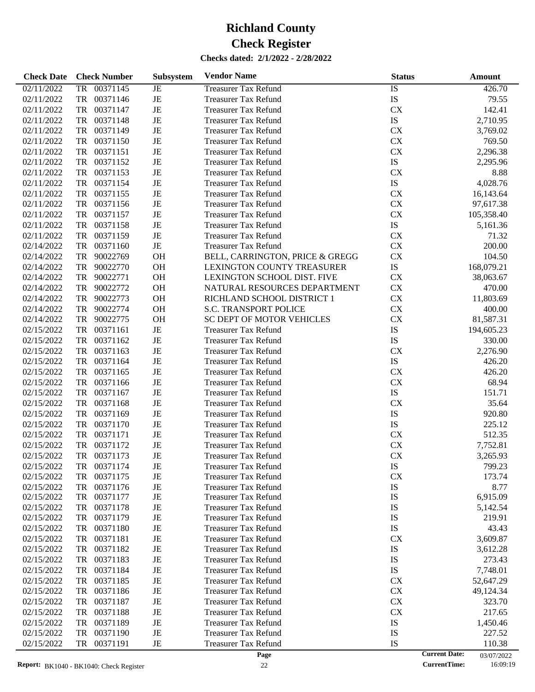| 00371145<br>$\overline{1S}$<br>02/11/2022<br><b>TR</b><br>JE<br><b>Treasurer Tax Refund</b><br>426.70<br><b>IS</b><br>JE<br>02/11/2022<br>TR<br>00371146<br>79.55<br><b>Treasurer Tax Refund</b><br>JE<br>TR<br>00371147<br>CX<br>142.41<br>02/11/2022<br><b>Treasurer Tax Refund</b><br>IS<br>JE<br>TR<br>00371148<br>2,710.95<br>02/11/2022<br><b>Treasurer Tax Refund</b><br>JE<br>CX<br>02/11/2022<br>TR<br>00371149<br>3,769.02<br><b>Treasurer Tax Refund</b><br>02/11/2022<br>TR<br>00371150<br>JE<br>CX<br>769.50<br><b>Treasurer Tax Refund</b><br>JE<br>${\rm CX}$<br>02/11/2022<br>TR<br>00371151<br>2,296.38<br><b>Treasurer Tax Refund</b><br>IS<br>JE<br>02/11/2022<br>TR<br>00371152<br>2,295.96<br><b>Treasurer Tax Refund</b><br>JE<br>02/11/2022<br>TR<br>00371153<br>CX<br>8.88<br><b>Treasurer Tax Refund</b><br>IS<br>TR<br>00371154<br>JE<br>4,028.76<br>02/11/2022<br><b>Treasurer Tax Refund</b><br>JE<br>CX<br>02/11/2022<br>TR<br>00371155<br>16,143.64<br><b>Treasurer Tax Refund</b><br>JE<br>${\rm CX}$<br>02/11/2022<br>TR<br>00371156<br>97,617.38<br><b>Treasurer Tax Refund</b><br>JE<br>CX<br>02/11/2022<br>TR<br>00371157<br>105,358.40<br><b>Treasurer Tax Refund</b><br>IS<br>JE<br>02/11/2022<br>TR<br>00371158<br><b>Treasurer Tax Refund</b><br>5,161.36<br>JE<br>02/11/2022<br>TR<br>00371159<br>CX<br><b>Treasurer Tax Refund</b><br>71.32<br>$\rm{JE}$<br>02/14/2022<br>TR<br>00371160<br>CX<br>200.00<br><b>Treasurer Tax Refund</b><br>02/14/2022<br>TR<br>90022769<br><b>OH</b><br>BELL, CARRINGTON, PRICE & GREGG<br>CX<br>104.50<br><b>OH</b><br>IS<br>02/14/2022<br>TR<br>90022770<br>168,079.21<br><b>LEXINGTON COUNTY TREASURER</b><br><b>OH</b><br>02/14/2022<br>TR<br>90022771<br>LEXINGTON SCHOOL DIST. FIVE<br>CX<br>38,063.67<br><b>OH</b><br>02/14/2022<br>TR<br>90022772<br>NATURAL RESOURCES DEPARTMENT<br>CX<br>470.00<br><b>OH</b><br>02/14/2022<br>TR<br>90022773<br>RICHLAND SCHOOL DISTRICT 1<br>CX<br>11,803.69<br><b>OH</b><br>02/14/2022<br>TR<br>90022774<br><b>S.C. TRANSPORT POLICE</b><br>CX<br>400.00<br><b>OH</b><br>02/14/2022<br>TR<br>90022775<br><b>SC DEPT OF MOTOR VEHICLES</b><br>CX<br>81,587.31<br>$\rm{JE}$<br>IS<br>TR<br>00371161<br>194,605.23<br>02/15/2022<br><b>Treasurer Tax Refund</b><br>JE<br><b>IS</b><br>TR<br>00371162<br>330.00<br>02/15/2022<br><b>Treasurer Tax Refund</b><br>JE<br>TR<br>00371163<br>CX<br>2,276.90<br>02/15/2022<br><b>Treasurer Tax Refund</b><br>IS<br>JE<br>TR<br>00371164<br>426.20<br>02/15/2022<br><b>Treasurer Tax Refund</b><br>JE<br>TR<br>00371165<br>CX<br>426.20<br>02/15/2022<br><b>Treasurer Tax Refund</b><br>$\rm{JE}$<br>${\rm CX}$<br>TR<br>00371166<br>68.94<br>02/15/2022<br><b>Treasurer Tax Refund</b><br>IS<br>JE<br>02/15/2022<br>TR<br>00371167<br>151.71<br><b>Treasurer Tax Refund</b><br>JE<br>TR<br>00371168<br>CX<br>35.64<br>02/15/2022<br><b>Treasurer Tax Refund</b><br>JE<br>IS<br>TR<br>00371169<br>920.80<br>02/15/2022<br><b>Treasurer Tax Refund</b><br>$\rm{JE}$<br><b>IS</b><br>TR<br>00371170<br>225.12<br>02/15/2022<br><b>Treasurer Tax Refund</b><br>JE<br>TR<br>00371171<br><b>CX</b><br>512.35<br>02/15/2022<br><b>Treasurer Tax Refund</b><br>TR<br>00371172<br>JE<br>CX<br>7,752.81<br>02/15/2022<br><b>Treasurer Tax Refund</b><br>JE<br><b>CX</b><br>TR<br>00371173<br>02/15/2022<br><b>Treasurer Tax Refund</b><br>3,265.93<br>IS<br>02/15/2022<br>00371174<br>799.23<br>JE<br><b>Treasurer Tax Refund</b><br>TR<br>00371175<br>JE<br><b>CX</b><br>02/15/2022<br>TR<br><b>Treasurer Tax Refund</b><br>173.74<br>IS<br>00371176<br>JE<br>8.77<br>02/15/2022<br>TR<br><b>Treasurer Tax Refund</b><br>00371177<br>IS<br>6,915.09<br>02/15/2022<br>TR<br>JE<br><b>Treasurer Tax Refund</b><br>00371178<br>IS<br>02/15/2022<br>TR<br>JE<br><b>Treasurer Tax Refund</b><br>5,142.54<br>00371179<br>IS<br>219.91<br>02/15/2022<br>TR<br>JE<br><b>Treasurer Tax Refund</b><br>02/15/2022<br>00371180<br>JE<br>IS<br>43.43<br>TR<br><b>Treasurer Tax Refund</b><br>02/15/2022<br>00371181<br>CX<br>TR<br>JE<br><b>Treasurer Tax Refund</b><br>3,609.87<br>02/15/2022<br>00371182<br>IS<br>TR<br>JE<br><b>Treasurer Tax Refund</b><br>3,612.28<br>02/15/2022<br>00371183<br>JE<br><b>Treasurer Tax Refund</b><br>IS<br>273.43<br>TR<br>02/15/2022<br>00371184<br>IS<br>7,748.01<br>TR<br>JE<br><b>Treasurer Tax Refund</b><br>02/15/2022<br>00371185<br>CX<br>TR<br>JE<br><b>Treasurer Tax Refund</b><br>52,647.29<br>02/15/2022<br>00371186<br>CX<br>TR<br>JE<br><b>Treasurer Tax Refund</b><br>49,124.34<br>02/15/2022<br>00371187<br>CX<br>323.70<br>TR<br>JE<br><b>Treasurer Tax Refund</b><br>02/15/2022<br>00371188<br>CX<br>217.65<br>TR<br>JE<br><b>Treasurer Tax Refund</b><br>00371189<br>IS<br>02/15/2022<br>TR<br>JE<br><b>Treasurer Tax Refund</b><br>1,450.46<br>02/15/2022<br>00371190<br>JE<br><b>Treasurer Tax Refund</b><br>IS<br>TR<br>227.52<br>02/15/2022<br>TR<br>00371191<br><b>Treasurer Tax Refund</b><br>IS<br>JE<br>110.38 | <b>Check Date</b> | <b>Check Number</b> | <b>Subsystem</b> | <b>Vendor Name</b> | <b>Status</b> | Amount               |
|---------------------------------------------------------------------------------------------------------------------------------------------------------------------------------------------------------------------------------------------------------------------------------------------------------------------------------------------------------------------------------------------------------------------------------------------------------------------------------------------------------------------------------------------------------------------------------------------------------------------------------------------------------------------------------------------------------------------------------------------------------------------------------------------------------------------------------------------------------------------------------------------------------------------------------------------------------------------------------------------------------------------------------------------------------------------------------------------------------------------------------------------------------------------------------------------------------------------------------------------------------------------------------------------------------------------------------------------------------------------------------------------------------------------------------------------------------------------------------------------------------------------------------------------------------------------------------------------------------------------------------------------------------------------------------------------------------------------------------------------------------------------------------------------------------------------------------------------------------------------------------------------------------------------------------------------------------------------------------------------------------------------------------------------------------------------------------------------------------------------------------------------------------------------------------------------------------------------------------------------------------------------------------------------------------------------------------------------------------------------------------------------------------------------------------------------------------------------------------------------------------------------------------------------------------------------------------------------------------------------------------------------------------------------------------------------------------------------------------------------------------------------------------------------------------------------------------------------------------------------------------------------------------------------------------------------------------------------------------------------------------------------------------------------------------------------------------------------------------------------------------------------------------------------------------------------------------------------------------------------------------------------------------------------------------------------------------------------------------------------------------------------------------------------------------------------------------------------------------------------------------------------------------------------------------------------------------------------------------------------------------------------------------------------------------------------------------------------------------------------------------------------------------------------------------------------------------------------------------------------------------------------------------------------------------------------------------------------------------------------------------------------------------------------------------------------------------------------------------------------------------------------------------------------------------------------------------------------------------------------------------------------------------------------------------------------------------------------------------------------------------------------------------------------------------------------------------------------------------------------------------------------------------------------------------------------------------------------------------------------------------------------------------------------------------------------------------------------------------------------------------------------------------------------------------------------------------------------------------------------------------------------------------------------------------------------------------------------------------------------------------------------|-------------------|---------------------|------------------|--------------------|---------------|----------------------|
|                                                                                                                                                                                                                                                                                                                                                                                                                                                                                                                                                                                                                                                                                                                                                                                                                                                                                                                                                                                                                                                                                                                                                                                                                                                                                                                                                                                                                                                                                                                                                                                                                                                                                                                                                                                                                                                                                                                                                                                                                                                                                                                                                                                                                                                                                                                                                                                                                                                                                                                                                                                                                                                                                                                                                                                                                                                                                                                                                                                                                                                                                                                                                                                                                                                                                                                                                                                                                                                                                                                                                                                                                                                                                                                                                                                                                                                                                                                                                                                                                                                                                                                                                                                                                                                                                                                                                                                                                                                                                                                                                                                                                                                                                                                                                                                                                                                                                                                                                                                                                     |                   |                     |                  |                    |               |                      |
|                                                                                                                                                                                                                                                                                                                                                                                                                                                                                                                                                                                                                                                                                                                                                                                                                                                                                                                                                                                                                                                                                                                                                                                                                                                                                                                                                                                                                                                                                                                                                                                                                                                                                                                                                                                                                                                                                                                                                                                                                                                                                                                                                                                                                                                                                                                                                                                                                                                                                                                                                                                                                                                                                                                                                                                                                                                                                                                                                                                                                                                                                                                                                                                                                                                                                                                                                                                                                                                                                                                                                                                                                                                                                                                                                                                                                                                                                                                                                                                                                                                                                                                                                                                                                                                                                                                                                                                                                                                                                                                                                                                                                                                                                                                                                                                                                                                                                                                                                                                                                     |                   |                     |                  |                    |               |                      |
|                                                                                                                                                                                                                                                                                                                                                                                                                                                                                                                                                                                                                                                                                                                                                                                                                                                                                                                                                                                                                                                                                                                                                                                                                                                                                                                                                                                                                                                                                                                                                                                                                                                                                                                                                                                                                                                                                                                                                                                                                                                                                                                                                                                                                                                                                                                                                                                                                                                                                                                                                                                                                                                                                                                                                                                                                                                                                                                                                                                                                                                                                                                                                                                                                                                                                                                                                                                                                                                                                                                                                                                                                                                                                                                                                                                                                                                                                                                                                                                                                                                                                                                                                                                                                                                                                                                                                                                                                                                                                                                                                                                                                                                                                                                                                                                                                                                                                                                                                                                                                     |                   |                     |                  |                    |               |                      |
|                                                                                                                                                                                                                                                                                                                                                                                                                                                                                                                                                                                                                                                                                                                                                                                                                                                                                                                                                                                                                                                                                                                                                                                                                                                                                                                                                                                                                                                                                                                                                                                                                                                                                                                                                                                                                                                                                                                                                                                                                                                                                                                                                                                                                                                                                                                                                                                                                                                                                                                                                                                                                                                                                                                                                                                                                                                                                                                                                                                                                                                                                                                                                                                                                                                                                                                                                                                                                                                                                                                                                                                                                                                                                                                                                                                                                                                                                                                                                                                                                                                                                                                                                                                                                                                                                                                                                                                                                                                                                                                                                                                                                                                                                                                                                                                                                                                                                                                                                                                                                     |                   |                     |                  |                    |               |                      |
|                                                                                                                                                                                                                                                                                                                                                                                                                                                                                                                                                                                                                                                                                                                                                                                                                                                                                                                                                                                                                                                                                                                                                                                                                                                                                                                                                                                                                                                                                                                                                                                                                                                                                                                                                                                                                                                                                                                                                                                                                                                                                                                                                                                                                                                                                                                                                                                                                                                                                                                                                                                                                                                                                                                                                                                                                                                                                                                                                                                                                                                                                                                                                                                                                                                                                                                                                                                                                                                                                                                                                                                                                                                                                                                                                                                                                                                                                                                                                                                                                                                                                                                                                                                                                                                                                                                                                                                                                                                                                                                                                                                                                                                                                                                                                                                                                                                                                                                                                                                                                     |                   |                     |                  |                    |               |                      |
|                                                                                                                                                                                                                                                                                                                                                                                                                                                                                                                                                                                                                                                                                                                                                                                                                                                                                                                                                                                                                                                                                                                                                                                                                                                                                                                                                                                                                                                                                                                                                                                                                                                                                                                                                                                                                                                                                                                                                                                                                                                                                                                                                                                                                                                                                                                                                                                                                                                                                                                                                                                                                                                                                                                                                                                                                                                                                                                                                                                                                                                                                                                                                                                                                                                                                                                                                                                                                                                                                                                                                                                                                                                                                                                                                                                                                                                                                                                                                                                                                                                                                                                                                                                                                                                                                                                                                                                                                                                                                                                                                                                                                                                                                                                                                                                                                                                                                                                                                                                                                     |                   |                     |                  |                    |               |                      |
|                                                                                                                                                                                                                                                                                                                                                                                                                                                                                                                                                                                                                                                                                                                                                                                                                                                                                                                                                                                                                                                                                                                                                                                                                                                                                                                                                                                                                                                                                                                                                                                                                                                                                                                                                                                                                                                                                                                                                                                                                                                                                                                                                                                                                                                                                                                                                                                                                                                                                                                                                                                                                                                                                                                                                                                                                                                                                                                                                                                                                                                                                                                                                                                                                                                                                                                                                                                                                                                                                                                                                                                                                                                                                                                                                                                                                                                                                                                                                                                                                                                                                                                                                                                                                                                                                                                                                                                                                                                                                                                                                                                                                                                                                                                                                                                                                                                                                                                                                                                                                     |                   |                     |                  |                    |               |                      |
|                                                                                                                                                                                                                                                                                                                                                                                                                                                                                                                                                                                                                                                                                                                                                                                                                                                                                                                                                                                                                                                                                                                                                                                                                                                                                                                                                                                                                                                                                                                                                                                                                                                                                                                                                                                                                                                                                                                                                                                                                                                                                                                                                                                                                                                                                                                                                                                                                                                                                                                                                                                                                                                                                                                                                                                                                                                                                                                                                                                                                                                                                                                                                                                                                                                                                                                                                                                                                                                                                                                                                                                                                                                                                                                                                                                                                                                                                                                                                                                                                                                                                                                                                                                                                                                                                                                                                                                                                                                                                                                                                                                                                                                                                                                                                                                                                                                                                                                                                                                                                     |                   |                     |                  |                    |               |                      |
|                                                                                                                                                                                                                                                                                                                                                                                                                                                                                                                                                                                                                                                                                                                                                                                                                                                                                                                                                                                                                                                                                                                                                                                                                                                                                                                                                                                                                                                                                                                                                                                                                                                                                                                                                                                                                                                                                                                                                                                                                                                                                                                                                                                                                                                                                                                                                                                                                                                                                                                                                                                                                                                                                                                                                                                                                                                                                                                                                                                                                                                                                                                                                                                                                                                                                                                                                                                                                                                                                                                                                                                                                                                                                                                                                                                                                                                                                                                                                                                                                                                                                                                                                                                                                                                                                                                                                                                                                                                                                                                                                                                                                                                                                                                                                                                                                                                                                                                                                                                                                     |                   |                     |                  |                    |               |                      |
|                                                                                                                                                                                                                                                                                                                                                                                                                                                                                                                                                                                                                                                                                                                                                                                                                                                                                                                                                                                                                                                                                                                                                                                                                                                                                                                                                                                                                                                                                                                                                                                                                                                                                                                                                                                                                                                                                                                                                                                                                                                                                                                                                                                                                                                                                                                                                                                                                                                                                                                                                                                                                                                                                                                                                                                                                                                                                                                                                                                                                                                                                                                                                                                                                                                                                                                                                                                                                                                                                                                                                                                                                                                                                                                                                                                                                                                                                                                                                                                                                                                                                                                                                                                                                                                                                                                                                                                                                                                                                                                                                                                                                                                                                                                                                                                                                                                                                                                                                                                                                     |                   |                     |                  |                    |               |                      |
|                                                                                                                                                                                                                                                                                                                                                                                                                                                                                                                                                                                                                                                                                                                                                                                                                                                                                                                                                                                                                                                                                                                                                                                                                                                                                                                                                                                                                                                                                                                                                                                                                                                                                                                                                                                                                                                                                                                                                                                                                                                                                                                                                                                                                                                                                                                                                                                                                                                                                                                                                                                                                                                                                                                                                                                                                                                                                                                                                                                                                                                                                                                                                                                                                                                                                                                                                                                                                                                                                                                                                                                                                                                                                                                                                                                                                                                                                                                                                                                                                                                                                                                                                                                                                                                                                                                                                                                                                                                                                                                                                                                                                                                                                                                                                                                                                                                                                                                                                                                                                     |                   |                     |                  |                    |               |                      |
|                                                                                                                                                                                                                                                                                                                                                                                                                                                                                                                                                                                                                                                                                                                                                                                                                                                                                                                                                                                                                                                                                                                                                                                                                                                                                                                                                                                                                                                                                                                                                                                                                                                                                                                                                                                                                                                                                                                                                                                                                                                                                                                                                                                                                                                                                                                                                                                                                                                                                                                                                                                                                                                                                                                                                                                                                                                                                                                                                                                                                                                                                                                                                                                                                                                                                                                                                                                                                                                                                                                                                                                                                                                                                                                                                                                                                                                                                                                                                                                                                                                                                                                                                                                                                                                                                                                                                                                                                                                                                                                                                                                                                                                                                                                                                                                                                                                                                                                                                                                                                     |                   |                     |                  |                    |               |                      |
|                                                                                                                                                                                                                                                                                                                                                                                                                                                                                                                                                                                                                                                                                                                                                                                                                                                                                                                                                                                                                                                                                                                                                                                                                                                                                                                                                                                                                                                                                                                                                                                                                                                                                                                                                                                                                                                                                                                                                                                                                                                                                                                                                                                                                                                                                                                                                                                                                                                                                                                                                                                                                                                                                                                                                                                                                                                                                                                                                                                                                                                                                                                                                                                                                                                                                                                                                                                                                                                                                                                                                                                                                                                                                                                                                                                                                                                                                                                                                                                                                                                                                                                                                                                                                                                                                                                                                                                                                                                                                                                                                                                                                                                                                                                                                                                                                                                                                                                                                                                                                     |                   |                     |                  |                    |               |                      |
|                                                                                                                                                                                                                                                                                                                                                                                                                                                                                                                                                                                                                                                                                                                                                                                                                                                                                                                                                                                                                                                                                                                                                                                                                                                                                                                                                                                                                                                                                                                                                                                                                                                                                                                                                                                                                                                                                                                                                                                                                                                                                                                                                                                                                                                                                                                                                                                                                                                                                                                                                                                                                                                                                                                                                                                                                                                                                                                                                                                                                                                                                                                                                                                                                                                                                                                                                                                                                                                                                                                                                                                                                                                                                                                                                                                                                                                                                                                                                                                                                                                                                                                                                                                                                                                                                                                                                                                                                                                                                                                                                                                                                                                                                                                                                                                                                                                                                                                                                                                                                     |                   |                     |                  |                    |               |                      |
|                                                                                                                                                                                                                                                                                                                                                                                                                                                                                                                                                                                                                                                                                                                                                                                                                                                                                                                                                                                                                                                                                                                                                                                                                                                                                                                                                                                                                                                                                                                                                                                                                                                                                                                                                                                                                                                                                                                                                                                                                                                                                                                                                                                                                                                                                                                                                                                                                                                                                                                                                                                                                                                                                                                                                                                                                                                                                                                                                                                                                                                                                                                                                                                                                                                                                                                                                                                                                                                                                                                                                                                                                                                                                                                                                                                                                                                                                                                                                                                                                                                                                                                                                                                                                                                                                                                                                                                                                                                                                                                                                                                                                                                                                                                                                                                                                                                                                                                                                                                                                     |                   |                     |                  |                    |               |                      |
|                                                                                                                                                                                                                                                                                                                                                                                                                                                                                                                                                                                                                                                                                                                                                                                                                                                                                                                                                                                                                                                                                                                                                                                                                                                                                                                                                                                                                                                                                                                                                                                                                                                                                                                                                                                                                                                                                                                                                                                                                                                                                                                                                                                                                                                                                                                                                                                                                                                                                                                                                                                                                                                                                                                                                                                                                                                                                                                                                                                                                                                                                                                                                                                                                                                                                                                                                                                                                                                                                                                                                                                                                                                                                                                                                                                                                                                                                                                                                                                                                                                                                                                                                                                                                                                                                                                                                                                                                                                                                                                                                                                                                                                                                                                                                                                                                                                                                                                                                                                                                     |                   |                     |                  |                    |               |                      |
|                                                                                                                                                                                                                                                                                                                                                                                                                                                                                                                                                                                                                                                                                                                                                                                                                                                                                                                                                                                                                                                                                                                                                                                                                                                                                                                                                                                                                                                                                                                                                                                                                                                                                                                                                                                                                                                                                                                                                                                                                                                                                                                                                                                                                                                                                                                                                                                                                                                                                                                                                                                                                                                                                                                                                                                                                                                                                                                                                                                                                                                                                                                                                                                                                                                                                                                                                                                                                                                                                                                                                                                                                                                                                                                                                                                                                                                                                                                                                                                                                                                                                                                                                                                                                                                                                                                                                                                                                                                                                                                                                                                                                                                                                                                                                                                                                                                                                                                                                                                                                     |                   |                     |                  |                    |               |                      |
|                                                                                                                                                                                                                                                                                                                                                                                                                                                                                                                                                                                                                                                                                                                                                                                                                                                                                                                                                                                                                                                                                                                                                                                                                                                                                                                                                                                                                                                                                                                                                                                                                                                                                                                                                                                                                                                                                                                                                                                                                                                                                                                                                                                                                                                                                                                                                                                                                                                                                                                                                                                                                                                                                                                                                                                                                                                                                                                                                                                                                                                                                                                                                                                                                                                                                                                                                                                                                                                                                                                                                                                                                                                                                                                                                                                                                                                                                                                                                                                                                                                                                                                                                                                                                                                                                                                                                                                                                                                                                                                                                                                                                                                                                                                                                                                                                                                                                                                                                                                                                     |                   |                     |                  |                    |               |                      |
|                                                                                                                                                                                                                                                                                                                                                                                                                                                                                                                                                                                                                                                                                                                                                                                                                                                                                                                                                                                                                                                                                                                                                                                                                                                                                                                                                                                                                                                                                                                                                                                                                                                                                                                                                                                                                                                                                                                                                                                                                                                                                                                                                                                                                                                                                                                                                                                                                                                                                                                                                                                                                                                                                                                                                                                                                                                                                                                                                                                                                                                                                                                                                                                                                                                                                                                                                                                                                                                                                                                                                                                                                                                                                                                                                                                                                                                                                                                                                                                                                                                                                                                                                                                                                                                                                                                                                                                                                                                                                                                                                                                                                                                                                                                                                                                                                                                                                                                                                                                                                     |                   |                     |                  |                    |               |                      |
|                                                                                                                                                                                                                                                                                                                                                                                                                                                                                                                                                                                                                                                                                                                                                                                                                                                                                                                                                                                                                                                                                                                                                                                                                                                                                                                                                                                                                                                                                                                                                                                                                                                                                                                                                                                                                                                                                                                                                                                                                                                                                                                                                                                                                                                                                                                                                                                                                                                                                                                                                                                                                                                                                                                                                                                                                                                                                                                                                                                                                                                                                                                                                                                                                                                                                                                                                                                                                                                                                                                                                                                                                                                                                                                                                                                                                                                                                                                                                                                                                                                                                                                                                                                                                                                                                                                                                                                                                                                                                                                                                                                                                                                                                                                                                                                                                                                                                                                                                                                                                     |                   |                     |                  |                    |               |                      |
|                                                                                                                                                                                                                                                                                                                                                                                                                                                                                                                                                                                                                                                                                                                                                                                                                                                                                                                                                                                                                                                                                                                                                                                                                                                                                                                                                                                                                                                                                                                                                                                                                                                                                                                                                                                                                                                                                                                                                                                                                                                                                                                                                                                                                                                                                                                                                                                                                                                                                                                                                                                                                                                                                                                                                                                                                                                                                                                                                                                                                                                                                                                                                                                                                                                                                                                                                                                                                                                                                                                                                                                                                                                                                                                                                                                                                                                                                                                                                                                                                                                                                                                                                                                                                                                                                                                                                                                                                                                                                                                                                                                                                                                                                                                                                                                                                                                                                                                                                                                                                     |                   |                     |                  |                    |               |                      |
|                                                                                                                                                                                                                                                                                                                                                                                                                                                                                                                                                                                                                                                                                                                                                                                                                                                                                                                                                                                                                                                                                                                                                                                                                                                                                                                                                                                                                                                                                                                                                                                                                                                                                                                                                                                                                                                                                                                                                                                                                                                                                                                                                                                                                                                                                                                                                                                                                                                                                                                                                                                                                                                                                                                                                                                                                                                                                                                                                                                                                                                                                                                                                                                                                                                                                                                                                                                                                                                                                                                                                                                                                                                                                                                                                                                                                                                                                                                                                                                                                                                                                                                                                                                                                                                                                                                                                                                                                                                                                                                                                                                                                                                                                                                                                                                                                                                                                                                                                                                                                     |                   |                     |                  |                    |               |                      |
|                                                                                                                                                                                                                                                                                                                                                                                                                                                                                                                                                                                                                                                                                                                                                                                                                                                                                                                                                                                                                                                                                                                                                                                                                                                                                                                                                                                                                                                                                                                                                                                                                                                                                                                                                                                                                                                                                                                                                                                                                                                                                                                                                                                                                                                                                                                                                                                                                                                                                                                                                                                                                                                                                                                                                                                                                                                                                                                                                                                                                                                                                                                                                                                                                                                                                                                                                                                                                                                                                                                                                                                                                                                                                                                                                                                                                                                                                                                                                                                                                                                                                                                                                                                                                                                                                                                                                                                                                                                                                                                                                                                                                                                                                                                                                                                                                                                                                                                                                                                                                     |                   |                     |                  |                    |               |                      |
|                                                                                                                                                                                                                                                                                                                                                                                                                                                                                                                                                                                                                                                                                                                                                                                                                                                                                                                                                                                                                                                                                                                                                                                                                                                                                                                                                                                                                                                                                                                                                                                                                                                                                                                                                                                                                                                                                                                                                                                                                                                                                                                                                                                                                                                                                                                                                                                                                                                                                                                                                                                                                                                                                                                                                                                                                                                                                                                                                                                                                                                                                                                                                                                                                                                                                                                                                                                                                                                                                                                                                                                                                                                                                                                                                                                                                                                                                                                                                                                                                                                                                                                                                                                                                                                                                                                                                                                                                                                                                                                                                                                                                                                                                                                                                                                                                                                                                                                                                                                                                     |                   |                     |                  |                    |               |                      |
|                                                                                                                                                                                                                                                                                                                                                                                                                                                                                                                                                                                                                                                                                                                                                                                                                                                                                                                                                                                                                                                                                                                                                                                                                                                                                                                                                                                                                                                                                                                                                                                                                                                                                                                                                                                                                                                                                                                                                                                                                                                                                                                                                                                                                                                                                                                                                                                                                                                                                                                                                                                                                                                                                                                                                                                                                                                                                                                                                                                                                                                                                                                                                                                                                                                                                                                                                                                                                                                                                                                                                                                                                                                                                                                                                                                                                                                                                                                                                                                                                                                                                                                                                                                                                                                                                                                                                                                                                                                                                                                                                                                                                                                                                                                                                                                                                                                                                                                                                                                                                     |                   |                     |                  |                    |               |                      |
|                                                                                                                                                                                                                                                                                                                                                                                                                                                                                                                                                                                                                                                                                                                                                                                                                                                                                                                                                                                                                                                                                                                                                                                                                                                                                                                                                                                                                                                                                                                                                                                                                                                                                                                                                                                                                                                                                                                                                                                                                                                                                                                                                                                                                                                                                                                                                                                                                                                                                                                                                                                                                                                                                                                                                                                                                                                                                                                                                                                                                                                                                                                                                                                                                                                                                                                                                                                                                                                                                                                                                                                                                                                                                                                                                                                                                                                                                                                                                                                                                                                                                                                                                                                                                                                                                                                                                                                                                                                                                                                                                                                                                                                                                                                                                                                                                                                                                                                                                                                                                     |                   |                     |                  |                    |               |                      |
|                                                                                                                                                                                                                                                                                                                                                                                                                                                                                                                                                                                                                                                                                                                                                                                                                                                                                                                                                                                                                                                                                                                                                                                                                                                                                                                                                                                                                                                                                                                                                                                                                                                                                                                                                                                                                                                                                                                                                                                                                                                                                                                                                                                                                                                                                                                                                                                                                                                                                                                                                                                                                                                                                                                                                                                                                                                                                                                                                                                                                                                                                                                                                                                                                                                                                                                                                                                                                                                                                                                                                                                                                                                                                                                                                                                                                                                                                                                                                                                                                                                                                                                                                                                                                                                                                                                                                                                                                                                                                                                                                                                                                                                                                                                                                                                                                                                                                                                                                                                                                     |                   |                     |                  |                    |               |                      |
|                                                                                                                                                                                                                                                                                                                                                                                                                                                                                                                                                                                                                                                                                                                                                                                                                                                                                                                                                                                                                                                                                                                                                                                                                                                                                                                                                                                                                                                                                                                                                                                                                                                                                                                                                                                                                                                                                                                                                                                                                                                                                                                                                                                                                                                                                                                                                                                                                                                                                                                                                                                                                                                                                                                                                                                                                                                                                                                                                                                                                                                                                                                                                                                                                                                                                                                                                                                                                                                                                                                                                                                                                                                                                                                                                                                                                                                                                                                                                                                                                                                                                                                                                                                                                                                                                                                                                                                                                                                                                                                                                                                                                                                                                                                                                                                                                                                                                                                                                                                                                     |                   |                     |                  |                    |               |                      |
|                                                                                                                                                                                                                                                                                                                                                                                                                                                                                                                                                                                                                                                                                                                                                                                                                                                                                                                                                                                                                                                                                                                                                                                                                                                                                                                                                                                                                                                                                                                                                                                                                                                                                                                                                                                                                                                                                                                                                                                                                                                                                                                                                                                                                                                                                                                                                                                                                                                                                                                                                                                                                                                                                                                                                                                                                                                                                                                                                                                                                                                                                                                                                                                                                                                                                                                                                                                                                                                                                                                                                                                                                                                                                                                                                                                                                                                                                                                                                                                                                                                                                                                                                                                                                                                                                                                                                                                                                                                                                                                                                                                                                                                                                                                                                                                                                                                                                                                                                                                                                     |                   |                     |                  |                    |               |                      |
|                                                                                                                                                                                                                                                                                                                                                                                                                                                                                                                                                                                                                                                                                                                                                                                                                                                                                                                                                                                                                                                                                                                                                                                                                                                                                                                                                                                                                                                                                                                                                                                                                                                                                                                                                                                                                                                                                                                                                                                                                                                                                                                                                                                                                                                                                                                                                                                                                                                                                                                                                                                                                                                                                                                                                                                                                                                                                                                                                                                                                                                                                                                                                                                                                                                                                                                                                                                                                                                                                                                                                                                                                                                                                                                                                                                                                                                                                                                                                                                                                                                                                                                                                                                                                                                                                                                                                                                                                                                                                                                                                                                                                                                                                                                                                                                                                                                                                                                                                                                                                     |                   |                     |                  |                    |               |                      |
|                                                                                                                                                                                                                                                                                                                                                                                                                                                                                                                                                                                                                                                                                                                                                                                                                                                                                                                                                                                                                                                                                                                                                                                                                                                                                                                                                                                                                                                                                                                                                                                                                                                                                                                                                                                                                                                                                                                                                                                                                                                                                                                                                                                                                                                                                                                                                                                                                                                                                                                                                                                                                                                                                                                                                                                                                                                                                                                                                                                                                                                                                                                                                                                                                                                                                                                                                                                                                                                                                                                                                                                                                                                                                                                                                                                                                                                                                                                                                                                                                                                                                                                                                                                                                                                                                                                                                                                                                                                                                                                                                                                                                                                                                                                                                                                                                                                                                                                                                                                                                     |                   |                     |                  |                    |               |                      |
|                                                                                                                                                                                                                                                                                                                                                                                                                                                                                                                                                                                                                                                                                                                                                                                                                                                                                                                                                                                                                                                                                                                                                                                                                                                                                                                                                                                                                                                                                                                                                                                                                                                                                                                                                                                                                                                                                                                                                                                                                                                                                                                                                                                                                                                                                                                                                                                                                                                                                                                                                                                                                                                                                                                                                                                                                                                                                                                                                                                                                                                                                                                                                                                                                                                                                                                                                                                                                                                                                                                                                                                                                                                                                                                                                                                                                                                                                                                                                                                                                                                                                                                                                                                                                                                                                                                                                                                                                                                                                                                                                                                                                                                                                                                                                                                                                                                                                                                                                                                                                     |                   |                     |                  |                    |               |                      |
|                                                                                                                                                                                                                                                                                                                                                                                                                                                                                                                                                                                                                                                                                                                                                                                                                                                                                                                                                                                                                                                                                                                                                                                                                                                                                                                                                                                                                                                                                                                                                                                                                                                                                                                                                                                                                                                                                                                                                                                                                                                                                                                                                                                                                                                                                                                                                                                                                                                                                                                                                                                                                                                                                                                                                                                                                                                                                                                                                                                                                                                                                                                                                                                                                                                                                                                                                                                                                                                                                                                                                                                                                                                                                                                                                                                                                                                                                                                                                                                                                                                                                                                                                                                                                                                                                                                                                                                                                                                                                                                                                                                                                                                                                                                                                                                                                                                                                                                                                                                                                     |                   |                     |                  |                    |               |                      |
|                                                                                                                                                                                                                                                                                                                                                                                                                                                                                                                                                                                                                                                                                                                                                                                                                                                                                                                                                                                                                                                                                                                                                                                                                                                                                                                                                                                                                                                                                                                                                                                                                                                                                                                                                                                                                                                                                                                                                                                                                                                                                                                                                                                                                                                                                                                                                                                                                                                                                                                                                                                                                                                                                                                                                                                                                                                                                                                                                                                                                                                                                                                                                                                                                                                                                                                                                                                                                                                                                                                                                                                                                                                                                                                                                                                                                                                                                                                                                                                                                                                                                                                                                                                                                                                                                                                                                                                                                                                                                                                                                                                                                                                                                                                                                                                                                                                                                                                                                                                                                     |                   |                     |                  |                    |               |                      |
|                                                                                                                                                                                                                                                                                                                                                                                                                                                                                                                                                                                                                                                                                                                                                                                                                                                                                                                                                                                                                                                                                                                                                                                                                                                                                                                                                                                                                                                                                                                                                                                                                                                                                                                                                                                                                                                                                                                                                                                                                                                                                                                                                                                                                                                                                                                                                                                                                                                                                                                                                                                                                                                                                                                                                                                                                                                                                                                                                                                                                                                                                                                                                                                                                                                                                                                                                                                                                                                                                                                                                                                                                                                                                                                                                                                                                                                                                                                                                                                                                                                                                                                                                                                                                                                                                                                                                                                                                                                                                                                                                                                                                                                                                                                                                                                                                                                                                                                                                                                                                     |                   |                     |                  |                    |               |                      |
|                                                                                                                                                                                                                                                                                                                                                                                                                                                                                                                                                                                                                                                                                                                                                                                                                                                                                                                                                                                                                                                                                                                                                                                                                                                                                                                                                                                                                                                                                                                                                                                                                                                                                                                                                                                                                                                                                                                                                                                                                                                                                                                                                                                                                                                                                                                                                                                                                                                                                                                                                                                                                                                                                                                                                                                                                                                                                                                                                                                                                                                                                                                                                                                                                                                                                                                                                                                                                                                                                                                                                                                                                                                                                                                                                                                                                                                                                                                                                                                                                                                                                                                                                                                                                                                                                                                                                                                                                                                                                                                                                                                                                                                                                                                                                                                                                                                                                                                                                                                                                     |                   |                     |                  |                    |               |                      |
|                                                                                                                                                                                                                                                                                                                                                                                                                                                                                                                                                                                                                                                                                                                                                                                                                                                                                                                                                                                                                                                                                                                                                                                                                                                                                                                                                                                                                                                                                                                                                                                                                                                                                                                                                                                                                                                                                                                                                                                                                                                                                                                                                                                                                                                                                                                                                                                                                                                                                                                                                                                                                                                                                                                                                                                                                                                                                                                                                                                                                                                                                                                                                                                                                                                                                                                                                                                                                                                                                                                                                                                                                                                                                                                                                                                                                                                                                                                                                                                                                                                                                                                                                                                                                                                                                                                                                                                                                                                                                                                                                                                                                                                                                                                                                                                                                                                                                                                                                                                                                     |                   |                     |                  |                    |               |                      |
|                                                                                                                                                                                                                                                                                                                                                                                                                                                                                                                                                                                                                                                                                                                                                                                                                                                                                                                                                                                                                                                                                                                                                                                                                                                                                                                                                                                                                                                                                                                                                                                                                                                                                                                                                                                                                                                                                                                                                                                                                                                                                                                                                                                                                                                                                                                                                                                                                                                                                                                                                                                                                                                                                                                                                                                                                                                                                                                                                                                                                                                                                                                                                                                                                                                                                                                                                                                                                                                                                                                                                                                                                                                                                                                                                                                                                                                                                                                                                                                                                                                                                                                                                                                                                                                                                                                                                                                                                                                                                                                                                                                                                                                                                                                                                                                                                                                                                                                                                                                                                     |                   |                     |                  |                    |               |                      |
|                                                                                                                                                                                                                                                                                                                                                                                                                                                                                                                                                                                                                                                                                                                                                                                                                                                                                                                                                                                                                                                                                                                                                                                                                                                                                                                                                                                                                                                                                                                                                                                                                                                                                                                                                                                                                                                                                                                                                                                                                                                                                                                                                                                                                                                                                                                                                                                                                                                                                                                                                                                                                                                                                                                                                                                                                                                                                                                                                                                                                                                                                                                                                                                                                                                                                                                                                                                                                                                                                                                                                                                                                                                                                                                                                                                                                                                                                                                                                                                                                                                                                                                                                                                                                                                                                                                                                                                                                                                                                                                                                                                                                                                                                                                                                                                                                                                                                                                                                                                                                     |                   |                     |                  |                    |               |                      |
|                                                                                                                                                                                                                                                                                                                                                                                                                                                                                                                                                                                                                                                                                                                                                                                                                                                                                                                                                                                                                                                                                                                                                                                                                                                                                                                                                                                                                                                                                                                                                                                                                                                                                                                                                                                                                                                                                                                                                                                                                                                                                                                                                                                                                                                                                                                                                                                                                                                                                                                                                                                                                                                                                                                                                                                                                                                                                                                                                                                                                                                                                                                                                                                                                                                                                                                                                                                                                                                                                                                                                                                                                                                                                                                                                                                                                                                                                                                                                                                                                                                                                                                                                                                                                                                                                                                                                                                                                                                                                                                                                                                                                                                                                                                                                                                                                                                                                                                                                                                                                     |                   |                     |                  |                    |               |                      |
|                                                                                                                                                                                                                                                                                                                                                                                                                                                                                                                                                                                                                                                                                                                                                                                                                                                                                                                                                                                                                                                                                                                                                                                                                                                                                                                                                                                                                                                                                                                                                                                                                                                                                                                                                                                                                                                                                                                                                                                                                                                                                                                                                                                                                                                                                                                                                                                                                                                                                                                                                                                                                                                                                                                                                                                                                                                                                                                                                                                                                                                                                                                                                                                                                                                                                                                                                                                                                                                                                                                                                                                                                                                                                                                                                                                                                                                                                                                                                                                                                                                                                                                                                                                                                                                                                                                                                                                                                                                                                                                                                                                                                                                                                                                                                                                                                                                                                                                                                                                                                     |                   |                     |                  |                    |               |                      |
|                                                                                                                                                                                                                                                                                                                                                                                                                                                                                                                                                                                                                                                                                                                                                                                                                                                                                                                                                                                                                                                                                                                                                                                                                                                                                                                                                                                                                                                                                                                                                                                                                                                                                                                                                                                                                                                                                                                                                                                                                                                                                                                                                                                                                                                                                                                                                                                                                                                                                                                                                                                                                                                                                                                                                                                                                                                                                                                                                                                                                                                                                                                                                                                                                                                                                                                                                                                                                                                                                                                                                                                                                                                                                                                                                                                                                                                                                                                                                                                                                                                                                                                                                                                                                                                                                                                                                                                                                                                                                                                                                                                                                                                                                                                                                                                                                                                                                                                                                                                                                     |                   |                     |                  |                    |               |                      |
|                                                                                                                                                                                                                                                                                                                                                                                                                                                                                                                                                                                                                                                                                                                                                                                                                                                                                                                                                                                                                                                                                                                                                                                                                                                                                                                                                                                                                                                                                                                                                                                                                                                                                                                                                                                                                                                                                                                                                                                                                                                                                                                                                                                                                                                                                                                                                                                                                                                                                                                                                                                                                                                                                                                                                                                                                                                                                                                                                                                                                                                                                                                                                                                                                                                                                                                                                                                                                                                                                                                                                                                                                                                                                                                                                                                                                                                                                                                                                                                                                                                                                                                                                                                                                                                                                                                                                                                                                                                                                                                                                                                                                                                                                                                                                                                                                                                                                                                                                                                                                     |                   |                     |                  |                    |               |                      |
|                                                                                                                                                                                                                                                                                                                                                                                                                                                                                                                                                                                                                                                                                                                                                                                                                                                                                                                                                                                                                                                                                                                                                                                                                                                                                                                                                                                                                                                                                                                                                                                                                                                                                                                                                                                                                                                                                                                                                                                                                                                                                                                                                                                                                                                                                                                                                                                                                                                                                                                                                                                                                                                                                                                                                                                                                                                                                                                                                                                                                                                                                                                                                                                                                                                                                                                                                                                                                                                                                                                                                                                                                                                                                                                                                                                                                                                                                                                                                                                                                                                                                                                                                                                                                                                                                                                                                                                                                                                                                                                                                                                                                                                                                                                                                                                                                                                                                                                                                                                                                     |                   |                     |                  |                    |               |                      |
|                                                                                                                                                                                                                                                                                                                                                                                                                                                                                                                                                                                                                                                                                                                                                                                                                                                                                                                                                                                                                                                                                                                                                                                                                                                                                                                                                                                                                                                                                                                                                                                                                                                                                                                                                                                                                                                                                                                                                                                                                                                                                                                                                                                                                                                                                                                                                                                                                                                                                                                                                                                                                                                                                                                                                                                                                                                                                                                                                                                                                                                                                                                                                                                                                                                                                                                                                                                                                                                                                                                                                                                                                                                                                                                                                                                                                                                                                                                                                                                                                                                                                                                                                                                                                                                                                                                                                                                                                                                                                                                                                                                                                                                                                                                                                                                                                                                                                                                                                                                                                     |                   |                     |                  |                    |               |                      |
|                                                                                                                                                                                                                                                                                                                                                                                                                                                                                                                                                                                                                                                                                                                                                                                                                                                                                                                                                                                                                                                                                                                                                                                                                                                                                                                                                                                                                                                                                                                                                                                                                                                                                                                                                                                                                                                                                                                                                                                                                                                                                                                                                                                                                                                                                                                                                                                                                                                                                                                                                                                                                                                                                                                                                                                                                                                                                                                                                                                                                                                                                                                                                                                                                                                                                                                                                                                                                                                                                                                                                                                                                                                                                                                                                                                                                                                                                                                                                                                                                                                                                                                                                                                                                                                                                                                                                                                                                                                                                                                                                                                                                                                                                                                                                                                                                                                                                                                                                                                                                     |                   |                     |                  |                    |               |                      |
|                                                                                                                                                                                                                                                                                                                                                                                                                                                                                                                                                                                                                                                                                                                                                                                                                                                                                                                                                                                                                                                                                                                                                                                                                                                                                                                                                                                                                                                                                                                                                                                                                                                                                                                                                                                                                                                                                                                                                                                                                                                                                                                                                                                                                                                                                                                                                                                                                                                                                                                                                                                                                                                                                                                                                                                                                                                                                                                                                                                                                                                                                                                                                                                                                                                                                                                                                                                                                                                                                                                                                                                                                                                                                                                                                                                                                                                                                                                                                                                                                                                                                                                                                                                                                                                                                                                                                                                                                                                                                                                                                                                                                                                                                                                                                                                                                                                                                                                                                                                                                     |                   |                     |                  |                    |               |                      |
|                                                                                                                                                                                                                                                                                                                                                                                                                                                                                                                                                                                                                                                                                                                                                                                                                                                                                                                                                                                                                                                                                                                                                                                                                                                                                                                                                                                                                                                                                                                                                                                                                                                                                                                                                                                                                                                                                                                                                                                                                                                                                                                                                                                                                                                                                                                                                                                                                                                                                                                                                                                                                                                                                                                                                                                                                                                                                                                                                                                                                                                                                                                                                                                                                                                                                                                                                                                                                                                                                                                                                                                                                                                                                                                                                                                                                                                                                                                                                                                                                                                                                                                                                                                                                                                                                                                                                                                                                                                                                                                                                                                                                                                                                                                                                                                                                                                                                                                                                                                                                     |                   |                     |                  |                    |               |                      |
|                                                                                                                                                                                                                                                                                                                                                                                                                                                                                                                                                                                                                                                                                                                                                                                                                                                                                                                                                                                                                                                                                                                                                                                                                                                                                                                                                                                                                                                                                                                                                                                                                                                                                                                                                                                                                                                                                                                                                                                                                                                                                                                                                                                                                                                                                                                                                                                                                                                                                                                                                                                                                                                                                                                                                                                                                                                                                                                                                                                                                                                                                                                                                                                                                                                                                                                                                                                                                                                                                                                                                                                                                                                                                                                                                                                                                                                                                                                                                                                                                                                                                                                                                                                                                                                                                                                                                                                                                                                                                                                                                                                                                                                                                                                                                                                                                                                                                                                                                                                                                     |                   |                     |                  |                    |               |                      |
|                                                                                                                                                                                                                                                                                                                                                                                                                                                                                                                                                                                                                                                                                                                                                                                                                                                                                                                                                                                                                                                                                                                                                                                                                                                                                                                                                                                                                                                                                                                                                                                                                                                                                                                                                                                                                                                                                                                                                                                                                                                                                                                                                                                                                                                                                                                                                                                                                                                                                                                                                                                                                                                                                                                                                                                                                                                                                                                                                                                                                                                                                                                                                                                                                                                                                                                                                                                                                                                                                                                                                                                                                                                                                                                                                                                                                                                                                                                                                                                                                                                                                                                                                                                                                                                                                                                                                                                                                                                                                                                                                                                                                                                                                                                                                                                                                                                                                                                                                                                                                     |                   |                     |                  |                    |               |                      |
|                                                                                                                                                                                                                                                                                                                                                                                                                                                                                                                                                                                                                                                                                                                                                                                                                                                                                                                                                                                                                                                                                                                                                                                                                                                                                                                                                                                                                                                                                                                                                                                                                                                                                                                                                                                                                                                                                                                                                                                                                                                                                                                                                                                                                                                                                                                                                                                                                                                                                                                                                                                                                                                                                                                                                                                                                                                                                                                                                                                                                                                                                                                                                                                                                                                                                                                                                                                                                                                                                                                                                                                                                                                                                                                                                                                                                                                                                                                                                                                                                                                                                                                                                                                                                                                                                                                                                                                                                                                                                                                                                                                                                                                                                                                                                                                                                                                                                                                                                                                                                     |                   |                     |                  |                    |               |                      |
|                                                                                                                                                                                                                                                                                                                                                                                                                                                                                                                                                                                                                                                                                                                                                                                                                                                                                                                                                                                                                                                                                                                                                                                                                                                                                                                                                                                                                                                                                                                                                                                                                                                                                                                                                                                                                                                                                                                                                                                                                                                                                                                                                                                                                                                                                                                                                                                                                                                                                                                                                                                                                                                                                                                                                                                                                                                                                                                                                                                                                                                                                                                                                                                                                                                                                                                                                                                                                                                                                                                                                                                                                                                                                                                                                                                                                                                                                                                                                                                                                                                                                                                                                                                                                                                                                                                                                                                                                                                                                                                                                                                                                                                                                                                                                                                                                                                                                                                                                                                                                     |                   |                     |                  |                    |               |                      |
|                                                                                                                                                                                                                                                                                                                                                                                                                                                                                                                                                                                                                                                                                                                                                                                                                                                                                                                                                                                                                                                                                                                                                                                                                                                                                                                                                                                                                                                                                                                                                                                                                                                                                                                                                                                                                                                                                                                                                                                                                                                                                                                                                                                                                                                                                                                                                                                                                                                                                                                                                                                                                                                                                                                                                                                                                                                                                                                                                                                                                                                                                                                                                                                                                                                                                                                                                                                                                                                                                                                                                                                                                                                                                                                                                                                                                                                                                                                                                                                                                                                                                                                                                                                                                                                                                                                                                                                                                                                                                                                                                                                                                                                                                                                                                                                                                                                                                                                                                                                                                     |                   |                     |                  |                    |               |                      |
| Page<br>03/07/2022                                                                                                                                                                                                                                                                                                                                                                                                                                                                                                                                                                                                                                                                                                                                                                                                                                                                                                                                                                                                                                                                                                                                                                                                                                                                                                                                                                                                                                                                                                                                                                                                                                                                                                                                                                                                                                                                                                                                                                                                                                                                                                                                                                                                                                                                                                                                                                                                                                                                                                                                                                                                                                                                                                                                                                                                                                                                                                                                                                                                                                                                                                                                                                                                                                                                                                                                                                                                                                                                                                                                                                                                                                                                                                                                                                                                                                                                                                                                                                                                                                                                                                                                                                                                                                                                                                                                                                                                                                                                                                                                                                                                                                                                                                                                                                                                                                                                                                                                                                                                  |                   |                     |                  |                    |               | <b>Current Date:</b> |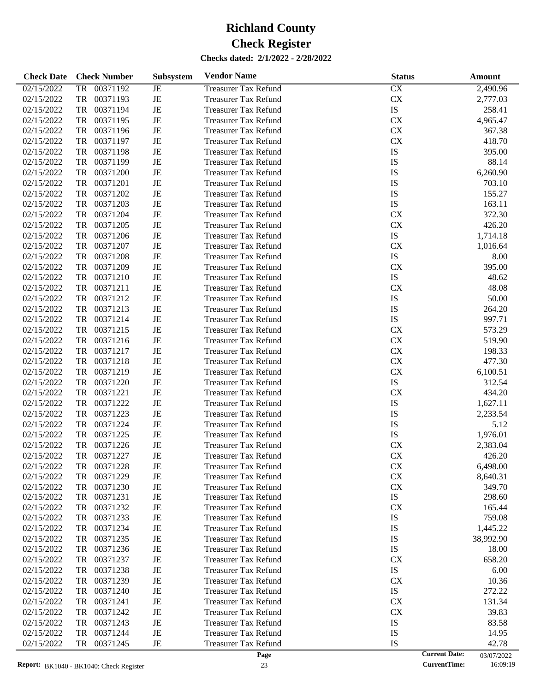| <b>Check Date</b> | <b>Check Number</b>   | Subsystem   | <b>Vendor Name</b>          | <b>Status</b>          | <b>Amount</b>                      |
|-------------------|-----------------------|-------------|-----------------------------|------------------------|------------------------------------|
| 02/15/2022        | 00371192<br><b>TR</b> | JE          | <b>Treasurer Tax Refund</b> | $\overline{\text{CX}}$ | 2,490.96                           |
| 02/15/2022        | TR<br>00371193        | JE          | <b>Treasurer Tax Refund</b> | CX                     | 2,777.03                           |
| 02/15/2022        | TR<br>00371194        | JE          | <b>Treasurer Tax Refund</b> | $\mathbf{IS}$          | 258.41                             |
| 02/15/2022        | 00371195<br>TR        | JE          | <b>Treasurer Tax Refund</b> | ${\rm CX}$             | 4,965.47                           |
| 02/15/2022        | 00371196<br>TR        | JE          | <b>Treasurer Tax Refund</b> | ${\rm CX}$             | 367.38                             |
| 02/15/2022        | 00371197<br>TR        | JE          | <b>Treasurer Tax Refund</b> | CX                     | 418.70                             |
| 02/15/2022        | 00371198<br>TR        | JE          | <b>Treasurer Tax Refund</b> | IS                     | 395.00                             |
| 02/15/2022        | 00371199<br>TR        | JE          | <b>Treasurer Tax Refund</b> | <b>IS</b>              | 88.14                              |
| 02/15/2022        | TR<br>00371200        | JE          | <b>Treasurer Tax Refund</b> | IS                     | 6,260.90                           |
| 02/15/2022        | TR<br>00371201        | JE          | <b>Treasurer Tax Refund</b> | IS                     | 703.10                             |
| 02/15/2022        | TR<br>00371202        | JE          | <b>Treasurer Tax Refund</b> | IS                     | 155.27                             |
| 02/15/2022        | 00371203<br>TR        | JE          | <b>Treasurer Tax Refund</b> | IS                     | 163.11                             |
| 02/15/2022        | TR<br>00371204        | JE          | <b>Treasurer Tax Refund</b> | <b>CX</b>              | 372.30                             |
| 02/15/2022        | TR<br>00371205        | JE          | <b>Treasurer Tax Refund</b> | CX                     | 426.20                             |
| 02/15/2022        | TR<br>00371206        | JE          | <b>Treasurer Tax Refund</b> | IS                     | 1,714.18                           |
| 02/15/2022        | 00371207<br>TR        | JE          | <b>Treasurer Tax Refund</b> | CX                     | 1,016.64                           |
| 02/15/2022        | TR<br>00371208        | JE          | <b>Treasurer Tax Refund</b> | IS                     | 8.00                               |
| 02/15/2022        | TR<br>00371209        | JE          | <b>Treasurer Tax Refund</b> | CX                     | 395.00                             |
| 02/15/2022        | TR<br>00371210        | JE          | <b>Treasurer Tax Refund</b> | IS                     | 48.62                              |
| 02/15/2022        | 00371211<br>TR        | JE          | <b>Treasurer Tax Refund</b> | CX                     | 48.08                              |
| 02/15/2022        | TR<br>00371212        | JE          | <b>Treasurer Tax Refund</b> | IS                     | 50.00                              |
| 02/15/2022        | TR<br>00371213        | JE          | <b>Treasurer Tax Refund</b> | IS                     | 264.20                             |
| 02/15/2022        | TR<br>00371214        | JE          | <b>Treasurer Tax Refund</b> | IS                     | 997.71                             |
| 02/15/2022        | TR<br>00371215        | JE          | <b>Treasurer Tax Refund</b> | ${\rm CX}$             | 573.29                             |
| 02/15/2022        | TR<br>00371216        | JE          | <b>Treasurer Tax Refund</b> | ${\rm CX}$             | 519.90                             |
| 02/15/2022        | TR<br>00371217        | JE          | <b>Treasurer Tax Refund</b> | ${\rm CX}$             | 198.33                             |
| 02/15/2022        | TR<br>00371218        | JE          | <b>Treasurer Tax Refund</b> | ${\rm CX}$             | 477.30                             |
| 02/15/2022        | TR<br>00371219        | JE          | <b>Treasurer Tax Refund</b> | CX                     | 6,100.51                           |
| 02/15/2022        | TR<br>00371220        | JE          | <b>Treasurer Tax Refund</b> | IS                     | 312.54                             |
| 02/15/2022        | TR<br>00371221        | JE          | <b>Treasurer Tax Refund</b> | <b>CX</b>              | 434.20                             |
| 02/15/2022        | 00371222<br>TR        | JE          | <b>Treasurer Tax Refund</b> | IS                     | 1,627.11                           |
| 02/15/2022        | 00371223<br>TR        | JE          | <b>Treasurer Tax Refund</b> | IS                     | 2,233.54                           |
| 02/15/2022        | TR<br>00371224        | JE          | <b>Treasurer Tax Refund</b> | IS                     | 5.12                               |
| 02/15/2022        | TR<br>00371225        | JE          | <b>Treasurer Tax Refund</b> | IS                     | 1,976.01                           |
| 02/15/2022        | 00371226<br>TR        | JE          | <b>Treasurer Tax Refund</b> | CX                     | 2,383.04                           |
| 02/15/2022        | <b>TR</b><br>00371227 | JE          | <b>Treasurer Tax Refund</b> | CX                     | 426.20                             |
| 02/15/2022        | 00371228<br>TR        | JE          | <b>Treasurer Tax Refund</b> | CX                     | 6,498.00                           |
| 02/15/2022        | 00371229<br>TR        | JE          | <b>Treasurer Tax Refund</b> | ${\rm CX}$             | 8,640.31                           |
| 02/15/2022        | TR<br>00371230        | JE          | <b>Treasurer Tax Refund</b> | CX                     | 349.70                             |
| 02/15/2022        | 00371231<br>TR        | JE          | <b>Treasurer Tax Refund</b> | ${\rm IS}$             | 298.60                             |
| 02/15/2022        | 00371232<br>TR        | JE          | <b>Treasurer Tax Refund</b> | <b>CX</b>              | 165.44                             |
| 02/15/2022        | TR<br>00371233        | JE          | <b>Treasurer Tax Refund</b> | IS                     | 759.08                             |
| 02/15/2022        | TR<br>00371234        | JE          | <b>Treasurer Tax Refund</b> | IS                     | 1,445.22                           |
| 02/15/2022        | 00371235<br>TR        | JE          | <b>Treasurer Tax Refund</b> | IS                     | 38,992.90                          |
| 02/15/2022        | 00371236<br>TR        | JE          | <b>Treasurer Tax Refund</b> | ${\rm IS}$             | 18.00                              |
| 02/15/2022        | TR<br>00371237        | JE          | <b>Treasurer Tax Refund</b> | <b>CX</b>              | 658.20                             |
| 02/15/2022        | TR<br>00371238        | JE          | <b>Treasurer Tax Refund</b> | ${\rm IS}$             | 6.00                               |
| 02/15/2022        | 00371239<br>TR        | JE          | <b>Treasurer Tax Refund</b> | <b>CX</b>              | 10.36                              |
| 02/15/2022        | 00371240<br>TR        | JE          | <b>Treasurer Tax Refund</b> | ${\rm IS}$             | 272.22                             |
| 02/15/2022        | TR<br>00371241        | JE          | <b>Treasurer Tax Refund</b> | <b>CX</b>              | 131.34                             |
| 02/15/2022        | TR<br>00371242        | JE          | <b>Treasurer Tax Refund</b> | <b>CX</b>              | 39.83                              |
| 02/15/2022        | 00371243<br>TR        | JE          | <b>Treasurer Tax Refund</b> | IS                     | 83.58                              |
| 02/15/2022        | 00371244<br>TR        | JE          | <b>Treasurer Tax Refund</b> | IS                     | 14.95                              |
| 02/15/2022        | TR<br>00371245        | $_{\rm JE}$ | <b>Treasurer Tax Refund</b> | IS                     | 42.78                              |
|                   |                       |             | Page                        |                        | <b>Current Date:</b><br>03/07/2022 |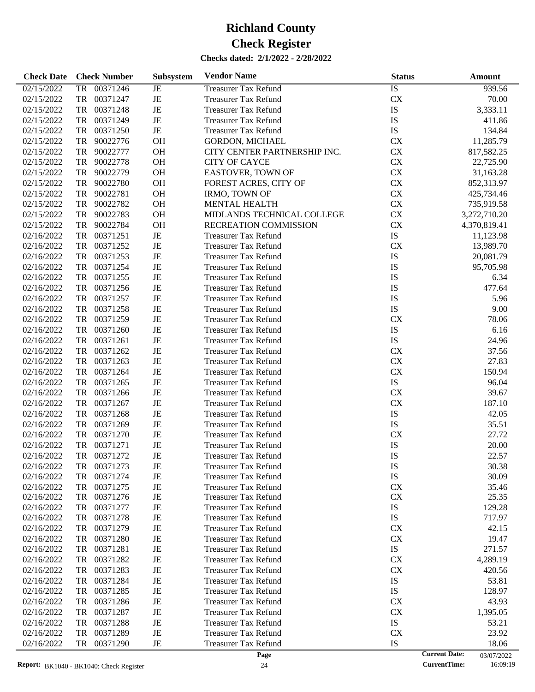| 00371246<br>IS<br>02/15/2022<br><b>Treasurer Tax Refund</b><br>939.56<br>TR<br>JE<br>JE<br>CX<br>02/15/2022<br>TR<br>00371247<br>70.00<br><b>Treasurer Tax Refund</b><br>JE<br>IS<br>TR<br>00371248<br>3,333.11<br>02/15/2022<br><b>Treasurer Tax Refund</b><br>IS<br>TR<br>00371249<br>JE<br>02/15/2022<br><b>Treasurer Tax Refund</b><br>411.86<br>$\rm{JE}$<br>${\rm IS}$<br>TR<br>00371250<br>02/15/2022<br><b>Treasurer Tax Refund</b><br>134.84<br>OH<br>CX<br>TR<br>90022776<br>11,285.79<br>02/15/2022<br><b>GORDON, MICHAEL</b><br>OH<br>CX<br>TR<br>90022777<br>02/15/2022<br>CITY CENTER PARTNERSHIP INC.<br>817,582.25<br>OH<br>CX<br>TR<br>90022778<br><b>CITY OF CAYCE</b><br>02/15/2022<br>22,725.90<br>OH<br>CX<br>TR<br>90022779<br>02/15/2022<br><b>EASTOVER, TOWN OF</b><br>31,163.28<br>OH<br>${\rm CX}$<br>TR<br>90022780<br>02/15/2022<br>FOREST ACRES, CITY OF<br>852,313.97<br>OH<br>CX<br>TR<br>90022781<br>02/15/2022<br><b>IRMO, TOWN OF</b><br>425,734.46<br>OH<br>CX<br>TR<br>90022782<br>02/15/2022<br><b>MENTAL HEALTH</b><br>735,919.58<br>OH<br>${\rm CX}$<br>TR<br>90022783<br>MIDLANDS TECHNICAL COLLEGE<br>02/15/2022<br>3,272,710.20<br>OH<br>CX<br>TR<br>90022784<br>RECREATION COMMISSION<br>02/15/2022<br>4,370,819.41<br>${\rm IS}$<br>TR<br>00371251<br>JE<br>02/16/2022<br><b>Treasurer Tax Refund</b><br>11,123.98<br>CX<br>TR<br>00371252<br>JE<br>02/16/2022<br><b>Treasurer Tax Refund</b><br>13,989.70<br>IS<br>TR<br>00371253<br>JE<br>02/16/2022<br><b>Treasurer Tax Refund</b><br>20,081.79<br>JE<br>IS<br>TR<br>00371254<br>02/16/2022<br><b>Treasurer Tax Refund</b><br>95,705.98<br>IS<br>TR<br>00371255<br>JE<br>02/16/2022<br><b>Treasurer Tax Refund</b><br>6.34<br>IS<br>TR<br>00371256<br>JE<br>02/16/2022<br><b>Treasurer Tax Refund</b><br>477.64<br>IS<br>TR<br>00371257<br>JE<br>02/16/2022<br><b>Treasurer Tax Refund</b><br>5.96<br>JE<br>${\rm IS}$<br>TR<br>00371258<br>9.00<br>02/16/2022<br><b>Treasurer Tax Refund</b><br>JE<br>CX<br>TR<br>00371259<br>02/16/2022<br><b>Treasurer Tax Refund</b><br>78.06<br>IS<br>TR<br>00371260<br>JE<br>6.16<br>02/16/2022<br><b>Treasurer Tax Refund</b><br>${\rm IS}$<br>TR<br>00371261<br>JE<br>24.96<br>02/16/2022<br><b>Treasurer Tax Refund</b><br>JE<br>CX<br>TR<br>00371262<br>37.56<br>02/16/2022<br><b>Treasurer Tax Refund</b><br>CX<br>TR<br>00371263<br>JE<br>27.83<br>02/16/2022<br><b>Treasurer Tax Refund</b><br>CX<br>TR<br>00371264<br>JE<br>02/16/2022<br><b>Treasurer Tax Refund</b><br>150.94<br>${\rm IS}$<br>TR<br>00371265<br>JE<br>96.04<br>02/16/2022<br><b>Treasurer Tax Refund</b><br>JE<br>CX<br>TR<br>00371266<br>39.67<br>02/16/2022<br><b>Treasurer Tax Refund</b><br>CX<br>TR<br>00371267<br>JE<br>187.10<br>02/16/2022<br><b>Treasurer Tax Refund</b><br>IS<br>TR<br>00371268<br>JE<br>42.05<br>02/16/2022<br><b>Treasurer Tax Refund</b><br>${\rm IS}$<br>TR<br>00371269<br>JE<br>35.51<br>02/16/2022<br><b>Treasurer Tax Refund</b><br>CX<br>TR<br>00371270<br>JE<br>27.72<br>02/16/2022<br><b>Treasurer Tax Refund</b><br>IS<br>TR<br>00371271<br>JE<br>20.00<br>02/16/2022<br><b>Treasurer Tax Refund</b><br>IS<br>TR<br>00371272<br>JE<br>02/16/2022<br><b>Treasurer Tax Refund</b><br>22.57<br>02/16/2022<br>TR<br>00371273<br>JE<br>Treasurer Tax Refund<br>IS<br>30.38<br>02/16/2022<br>00371274<br>IS<br>30.09<br>TR<br>JE<br><b>Treasurer Tax Refund</b><br>CX<br>02/16/2022<br>00371275<br>JE<br>TR<br><b>Treasurer Tax Refund</b><br>35.46<br>JE<br><b>CX</b><br>02/16/2022<br>TR<br>00371276<br>25.35<br>Treasurer Tax Refund<br>IS<br>00371277<br>JE<br>02/16/2022<br>TR<br>129.28<br>Treasurer Tax Refund<br>IS<br>00371278<br>JE<br>02/16/2022<br>TR<br><b>Treasurer Tax Refund</b><br>717.97<br>00371279<br>JE<br>02/16/2022<br>TR<br><b>Treasurer Tax Refund</b><br><b>CX</b><br>42.15<br>00371280<br>JE<br><b>CX</b><br>02/16/2022<br>TR<br><b>Treasurer Tax Refund</b><br>19.47<br>${\rm IS}$<br>TR<br>00371281<br>JE<br>271.57<br>02/16/2022<br><b>Treasurer Tax Refund</b><br>00371282<br>JE<br><b>CX</b><br>4,289.19<br>02/16/2022<br>TR<br><b>Treasurer Tax Refund</b><br>00371283<br>JE<br>02/16/2022<br>TR<br><b>Treasurer Tax Refund</b><br><b>CX</b><br>420.56<br>00371284<br>JE<br>IS<br>02/16/2022<br>TR<br><b>Treasurer Tax Refund</b><br>53.81<br>IS<br>TR<br>00371285<br>JE<br>128.97<br>02/16/2022<br><b>Treasurer Tax Refund</b><br>00371286<br>JE<br>02/16/2022<br>TR<br><b>Treasurer Tax Refund</b><br><b>CX</b><br>43.93<br>00371287<br>JE<br>02/16/2022<br>TR<br><b>Treasurer Tax Refund</b><br><b>CX</b><br>1,395.05<br>${\rm IS}$<br>00371288<br>JE<br>02/16/2022<br>TR<br><b>Treasurer Tax Refund</b><br>53.21<br>TR<br>00371289<br>JE<br><b>CX</b><br>02/16/2022<br><b>Treasurer Tax Refund</b><br>23.92<br>00371290<br>JE<br>IS<br>02/16/2022<br>TR<br><b>Treasurer Tax Refund</b><br>18.06<br><b>Current Date:</b><br>Page<br>03/07/2022 | <b>Check Date</b> | <b>Check Number</b> | <b>Subsystem</b> | <b>Vendor Name</b> | <b>Status</b> | Amount |
|-----------------------------------------------------------------------------------------------------------------------------------------------------------------------------------------------------------------------------------------------------------------------------------------------------------------------------------------------------------------------------------------------------------------------------------------------------------------------------------------------------------------------------------------------------------------------------------------------------------------------------------------------------------------------------------------------------------------------------------------------------------------------------------------------------------------------------------------------------------------------------------------------------------------------------------------------------------------------------------------------------------------------------------------------------------------------------------------------------------------------------------------------------------------------------------------------------------------------------------------------------------------------------------------------------------------------------------------------------------------------------------------------------------------------------------------------------------------------------------------------------------------------------------------------------------------------------------------------------------------------------------------------------------------------------------------------------------------------------------------------------------------------------------------------------------------------------------------------------------------------------------------------------------------------------------------------------------------------------------------------------------------------------------------------------------------------------------------------------------------------------------------------------------------------------------------------------------------------------------------------------------------------------------------------------------------------------------------------------------------------------------------------------------------------------------------------------------------------------------------------------------------------------------------------------------------------------------------------------------------------------------------------------------------------------------------------------------------------------------------------------------------------------------------------------------------------------------------------------------------------------------------------------------------------------------------------------------------------------------------------------------------------------------------------------------------------------------------------------------------------------------------------------------------------------------------------------------------------------------------------------------------------------------------------------------------------------------------------------------------------------------------------------------------------------------------------------------------------------------------------------------------------------------------------------------------------------------------------------------------------------------------------------------------------------------------------------------------------------------------------------------------------------------------------------------------------------------------------------------------------------------------------------------------------------------------------------------------------------------------------------------------------------------------------------------------------------------------------------------------------------------------------------------------------------------------------------------------------------------------------------------------------------------------------------------------------------------------------------------------------------------------------------------------------------------------------------------------------------------------------------------------------------------------------------------------------------------------------------------------------------------------------------------------------------------------------------------------------------------------------------------------------------------------------------------------------------------------------------------------------------------------------------------------------------------|-------------------|---------------------|------------------|--------------------|---------------|--------|
|                                                                                                                                                                                                                                                                                                                                                                                                                                                                                                                                                                                                                                                                                                                                                                                                                                                                                                                                                                                                                                                                                                                                                                                                                                                                                                                                                                                                                                                                                                                                                                                                                                                                                                                                                                                                                                                                                                                                                                                                                                                                                                                                                                                                                                                                                                                                                                                                                                                                                                                                                                                                                                                                                                                                                                                                                                                                                                                                                                                                                                                                                                                                                                                                                                                                                                                                                                                                                                                                                                                                                                                                                                                                                                                                                                                                                                                                                                                                                                                                                                                                                                                                                                                                                                                                                                                                                                                                                                                                                                                                                                                                                                                                                                                                                                                                                                                                                                                                   |                   |                     |                  |                    |               |        |
|                                                                                                                                                                                                                                                                                                                                                                                                                                                                                                                                                                                                                                                                                                                                                                                                                                                                                                                                                                                                                                                                                                                                                                                                                                                                                                                                                                                                                                                                                                                                                                                                                                                                                                                                                                                                                                                                                                                                                                                                                                                                                                                                                                                                                                                                                                                                                                                                                                                                                                                                                                                                                                                                                                                                                                                                                                                                                                                                                                                                                                                                                                                                                                                                                                                                                                                                                                                                                                                                                                                                                                                                                                                                                                                                                                                                                                                                                                                                                                                                                                                                                                                                                                                                                                                                                                                                                                                                                                                                                                                                                                                                                                                                                                                                                                                                                                                                                                                                   |                   |                     |                  |                    |               |        |
|                                                                                                                                                                                                                                                                                                                                                                                                                                                                                                                                                                                                                                                                                                                                                                                                                                                                                                                                                                                                                                                                                                                                                                                                                                                                                                                                                                                                                                                                                                                                                                                                                                                                                                                                                                                                                                                                                                                                                                                                                                                                                                                                                                                                                                                                                                                                                                                                                                                                                                                                                                                                                                                                                                                                                                                                                                                                                                                                                                                                                                                                                                                                                                                                                                                                                                                                                                                                                                                                                                                                                                                                                                                                                                                                                                                                                                                                                                                                                                                                                                                                                                                                                                                                                                                                                                                                                                                                                                                                                                                                                                                                                                                                                                                                                                                                                                                                                                                                   |                   |                     |                  |                    |               |        |
|                                                                                                                                                                                                                                                                                                                                                                                                                                                                                                                                                                                                                                                                                                                                                                                                                                                                                                                                                                                                                                                                                                                                                                                                                                                                                                                                                                                                                                                                                                                                                                                                                                                                                                                                                                                                                                                                                                                                                                                                                                                                                                                                                                                                                                                                                                                                                                                                                                                                                                                                                                                                                                                                                                                                                                                                                                                                                                                                                                                                                                                                                                                                                                                                                                                                                                                                                                                                                                                                                                                                                                                                                                                                                                                                                                                                                                                                                                                                                                                                                                                                                                                                                                                                                                                                                                                                                                                                                                                                                                                                                                                                                                                                                                                                                                                                                                                                                                                                   |                   |                     |                  |                    |               |        |
|                                                                                                                                                                                                                                                                                                                                                                                                                                                                                                                                                                                                                                                                                                                                                                                                                                                                                                                                                                                                                                                                                                                                                                                                                                                                                                                                                                                                                                                                                                                                                                                                                                                                                                                                                                                                                                                                                                                                                                                                                                                                                                                                                                                                                                                                                                                                                                                                                                                                                                                                                                                                                                                                                                                                                                                                                                                                                                                                                                                                                                                                                                                                                                                                                                                                                                                                                                                                                                                                                                                                                                                                                                                                                                                                                                                                                                                                                                                                                                                                                                                                                                                                                                                                                                                                                                                                                                                                                                                                                                                                                                                                                                                                                                                                                                                                                                                                                                                                   |                   |                     |                  |                    |               |        |
|                                                                                                                                                                                                                                                                                                                                                                                                                                                                                                                                                                                                                                                                                                                                                                                                                                                                                                                                                                                                                                                                                                                                                                                                                                                                                                                                                                                                                                                                                                                                                                                                                                                                                                                                                                                                                                                                                                                                                                                                                                                                                                                                                                                                                                                                                                                                                                                                                                                                                                                                                                                                                                                                                                                                                                                                                                                                                                                                                                                                                                                                                                                                                                                                                                                                                                                                                                                                                                                                                                                                                                                                                                                                                                                                                                                                                                                                                                                                                                                                                                                                                                                                                                                                                                                                                                                                                                                                                                                                                                                                                                                                                                                                                                                                                                                                                                                                                                                                   |                   |                     |                  |                    |               |        |
|                                                                                                                                                                                                                                                                                                                                                                                                                                                                                                                                                                                                                                                                                                                                                                                                                                                                                                                                                                                                                                                                                                                                                                                                                                                                                                                                                                                                                                                                                                                                                                                                                                                                                                                                                                                                                                                                                                                                                                                                                                                                                                                                                                                                                                                                                                                                                                                                                                                                                                                                                                                                                                                                                                                                                                                                                                                                                                                                                                                                                                                                                                                                                                                                                                                                                                                                                                                                                                                                                                                                                                                                                                                                                                                                                                                                                                                                                                                                                                                                                                                                                                                                                                                                                                                                                                                                                                                                                                                                                                                                                                                                                                                                                                                                                                                                                                                                                                                                   |                   |                     |                  |                    |               |        |
|                                                                                                                                                                                                                                                                                                                                                                                                                                                                                                                                                                                                                                                                                                                                                                                                                                                                                                                                                                                                                                                                                                                                                                                                                                                                                                                                                                                                                                                                                                                                                                                                                                                                                                                                                                                                                                                                                                                                                                                                                                                                                                                                                                                                                                                                                                                                                                                                                                                                                                                                                                                                                                                                                                                                                                                                                                                                                                                                                                                                                                                                                                                                                                                                                                                                                                                                                                                                                                                                                                                                                                                                                                                                                                                                                                                                                                                                                                                                                                                                                                                                                                                                                                                                                                                                                                                                                                                                                                                                                                                                                                                                                                                                                                                                                                                                                                                                                                                                   |                   |                     |                  |                    |               |        |
|                                                                                                                                                                                                                                                                                                                                                                                                                                                                                                                                                                                                                                                                                                                                                                                                                                                                                                                                                                                                                                                                                                                                                                                                                                                                                                                                                                                                                                                                                                                                                                                                                                                                                                                                                                                                                                                                                                                                                                                                                                                                                                                                                                                                                                                                                                                                                                                                                                                                                                                                                                                                                                                                                                                                                                                                                                                                                                                                                                                                                                                                                                                                                                                                                                                                                                                                                                                                                                                                                                                                                                                                                                                                                                                                                                                                                                                                                                                                                                                                                                                                                                                                                                                                                                                                                                                                                                                                                                                                                                                                                                                                                                                                                                                                                                                                                                                                                                                                   |                   |                     |                  |                    |               |        |
|                                                                                                                                                                                                                                                                                                                                                                                                                                                                                                                                                                                                                                                                                                                                                                                                                                                                                                                                                                                                                                                                                                                                                                                                                                                                                                                                                                                                                                                                                                                                                                                                                                                                                                                                                                                                                                                                                                                                                                                                                                                                                                                                                                                                                                                                                                                                                                                                                                                                                                                                                                                                                                                                                                                                                                                                                                                                                                                                                                                                                                                                                                                                                                                                                                                                                                                                                                                                                                                                                                                                                                                                                                                                                                                                                                                                                                                                                                                                                                                                                                                                                                                                                                                                                                                                                                                                                                                                                                                                                                                                                                                                                                                                                                                                                                                                                                                                                                                                   |                   |                     |                  |                    |               |        |
|                                                                                                                                                                                                                                                                                                                                                                                                                                                                                                                                                                                                                                                                                                                                                                                                                                                                                                                                                                                                                                                                                                                                                                                                                                                                                                                                                                                                                                                                                                                                                                                                                                                                                                                                                                                                                                                                                                                                                                                                                                                                                                                                                                                                                                                                                                                                                                                                                                                                                                                                                                                                                                                                                                                                                                                                                                                                                                                                                                                                                                                                                                                                                                                                                                                                                                                                                                                                                                                                                                                                                                                                                                                                                                                                                                                                                                                                                                                                                                                                                                                                                                                                                                                                                                                                                                                                                                                                                                                                                                                                                                                                                                                                                                                                                                                                                                                                                                                                   |                   |                     |                  |                    |               |        |
|                                                                                                                                                                                                                                                                                                                                                                                                                                                                                                                                                                                                                                                                                                                                                                                                                                                                                                                                                                                                                                                                                                                                                                                                                                                                                                                                                                                                                                                                                                                                                                                                                                                                                                                                                                                                                                                                                                                                                                                                                                                                                                                                                                                                                                                                                                                                                                                                                                                                                                                                                                                                                                                                                                                                                                                                                                                                                                                                                                                                                                                                                                                                                                                                                                                                                                                                                                                                                                                                                                                                                                                                                                                                                                                                                                                                                                                                                                                                                                                                                                                                                                                                                                                                                                                                                                                                                                                                                                                                                                                                                                                                                                                                                                                                                                                                                                                                                                                                   |                   |                     |                  |                    |               |        |
|                                                                                                                                                                                                                                                                                                                                                                                                                                                                                                                                                                                                                                                                                                                                                                                                                                                                                                                                                                                                                                                                                                                                                                                                                                                                                                                                                                                                                                                                                                                                                                                                                                                                                                                                                                                                                                                                                                                                                                                                                                                                                                                                                                                                                                                                                                                                                                                                                                                                                                                                                                                                                                                                                                                                                                                                                                                                                                                                                                                                                                                                                                                                                                                                                                                                                                                                                                                                                                                                                                                                                                                                                                                                                                                                                                                                                                                                                                                                                                                                                                                                                                                                                                                                                                                                                                                                                                                                                                                                                                                                                                                                                                                                                                                                                                                                                                                                                                                                   |                   |                     |                  |                    |               |        |
|                                                                                                                                                                                                                                                                                                                                                                                                                                                                                                                                                                                                                                                                                                                                                                                                                                                                                                                                                                                                                                                                                                                                                                                                                                                                                                                                                                                                                                                                                                                                                                                                                                                                                                                                                                                                                                                                                                                                                                                                                                                                                                                                                                                                                                                                                                                                                                                                                                                                                                                                                                                                                                                                                                                                                                                                                                                                                                                                                                                                                                                                                                                                                                                                                                                                                                                                                                                                                                                                                                                                                                                                                                                                                                                                                                                                                                                                                                                                                                                                                                                                                                                                                                                                                                                                                                                                                                                                                                                                                                                                                                                                                                                                                                                                                                                                                                                                                                                                   |                   |                     |                  |                    |               |        |
|                                                                                                                                                                                                                                                                                                                                                                                                                                                                                                                                                                                                                                                                                                                                                                                                                                                                                                                                                                                                                                                                                                                                                                                                                                                                                                                                                                                                                                                                                                                                                                                                                                                                                                                                                                                                                                                                                                                                                                                                                                                                                                                                                                                                                                                                                                                                                                                                                                                                                                                                                                                                                                                                                                                                                                                                                                                                                                                                                                                                                                                                                                                                                                                                                                                                                                                                                                                                                                                                                                                                                                                                                                                                                                                                                                                                                                                                                                                                                                                                                                                                                                                                                                                                                                                                                                                                                                                                                                                                                                                                                                                                                                                                                                                                                                                                                                                                                                                                   |                   |                     |                  |                    |               |        |
|                                                                                                                                                                                                                                                                                                                                                                                                                                                                                                                                                                                                                                                                                                                                                                                                                                                                                                                                                                                                                                                                                                                                                                                                                                                                                                                                                                                                                                                                                                                                                                                                                                                                                                                                                                                                                                                                                                                                                                                                                                                                                                                                                                                                                                                                                                                                                                                                                                                                                                                                                                                                                                                                                                                                                                                                                                                                                                                                                                                                                                                                                                                                                                                                                                                                                                                                                                                                                                                                                                                                                                                                                                                                                                                                                                                                                                                                                                                                                                                                                                                                                                                                                                                                                                                                                                                                                                                                                                                                                                                                                                                                                                                                                                                                                                                                                                                                                                                                   |                   |                     |                  |                    |               |        |
|                                                                                                                                                                                                                                                                                                                                                                                                                                                                                                                                                                                                                                                                                                                                                                                                                                                                                                                                                                                                                                                                                                                                                                                                                                                                                                                                                                                                                                                                                                                                                                                                                                                                                                                                                                                                                                                                                                                                                                                                                                                                                                                                                                                                                                                                                                                                                                                                                                                                                                                                                                                                                                                                                                                                                                                                                                                                                                                                                                                                                                                                                                                                                                                                                                                                                                                                                                                                                                                                                                                                                                                                                                                                                                                                                                                                                                                                                                                                                                                                                                                                                                                                                                                                                                                                                                                                                                                                                                                                                                                                                                                                                                                                                                                                                                                                                                                                                                                                   |                   |                     |                  |                    |               |        |
|                                                                                                                                                                                                                                                                                                                                                                                                                                                                                                                                                                                                                                                                                                                                                                                                                                                                                                                                                                                                                                                                                                                                                                                                                                                                                                                                                                                                                                                                                                                                                                                                                                                                                                                                                                                                                                                                                                                                                                                                                                                                                                                                                                                                                                                                                                                                                                                                                                                                                                                                                                                                                                                                                                                                                                                                                                                                                                                                                                                                                                                                                                                                                                                                                                                                                                                                                                                                                                                                                                                                                                                                                                                                                                                                                                                                                                                                                                                                                                                                                                                                                                                                                                                                                                                                                                                                                                                                                                                                                                                                                                                                                                                                                                                                                                                                                                                                                                                                   |                   |                     |                  |                    |               |        |
|                                                                                                                                                                                                                                                                                                                                                                                                                                                                                                                                                                                                                                                                                                                                                                                                                                                                                                                                                                                                                                                                                                                                                                                                                                                                                                                                                                                                                                                                                                                                                                                                                                                                                                                                                                                                                                                                                                                                                                                                                                                                                                                                                                                                                                                                                                                                                                                                                                                                                                                                                                                                                                                                                                                                                                                                                                                                                                                                                                                                                                                                                                                                                                                                                                                                                                                                                                                                                                                                                                                                                                                                                                                                                                                                                                                                                                                                                                                                                                                                                                                                                                                                                                                                                                                                                                                                                                                                                                                                                                                                                                                                                                                                                                                                                                                                                                                                                                                                   |                   |                     |                  |                    |               |        |
|                                                                                                                                                                                                                                                                                                                                                                                                                                                                                                                                                                                                                                                                                                                                                                                                                                                                                                                                                                                                                                                                                                                                                                                                                                                                                                                                                                                                                                                                                                                                                                                                                                                                                                                                                                                                                                                                                                                                                                                                                                                                                                                                                                                                                                                                                                                                                                                                                                                                                                                                                                                                                                                                                                                                                                                                                                                                                                                                                                                                                                                                                                                                                                                                                                                                                                                                                                                                                                                                                                                                                                                                                                                                                                                                                                                                                                                                                                                                                                                                                                                                                                                                                                                                                                                                                                                                                                                                                                                                                                                                                                                                                                                                                                                                                                                                                                                                                                                                   |                   |                     |                  |                    |               |        |
|                                                                                                                                                                                                                                                                                                                                                                                                                                                                                                                                                                                                                                                                                                                                                                                                                                                                                                                                                                                                                                                                                                                                                                                                                                                                                                                                                                                                                                                                                                                                                                                                                                                                                                                                                                                                                                                                                                                                                                                                                                                                                                                                                                                                                                                                                                                                                                                                                                                                                                                                                                                                                                                                                                                                                                                                                                                                                                                                                                                                                                                                                                                                                                                                                                                                                                                                                                                                                                                                                                                                                                                                                                                                                                                                                                                                                                                                                                                                                                                                                                                                                                                                                                                                                                                                                                                                                                                                                                                                                                                                                                                                                                                                                                                                                                                                                                                                                                                                   |                   |                     |                  |                    |               |        |
|                                                                                                                                                                                                                                                                                                                                                                                                                                                                                                                                                                                                                                                                                                                                                                                                                                                                                                                                                                                                                                                                                                                                                                                                                                                                                                                                                                                                                                                                                                                                                                                                                                                                                                                                                                                                                                                                                                                                                                                                                                                                                                                                                                                                                                                                                                                                                                                                                                                                                                                                                                                                                                                                                                                                                                                                                                                                                                                                                                                                                                                                                                                                                                                                                                                                                                                                                                                                                                                                                                                                                                                                                                                                                                                                                                                                                                                                                                                                                                                                                                                                                                                                                                                                                                                                                                                                                                                                                                                                                                                                                                                                                                                                                                                                                                                                                                                                                                                                   |                   |                     |                  |                    |               |        |
|                                                                                                                                                                                                                                                                                                                                                                                                                                                                                                                                                                                                                                                                                                                                                                                                                                                                                                                                                                                                                                                                                                                                                                                                                                                                                                                                                                                                                                                                                                                                                                                                                                                                                                                                                                                                                                                                                                                                                                                                                                                                                                                                                                                                                                                                                                                                                                                                                                                                                                                                                                                                                                                                                                                                                                                                                                                                                                                                                                                                                                                                                                                                                                                                                                                                                                                                                                                                                                                                                                                                                                                                                                                                                                                                                                                                                                                                                                                                                                                                                                                                                                                                                                                                                                                                                                                                                                                                                                                                                                                                                                                                                                                                                                                                                                                                                                                                                                                                   |                   |                     |                  |                    |               |        |
|                                                                                                                                                                                                                                                                                                                                                                                                                                                                                                                                                                                                                                                                                                                                                                                                                                                                                                                                                                                                                                                                                                                                                                                                                                                                                                                                                                                                                                                                                                                                                                                                                                                                                                                                                                                                                                                                                                                                                                                                                                                                                                                                                                                                                                                                                                                                                                                                                                                                                                                                                                                                                                                                                                                                                                                                                                                                                                                                                                                                                                                                                                                                                                                                                                                                                                                                                                                                                                                                                                                                                                                                                                                                                                                                                                                                                                                                                                                                                                                                                                                                                                                                                                                                                                                                                                                                                                                                                                                                                                                                                                                                                                                                                                                                                                                                                                                                                                                                   |                   |                     |                  |                    |               |        |
|                                                                                                                                                                                                                                                                                                                                                                                                                                                                                                                                                                                                                                                                                                                                                                                                                                                                                                                                                                                                                                                                                                                                                                                                                                                                                                                                                                                                                                                                                                                                                                                                                                                                                                                                                                                                                                                                                                                                                                                                                                                                                                                                                                                                                                                                                                                                                                                                                                                                                                                                                                                                                                                                                                                                                                                                                                                                                                                                                                                                                                                                                                                                                                                                                                                                                                                                                                                                                                                                                                                                                                                                                                                                                                                                                                                                                                                                                                                                                                                                                                                                                                                                                                                                                                                                                                                                                                                                                                                                                                                                                                                                                                                                                                                                                                                                                                                                                                                                   |                   |                     |                  |                    |               |        |
|                                                                                                                                                                                                                                                                                                                                                                                                                                                                                                                                                                                                                                                                                                                                                                                                                                                                                                                                                                                                                                                                                                                                                                                                                                                                                                                                                                                                                                                                                                                                                                                                                                                                                                                                                                                                                                                                                                                                                                                                                                                                                                                                                                                                                                                                                                                                                                                                                                                                                                                                                                                                                                                                                                                                                                                                                                                                                                                                                                                                                                                                                                                                                                                                                                                                                                                                                                                                                                                                                                                                                                                                                                                                                                                                                                                                                                                                                                                                                                                                                                                                                                                                                                                                                                                                                                                                                                                                                                                                                                                                                                                                                                                                                                                                                                                                                                                                                                                                   |                   |                     |                  |                    |               |        |
|                                                                                                                                                                                                                                                                                                                                                                                                                                                                                                                                                                                                                                                                                                                                                                                                                                                                                                                                                                                                                                                                                                                                                                                                                                                                                                                                                                                                                                                                                                                                                                                                                                                                                                                                                                                                                                                                                                                                                                                                                                                                                                                                                                                                                                                                                                                                                                                                                                                                                                                                                                                                                                                                                                                                                                                                                                                                                                                                                                                                                                                                                                                                                                                                                                                                                                                                                                                                                                                                                                                                                                                                                                                                                                                                                                                                                                                                                                                                                                                                                                                                                                                                                                                                                                                                                                                                                                                                                                                                                                                                                                                                                                                                                                                                                                                                                                                                                                                                   |                   |                     |                  |                    |               |        |
|                                                                                                                                                                                                                                                                                                                                                                                                                                                                                                                                                                                                                                                                                                                                                                                                                                                                                                                                                                                                                                                                                                                                                                                                                                                                                                                                                                                                                                                                                                                                                                                                                                                                                                                                                                                                                                                                                                                                                                                                                                                                                                                                                                                                                                                                                                                                                                                                                                                                                                                                                                                                                                                                                                                                                                                                                                                                                                                                                                                                                                                                                                                                                                                                                                                                                                                                                                                                                                                                                                                                                                                                                                                                                                                                                                                                                                                                                                                                                                                                                                                                                                                                                                                                                                                                                                                                                                                                                                                                                                                                                                                                                                                                                                                                                                                                                                                                                                                                   |                   |                     |                  |                    |               |        |
|                                                                                                                                                                                                                                                                                                                                                                                                                                                                                                                                                                                                                                                                                                                                                                                                                                                                                                                                                                                                                                                                                                                                                                                                                                                                                                                                                                                                                                                                                                                                                                                                                                                                                                                                                                                                                                                                                                                                                                                                                                                                                                                                                                                                                                                                                                                                                                                                                                                                                                                                                                                                                                                                                                                                                                                                                                                                                                                                                                                                                                                                                                                                                                                                                                                                                                                                                                                                                                                                                                                                                                                                                                                                                                                                                                                                                                                                                                                                                                                                                                                                                                                                                                                                                                                                                                                                                                                                                                                                                                                                                                                                                                                                                                                                                                                                                                                                                                                                   |                   |                     |                  |                    |               |        |
|                                                                                                                                                                                                                                                                                                                                                                                                                                                                                                                                                                                                                                                                                                                                                                                                                                                                                                                                                                                                                                                                                                                                                                                                                                                                                                                                                                                                                                                                                                                                                                                                                                                                                                                                                                                                                                                                                                                                                                                                                                                                                                                                                                                                                                                                                                                                                                                                                                                                                                                                                                                                                                                                                                                                                                                                                                                                                                                                                                                                                                                                                                                                                                                                                                                                                                                                                                                                                                                                                                                                                                                                                                                                                                                                                                                                                                                                                                                                                                                                                                                                                                                                                                                                                                                                                                                                                                                                                                                                                                                                                                                                                                                                                                                                                                                                                                                                                                                                   |                   |                     |                  |                    |               |        |
|                                                                                                                                                                                                                                                                                                                                                                                                                                                                                                                                                                                                                                                                                                                                                                                                                                                                                                                                                                                                                                                                                                                                                                                                                                                                                                                                                                                                                                                                                                                                                                                                                                                                                                                                                                                                                                                                                                                                                                                                                                                                                                                                                                                                                                                                                                                                                                                                                                                                                                                                                                                                                                                                                                                                                                                                                                                                                                                                                                                                                                                                                                                                                                                                                                                                                                                                                                                                                                                                                                                                                                                                                                                                                                                                                                                                                                                                                                                                                                                                                                                                                                                                                                                                                                                                                                                                                                                                                                                                                                                                                                                                                                                                                                                                                                                                                                                                                                                                   |                   |                     |                  |                    |               |        |
|                                                                                                                                                                                                                                                                                                                                                                                                                                                                                                                                                                                                                                                                                                                                                                                                                                                                                                                                                                                                                                                                                                                                                                                                                                                                                                                                                                                                                                                                                                                                                                                                                                                                                                                                                                                                                                                                                                                                                                                                                                                                                                                                                                                                                                                                                                                                                                                                                                                                                                                                                                                                                                                                                                                                                                                                                                                                                                                                                                                                                                                                                                                                                                                                                                                                                                                                                                                                                                                                                                                                                                                                                                                                                                                                                                                                                                                                                                                                                                                                                                                                                                                                                                                                                                                                                                                                                                                                                                                                                                                                                                                                                                                                                                                                                                                                                                                                                                                                   |                   |                     |                  |                    |               |        |
|                                                                                                                                                                                                                                                                                                                                                                                                                                                                                                                                                                                                                                                                                                                                                                                                                                                                                                                                                                                                                                                                                                                                                                                                                                                                                                                                                                                                                                                                                                                                                                                                                                                                                                                                                                                                                                                                                                                                                                                                                                                                                                                                                                                                                                                                                                                                                                                                                                                                                                                                                                                                                                                                                                                                                                                                                                                                                                                                                                                                                                                                                                                                                                                                                                                                                                                                                                                                                                                                                                                                                                                                                                                                                                                                                                                                                                                                                                                                                                                                                                                                                                                                                                                                                                                                                                                                                                                                                                                                                                                                                                                                                                                                                                                                                                                                                                                                                                                                   |                   |                     |                  |                    |               |        |
|                                                                                                                                                                                                                                                                                                                                                                                                                                                                                                                                                                                                                                                                                                                                                                                                                                                                                                                                                                                                                                                                                                                                                                                                                                                                                                                                                                                                                                                                                                                                                                                                                                                                                                                                                                                                                                                                                                                                                                                                                                                                                                                                                                                                                                                                                                                                                                                                                                                                                                                                                                                                                                                                                                                                                                                                                                                                                                                                                                                                                                                                                                                                                                                                                                                                                                                                                                                                                                                                                                                                                                                                                                                                                                                                                                                                                                                                                                                                                                                                                                                                                                                                                                                                                                                                                                                                                                                                                                                                                                                                                                                                                                                                                                                                                                                                                                                                                                                                   |                   |                     |                  |                    |               |        |
|                                                                                                                                                                                                                                                                                                                                                                                                                                                                                                                                                                                                                                                                                                                                                                                                                                                                                                                                                                                                                                                                                                                                                                                                                                                                                                                                                                                                                                                                                                                                                                                                                                                                                                                                                                                                                                                                                                                                                                                                                                                                                                                                                                                                                                                                                                                                                                                                                                                                                                                                                                                                                                                                                                                                                                                                                                                                                                                                                                                                                                                                                                                                                                                                                                                                                                                                                                                                                                                                                                                                                                                                                                                                                                                                                                                                                                                                                                                                                                                                                                                                                                                                                                                                                                                                                                                                                                                                                                                                                                                                                                                                                                                                                                                                                                                                                                                                                                                                   |                   |                     |                  |                    |               |        |
|                                                                                                                                                                                                                                                                                                                                                                                                                                                                                                                                                                                                                                                                                                                                                                                                                                                                                                                                                                                                                                                                                                                                                                                                                                                                                                                                                                                                                                                                                                                                                                                                                                                                                                                                                                                                                                                                                                                                                                                                                                                                                                                                                                                                                                                                                                                                                                                                                                                                                                                                                                                                                                                                                                                                                                                                                                                                                                                                                                                                                                                                                                                                                                                                                                                                                                                                                                                                                                                                                                                                                                                                                                                                                                                                                                                                                                                                                                                                                                                                                                                                                                                                                                                                                                                                                                                                                                                                                                                                                                                                                                                                                                                                                                                                                                                                                                                                                                                                   |                   |                     |                  |                    |               |        |
|                                                                                                                                                                                                                                                                                                                                                                                                                                                                                                                                                                                                                                                                                                                                                                                                                                                                                                                                                                                                                                                                                                                                                                                                                                                                                                                                                                                                                                                                                                                                                                                                                                                                                                                                                                                                                                                                                                                                                                                                                                                                                                                                                                                                                                                                                                                                                                                                                                                                                                                                                                                                                                                                                                                                                                                                                                                                                                                                                                                                                                                                                                                                                                                                                                                                                                                                                                                                                                                                                                                                                                                                                                                                                                                                                                                                                                                                                                                                                                                                                                                                                                                                                                                                                                                                                                                                                                                                                                                                                                                                                                                                                                                                                                                                                                                                                                                                                                                                   |                   |                     |                  |                    |               |        |
|                                                                                                                                                                                                                                                                                                                                                                                                                                                                                                                                                                                                                                                                                                                                                                                                                                                                                                                                                                                                                                                                                                                                                                                                                                                                                                                                                                                                                                                                                                                                                                                                                                                                                                                                                                                                                                                                                                                                                                                                                                                                                                                                                                                                                                                                                                                                                                                                                                                                                                                                                                                                                                                                                                                                                                                                                                                                                                                                                                                                                                                                                                                                                                                                                                                                                                                                                                                                                                                                                                                                                                                                                                                                                                                                                                                                                                                                                                                                                                                                                                                                                                                                                                                                                                                                                                                                                                                                                                                                                                                                                                                                                                                                                                                                                                                                                                                                                                                                   |                   |                     |                  |                    |               |        |
|                                                                                                                                                                                                                                                                                                                                                                                                                                                                                                                                                                                                                                                                                                                                                                                                                                                                                                                                                                                                                                                                                                                                                                                                                                                                                                                                                                                                                                                                                                                                                                                                                                                                                                                                                                                                                                                                                                                                                                                                                                                                                                                                                                                                                                                                                                                                                                                                                                                                                                                                                                                                                                                                                                                                                                                                                                                                                                                                                                                                                                                                                                                                                                                                                                                                                                                                                                                                                                                                                                                                                                                                                                                                                                                                                                                                                                                                                                                                                                                                                                                                                                                                                                                                                                                                                                                                                                                                                                                                                                                                                                                                                                                                                                                                                                                                                                                                                                                                   |                   |                     |                  |                    |               |        |
|                                                                                                                                                                                                                                                                                                                                                                                                                                                                                                                                                                                                                                                                                                                                                                                                                                                                                                                                                                                                                                                                                                                                                                                                                                                                                                                                                                                                                                                                                                                                                                                                                                                                                                                                                                                                                                                                                                                                                                                                                                                                                                                                                                                                                                                                                                                                                                                                                                                                                                                                                                                                                                                                                                                                                                                                                                                                                                                                                                                                                                                                                                                                                                                                                                                                                                                                                                                                                                                                                                                                                                                                                                                                                                                                                                                                                                                                                                                                                                                                                                                                                                                                                                                                                                                                                                                                                                                                                                                                                                                                                                                                                                                                                                                                                                                                                                                                                                                                   |                   |                     |                  |                    |               |        |
|                                                                                                                                                                                                                                                                                                                                                                                                                                                                                                                                                                                                                                                                                                                                                                                                                                                                                                                                                                                                                                                                                                                                                                                                                                                                                                                                                                                                                                                                                                                                                                                                                                                                                                                                                                                                                                                                                                                                                                                                                                                                                                                                                                                                                                                                                                                                                                                                                                                                                                                                                                                                                                                                                                                                                                                                                                                                                                                                                                                                                                                                                                                                                                                                                                                                                                                                                                                                                                                                                                                                                                                                                                                                                                                                                                                                                                                                                                                                                                                                                                                                                                                                                                                                                                                                                                                                                                                                                                                                                                                                                                                                                                                                                                                                                                                                                                                                                                                                   |                   |                     |                  |                    |               |        |
|                                                                                                                                                                                                                                                                                                                                                                                                                                                                                                                                                                                                                                                                                                                                                                                                                                                                                                                                                                                                                                                                                                                                                                                                                                                                                                                                                                                                                                                                                                                                                                                                                                                                                                                                                                                                                                                                                                                                                                                                                                                                                                                                                                                                                                                                                                                                                                                                                                                                                                                                                                                                                                                                                                                                                                                                                                                                                                                                                                                                                                                                                                                                                                                                                                                                                                                                                                                                                                                                                                                                                                                                                                                                                                                                                                                                                                                                                                                                                                                                                                                                                                                                                                                                                                                                                                                                                                                                                                                                                                                                                                                                                                                                                                                                                                                                                                                                                                                                   |                   |                     |                  |                    |               |        |
|                                                                                                                                                                                                                                                                                                                                                                                                                                                                                                                                                                                                                                                                                                                                                                                                                                                                                                                                                                                                                                                                                                                                                                                                                                                                                                                                                                                                                                                                                                                                                                                                                                                                                                                                                                                                                                                                                                                                                                                                                                                                                                                                                                                                                                                                                                                                                                                                                                                                                                                                                                                                                                                                                                                                                                                                                                                                                                                                                                                                                                                                                                                                                                                                                                                                                                                                                                                                                                                                                                                                                                                                                                                                                                                                                                                                                                                                                                                                                                                                                                                                                                                                                                                                                                                                                                                                                                                                                                                                                                                                                                                                                                                                                                                                                                                                                                                                                                                                   |                   |                     |                  |                    |               |        |
|                                                                                                                                                                                                                                                                                                                                                                                                                                                                                                                                                                                                                                                                                                                                                                                                                                                                                                                                                                                                                                                                                                                                                                                                                                                                                                                                                                                                                                                                                                                                                                                                                                                                                                                                                                                                                                                                                                                                                                                                                                                                                                                                                                                                                                                                                                                                                                                                                                                                                                                                                                                                                                                                                                                                                                                                                                                                                                                                                                                                                                                                                                                                                                                                                                                                                                                                                                                                                                                                                                                                                                                                                                                                                                                                                                                                                                                                                                                                                                                                                                                                                                                                                                                                                                                                                                                                                                                                                                                                                                                                                                                                                                                                                                                                                                                                                                                                                                                                   |                   |                     |                  |                    |               |        |
|                                                                                                                                                                                                                                                                                                                                                                                                                                                                                                                                                                                                                                                                                                                                                                                                                                                                                                                                                                                                                                                                                                                                                                                                                                                                                                                                                                                                                                                                                                                                                                                                                                                                                                                                                                                                                                                                                                                                                                                                                                                                                                                                                                                                                                                                                                                                                                                                                                                                                                                                                                                                                                                                                                                                                                                                                                                                                                                                                                                                                                                                                                                                                                                                                                                                                                                                                                                                                                                                                                                                                                                                                                                                                                                                                                                                                                                                                                                                                                                                                                                                                                                                                                                                                                                                                                                                                                                                                                                                                                                                                                                                                                                                                                                                                                                                                                                                                                                                   |                   |                     |                  |                    |               |        |
|                                                                                                                                                                                                                                                                                                                                                                                                                                                                                                                                                                                                                                                                                                                                                                                                                                                                                                                                                                                                                                                                                                                                                                                                                                                                                                                                                                                                                                                                                                                                                                                                                                                                                                                                                                                                                                                                                                                                                                                                                                                                                                                                                                                                                                                                                                                                                                                                                                                                                                                                                                                                                                                                                                                                                                                                                                                                                                                                                                                                                                                                                                                                                                                                                                                                                                                                                                                                                                                                                                                                                                                                                                                                                                                                                                                                                                                                                                                                                                                                                                                                                                                                                                                                                                                                                                                                                                                                                                                                                                                                                                                                                                                                                                                                                                                                                                                                                                                                   |                   |                     |                  |                    |               |        |
|                                                                                                                                                                                                                                                                                                                                                                                                                                                                                                                                                                                                                                                                                                                                                                                                                                                                                                                                                                                                                                                                                                                                                                                                                                                                                                                                                                                                                                                                                                                                                                                                                                                                                                                                                                                                                                                                                                                                                                                                                                                                                                                                                                                                                                                                                                                                                                                                                                                                                                                                                                                                                                                                                                                                                                                                                                                                                                                                                                                                                                                                                                                                                                                                                                                                                                                                                                                                                                                                                                                                                                                                                                                                                                                                                                                                                                                                                                                                                                                                                                                                                                                                                                                                                                                                                                                                                                                                                                                                                                                                                                                                                                                                                                                                                                                                                                                                                                                                   |                   |                     |                  |                    |               |        |
|                                                                                                                                                                                                                                                                                                                                                                                                                                                                                                                                                                                                                                                                                                                                                                                                                                                                                                                                                                                                                                                                                                                                                                                                                                                                                                                                                                                                                                                                                                                                                                                                                                                                                                                                                                                                                                                                                                                                                                                                                                                                                                                                                                                                                                                                                                                                                                                                                                                                                                                                                                                                                                                                                                                                                                                                                                                                                                                                                                                                                                                                                                                                                                                                                                                                                                                                                                                                                                                                                                                                                                                                                                                                                                                                                                                                                                                                                                                                                                                                                                                                                                                                                                                                                                                                                                                                                                                                                                                                                                                                                                                                                                                                                                                                                                                                                                                                                                                                   |                   |                     |                  |                    |               |        |
|                                                                                                                                                                                                                                                                                                                                                                                                                                                                                                                                                                                                                                                                                                                                                                                                                                                                                                                                                                                                                                                                                                                                                                                                                                                                                                                                                                                                                                                                                                                                                                                                                                                                                                                                                                                                                                                                                                                                                                                                                                                                                                                                                                                                                                                                                                                                                                                                                                                                                                                                                                                                                                                                                                                                                                                                                                                                                                                                                                                                                                                                                                                                                                                                                                                                                                                                                                                                                                                                                                                                                                                                                                                                                                                                                                                                                                                                                                                                                                                                                                                                                                                                                                                                                                                                                                                                                                                                                                                                                                                                                                                                                                                                                                                                                                                                                                                                                                                                   |                   |                     |                  |                    |               |        |
|                                                                                                                                                                                                                                                                                                                                                                                                                                                                                                                                                                                                                                                                                                                                                                                                                                                                                                                                                                                                                                                                                                                                                                                                                                                                                                                                                                                                                                                                                                                                                                                                                                                                                                                                                                                                                                                                                                                                                                                                                                                                                                                                                                                                                                                                                                                                                                                                                                                                                                                                                                                                                                                                                                                                                                                                                                                                                                                                                                                                                                                                                                                                                                                                                                                                                                                                                                                                                                                                                                                                                                                                                                                                                                                                                                                                                                                                                                                                                                                                                                                                                                                                                                                                                                                                                                                                                                                                                                                                                                                                                                                                                                                                                                                                                                                                                                                                                                                                   |                   |                     |                  |                    |               |        |
|                                                                                                                                                                                                                                                                                                                                                                                                                                                                                                                                                                                                                                                                                                                                                                                                                                                                                                                                                                                                                                                                                                                                                                                                                                                                                                                                                                                                                                                                                                                                                                                                                                                                                                                                                                                                                                                                                                                                                                                                                                                                                                                                                                                                                                                                                                                                                                                                                                                                                                                                                                                                                                                                                                                                                                                                                                                                                                                                                                                                                                                                                                                                                                                                                                                                                                                                                                                                                                                                                                                                                                                                                                                                                                                                                                                                                                                                                                                                                                                                                                                                                                                                                                                                                                                                                                                                                                                                                                                                                                                                                                                                                                                                                                                                                                                                                                                                                                                                   |                   |                     |                  |                    |               |        |
|                                                                                                                                                                                                                                                                                                                                                                                                                                                                                                                                                                                                                                                                                                                                                                                                                                                                                                                                                                                                                                                                                                                                                                                                                                                                                                                                                                                                                                                                                                                                                                                                                                                                                                                                                                                                                                                                                                                                                                                                                                                                                                                                                                                                                                                                                                                                                                                                                                                                                                                                                                                                                                                                                                                                                                                                                                                                                                                                                                                                                                                                                                                                                                                                                                                                                                                                                                                                                                                                                                                                                                                                                                                                                                                                                                                                                                                                                                                                                                                                                                                                                                                                                                                                                                                                                                                                                                                                                                                                                                                                                                                                                                                                                                                                                                                                                                                                                                                                   |                   |                     |                  |                    |               |        |
|                                                                                                                                                                                                                                                                                                                                                                                                                                                                                                                                                                                                                                                                                                                                                                                                                                                                                                                                                                                                                                                                                                                                                                                                                                                                                                                                                                                                                                                                                                                                                                                                                                                                                                                                                                                                                                                                                                                                                                                                                                                                                                                                                                                                                                                                                                                                                                                                                                                                                                                                                                                                                                                                                                                                                                                                                                                                                                                                                                                                                                                                                                                                                                                                                                                                                                                                                                                                                                                                                                                                                                                                                                                                                                                                                                                                                                                                                                                                                                                                                                                                                                                                                                                                                                                                                                                                                                                                                                                                                                                                                                                                                                                                                                                                                                                                                                                                                                                                   |                   |                     |                  |                    |               |        |
|                                                                                                                                                                                                                                                                                                                                                                                                                                                                                                                                                                                                                                                                                                                                                                                                                                                                                                                                                                                                                                                                                                                                                                                                                                                                                                                                                                                                                                                                                                                                                                                                                                                                                                                                                                                                                                                                                                                                                                                                                                                                                                                                                                                                                                                                                                                                                                                                                                                                                                                                                                                                                                                                                                                                                                                                                                                                                                                                                                                                                                                                                                                                                                                                                                                                                                                                                                                                                                                                                                                                                                                                                                                                                                                                                                                                                                                                                                                                                                                                                                                                                                                                                                                                                                                                                                                                                                                                                                                                                                                                                                                                                                                                                                                                                                                                                                                                                                                                   |                   |                     |                  |                    |               |        |
|                                                                                                                                                                                                                                                                                                                                                                                                                                                                                                                                                                                                                                                                                                                                                                                                                                                                                                                                                                                                                                                                                                                                                                                                                                                                                                                                                                                                                                                                                                                                                                                                                                                                                                                                                                                                                                                                                                                                                                                                                                                                                                                                                                                                                                                                                                                                                                                                                                                                                                                                                                                                                                                                                                                                                                                                                                                                                                                                                                                                                                                                                                                                                                                                                                                                                                                                                                                                                                                                                                                                                                                                                                                                                                                                                                                                                                                                                                                                                                                                                                                                                                                                                                                                                                                                                                                                                                                                                                                                                                                                                                                                                                                                                                                                                                                                                                                                                                                                   |                   |                     |                  |                    |               |        |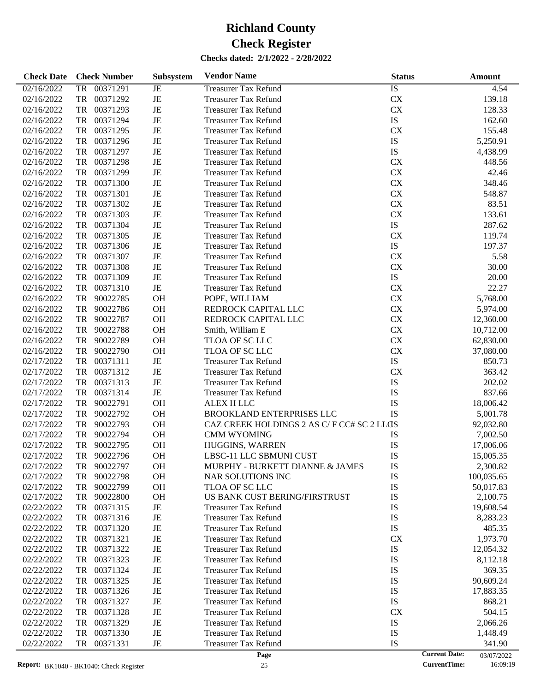| <b>Check Date</b>        | <b>Check Number</b> | Subsystem   | <b>Vendor Name</b>                        | <b>Status</b> | <b>Amount</b>                                |
|--------------------------|---------------------|-------------|-------------------------------------------|---------------|----------------------------------------------|
| 02/16/2022               | 00371291<br>TR      | $_{\rm JE}$ | <b>Treasurer Tax Refund</b>               | IS            | 4.54                                         |
| 02/16/2022               | TR<br>00371292      | JE          | <b>Treasurer Tax Refund</b>               | <b>CX</b>     | 139.18                                       |
| 02/16/2022               | TR<br>00371293      | JE          | <b>Treasurer Tax Refund</b>               | CX            | 128.33                                       |
| 02/16/2022               | TR<br>00371294      | $_{\rm JE}$ | <b>Treasurer Tax Refund</b>               | IS            | 162.60                                       |
| 02/16/2022               | TR<br>00371295      | JE          | <b>Treasurer Tax Refund</b>               | <b>CX</b>     | 155.48                                       |
| 02/16/2022               | TR<br>00371296      | JE          | <b>Treasurer Tax Refund</b>               | IS            | 5,250.91                                     |
| 02/16/2022               | TR<br>00371297      | JE          | <b>Treasurer Tax Refund</b>               | IS            | 4,438.99                                     |
| 02/16/2022               | TR<br>00371298      | JE          | <b>Treasurer Tax Refund</b>               | <b>CX</b>     | 448.56                                       |
| 02/16/2022               | TR<br>00371299      | JE          | <b>Treasurer Tax Refund</b>               | <b>CX</b>     | 42.46                                        |
| 02/16/2022               | TR<br>00371300      | JE          | <b>Treasurer Tax Refund</b>               | <b>CX</b>     | 348.46                                       |
| 02/16/2022               | TR<br>00371301      | JE          | <b>Treasurer Tax Refund</b>               | <b>CX</b>     | 548.87                                       |
| 02/16/2022               | TR<br>00371302      | JE          | <b>Treasurer Tax Refund</b>               | <b>CX</b>     | 83.51                                        |
| 02/16/2022               | TR<br>00371303      | JE          | <b>Treasurer Tax Refund</b>               | <b>CX</b>     | 133.61                                       |
| 02/16/2022               | TR<br>00371304      | JE          | <b>Treasurer Tax Refund</b>               | ${\rm IS}$    | 287.62                                       |
| 02/16/2022               | TR<br>00371305      | JE          | <b>Treasurer Tax Refund</b>               | <b>CX</b>     | 119.74                                       |
| 02/16/2022               | TR<br>00371306      | JE          | <b>Treasurer Tax Refund</b>               | ${\rm IS}$    | 197.37                                       |
| 02/16/2022               | TR<br>00371307      | JE          | <b>Treasurer Tax Refund</b>               | CX            | 5.58                                         |
| 02/16/2022               | TR<br>00371308      | JE          | <b>Treasurer Tax Refund</b>               | CX            | 30.00                                        |
| 02/16/2022               | TR<br>00371309      | $\rm{JE}$   | <b>Treasurer Tax Refund</b>               | ${\rm IS}$    | 20.00                                        |
| 02/16/2022               | TR<br>00371310      | $\rm{JE}$   | <b>Treasurer Tax Refund</b>               | CX            | 22.27                                        |
| 02/16/2022               | TR<br>90022785      | OH          | POPE, WILLIAM                             | <b>CX</b>     | 5,768.00                                     |
| 02/16/2022               | TR<br>90022786      | OH          | REDROCK CAPITAL LLC                       | <b>CX</b>     | 5,974.00                                     |
| 02/16/2022               | TR<br>90022787      | OH          | REDROCK CAPITAL LLC                       | <b>CX</b>     | 12,360.00                                    |
| 02/16/2022               | TR<br>90022788      | OH          | Smith, William E                          | CX            | 10,712.00                                    |
| 02/16/2022               | TR<br>90022789      | OH          | TLOA OF SC LLC                            | <b>CX</b>     | 62,830.00                                    |
| 02/16/2022               | TR<br>90022790      | OH          | TLOA OF SC LLC                            | <b>CX</b>     | 37,080.00                                    |
| 02/17/2022               | TR<br>00371311      | $\rm{JE}$   | <b>Treasurer Tax Refund</b>               | ${\rm IS}$    | 850.73                                       |
| 02/17/2022               | TR<br>00371312      | $\rm{JE}$   | <b>Treasurer Tax Refund</b>               | <b>CX</b>     | 363.42                                       |
| 02/17/2022               | TR<br>00371313      | $\rm{JE}$   | <b>Treasurer Tax Refund</b>               | IS            | 202.02                                       |
| 02/17/2022               | TR<br>00371314      | $\rm{JE}$   | <b>Treasurer Tax Refund</b>               | IS            | 837.66                                       |
| 02/17/2022               | TR<br>90022791      | OH          | ALEX H LLC                                | IS            | 18,006.42                                    |
| 02/17/2022               | TR<br>90022792      | OH          | BROOKLAND ENTERPRISES LLC                 | IS            | 5,001.78                                     |
| 02/17/2022               | TR<br>90022793      | OH          | CAZ CREEK HOLDINGS 2 AS C/F CC# SC 2 LLCS |               | 92,032.80                                    |
| 02/17/2022               | TR<br>90022794      | OH          | <b>CMM WYOMING</b>                        | IS            | 7,002.50                                     |
| 02/17/2022               | TR<br>90022795      | OH          | HUGGINS, WARREN                           | IS            | 17,006.06                                    |
| 02/17/2022               | TR<br>90022796      | <b>OH</b>   | LBSC-11 LLC SBMUNI CUST                   | IS            | 15,005.35                                    |
| 02/17/2022               | 90022797<br>TR      | <b>OH</b>   | MURPHY - BURKETT DIANNE & JAMES           | IS            | 2,300.82                                     |
| 02/17/2022               | TR<br>90022798      | <b>OH</b>   | NAR SOLUTIONS INC                         | IS            | 100,035.65                                   |
| 02/17/2022               | 90022799<br>TR      | <b>OH</b>   | TLOA OF SC LLC                            | IS            | 50,017.83                                    |
| 02/17/2022               | 90022800<br>TR      | <b>OH</b>   | US BANK CUST BERING/FIRSTRUST             | IS            | 2,100.75                                     |
| 02/22/2022               | TR<br>00371315      | JE          | <b>Treasurer Tax Refund</b>               | IS            | 19,608.54                                    |
| 02/22/2022               | TR<br>00371316      | JE          | <b>Treasurer Tax Refund</b>               | IS            | 8,283.23                                     |
| 02/22/2022               | TR<br>00371320      | JE          | <b>Treasurer Tax Refund</b>               | IS            | 485.35                                       |
| 02/22/2022               | TR<br>00371321      | JE          | <b>Treasurer Tax Refund</b>               | <b>CX</b>     | 1,973.70                                     |
| 02/22/2022               | TR<br>00371322      | JE          | <b>Treasurer Tax Refund</b>               | IS            | 12,054.32                                    |
| 02/22/2022               | TR<br>00371323      | JE          | <b>Treasurer Tax Refund</b>               | IS            | 8,112.18                                     |
| 02/22/2022               | TR<br>00371324      | JE          | <b>Treasurer Tax Refund</b>               | IS            | 369.35                                       |
| 02/22/2022               | TR<br>00371325      | JE          | <b>Treasurer Tax Refund</b>               | IS            | 90,609.24                                    |
| 02/22/2022               | TR<br>00371326      | JE          | <b>Treasurer Tax Refund</b>               | IS            | 17,883.35                                    |
| 02/22/2022               | TR<br>00371327      | JE          | <b>Treasurer Tax Refund</b>               | IS            | 868.21                                       |
| 02/22/2022               | TR<br>00371328      | JE          | <b>Treasurer Tax Refund</b>               | <b>CX</b>     | 504.15                                       |
| 02/22/2022               | TR<br>00371329      | JE          | <b>Treasurer Tax Refund</b>               | IS            |                                              |
|                          | 00371330            |             |                                           |               | 2,066.26                                     |
| 02/22/2022<br>02/22/2022 | TR                  | JE          | <b>Treasurer Tax Refund</b>               | IS            | 1,448.49                                     |
|                          | TR<br>00371331      | JE          | <b>Treasurer Tax Refund</b><br>Page       | IS            | 341.90<br><b>Current Date:</b><br>03/07/2022 |

<sup>03/07/2022&</sup>lt;br>16:09:19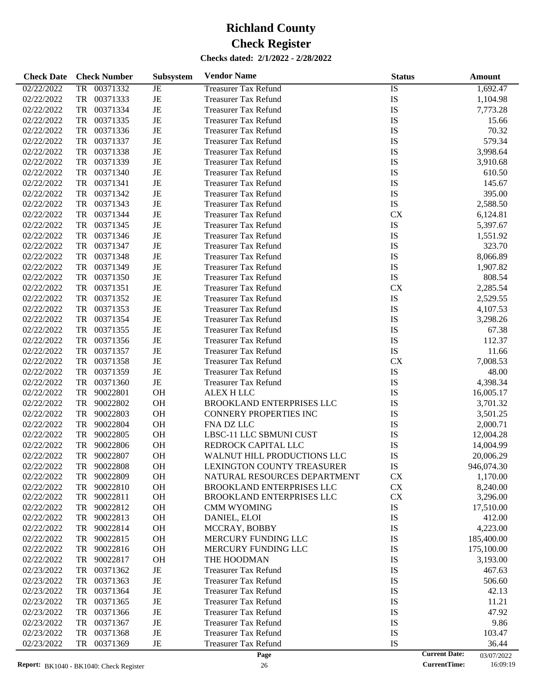| <b>Check Date</b> |           | <b>Check Number</b> | Subsystem | <b>Vendor Name</b>               | <b>Status</b> | <b>Amount</b>                      |
|-------------------|-----------|---------------------|-----------|----------------------------------|---------------|------------------------------------|
| 02/22/2022        | TR        | 00371332            | JE        | <b>Treasurer Tax Refund</b>      | <b>IS</b>     | 1,692.47                           |
| 02/22/2022        | TR        | 00371333            | JE        | <b>Treasurer Tax Refund</b>      | IS            | 1,104.98                           |
| 02/22/2022        | TR        | 00371334            | JE        | <b>Treasurer Tax Refund</b>      | IS            | 7,773.28                           |
| 02/22/2022        | TR        | 00371335            | JE        | <b>Treasurer Tax Refund</b>      | IS            | 15.66                              |
| 02/22/2022        | TR        | 00371336            | JE        | <b>Treasurer Tax Refund</b>      | IS            | 70.32                              |
| 02/22/2022        | TR        | 00371337            | JE        | <b>Treasurer Tax Refund</b>      | IS            | 579.34                             |
| 02/22/2022        | TR        | 00371338            | JE        | <b>Treasurer Tax Refund</b>      | IS            | 3,998.64                           |
| 02/22/2022        | TR        | 00371339            | JE        | <b>Treasurer Tax Refund</b>      | IS            | 3,910.68                           |
| 02/22/2022        | TR        | 00371340            | JE        | <b>Treasurer Tax Refund</b>      | IS            | 610.50                             |
| 02/22/2022        | TR        | 00371341            | JE        | <b>Treasurer Tax Refund</b>      | IS            | 145.67                             |
| 02/22/2022        | TR        | 00371342            | JE        | <b>Treasurer Tax Refund</b>      | IS            | 395.00                             |
| 02/22/2022        | TR        | 00371343            | JE        | <b>Treasurer Tax Refund</b>      | <b>IS</b>     | 2,588.50                           |
| 02/22/2022        | TR        | 00371344            | JE        | <b>Treasurer Tax Refund</b>      | <b>CX</b>     |                                    |
|                   |           |                     |           |                                  |               | 6,124.81                           |
| 02/22/2022        | TR        | 00371345            | JE        | <b>Treasurer Tax Refund</b>      | IS            | 5,397.67                           |
| 02/22/2022        | TR        | 00371346            | JE        | <b>Treasurer Tax Refund</b>      | IS            | 1,551.92                           |
| 02/22/2022        | TR        | 00371347            | JE        | <b>Treasurer Tax Refund</b>      | IS            | 323.70                             |
| 02/22/2022        | TR        | 00371348            | JE        | <b>Treasurer Tax Refund</b>      | IS            | 8,066.89                           |
| 02/22/2022        | TR        | 00371349            | JE        | <b>Treasurer Tax Refund</b>      | IS            | 1,907.82                           |
| 02/22/2022        | TR        | 00371350            | JE        | <b>Treasurer Tax Refund</b>      | <b>IS</b>     | 808.54                             |
| 02/22/2022        | TR        | 00371351            | JE        | <b>Treasurer Tax Refund</b>      | <b>CX</b>     | 2,285.54                           |
| 02/22/2022        | TR        | 00371352            | JE        | <b>Treasurer Tax Refund</b>      | IS            | 2,529.55                           |
| 02/22/2022        | TR        | 00371353            | JE        | <b>Treasurer Tax Refund</b>      | IS            | 4,107.53                           |
| 02/22/2022        | TR        | 00371354            | JE        | <b>Treasurer Tax Refund</b>      | IS            | 3,298.26                           |
| 02/22/2022        | TR        | 00371355            | JE        | <b>Treasurer Tax Refund</b>      | IS            | 67.38                              |
| 02/22/2022        | TR        | 00371356            | JE        | <b>Treasurer Tax Refund</b>      | IS            | 112.37                             |
| 02/22/2022        | TR        | 00371357            | JE        | <b>Treasurer Tax Refund</b>      | <b>IS</b>     | 11.66                              |
| 02/22/2022        | TR        | 00371358            | JE        | <b>Treasurer Tax Refund</b>      | <b>CX</b>     | 7,008.53                           |
| 02/22/2022        | TR        | 00371359            | JE        | <b>Treasurer Tax Refund</b>      | IS            | 48.00                              |
| 02/22/2022        | TR        | 00371360            | JE        | <b>Treasurer Tax Refund</b>      | IS            | 4,398.34                           |
| 02/22/2022        | TR        | 90022801            | OH        | <b>ALEX H LLC</b>                | IS            | 16,005.17                          |
| 02/22/2022        | TR        | 90022802            | OH        | <b>BROOKLAND ENTERPRISES LLC</b> | IS            | 3,701.32                           |
| 02/22/2022        | TR        | 90022803            | OH        | <b>CONNERY PROPERTIES INC</b>    | IS            | 3,501.25                           |
| 02/22/2022        | TR        | 90022804            | <b>OH</b> | FNA DZ LLC                       | IS            | 2,000.71                           |
| 02/22/2022        | TR        | 90022805            | <b>OH</b> | LBSC-11 LLC SBMUNI CUST          | IS            | 12,004.28                          |
| 02/22/2022        | <b>TR</b> | 90022806            | <b>OH</b> | REDROCK CAPITAL LLC              | IS            | 14,004.99                          |
| 02/22/2022        | TR        | 90022807            | <b>OH</b> | WALNUT HILL PRODUCTIONS LLC      | IS            | 20,006.29                          |
| 02/22/2022        | TR        | 90022808            | <b>OH</b> | LEXINGTON COUNTY TREASURER       | IS            | 946,074.30                         |
| 02/22/2022        | TR        | 90022809            | OH        | NATURAL RESOURCES DEPARTMENT     | <b>CX</b>     | 1,170.00                           |
| 02/22/2022        | TR        | 90022810            | OH        | <b>BROOKLAND ENTERPRISES LLC</b> | CX            | 8,240.00                           |
| 02/22/2022        | TR        | 90022811            | <b>OH</b> | BROOKLAND ENTERPRISES LLC        | ${\rm CX}$    | 3,296.00                           |
| 02/22/2022        | TR        | 90022812            | OH        | CMM WYOMING                      | IS            | 17,510.00                          |
| 02/22/2022        | TR        | 90022813            | OH        | DANIEL, ELOI                     | IS            | 412.00                             |
| 02/22/2022        | TR        | 90022814            | OH        | MCCRAY, BOBBY                    | IS            | 4,223.00                           |
| 02/22/2022        | TR        | 90022815            | OH        | MERCURY FUNDING LLC              | IS            | 185,400.00                         |
| 02/22/2022        | TR        | 90022816            | OH        | MERCURY FUNDING LLC              | IS            | 175,100.00                         |
|                   |           |                     |           | THE HOODMAN                      | IS            |                                    |
| 02/22/2022        | TR        | 90022817            | OH        |                                  |               | 3,193.00                           |
| 02/23/2022        | TR        | 00371362            | JE        | <b>Treasurer Tax Refund</b>      | IS            | 467.63                             |
| 02/23/2022        | TR        | 00371363            | JE        | <b>Treasurer Tax Refund</b>      | IS            | 506.60                             |
| 02/23/2022        | TR        | 00371364            | JE        | <b>Treasurer Tax Refund</b>      | IS            | 42.13                              |
| 02/23/2022        | TR        | 00371365            | JE        | <b>Treasurer Tax Refund</b>      | IS            | 11.21                              |
| 02/23/2022        | TR        | 00371366            | JE        | <b>Treasurer Tax Refund</b>      | IS            | 47.92                              |
| 02/23/2022        | TR        | 00371367            | JE        | <b>Treasurer Tax Refund</b>      | IS            | 9.86                               |
| 02/23/2022        | TR        | 00371368            | JE        | <b>Treasurer Tax Refund</b>      | IS            | 103.47                             |
| 02/23/2022        | TR        | 00371369            | JE        | <b>Treasurer Tax Refund</b>      | IS            | 36.44                              |
|                   |           |                     |           | Page                             |               | <b>Current Date:</b><br>03/07/2022 |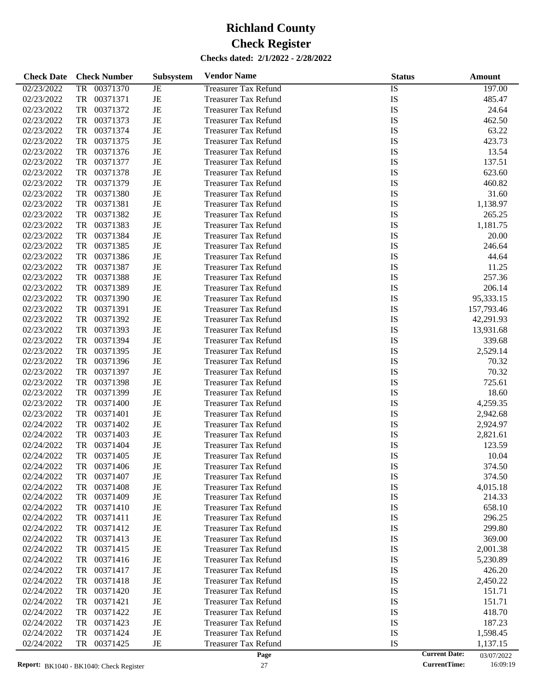| <b>Check Date</b> | <b>Check Number</b>   | Subsystem   | <b>Vendor Name</b>          | <b>Status</b> | Amount                             |
|-------------------|-----------------------|-------------|-----------------------------|---------------|------------------------------------|
| 02/23/2022        | 00371370<br>TR        | JE          | <b>Treasurer Tax Refund</b> | IS            | 197.00                             |
| 02/23/2022        | <b>TR</b><br>00371371 | $\rm{JE}$   | <b>Treasurer Tax Refund</b> | IS            | 485.47                             |
| 02/23/2022        | <b>TR</b><br>00371372 | $\rm{JE}$   | <b>Treasurer Tax Refund</b> | IS            | 24.64                              |
| 02/23/2022        | <b>TR</b><br>00371373 | $_{\rm JE}$ | <b>Treasurer Tax Refund</b> | IS            | 462.50                             |
| 02/23/2022        | <b>TR</b><br>00371374 | JE          | <b>Treasurer Tax Refund</b> | IS            | 63.22                              |
| 02/23/2022        | <b>TR</b><br>00371375 | $\rm{JE}$   | <b>Treasurer Tax Refund</b> | IS            | 423.73                             |
| 02/23/2022        | <b>TR</b><br>00371376 | $\rm{JE}$   | <b>Treasurer Tax Refund</b> | IS            | 13.54                              |
| 02/23/2022        | <b>TR</b><br>00371377 | $\rm{JE}$   | <b>Treasurer Tax Refund</b> | IS            | 137.51                             |
| 02/23/2022        | <b>TR</b><br>00371378 | $\rm{JE}$   | <b>Treasurer Tax Refund</b> | IS            | 623.60                             |
| 02/23/2022        | <b>TR</b><br>00371379 | $\rm{JE}$   | <b>Treasurer Tax Refund</b> | IS            | 460.82                             |
| 02/23/2022        | <b>TR</b><br>00371380 | $\rm{JE}$   | <b>Treasurer Tax Refund</b> | IS            | 31.60                              |
| 02/23/2022        | <b>TR</b><br>00371381 | $\rm{JE}$   | <b>Treasurer Tax Refund</b> | IS            | 1,138.97                           |
| 02/23/2022        | <b>TR</b><br>00371382 | $\rm{JE}$   | <b>Treasurer Tax Refund</b> | IS            | 265.25                             |
| 02/23/2022        | <b>TR</b><br>00371383 | $\rm{JE}$   | <b>Treasurer Tax Refund</b> | IS            | 1,181.75                           |
| 02/23/2022        | <b>TR</b><br>00371384 | $\rm{JE}$   | <b>Treasurer Tax Refund</b> | IS            | 20.00                              |
| 02/23/2022        | <b>TR</b><br>00371385 | JE          | <b>Treasurer Tax Refund</b> | IS            | 246.64                             |
| 02/23/2022        | <b>TR</b><br>00371386 | $\rm{JE}$   | <b>Treasurer Tax Refund</b> | IS            | 44.64                              |
| 02/23/2022        | <b>TR</b><br>00371387 | $\rm{JE}$   | <b>Treasurer Tax Refund</b> | IS            | 11.25                              |
| 02/23/2022        | <b>TR</b><br>00371388 | $\rm{JE}$   | <b>Treasurer Tax Refund</b> | IS            | 257.36                             |
| 02/23/2022        | <b>TR</b><br>00371389 | $\rm{JE}$   | <b>Treasurer Tax Refund</b> | IS            | 206.14                             |
| 02/23/2022        | <b>TR</b><br>00371390 | $\rm{JE}$   | <b>Treasurer Tax Refund</b> | IS            | 95,333.15                          |
| 02/23/2022        | <b>TR</b><br>00371391 | $\rm{JE}$   | <b>Treasurer Tax Refund</b> | IS            | 157,793.46                         |
| 02/23/2022        | <b>TR</b><br>00371392 | $\rm{JE}$   | <b>Treasurer Tax Refund</b> | IS            | 42,291.93                          |
| 02/23/2022        | <b>TR</b><br>00371393 | $\rm{JE}$   | <b>Treasurer Tax Refund</b> | IS            | 13,931.68                          |
| 02/23/2022        | <b>TR</b><br>00371394 | $\rm{JE}$   | <b>Treasurer Tax Refund</b> | IS            | 339.68                             |
| 02/23/2022        | <b>TR</b><br>00371395 | $\rm{JE}$   | <b>Treasurer Tax Refund</b> | IS            | 2,529.14                           |
| 02/23/2022        | <b>TR</b><br>00371396 | $\rm{JE}$   | <b>Treasurer Tax Refund</b> | IS            | 70.32                              |
| 02/23/2022        | <b>TR</b><br>00371397 | $\rm{JE}$   | <b>Treasurer Tax Refund</b> | IS            | 70.32                              |
| 02/23/2022        | <b>TR</b><br>00371398 | $\rm{JE}$   | <b>Treasurer Tax Refund</b> | IS            | 725.61                             |
| 02/23/2022        | <b>TR</b><br>00371399 | JE          | <b>Treasurer Tax Refund</b> | IS            | 18.60                              |
| 02/23/2022        | <b>TR</b><br>00371400 | $\rm{JE}$   | <b>Treasurer Tax Refund</b> | IS            | 4,259.35                           |
| 02/23/2022        | <b>TR</b><br>00371401 | $\rm{JE}$   | <b>Treasurer Tax Refund</b> | IS            | 2,942.68                           |
| 02/24/2022        | <b>TR</b><br>00371402 | $\rm{JE}$   | <b>Treasurer Tax Refund</b> | IS            | 2,924.97                           |
| 02/24/2022        | <b>TR</b><br>00371403 | $\rm{JE}$   | <b>Treasurer Tax Refund</b> | IS            | 2,821.61                           |
| 02/24/2022        | <b>TR</b><br>00371404 | $\rm{JE}$   | <b>Treasurer Tax Refund</b> | IS            | 123.59                             |
| 02/24/2022        | <b>TR</b><br>00371405 | JE          | <b>Treasurer Tax Refund</b> | IS            | 10.04                              |
| 02/24/2022        | 00371406<br>TR        | JE          | <b>Treasurer Tax Refund</b> | IS            | 374.50                             |
| 02/24/2022        | 00371407<br>TR        | JE          | <b>Treasurer Tax Refund</b> | IS            | 374.50                             |
| 02/24/2022        | 00371408<br>TR        | JE          | <b>Treasurer Tax Refund</b> | IS            | 4,015.18                           |
| 02/24/2022        | 00371409<br>TR        | JE          | <b>Treasurer Tax Refund</b> | IS            | 214.33                             |
| 02/24/2022        | 00371410<br>TR        | JE          | <b>Treasurer Tax Refund</b> | IS            | 658.10                             |
| 02/24/2022        | 00371411<br>TR        | JE          | <b>Treasurer Tax Refund</b> | IS            | 296.25                             |
| 02/24/2022        | 00371412<br>TR        | JE          | <b>Treasurer Tax Refund</b> | IS            | 299.80                             |
| 02/24/2022        | 00371413<br>TR        | JE          | <b>Treasurer Tax Refund</b> | IS            | 369.00                             |
| 02/24/2022        | 00371415<br>TR        | JE          | <b>Treasurer Tax Refund</b> | IS            | 2,001.38                           |
| 02/24/2022        | 00371416<br>TR        | JE          | <b>Treasurer Tax Refund</b> | IS            | 5,230.89                           |
| 02/24/2022        | 00371417<br>TR        | JE          | <b>Treasurer Tax Refund</b> | IS            | 426.20                             |
| 02/24/2022        | 00371418<br>TR        | JE          | <b>Treasurer Tax Refund</b> | IS            | 2,450.22                           |
| 02/24/2022        | 00371420<br>TR        | JE          | <b>Treasurer Tax Refund</b> | IS            | 151.71                             |
| 02/24/2022        | 00371421<br>TR        | JE          | <b>Treasurer Tax Refund</b> | IS            | 151.71                             |
| 02/24/2022        | 00371422<br>TR        | JE          | <b>Treasurer Tax Refund</b> | IS            | 418.70                             |
| 02/24/2022        | 00371423<br>TR        | JE          | <b>Treasurer Tax Refund</b> | IS            | 187.23                             |
| 02/24/2022        | 00371424<br>TR        | JE          | <b>Treasurer Tax Refund</b> | IS            | 1,598.45                           |
| 02/24/2022        | 00371425<br>TR        | JE          | <b>Treasurer Tax Refund</b> | IS            | 1,137.15                           |
|                   |                       |             | Page                        |               | <b>Current Date:</b><br>03/07/2022 |

03/07/2022<br>16:09:19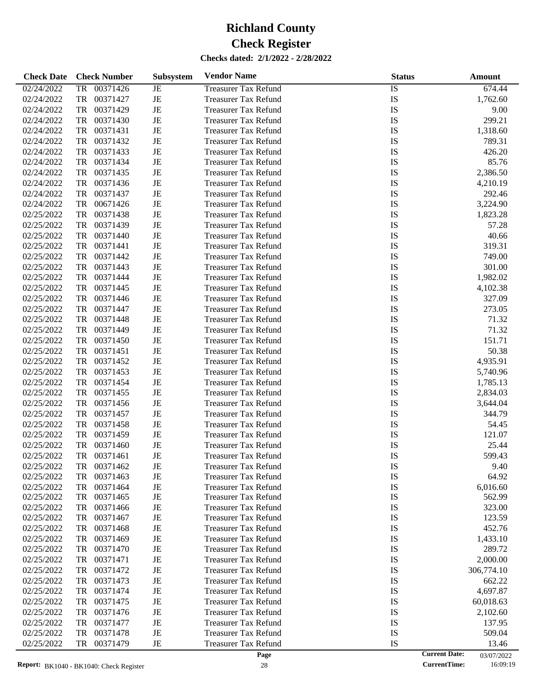| <b>Check Date</b> | <b>Check Number</b>   | <b>Subsystem</b> | <b>Vendor Name</b>          | <b>Status</b> | Amount                             |
|-------------------|-----------------------|------------------|-----------------------------|---------------|------------------------------------|
| 02/24/2022        | <b>TR</b><br>00371426 | <b>JE</b>        | <b>Treasurer Tax Refund</b> | IS            | 674.44                             |
| 02/24/2022        | TR<br>00371427        | JE               | <b>Treasurer Tax Refund</b> | IS            | 1,762.60                           |
| 02/24/2022        | TR<br>00371429        | JE               | <b>Treasurer Tax Refund</b> | IS            | 9.00                               |
| 02/24/2022        | TR<br>00371430        | JE               | <b>Treasurer Tax Refund</b> | IS            | 299.21                             |
| 02/24/2022        | TR<br>00371431        | JE               | <b>Treasurer Tax Refund</b> | IS            | 1,318.60                           |
| 02/24/2022        | TR<br>00371432        | JE               | <b>Treasurer Tax Refund</b> | IS            | 789.31                             |
| 02/24/2022        | TR<br>00371433        | JE               | <b>Treasurer Tax Refund</b> | IS            | 426.20                             |
| 02/24/2022        | TR<br>00371434        | JE               | <b>Treasurer Tax Refund</b> | IS            | 85.76                              |
| 02/24/2022        | TR<br>00371435        | JE               | <b>Treasurer Tax Refund</b> | IS            | 2,386.50                           |
| 02/24/2022        | TR<br>00371436        | JE               | <b>Treasurer Tax Refund</b> | IS            | 4,210.19                           |
| 02/24/2022        | TR<br>00371437        | JE               | <b>Treasurer Tax Refund</b> | IS            | 292.46                             |
| 02/24/2022        | TR<br>00671426        | JE               | <b>Treasurer Tax Refund</b> | IS            | 3,224.90                           |
| 02/25/2022        | TR<br>00371438        | JE               | <b>Treasurer Tax Refund</b> | IS            | 1,823.28                           |
| 02/25/2022        | TR<br>00371439        | JE               | <b>Treasurer Tax Refund</b> | IS            | 57.28                              |
| 02/25/2022        | TR<br>00371440        | JE               | <b>Treasurer Tax Refund</b> | IS            | 40.66                              |
| 02/25/2022        | TR<br>00371441        | JE               | <b>Treasurer Tax Refund</b> | IS            | 319.31                             |
| 02/25/2022        | TR<br>00371442        | JE               | <b>Treasurer Tax Refund</b> | IS            | 749.00                             |
| 02/25/2022        | TR<br>00371443        | JE               | <b>Treasurer Tax Refund</b> | IS            | 301.00                             |
| 02/25/2022        | TR<br>00371444        | JE               | <b>Treasurer Tax Refund</b> | IS            | 1,982.02                           |
| 02/25/2022        | TR<br>00371445        | JE               | <b>Treasurer Tax Refund</b> | IS            | 4,102.38                           |
| 02/25/2022        | TR<br>00371446        | JE               | <b>Treasurer Tax Refund</b> | IS            | 327.09                             |
| 02/25/2022        | TR<br>00371447        | JE               | <b>Treasurer Tax Refund</b> | IS            | 273.05                             |
| 02/25/2022        | TR<br>00371448        | JE               | <b>Treasurer Tax Refund</b> | IS            | 71.32                              |
| 02/25/2022        | TR<br>00371449        | JE               | <b>Treasurer Tax Refund</b> | IS            | 71.32                              |
| 02/25/2022        | TR<br>00371450        | JE               | <b>Treasurer Tax Refund</b> | IS            | 151.71                             |
| 02/25/2022        | TR<br>00371451        | JE               | <b>Treasurer Tax Refund</b> | IS            | 50.38                              |
| 02/25/2022        | TR<br>00371452        | JE               | <b>Treasurer Tax Refund</b> | IS            | 4,935.91                           |
| 02/25/2022        | TR<br>00371453        | JE               | <b>Treasurer Tax Refund</b> | IS            | 5,740.96                           |
| 02/25/2022        | TR<br>00371454        | JE               | <b>Treasurer Tax Refund</b> | IS            | 1,785.13                           |
| 02/25/2022        | TR<br>00371455        | JE               | <b>Treasurer Tax Refund</b> | IS            | 2,834.03                           |
| 02/25/2022        | TR<br>00371456        | JE               | <b>Treasurer Tax Refund</b> | IS            | 3,644.04                           |
| 02/25/2022        | TR<br>00371457        | JE               | <b>Treasurer Tax Refund</b> | IS            | 344.79                             |
| 02/25/2022        | TR<br>00371458        | JE               | <b>Treasurer Tax Refund</b> | IS            | 54.45                              |
| 02/25/2022        | TR<br>00371459        | JE               | <b>Treasurer Tax Refund</b> | IS            | 121.07                             |
| 02/25/2022        | TR<br>00371460        | JE               | <b>Treasurer Tax Refund</b> | IS            | 25.44                              |
| 02/25/2022        | 00371461<br>TR        | JE               | <b>Treasurer Tax Refund</b> | IS            | 599.43                             |
| 02/25/2022        | TR<br>00371462        | JE               | <b>Treasurer Tax Refund</b> | IS            | 9.40                               |
| 02/25/2022        | 00371463<br>TR        | JE               | <b>Treasurer Tax Refund</b> | IS            | 64.92                              |
| 02/25/2022        | TR<br>00371464        | JE               | <b>Treasurer Tax Refund</b> | IS            | 6,016.60                           |
| 02/25/2022        | TR<br>00371465        | JE               | <b>Treasurer Tax Refund</b> | IS            | 562.99                             |
| 02/25/2022        | TR<br>00371466        | JE               | <b>Treasurer Tax Refund</b> | IS            | 323.00                             |
| 02/25/2022        | 00371467<br>TR        | JE               | <b>Treasurer Tax Refund</b> | IS            | 123.59                             |
| 02/25/2022        | TR<br>00371468        | JE               | <b>Treasurer Tax Refund</b> | IS            | 452.76                             |
| 02/25/2022        | TR<br>00371469        | JE               | <b>Treasurer Tax Refund</b> | IS            | 1,433.10                           |
| 02/25/2022        | 00371470<br>TR        | JE               | <b>Treasurer Tax Refund</b> | IS            | 289.72                             |
| 02/25/2022        | TR<br>00371471        | JE               | <b>Treasurer Tax Refund</b> | IS            | 2,000.00                           |
| 02/25/2022        | TR<br>00371472        | JE               | <b>Treasurer Tax Refund</b> | IS            | 306,774.10                         |
| 02/25/2022        | 00371473<br>TR        | JE               | <b>Treasurer Tax Refund</b> | IS            | 662.22                             |
| 02/25/2022        | 00371474<br>TR        | JE               | <b>Treasurer Tax Refund</b> | IS            | 4,697.87                           |
| 02/25/2022        | TR<br>00371475        | JE               | <b>Treasurer Tax Refund</b> | IS            | 60,018.63                          |
| 02/25/2022        | TR<br>00371476        | JE               | <b>Treasurer Tax Refund</b> | IS            | 2,102.60                           |
| 02/25/2022        | 00371477<br>TR        | JE               | <b>Treasurer Tax Refund</b> | IS            | 137.95                             |
| 02/25/2022        | 00371478<br>TR        | JE               | <b>Treasurer Tax Refund</b> | IS            | 509.04                             |
| 02/25/2022        | TR<br>00371479        | $_{\rm JE}$      | <b>Treasurer Tax Refund</b> | IS            | 13.46                              |
|                   |                       |                  | Page                        |               | <b>Current Date:</b><br>03/07/2022 |

03/07/2022<br>16:09:19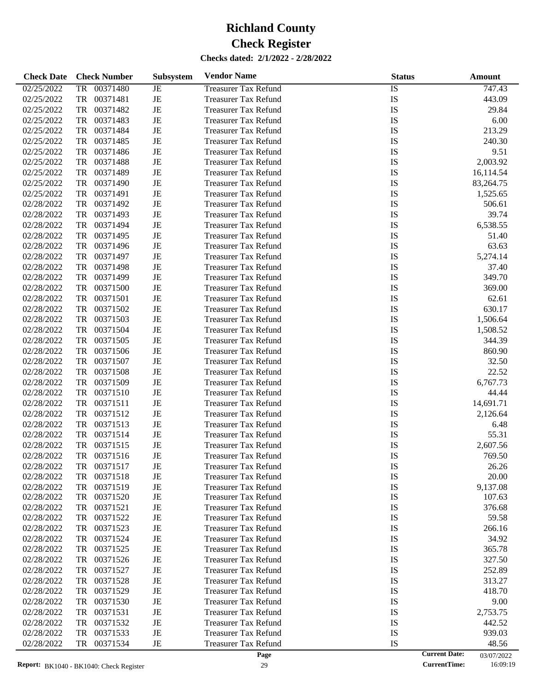| <b>Check Date</b> | <b>Check Number</b> | Subsystem | <b>Vendor Name</b>          | <b>Status</b> | Amount                             |
|-------------------|---------------------|-----------|-----------------------------|---------------|------------------------------------|
| 02/25/2022        | 00371480<br>TR      | JE        | <b>Treasurer Tax Refund</b> | IS            | 747.43                             |
| 02/25/2022        | TR<br>00371481      | JE        | <b>Treasurer Tax Refund</b> | IS            | 443.09                             |
| 02/25/2022        | TR<br>00371482      | JE        | <b>Treasurer Tax Refund</b> | IS            | 29.84                              |
| 02/25/2022        | 00371483<br>TR      | JE        | <b>Treasurer Tax Refund</b> | IS            | 6.00                               |
| 02/25/2022        | TR<br>00371484      | JE        | <b>Treasurer Tax Refund</b> | IS            | 213.29                             |
| 02/25/2022        | TR<br>00371485      | JE        | <b>Treasurer Tax Refund</b> | IS            | 240.30                             |
| 02/25/2022        | TR<br>00371486      | JE        | <b>Treasurer Tax Refund</b> | IS            | 9.51                               |
| 02/25/2022        | TR<br>00371488      | JE        | <b>Treasurer Tax Refund</b> | IS            | 2,003.92                           |
| 02/25/2022        | TR<br>00371489      | JE        | <b>Treasurer Tax Refund</b> | IS            | 16,114.54                          |
| 02/25/2022        | TR<br>00371490      | JE        | <b>Treasurer Tax Refund</b> | IS            | 83,264.75                          |
| 02/25/2022        | TR<br>00371491      | JE        | <b>Treasurer Tax Refund</b> | IS            | 1,525.65                           |
| 02/28/2022        | TR<br>00371492      | JE        | <b>Treasurer Tax Refund</b> | IS            | 506.61                             |
| 02/28/2022        | TR<br>00371493      | JE        | <b>Treasurer Tax Refund</b> | IS            | 39.74                              |
| 02/28/2022        | TR<br>00371494      | JE        | <b>Treasurer Tax Refund</b> | IS            | 6,538.55                           |
| 02/28/2022        | TR<br>00371495      | JE        | <b>Treasurer Tax Refund</b> | IS            | 51.40                              |
| 02/28/2022        | TR<br>00371496      | JE        | <b>Treasurer Tax Refund</b> | IS            | 63.63                              |
| 02/28/2022        | TR<br>00371497      | JE        | <b>Treasurer Tax Refund</b> | IS            | 5,274.14                           |
| 02/28/2022        | TR<br>00371498      | JE        | <b>Treasurer Tax Refund</b> | IS            | 37.40                              |
| 02/28/2022        | TR<br>00371499      | JE        | <b>Treasurer Tax Refund</b> | IS            | 349.70                             |
| 02/28/2022        | TR<br>00371500      | JE        | <b>Treasurer Tax Refund</b> | IS            | 369.00                             |
| 02/28/2022        | TR<br>00371501      | $\rm{JE}$ | <b>Treasurer Tax Refund</b> | IS            | 62.61                              |
| 02/28/2022        | TR<br>00371502      | $\rm{JE}$ | <b>Treasurer Tax Refund</b> | IS            | 630.17                             |
| 02/28/2022        | TR<br>00371503      | JE        | <b>Treasurer Tax Refund</b> | IS            | 1,506.64                           |
| 02/28/2022        | TR<br>00371504      | JE        | <b>Treasurer Tax Refund</b> | IS            | 1,508.52                           |
| 02/28/2022        | TR<br>00371505      | JE        | <b>Treasurer Tax Refund</b> | IS            | 344.39                             |
| 02/28/2022        | TR<br>00371506      | $\rm{JE}$ | <b>Treasurer Tax Refund</b> | IS            | 860.90                             |
| 02/28/2022        | TR<br>00371507      | JE        | <b>Treasurer Tax Refund</b> | IS            | 32.50                              |
| 02/28/2022        | TR<br>00371508      | JE        | <b>Treasurer Tax Refund</b> | IS            | 22.52                              |
| 02/28/2022        | TR<br>00371509      | $\rm{JE}$ | <b>Treasurer Tax Refund</b> | IS            | 6,767.73                           |
| 02/28/2022        | TR<br>00371510      | JE        | <b>Treasurer Tax Refund</b> | IS            | 44.44                              |
| 02/28/2022        | TR<br>00371511      | JE        | <b>Treasurer Tax Refund</b> | IS            | 14,691.71                          |
| 02/28/2022        | TR<br>00371512      | JE        | <b>Treasurer Tax Refund</b> | IS            | 2,126.64                           |
| 02/28/2022        | TR<br>00371513      | JE        | <b>Treasurer Tax Refund</b> | IS            | 6.48                               |
| 02/28/2022        | TR<br>00371514      | JE        | <b>Treasurer Tax Refund</b> | IS            | 55.31                              |
| 02/28/2022        | TR<br>00371515      | JE        | <b>Treasurer Tax Refund</b> | IS            | 2,607.56                           |
| 02/28/2022        | TR<br>00371516      | JE        | <b>Treasurer Tax Refund</b> | IS            | 769.50                             |
| 02/28/2022        | 00371517<br>TR      | JE        | <b>Treasurer Tax Refund</b> | IS            | 26.26                              |
| 02/28/2022        | TR<br>00371518      | JE        | <b>Treasurer Tax Refund</b> | IS            | 20.00                              |
| 02/28/2022        | TR<br>00371519      | JE        | <b>Treasurer Tax Refund</b> | IS            | 9,137.08                           |
| 02/28/2022        | 00371520<br>TR      | JE        | <b>Treasurer Tax Refund</b> | IS            | 107.63                             |
| 02/28/2022        | TR<br>00371521      | JE        | <b>Treasurer Tax Refund</b> | IS            | 376.68                             |
| 02/28/2022        | 00371522<br>TR      | JE        | <b>Treasurer Tax Refund</b> | IS            | 59.58                              |
| 02/28/2022        | TR<br>00371523      | JE        | <b>Treasurer Tax Refund</b> | IS            | 266.16                             |
| 02/28/2022        | TR<br>00371524      | JE        | <b>Treasurer Tax Refund</b> | IS            | 34.92                              |
| 02/28/2022        | TR<br>00371525      | JE        | <b>Treasurer Tax Refund</b> | IS            | 365.78                             |
| 02/28/2022        | TR<br>00371526      | JE        | <b>Treasurer Tax Refund</b> | IS            | 327.50                             |
| 02/28/2022        | TR<br>00371527      | JE        | <b>Treasurer Tax Refund</b> | IS            | 252.89                             |
| 02/28/2022        | TR<br>00371528      | JE        | <b>Treasurer Tax Refund</b> | IS            | 313.27                             |
| 02/28/2022        | TR<br>00371529      | JE        | <b>Treasurer Tax Refund</b> | IS            | 418.70                             |
| 02/28/2022        | TR<br>00371530      | JE        | <b>Treasurer Tax Refund</b> | IS            | 9.00                               |
| 02/28/2022        | TR<br>00371531      | JE        | <b>Treasurer Tax Refund</b> | IS            | 2,753.75                           |
| 02/28/2022        | TR<br>00371532      | JE        | <b>Treasurer Tax Refund</b> | IS            | 442.52                             |
| 02/28/2022        | 00371533<br>TR      | JE        | <b>Treasurer Tax Refund</b> | IS            | 939.03                             |
| 02/28/2022        | TR<br>00371534      | JE        | <b>Treasurer Tax Refund</b> | IS            | 48.56                              |
|                   |                     |           | Page                        |               | <b>Current Date:</b><br>03/07/2022 |

<sup>03/07/2022&</sup>lt;br>16:09:19